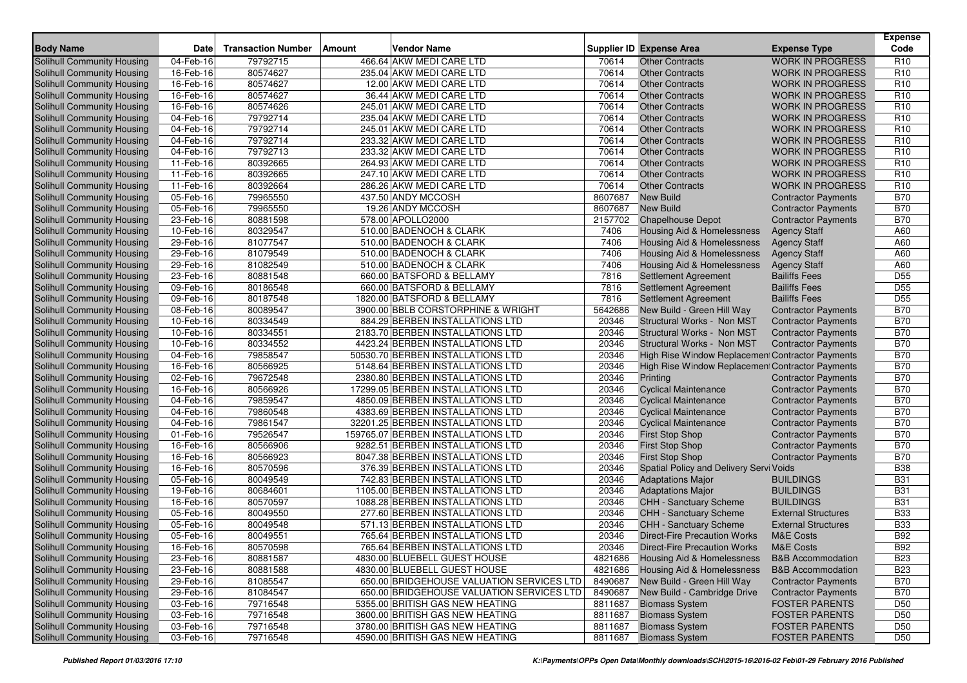| <b>Body Name</b>                  | <b>Date</b>             | <b>Transaction Number</b> | Vendor Name<br><b>Amount</b>              |         | <b>Supplier ID Expense Area</b>                  | <b>Expense Type</b>          | <b>Expense</b><br>Code |
|-----------------------------------|-------------------------|---------------------------|-------------------------------------------|---------|--------------------------------------------------|------------------------------|------------------------|
| Solihull Community Housing        | 04-Feb-16               | 79792715                  | 466.64 AKW MEDI CARE LTD                  | 70614   | <b>Other Contracts</b>                           | <b>WORK IN PROGRESS</b>      | R <sub>10</sub>        |
| Solihull Community Housing        | 16-Feb-16               | 80574627                  | 235.04 AKW MEDI CARE LTD                  | 70614   | <b>Other Contracts</b>                           | <b>WORK IN PROGRESS</b>      | R <sub>10</sub>        |
| Solihull Community Housing        | 16-Feb-16               | 80574627                  | 12.00 AKW MEDI CARE LTD                   | 70614   | <b>Other Contracts</b>                           | <b>WORK IN PROGRESS</b>      | R <sub>10</sub>        |
| <b>Solihull Community Housing</b> | 16-Feb-16               | 80574627                  | 36.44 AKW MEDI CARE LTD                   | 70614   | <b>Other Contracts</b>                           | <b>WORK IN PROGRESS</b>      | R <sub>10</sub>        |
| Solihull Community Housing        | 16-Feb-16               | 80574626                  | 245.01 AKW MEDI CARE LTD                  | 70614   | <b>Other Contracts</b>                           | <b>WORK IN PROGRESS</b>      | R <sub>10</sub>        |
| Solihull Community Housing        | 04-Feb-16               | 79792714                  | 235.04 AKW MEDI CARE LTD                  | 70614   | <b>Other Contracts</b>                           | <b>WORK IN PROGRESS</b>      | R <sub>10</sub>        |
| <b>Solihull Community Housing</b> | $\overline{04}$ -Feb-16 | 79792714                  | 245.01 AKW MEDI CARE LTD                  | 70614   | <b>Other Contracts</b>                           | <b>WORK IN PROGRESS</b>      | R <sub>10</sub>        |
| Solihull Community Housing        | 04-Feb-16               | 79792714                  | 233.32 AKW MEDI CARE LTD                  | 70614   | <b>Other Contracts</b>                           | <b>WORK IN PROGRESS</b>      | R <sub>10</sub>        |
| Solihull Community Housing        | 04-Feb-16               | 79792713                  | 233.32 AKW MEDI CARE LTD                  | 70614   | <b>Other Contracts</b>                           | <b>WORK IN PROGRESS</b>      | R <sub>10</sub>        |
| Solihull Community Housing        | 11-Feb-16               | 80392665                  | 264.93 AKW MEDI CARE LTD                  | 70614   | <b>Other Contracts</b>                           | <b>WORK IN PROGRESS</b>      | R <sub>10</sub>        |
| <b>Solihull Community Housing</b> | 11-Feb-16               | 80392665                  | 247.10 AKW MEDI CARE LTD                  | 70614   | <b>Other Contracts</b>                           | <b>WORK IN PROGRESS</b>      | R <sub>10</sub>        |
| Solihull Community Housing        | 11-Feb-16               | 80392664                  | 286.26 AKW MEDI CARE LTD                  | 70614   | <b>Other Contracts</b>                           | <b>WORK IN PROGRESS</b>      | R <sub>10</sub>        |
| <b>Solihull Community Housing</b> | 05-Feb-16               | 79965550                  | 437.50 ANDY MCCOSH                        | 8607687 | <b>New Build</b>                                 | <b>Contractor Payments</b>   | <b>B70</b>             |
| Solihull Community Housing        | 05-Feb-16               | 79965550                  | 19.26 ANDY MCCOSH                         | 8607687 | <b>New Build</b>                                 | <b>Contractor Payments</b>   | <b>B70</b>             |
| Solihull Community Housing        | 23-Feb-16               | 80881598                  | 578.00 APOLLO2000                         | 2157702 | <b>Chapelhouse Depot</b>                         | <b>Contractor Payments</b>   | <b>B70</b>             |
| Solihull Community Housing        | 10-Feb-16               | 80329547                  | 510.00 BADENOCH & CLARK                   | 7406    | Housing Aid & Homelessness                       | <b>Agency Staff</b>          | A60                    |
| Solihull Community Housing        | 29-Feb-16               | 81077547                  | 510.00 BADENOCH & CLARK                   | 7406    | Housing Aid & Homelessness                       | <b>Agency Staff</b>          | A60                    |
| <b>Solihull Community Housing</b> | 29-Feb-16               | 81079549                  | 510.00 BADENOCH & CLARK                   | 7406    | Housing Aid & Homelessness                       | <b>Agency Staff</b>          | A60                    |
| Solihull Community Housing        | 29-Feb-16               | 81082549                  | 510.00 BADENOCH & CLARK                   | 7406    | <b>Housing Aid &amp; Homelessness</b>            | <b>Agency Staff</b>          | A60                    |
| Solihull Community Housing        | 23-Feb-16               | 80881548                  | 660.00 BATSFORD & BELLAMY                 | 7816    | Settlement Agreement                             | <b>Bailiffs Fees</b>         | D <sub>55</sub>        |
| <b>Solihull Community Housing</b> | 09-Feb-16               | 80186548                  | 660.00 BATSFORD & BELLAMY                 | 7816    | Settlement Agreement                             | <b>Bailiffs Fees</b>         | D <sub>55</sub>        |
| Solihull Community Housing        | 09-Feb-16               | 80187548                  | 1820.00 BATSFORD & BELLAMY                | 7816    | Settlement Agreement                             | <b>Bailiffs Fees</b>         | D <sub>55</sub>        |
| Solihull Community Housing        | 08-Feb-16               | 80089547                  | 3900.00 BBLB CORSTORPHINE & WRIGHT        | 5642686 | New Build - Green Hill Way                       | <b>Contractor Payments</b>   | <b>B70</b>             |
| <b>Solihull Community Housing</b> | 10-Feb-16               | 80334549                  | 884.29 BERBEN INSTALLATIONS LTD           | 20346   | Structural Works - Non MST                       | <b>Contractor Payments</b>   | <b>B70</b>             |
| <b>Solihull Community Housing</b> | 10-Feb-16               | 80334551                  | 2183.70 BERBEN INSTALLATIONS LTD          | 20346   | Structural Works - Non MST                       | <b>Contractor Payments</b>   | <b>B70</b>             |
| Solihull Community Housing        | 10-Feb-16               | 80334552                  | 4423.24 BERBEN INSTALLATIONS LTD          | 20346   | Structural Works - Non MST                       | <b>Contractor Payments</b>   | <b>B70</b>             |
| Solihull Community Housing        | 04-Feb-16               | 79858547                  | 50530.70 BERBEN INSTALLATIONS LTD         | 20346   | High Rise Window Replacement Contractor Payments |                              | <b>B70</b>             |
| Solihull Community Housing        | 16-Feb-16               | 80566925                  | 5148.64 BERBEN INSTALLATIONS LTD          | 20346   | High Rise Window Replacemen Contractor Payments  |                              | <b>B70</b>             |
| Solihull Community Housing        | 02-Feb-16               | 79672548                  | 2380.80 BERBEN INSTALLATIONS LTD          | 20346   | Printing                                         | <b>Contractor Payments</b>   | <b>B70</b>             |
| Solihull Community Housing        | 16-Feb-16               | 80566926                  | 17299.05 BERBEN INSTALLATIONS LTD         | 20346   | <b>Cyclical Maintenance</b>                      | <b>Contractor Payments</b>   | <b>B70</b>             |
| Solihull Community Housing        | 04-Feb-16               | 79859547                  | 4850.09 BERBEN INSTALLATIONS LTD          | 20346   | <b>Cyclical Maintenance</b>                      | <b>Contractor Payments</b>   | <b>B70</b>             |
| Solihull Community Housing        | 04-Feb-16               | 79860548                  | 4383.69 BERBEN INSTALLATIONS LTD          | 20346   | <b>Cyclical Maintenance</b>                      | <b>Contractor Payments</b>   | <b>B70</b>             |
| Solihull Community Housing        | 04-Feb-16               | 79861547                  | 32201.25 BERBEN INSTALLATIONS LTD         | 20346   | <b>Cyclical Maintenance</b>                      | <b>Contractor Payments</b>   | <b>B70</b>             |
| Solihull Community Housing        | 01-Feb-16               | 79526547                  | 159765.07 BERBEN INSTALLATIONS LTD        | 20346   | <b>First Stop Shop</b>                           | <b>Contractor Payments</b>   | <b>B70</b>             |
| Solihull Community Housing        | 16-Feb-16               | 80566906                  | 9282.51 BERBEN INSTALLATIONS LTD          | 20346   | <b>First Stop Shop</b>                           | <b>Contractor Payments</b>   | <b>B70</b>             |
| <b>Solihull Community Housing</b> | 16-Feb-16               | 80566923                  | 8047.38 BERBEN INSTALLATIONS LTD          | 20346   | <b>First Stop Shop</b>                           | <b>Contractor Payments</b>   | <b>B70</b>             |
| Solihull Community Housing        | 16-Feb-16               | 80570596                  | 376.39 BERBEN INSTALLATIONS LTD           | 20346   | Spatial Policy and Delivery Servi Voids          |                              | <b>B38</b>             |
| Solihull Community Housing        | 05-Feb-16               | 80049549                  | 742.83 BERBEN INSTALLATIONS LTD           | 20346   | <b>Adaptations Major</b>                         | <b>BUILDINGS</b>             | <b>B31</b>             |
| Solihull Community Housing        | 19-Feb-16               | 80684601                  | 1105.00 BERBEN INSTALLATIONS LTD          | 20346   | <b>Adaptations Major</b>                         | <b>BUILDINGS</b>             | <b>B31</b>             |
| Solihull Community Housing        | 16-Feb-16               | 80570597                  | 1088.28 BERBEN INSTALLATIONS LTD          | 20346   | CHH - Sanctuary Scheme                           | <b>BUILDINGS</b>             | <b>B31</b>             |
| Solihull Community Housing        | 05-Feb-16               | 80049550                  | 277.60 BERBEN INSTALLATIONS LTD           | 20346   | <b>CHH - Sanctuary Scheme</b>                    | <b>External Structures</b>   | <b>B33</b>             |
| Solihull Community Housing        | 05-Feb-16               | 80049548                  | 571.13 BERBEN INSTALLATIONS LTD           | 20346   | <b>CHH - Sanctuary Scheme</b>                    | <b>External Structures</b>   | <b>B33</b>             |
| Solihull Community Housing        | 05-Feb-16               | 80049551                  | 765.64 BERBEN INSTALLATIONS LTD           | 20346   | Direct-Fire Precaution Works                     | <b>M&amp;E Costs</b>         | <b>B92</b>             |
| Solihull Community Housing        | 16-Feb-16               | 80570598                  | 765.64 BERBEN INSTALLATIONS LTD           | 20346   | <b>Direct-Fire Precaution Works</b>              | M&E Costs                    | <b>B92</b>             |
| Solihull Community Housing        | 23-Feb-16               | 80881587                  | 4830.00 BLUEBELL GUEST HOUSE              | 4821686 | <b>Housing Aid &amp; Homelessness</b>            | <b>B&amp;B Accommodation</b> | <b>B23</b>             |
| Solihull Community Housing        | 23-Feb-16               | 80881588                  | 4830.00 BLUEBELL GUEST HOUSE              | 4821686 | Housing Aid & Homelessness                       | <b>B&amp;B Accommodation</b> | <b>B23</b>             |
| Solihull Community Housing        | 29-Feb-16               | 81085547                  | 650.00 BRIDGEHOUSE VALUATION SERVICES LTD | 8490687 | New Build - Green Hill Way                       | <b>Contractor Payments</b>   | <b>B70</b>             |
| Solihull Community Housing        | 29-Feb-16               | 81084547                  | 650.00 BRIDGEHOUSE VALUATION SERVICES LTD | 8490687 | New Build - Cambridge Drive                      | <b>Contractor Payments</b>   | <b>B70</b>             |
| Solihull Community Housing        | 03-Feb-16               | 79716548                  | 5355.00 BRITISH GAS NEW HEATING           | 8811687 | <b>Biomass System</b>                            | <b>FOSTER PARENTS</b>        | D <sub>50</sub>        |
| Solihull Community Housing        | 03-Feb-16               | 79716548                  | 3600.00 BRITISH GAS NEW HEATING           | 8811687 | <b>Biomass System</b>                            | <b>FOSTER PARENTS</b>        | D <sub>50</sub>        |
| Solihull Community Housing        | 03-Feb-16               | 79716548                  | 3780.00 BRITISH GAS NEW HEATING           | 8811687 | <b>Biomass System</b>                            | <b>FOSTER PARENTS</b>        | D <sub>50</sub>        |
| Solihull Community Housing        | 03-Feb-16               | 79716548                  | 4590.00 BRITISH GAS NEW HEATING           | 8811687 | <b>Biomass System</b>                            | <b>FOSTER PARENTS</b>        | D <sub>50</sub>        |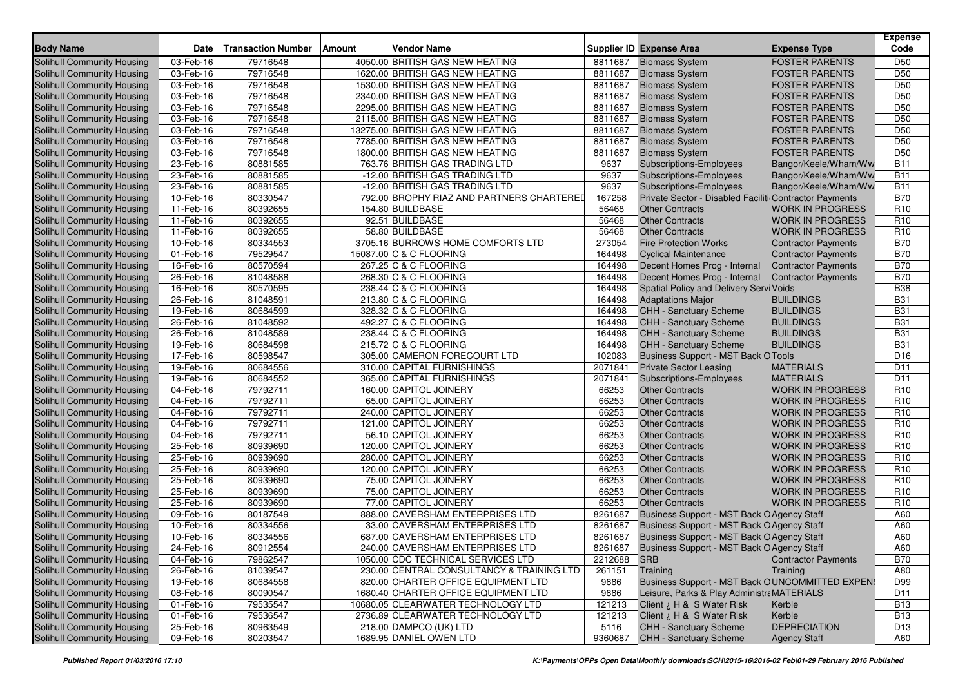| <b>Body Name</b>                  | <b>Date</b> | <b>Transaction Number</b> | Amount | Vendor Name                               |         | <b>Supplier ID Expense Area</b>                        | <b>Expense Type</b>        | <b>Expense</b><br>Code             |
|-----------------------------------|-------------|---------------------------|--------|-------------------------------------------|---------|--------------------------------------------------------|----------------------------|------------------------------------|
| Solihull Community Housing        | 03-Feb-16   | 79716548                  |        | 4050.00 BRITISH GAS NEW HEATING           | 8811687 | <b>Biomass System</b>                                  | <b>FOSTER PARENTS</b>      | D <sub>50</sub>                    |
| Solihull Community Housing        | 03-Feb-16   | 79716548                  |        | 1620.00 BRITISH GAS NEW HEATING           | 8811687 | <b>Biomass System</b>                                  | <b>FOSTER PARENTS</b>      | D <sub>50</sub>                    |
| Solihull Community Housing        | 03-Feb-16   | 79716548                  |        | 1530.00 BRITISH GAS NEW HEATING           | 8811687 | <b>Biomass System</b>                                  | <b>FOSTER PARENTS</b>      | D <sub>50</sub>                    |
| Solihull Community Housing        | 03-Feb-16   | 79716548                  |        | 2340.00 BRITISH GAS NEW HEATING           | 8811687 |                                                        | <b>FOSTER PARENTS</b>      | D <sub>50</sub>                    |
|                                   |             |                           |        |                                           | 8811687 | <b>Biomass System</b>                                  |                            |                                    |
| Solihull Community Housing        | 03-Feb-16   | 79716548                  |        | 2295.00 BRITISH GAS NEW HEATING           |         | <b>Biomass System</b>                                  | <b>FOSTER PARENTS</b>      | D <sub>50</sub>                    |
| Solihull Community Housing        | 03-Feb-16   | 79716548                  |        | 2115.00 BRITISH GAS NEW HEATING           | 8811687 | <b>Biomass System</b>                                  | <b>FOSTER PARENTS</b>      | D <sub>50</sub><br>D <sub>50</sub> |
| Solihull Community Housing        | 03-Feb-16   | 79716548                  |        | 13275.00 BRITISH GAS NEW HEATING          | 8811687 | <b>Biomass System</b>                                  | <b>FOSTER PARENTS</b>      |                                    |
| Solihull Community Housing        | 03-Feb-16   | 79716548                  |        | 7785.00 BRITISH GAS NEW HEATING           | 8811687 | <b>Biomass System</b>                                  | <b>FOSTER PARENTS</b>      | D <sub>50</sub>                    |
| <b>Solihull Community Housing</b> | 03-Feb-16   | 79716548                  |        | 1800.00 BRITISH GAS NEW HEATING           | 8811687 | <b>Biomass System</b>                                  | <b>FOSTER PARENTS</b>      | D <sub>50</sub>                    |
| Solihull Community Housing        | 23-Feb-16   | 80881585                  |        | 763.76 BRITISH GAS TRADING LTD            | 9637    | Subscriptions-Employees                                | Bangor/Keele/Wham/Ww       | <b>B11</b>                         |
| Solihull Community Housing        | 23-Feb-16   | 80881585                  |        | -12.00 BRITISH GAS TRADING LTD            | 9637    | Subscriptions-Employees                                | Bangor/Keele/Wham/Ww       | <b>B11</b>                         |
| Solihull Community Housing        | 23-Feb-16   | 80881585                  |        | -12.00 BRITISH GAS TRADING LTD            | 9637    | Subscriptions-Employees                                | Bangor/Keele/Wham/Ww       | <b>B11</b>                         |
| Solihull Community Housing        | 10-Feb-16   | 80330547                  |        | 792.00 BROPHY RIAZ AND PARTNERS CHARTERED | 167258  | Private Sector - Disabled Faciliti Contractor Payments |                            | <b>B70</b>                         |
| Solihull Community Housing        | 11-Feb-16   | 80392655                  |        | 154.80 BUILDBASE                          | 56468   | <b>Other Contracts</b>                                 | <b>WORK IN PROGRESS</b>    | R <sub>10</sub>                    |
| <b>Solihull Community Housing</b> | 11-Feb-16   | 80392655                  |        | 92.51 BUILDBASE                           | 56468   | <b>Other Contracts</b>                                 | <b>WORK IN PROGRESS</b>    | R <sub>10</sub>                    |
| Solihull Community Housing        | 11-Feb-16   | 80392655                  |        | 58.80 BUILDBASE                           | 56468   | <b>Other Contracts</b>                                 | <b>WORK IN PROGRESS</b>    | R <sub>10</sub>                    |
| Solihull Community Housing        | $10-Feb-16$ | 80334553                  |        | 3705.16 BURROWS HOME COMFORTS LTD         | 273054  | <b>Fire Protection Works</b>                           | <b>Contractor Payments</b> | <b>B70</b>                         |
| Solihull Community Housing        | 01-Feb-16   | 79529547                  |        | 15087.00 C & C FLOORING                   | 164498  | <b>Cyclical Maintenance</b>                            | <b>Contractor Payments</b> | <b>B70</b>                         |
| Solihull Community Housing        | 16-Feb-16   | 80570594                  |        | 267.25 C & C FLOORING                     | 164498  | Decent Homes Prog - Internal                           | <b>Contractor Payments</b> | <b>B70</b>                         |
| Solihull Community Housing        | 26-Feb-16   | 81048588                  |        | 268.30 C & C FLOORING                     | 164498  | Decent Homes Prog - Internal                           | <b>Contractor Payments</b> | <b>B70</b>                         |
| <b>Solihull Community Housing</b> | 16-Feb-16   | 80570595                  |        | 238.44 C & C FLOORING                     | 164498  | Spatial Policy and Delivery Servi Voids                |                            | <b>B38</b>                         |
| Solihull Community Housing        | 26-Feb-16   | 81048591                  |        | 213.80 C & C FLOORING                     | 164498  | <b>Adaptations Major</b>                               | <b>BUILDINGS</b>           | <b>B31</b>                         |
| Solihull Community Housing        | 19-Feb-16   | 80684599                  |        | 328.32 C & C FLOORING                     | 164498  | CHH - Sanctuary Scheme                                 | <b>BUILDINGS</b>           | <b>B31</b>                         |
| Solihull Community Housing        | 26-Feb-16   | 81048592                  |        | 492.27 C & C FLOORING                     | 164498  | CHH - Sanctuary Scheme                                 | <b>BUILDINGS</b>           | <b>B31</b>                         |
| Solihull Community Housing        | 26-Feb-16   | 81048589                  |        | 238.44 C & C FLOORING                     | 164498  | <b>CHH - Sanctuary Scheme</b>                          | <b>BUILDINGS</b>           | <b>B31</b>                         |
| Solihull Community Housing        | 19-Feb-16   | 80684598                  |        | 215.72 C & C FLOORING                     | 164498  | <b>CHH - Sanctuary Scheme</b>                          | <b>BUILDINGS</b>           | <b>B31</b>                         |
| Solihull Community Housing        | 17-Feb-16   | 80598547                  |        | 305.00 CAMERON FORECOURT LTD              | 102083  | <b>Business Support - MST Back O Tools</b>             |                            | D <sub>16</sub>                    |
| Solihull Community Housing        | 19-Feb-16   | 80684556                  |        | 310.00 CAPITAL FURNISHINGS                | 2071841 | <b>Private Sector Leasing</b>                          | <b>MATERIALS</b>           | D <sub>11</sub>                    |
| Solihull Community Housing        | 19-Feb-16   | 80684552                  |        | 365.00 CAPITAL FURNISHINGS                | 2071841 | <b>Subscriptions-Employees</b>                         | <b>MATERIALS</b>           | D <sub>11</sub>                    |
| Solihull Community Housing        | 04-Feb-16   | 79792711                  |        | 160.00 CAPITOL JOINERY                    | 66253   | <b>Other Contracts</b>                                 | <b>WORK IN PROGRESS</b>    | R <sub>10</sub>                    |
| Solihull Community Housing        | 04-Feb-16   | 79792711                  |        | 65.00 CAPITOL JOINERY                     | 66253   | <b>Other Contracts</b>                                 | <b>WORK IN PROGRESS</b>    | R <sub>10</sub>                    |
| Solihull Community Housing        | 04-Feb-16   | 79792711                  |        | 240.00 CAPITOL JOINERY                    | 66253   | <b>Other Contracts</b>                                 | <b>WORK IN PROGRESS</b>    | R <sub>10</sub>                    |
| Solihull Community Housing        | 04-Feb-16   | 79792711                  |        | 121.00 CAPITOL JOINERY                    | 66253   | <b>Other Contracts</b>                                 | <b>WORK IN PROGRESS</b>    | R <sub>10</sub>                    |
| Solihull Community Housing        | 04-Feb-16   | 79792711                  |        | 56.10 CAPITOL JOINERY                     | 66253   | <b>Other Contracts</b>                                 | <b>WORK IN PROGRESS</b>    | R <sub>10</sub>                    |
| Solihull Community Housing        | 25-Feb-16   | 80939690                  |        | 120.00 CAPITOL JOINERY                    | 66253   | <b>Other Contracts</b>                                 | <b>WORK IN PROGRESS</b>    | R <sub>10</sub>                    |
| Solihull Community Housing        | 25-Feb-16   | 80939690                  |        | 280.00 CAPITOL JOINERY                    | 66253   | <b>Other Contracts</b>                                 | <b>WORK IN PROGRESS</b>    | R <sub>10</sub>                    |
| Solihull Community Housing        | 25-Feb-16   | 80939690                  |        | 120.00 CAPITOL JOINERY                    | 66253   | <b>Other Contracts</b>                                 | <b>WORK IN PROGRESS</b>    | R <sub>10</sub>                    |
| Solihull Community Housing        | 25-Feb-16   | 80939690                  |        | 75.00 CAPITOL JOINERY                     | 66253   | <b>Other Contracts</b>                                 | <b>WORK IN PROGRESS</b>    | R <sub>10</sub>                    |
| Solihull Community Housing        | 25-Feb-16   | 80939690                  |        | 75.00 CAPITOL JOINERY                     | 66253   | <b>Other Contracts</b>                                 | <b>WORK IN PROGRESS</b>    | R <sub>10</sub>                    |
| Solihull Community Housing        | 25-Feb-16   | 80939690                  |        | 77.00 CAPITOL JOINERY                     | 66253   | <b>Other Contracts</b>                                 | <b>WORK IN PROGRESS</b>    | R <sub>10</sub>                    |
| Solihull Community Housing        | 09-Feb-16   | 80187549                  |        | 888.00 CAVERSHAM ENTERPRISES LTD          | 8261687 | Business Support - MST Back O Agency Staff             |                            | A60                                |
| <b>Solihull Community Housing</b> | 10-Feb-16   | 80334556                  |        | 33.00 CAVERSHAM ENTERPRISES LTD           | 8261687 | Business Support - MST Back O Agency Staff             |                            | A60                                |
| Solihull Community Housing        | 10-Feb-16   | 80334556                  |        | 687.00 CAVERSHAM ENTERPRISES LTD          | 8261687 | Business Support - MST Back O Agency Staff             |                            | A60                                |
| Solihull Community Housing        | 24-Feb-16   | 80912554                  |        | 240.00 CAVERSHAM ENTERPRISES LTD          | 8261687 | Business Support - MST Back O Agency Staff             |                            | A60                                |
| Solihull Community Housing        | 04-Feb-16   | 79862547                  |        | 1050.00 CDC TECHNICAL SERVICES LTD        | 2212688 | <b>SRB</b>                                             | <b>Contractor Payments</b> | <b>B70</b>                         |
| Solihull Community Housing        | 26-Feb-16   | 81039547                  |        | 230.00 CENTRAL CONSULTANCY & TRAINING LTD | 261151  | Training                                               | Training                   | A80                                |
| <b>Solihull Community Housing</b> | 19-Feb-16   | 80684558                  |        | 820.00 CHARTER OFFICE EQUIPMENT LTD       | 9886    | Business Support - MST Back OUNCOMMITTED EXPEN:        |                            | D99                                |
| Solihull Community Housing        | 08-Feb-16   | 80090547                  |        | 1680.40 CHARTER OFFICE EQUIPMENT LTD      | 9886    | Leisure, Parks & Play Administra MATERIALS             |                            | D11                                |
| Solihull Community Housing        | 01-Feb-16   | 79535547                  |        | 10680.05 CLEARWATER TECHNOLOGY LTD        | 121213  | Client ¿ H & S Water Risk                              | Kerble                     | <b>B13</b>                         |
| <b>Solihull Community Housing</b> | 01-Feb-16   | 79536547                  |        | 2736.89 CLEARWATER TECHNOLOGY LTD         | 121213  | Client ¿ H & S Water Risk                              | Kerble                     | <b>B13</b>                         |
| <b>Solihull Community Housing</b> | 25-Feb-16   | 80963549                  |        | 218.00 DAMPCO (UK) LTD                    | 5116    | CHH - Sanctuary Scheme                                 | <b>DEPRECIATION</b>        | D13                                |
| Solihull Community Housing        | 09-Feb-16   | 80203547                  |        | 1689.95 DANIEL OWEN LTD                   | 9360687 | CHH - Sanctuary Scheme                                 | <b>Agency Staff</b>        | A60                                |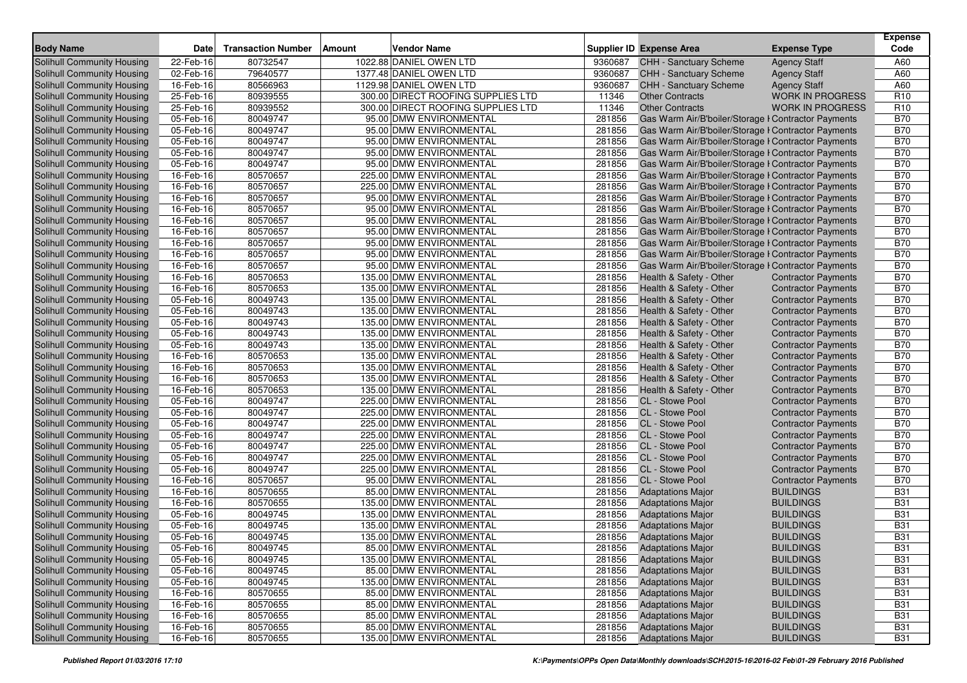| <b>Body Name</b>                  | <b>Date</b> | <b>Transaction Number</b> | Amount | <b>Vendor Name</b>                 |         | <b>Supplier ID Expense Area</b>                     | <b>Expense Type</b>        | <b>Expense</b><br>Code |
|-----------------------------------|-------------|---------------------------|--------|------------------------------------|---------|-----------------------------------------------------|----------------------------|------------------------|
| Solihull Community Housing        | 22-Feb-16   | 80732547                  |        | 1022.88 DANIEL OWEN LTD            | 9360687 | CHH - Sanctuary Scheme                              | <b>Agency Staff</b>        | A60                    |
| <b>Solihull Community Housing</b> | 02-Feb-16   | 79640577                  |        | 1377.48 DANIEL OWEN LTD            | 9360687 | <b>CHH - Sanctuary Scheme</b>                       | <b>Agency Staff</b>        | A60                    |
| <b>Solihull Community Housing</b> | 16-Feb-16   | 80566963                  |        | 1129.98 DANIEL OWEN LTD            | 9360687 | <b>CHH - Sanctuary Scheme</b>                       | <b>Agency Staff</b>        | A60                    |
| Solihull Community Housing        | 25-Feb-16   | 80939555                  |        | 300.00 DIRECT ROOFING SUPPLIES LTD | 11346   | <b>Other Contracts</b>                              | <b>WORK IN PROGRESS</b>    | R <sub>10</sub>        |
| Solihull Community Housing        | 25-Feb-16   | 80939552                  |        | 300.00 DIRECT ROOFING SUPPLIES LTD | 11346   | <b>Other Contracts</b>                              | <b>WORK IN PROGRESS</b>    | R <sub>10</sub>        |
| <b>Solihull Community Housing</b> | 05-Feb-16   | 80049747                  |        | 95.00 DMW ENVIRONMENTAL            | 281856  | Gas Warm Air/B'boiler/Storage I Contractor Payments |                            | <b>B70</b>             |
| Solihull Community Housing        | 05-Feb-16   | 80049747                  |        | 95.00 DMW ENVIRONMENTAL            | 281856  | Gas Warm Air/B'boiler/Storage I Contractor Payments |                            | <b>B70</b>             |
| Solihull Community Housing        | 05-Feb-16   | 80049747                  |        | 95.00 DMW ENVIRONMENTAL            | 281856  | Gas Warm Air/B'boiler/Storage I Contractor Payments |                            | <b>B70</b>             |
| Solihull Community Housing        | 05-Feb-16   | 80049747                  |        | 95.00 DMW ENVIRONMENTAL            | 281856  | Gas Warm Air/B'boiler/Storage I Contractor Payments |                            | <b>B70</b>             |
| <b>Solihull Community Housing</b> | 05-Feb-16   | 80049747                  |        | 95.00 DMW ENVIRONMENTAL            | 281856  | Gas Warm Air/B'boiler/Storage I Contractor Payments |                            | <b>B70</b>             |
| <b>Solihull Community Housing</b> | 16-Feb-16   | 80570657                  |        | 225.00 DMW ENVIRONMENTAL           | 281856  | Gas Warm Air/B'boiler/Storage I Contractor Payments |                            | <b>B70</b>             |
| Solihull Community Housing        | 16-Feb-16   | 80570657                  |        | 225.00 DMW ENVIRONMENTAL           | 281856  | Gas Warm Air/B'boiler/Storage I Contractor Payments |                            | <b>B70</b>             |
| <b>Solihull Community Housing</b> | 16-Feb-16   | 80570657                  |        | 95.00 DMW ENVIRONMENTAL            | 281856  | Gas Warm Air/B'boiler/Storage I Contractor Payments |                            | <b>B70</b>             |
| <b>Solihull Community Housing</b> | 16-Feb-16   | 80570657                  |        | 95.00 DMW ENVIRONMENTAL            | 281856  | Gas Warm Air/B'boiler/Storage I Contractor Payments |                            | <b>B70</b>             |
| Solihull Community Housing        | 16-Feb-16   | 80570657                  |        | 95.00 DMW ENVIRONMENTAL            | 281856  | Gas Warm Air/B'boiler/Storage I Contractor Payments |                            | <b>B70</b>             |
| Solihull Community Housing        | 16-Feb-16   | 80570657                  |        | 95.00 DMW ENVIRONMENTAL            | 281856  | Gas Warm Air/B'boiler/Storage I Contractor Payments |                            | <b>B70</b>             |
| <b>Solihull Community Housing</b> | 16-Feb-16   | 80570657                  |        | 95.00 DMW ENVIRONMENTAL            | 281856  | Gas Warm Air/B'boiler/Storage I Contractor Payments |                            | <b>B70</b>             |
| Solihull Community Housing        | 16-Feb-16   | 80570657                  |        | 95.00 DMW ENVIRONMENTAL            | 281856  | Gas Warm Air/B'boiler/Storage I Contractor Payments |                            | <b>B70</b>             |
| Solihull Community Housing        | 16-Feb-16   | 80570657                  |        | 95.00 DMW ENVIRONMENTAL            | 281856  | Gas Warm Air/B'boiler/Storage I Contractor Payments |                            | <b>B70</b>             |
| Solihull Community Housing        | 16-Feb-16   | 80570653                  |        | 135.00 DMW ENVIRONMENTAL           | 281856  | Health & Safety - Other                             | <b>Contractor Payments</b> | <b>B70</b>             |
| Solihull Community Housing        | 16-Feb-16   | 80570653                  |        | 135.00 DMW ENVIRONMENTAL           | 281856  | Health & Safety - Other                             | <b>Contractor Payments</b> | <b>B70</b>             |
| Solihull Community Housing        | 05-Feb-16   | 80049743                  |        | 135.00 DMW ENVIRONMENTAL           | 281856  | Health & Safety - Other                             | <b>Contractor Payments</b> | <b>B70</b>             |
| Solihull Community Housing        | 05-Feb-16   | 80049743                  |        | 135.00 DMW ENVIRONMENTAL           | 281856  | Health & Safety - Other                             | <b>Contractor Payments</b> | <b>B70</b>             |
| Solihull Community Housing        | 05-Feb-16   | 80049743                  |        | 135.00 DMW ENVIRONMENTAL           | 281856  | Health & Safety - Other                             | <b>Contractor Payments</b> | <b>B70</b>             |
| <b>Solihull Community Housing</b> | 05-Feb-16   | 80049743                  |        | 135.00 DMW ENVIRONMENTAL           | 281856  | Health & Safety - Other                             | <b>Contractor Payments</b> | <b>B70</b>             |
| Solihull Community Housing        | 05-Feb-16   | 80049743                  |        | 135.00 DMW ENVIRONMENTAL           | 281856  | Health & Safety - Other                             | <b>Contractor Payments</b> | <b>B70</b>             |
| Solihull Community Housing        | 16-Feb-16   | 80570653                  |        | 135.00 DMW ENVIRONMENTAL           | 281856  | Health & Safety - Other                             | <b>Contractor Payments</b> | <b>B70</b>             |
| <b>Solihull Community Housing</b> | 16-Feb-16   | 80570653                  |        | 135.00 DMW ENVIRONMENTAL           | 281856  | Health & Safety - Other                             | <b>Contractor Payments</b> | <b>B70</b>             |
| Solihull Community Housing        | 16-Feb-16   | 80570653                  |        | 135.00 DMW ENVIRONMENTAL           | 281856  | Health & Safety - Other                             | <b>Contractor Payments</b> | <b>B70</b>             |
| <b>Solihull Community Housing</b> | 16-Feb-16   | 80570653                  |        | 135.00 DMW ENVIRONMENTAL           | 281856  | Health & Safety - Other                             | <b>Contractor Payments</b> | <b>B70</b>             |
| Solihull Community Housing        | 05-Feb-16   | 80049747                  |        | 225.00 DMW ENVIRONMENTAL           | 281856  | CL - Stowe Pool                                     | <b>Contractor Payments</b> | <b>B70</b>             |
| Solihull Community Housing        | 05-Feb-16   | 80049747                  |        | 225.00 DMW ENVIRONMENTAL           | 281856  | CL - Stowe Pool                                     | <b>Contractor Payments</b> | <b>B70</b>             |
| Solihull Community Housing        | 05-Feb-16   | 80049747                  |        | 225.00 DMW ENVIRONMENTAL           | 281856  | CL - Stowe Pool                                     | <b>Contractor Payments</b> | <b>B70</b>             |
| Solihull Community Housing        | 05-Feb-16   | 80049747                  |        | 225.00 DMW ENVIRONMENTAL           | 281856  | CL - Stowe Pool                                     | <b>Contractor Payments</b> | <b>B70</b>             |
| <b>Solihull Community Housing</b> | 05-Feb-16   | 80049747                  |        | 225.00 DMW ENVIRONMENTAL           | 281856  | <b>CL</b> - Stowe Pool                              | <b>Contractor Payments</b> | <b>B70</b>             |
| Solihull Community Housing        | 05-Feb-16   | 80049747                  |        | 225.00 DMW ENVIRONMENTAL           | 281856  | CL - Stowe Pool                                     | <b>Contractor Payments</b> | <b>B70</b>             |
| Solihull Community Housing        | 05-Feb-16   | 80049747                  |        | 225.00 DMW ENVIRONMENTAL           | 281856  | CL - Stowe Pool                                     | <b>Contractor Payments</b> | <b>B70</b>             |
| <b>Solihull Community Housing</b> | 16-Feb-16   | 80570657                  |        | 95.00 DMW ENVIRONMENTAL            | 281856  | CL - Stowe Pool                                     | <b>Contractor Payments</b> | <b>B70</b>             |
| Solihull Community Housing        | 16-Feb-16   | 80570655                  |        | 85.00 DMW ENVIRONMENTAL            | 281856  | <b>Adaptations Major</b>                            | <b>BUILDINGS</b>           | <b>B31</b>             |
| Solihull Community Housing        | 16-Feb-16   | 80570655                  |        | 135.00 DMW ENVIRONMENTAL           | 281856  | <b>Adaptations Major</b>                            | <b>BUILDINGS</b>           | <b>B31</b>             |
| Solihull Community Housing        | 05-Feb-16   | 80049745                  |        | 135.00 DMW ENVIRONMENTAL           | 281856  | <b>Adaptations Major</b>                            | <b>BUILDINGS</b>           | <b>B31</b>             |
| <b>Solihull Community Housing</b> | 05-Feb-16   | 80049745                  |        | 135.00 DMW ENVIRONMENTAL           | 281856  | <b>Adaptations Major</b>                            | <b>BUILDINGS</b>           | <b>B31</b>             |
| Solihull Community Housing        | 05-Feb-16   | 80049745                  |        | 135.00 DMW ENVIRONMENTAL           | 281856  | <b>Adaptations Major</b>                            | <b>BUILDINGS</b>           | <b>B31</b>             |
| Solihull Community Housing        | 05-Feb-16   | 80049745                  |        | 85.00 DMW ENVIRONMENTAL            | 281856  | <b>Adaptations Major</b>                            | <b>BUILDINGS</b>           | <b>B31</b>             |
| Solihull Community Housing        | 05-Feb-16   | 80049745                  |        | 135.00 DMW ENVIRONMENTAL           | 281856  | <b>Adaptations Major</b>                            | <b>BUILDINGS</b>           | <b>B31</b>             |
| Solihull Community Housing        | 05-Feb-16   | 80049745                  |        | 85.00 DMW ENVIRONMENTAL            | 281856  | <b>Adaptations Major</b>                            | <b>BUILDINGS</b>           | <b>B31</b>             |
| Solihull Community Housing        | 05-Feb-16   | 80049745                  |        | 135.00 DMW ENVIRONMENTAL           | 281856  | <b>Adaptations Major</b>                            | <b>BUILDINGS</b>           | <b>B31</b>             |
| Solihull Community Housing        | 16-Feb-16   | 80570655                  |        | 85.00 DMW ENVIRONMENTAL            | 281856  | <b>Adaptations Major</b>                            | <b>BUILDINGS</b>           | <b>B31</b>             |
| Solihull Community Housing        | 16-Feb-16   | 80570655                  |        | 85.00 DMW ENVIRONMENTAL            | 281856  | <b>Adaptations Major</b>                            | <b>BUILDINGS</b>           | <b>B31</b>             |
| Solihull Community Housing        | 16-Feb-16   | 80570655                  |        | 85.00 DMW ENVIRONMENTAL            | 281856  | <b>Adaptations Major</b>                            | <b>BUILDINGS</b>           | <b>B31</b>             |
| Solihull Community Housing        | 16-Feb-16   | 80570655                  |        | 85.00 DMW ENVIRONMENTAL            | 281856  | <b>Adaptations Major</b>                            | <b>BUILDINGS</b>           | <b>B31</b>             |
| Solihull Community Housing        | 16-Feb-16   | 80570655                  |        | 135.00 DMW ENVIRONMENTAL           | 281856  | <b>Adaptations Major</b>                            | <b>BUILDINGS</b>           | <b>B31</b>             |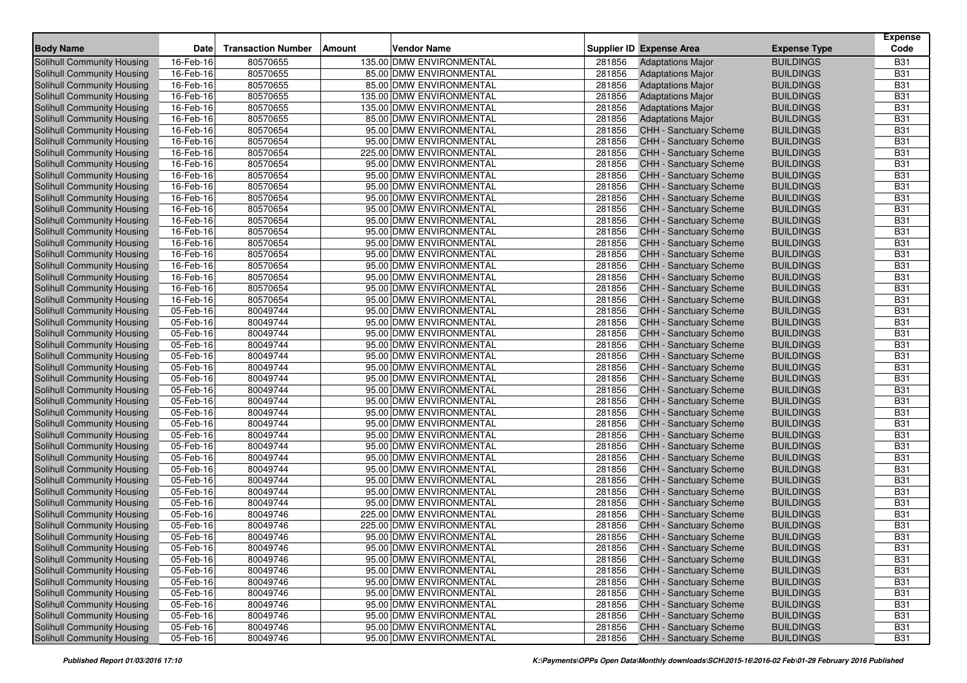| <b>Body Name</b>                                                | <b>Date</b> | <b>Transaction Number</b> | Amount | Vendor Name              |        | <b>Supplier ID Expense Area</b>                         | <b>Expense Type</b> | <b>Expense</b><br>Code |
|-----------------------------------------------------------------|-------------|---------------------------|--------|--------------------------|--------|---------------------------------------------------------|---------------------|------------------------|
| <b>Solihull Community Housing</b>                               | 16-Feb-16   | 80570655                  |        | 135.00 DMW ENVIRONMENTAL | 281856 | <b>Adaptations Major</b>                                | <b>BUILDINGS</b>    | <b>B31</b>             |
| Solihull Community Housing                                      | 16-Feb-16   | 80570655                  |        | 85.00 DMW ENVIRONMENTAL  | 281856 | <b>Adaptations Major</b>                                | <b>BUILDINGS</b>    | <b>B31</b>             |
| Solihull Community Housing                                      | 16-Feb-16   | 80570655                  |        | 85.00 DMW ENVIRONMENTAL  | 281856 | <b>Adaptations Major</b>                                | <b>BUILDINGS</b>    | <b>B31</b>             |
| Solihull Community Housing                                      | 16-Feb-16   | 80570655                  |        | 135.00 DMW ENVIRONMENTAL | 281856 | <b>Adaptations Major</b>                                | <b>BUILDINGS</b>    | <b>B31</b>             |
| Solihull Community Housing                                      | 16-Feb-16   | 80570655                  |        | 135.00 DMW ENVIRONMENTAL | 281856 | <b>Adaptations Major</b>                                | <b>BUILDINGS</b>    | <b>B31</b>             |
| Solihull Community Housing                                      | 16-Feb-16   | 80570655                  |        | 85.00 DMW ENVIRONMENTAL  | 281856 | <b>Adaptations Major</b>                                | <b>BUILDINGS</b>    | <b>B31</b>             |
| Solihull Community Housing                                      | 16-Feb-16   | 80570654                  |        | 95.00 DMW ENVIRONMENTAL  | 281856 | <b>CHH - Sanctuary Scheme</b>                           | <b>BUILDINGS</b>    | <b>B31</b>             |
| Solihull Community Housing                                      | 16-Feb-16   | 80570654                  |        | 95.00 DMW ENVIRONMENTAL  | 281856 | CHH - Sanctuary Scheme                                  | <b>BUILDINGS</b>    | <b>B31</b>             |
| Solihull Community Housing                                      | 16-Feb-16   | 80570654                  |        | 225.00 DMW ENVIRONMENTAL | 281856 | <b>CHH - Sanctuary Scheme</b>                           | <b>BUILDINGS</b>    | <b>B31</b>             |
| Solihull Community Housing                                      | 16-Feb-16   | 80570654                  |        | 95.00 DMW ENVIRONMENTAL  | 281856 | <b>CHH - Sanctuary Scheme</b>                           | <b>BUILDINGS</b>    | <b>B31</b>             |
| Solihull Community Housing                                      | 16-Feb-16   | 80570654                  |        | 95.00 DMW ENVIRONMENTAL  | 281856 | CHH - Sanctuary Scheme                                  | <b>BUILDINGS</b>    | <b>B31</b>             |
| Solihull Community Housing                                      | 16-Feb-16   | 80570654                  |        | 95.00 DMW ENVIRONMENTAL  | 281856 | CHH - Sanctuary Scheme                                  | <b>BUILDINGS</b>    | <b>B31</b>             |
| Solihull Community Housing                                      | 16-Feb-16   | 80570654                  |        | 95.00 DMW ENVIRONMENTAL  | 281856 | CHH - Sanctuary Scheme                                  | <b>BUILDINGS</b>    | <b>B31</b>             |
|                                                                 | 16-Feb-16   | 80570654                  |        | 95.00 DMW ENVIRONMENTAL  | 281856 | <b>CHH - Sanctuary Scheme</b>                           | <b>BUILDINGS</b>    | <b>B31</b>             |
| Solihull Community Housing<br><b>Solihull Community Housing</b> | 16-Feb-16   | 80570654                  |        | 95.00 DMW ENVIRONMENTAL  | 281856 | <b>CHH - Sanctuary Scheme</b>                           | <b>BUILDINGS</b>    | <b>B31</b>             |
|                                                                 |             | 80570654                  |        | 95.00 DMW ENVIRONMENTAL  | 281856 |                                                         | <b>BUILDINGS</b>    | <b>B31</b>             |
| Solihull Community Housing                                      | 16-Feb-16   |                           |        | 95.00 DMW ENVIRONMENTAL  | 281856 | CHH - Sanctuary Scheme<br><b>CHH - Sanctuary Scheme</b> | <b>BUILDINGS</b>    | <b>B31</b>             |
| Solihull Community Housing                                      | 16-Feb-16   | 80570654                  |        | 95.00 DMW ENVIRONMENTAL  |        |                                                         | <b>BUILDINGS</b>    |                        |
| Solihull Community Housing                                      | 16-Feb-16   | 80570654                  |        |                          | 281856 | CHH - Sanctuary Scheme                                  |                     | <b>B31</b>             |
| Solihull Community Housing                                      | 16-Feb-16   | 80570654                  |        | 95.00 DMW ENVIRONMENTAL  | 281856 | CHH - Sanctuary Scheme                                  | <b>BUILDINGS</b>    | <b>B31</b>             |
| Solihull Community Housing                                      | 16-Feb-16   | 80570654                  |        | 95.00 DMW ENVIRONMENTAL  | 281856 | CHH - Sanctuary Scheme                                  | <b>BUILDINGS</b>    | <b>B31</b>             |
| Solihull Community Housing                                      | 16-Feb-16   | 80570654                  |        | 95.00 DMW ENVIRONMENTAL  | 281856 | CHH - Sanctuary Scheme                                  | <b>BUILDINGS</b>    | <b>B31</b>             |
| Solihull Community Housing                                      | 16-Feb-16   | 80570654                  |        | 95.00 DMW ENVIRONMENTAL  | 281856 | CHH - Sanctuary Scheme                                  | <b>BUILDINGS</b>    | <b>B31</b>             |
| Solihull Community Housing                                      | 05-Feb-16   | 80049744                  |        | 95.00 DMW ENVIRONMENTAL  | 281856 | CHH - Sanctuary Scheme                                  | <b>BUILDINGS</b>    | <b>B31</b>             |
| <b>Solihull Community Housing</b>                               | 05-Feb-16   | 80049744                  |        | 95.00 DMW ENVIRONMENTAL  | 281856 | CHH - Sanctuary Scheme                                  | <b>BUILDINGS</b>    | <b>B31</b>             |
| Solihull Community Housing                                      | 05-Feb-16   | 80049744                  |        | 95.00 DMW ENVIRONMENTAL  | 281856 | <b>CHH - Sanctuary Scheme</b>                           | <b>BUILDINGS</b>    | <b>B31</b>             |
| <b>Solihull Community Housing</b>                               | 05-Feb-16   | 80049744                  |        | 95.00 DMW ENVIRONMENTAL  | 281856 | CHH - Sanctuary Scheme                                  | <b>BUILDINGS</b>    | <b>B31</b>             |
| Solihull Community Housing                                      | 05-Feb-16   | 80049744                  |        | 95.00 DMW ENVIRONMENTAL  | 281856 | CHH - Sanctuary Scheme                                  | <b>BUILDINGS</b>    | <b>B31</b>             |
| Solihull Community Housing                                      | 05-Feb-16   | 80049744                  |        | 95.00 DMW ENVIRONMENTAL  | 281856 | CHH - Sanctuary Scheme                                  | <b>BUILDINGS</b>    | <b>B31</b>             |
| <b>Solihull Community Housing</b>                               | 05-Feb-16   | 80049744                  |        | 95.00 DMW ENVIRONMENTAL  | 281856 | CHH - Sanctuary Scheme                                  | <b>BUILDINGS</b>    | <b>B31</b>             |
| <b>Solihull Community Housing</b>                               | 05-Feb-16   | 80049744                  |        | 95.00 DMW ENVIRONMENTAL  | 281856 | CHH - Sanctuary Scheme                                  | <b>BUILDINGS</b>    | <b>B31</b>             |
| Solihull Community Housing                                      | 05-Feb-16   | 80049744                  |        | 95.00 DMW ENVIRONMENTAL  | 281856 | CHH - Sanctuary Scheme                                  | <b>BUILDINGS</b>    | <b>B31</b>             |
| Solihull Community Housing                                      | 05-Feb-16   | 80049744                  |        | 95.00 DMW ENVIRONMENTAL  | 281856 | CHH - Sanctuary Scheme                                  | <b>BUILDINGS</b>    | <b>B31</b>             |
| Solihull Community Housing                                      | 05-Feb-16   | 80049744                  |        | 95.00 DMW ENVIRONMENTAL  | 281856 | <b>CHH - Sanctuary Scheme</b>                           | <b>BUILDINGS</b>    | <b>B31</b>             |
| Solihull Community Housing                                      | 05-Feb-16   | 80049744                  |        | 95.00 DMW ENVIRONMENTAL  | 281856 | CHH - Sanctuary Scheme                                  | <b>BUILDINGS</b>    | <b>B31</b>             |
| <b>Solihull Community Housing</b>                               | 05-Feb-16   | 80049744                  |        | 95.00 DMW ENVIRONMENTAL  | 281856 | CHH - Sanctuary Scheme                                  | <b>BUILDINGS</b>    | <b>B31</b>             |
| Solihull Community Housing                                      | 05-Feb-16   | 80049744                  |        | 95.00 DMW ENVIRONMENTAL  | 281856 | CHH - Sanctuary Scheme                                  | <b>BUILDINGS</b>    | <b>B31</b>             |
| Solihull Community Housing                                      | 05-Feb-16   | 80049744                  |        | 95.00 DMW ENVIRONMENTAL  | 281856 | <b>CHH - Sanctuary Scheme</b>                           | <b>BUILDINGS</b>    | <b>B31</b>             |
| Solihull Community Housing                                      | 05-Feb-16   | 80049744                  |        | 95.00 DMW ENVIRONMENTAL  | 281856 | <b>CHH - Sanctuary Scheme</b>                           | <b>BUILDINGS</b>    | <b>B31</b>             |
| Solihull Community Housing                                      | 05-Feb-16   | 80049744                  |        | 95.00 DMW ENVIRONMENTAL  | 281856 | CHH - Sanctuary Scheme                                  | <b>BUILDINGS</b>    | <b>B31</b>             |
| Solihull Community Housing                                      | 05-Feb-16   | 80049744                  |        | 95.00 DMW ENVIRONMENTAL  | 281856 | CHH - Sanctuary Scheme                                  | <b>BUILDINGS</b>    | <b>B31</b>             |
| Solihull Community Housing                                      | 05-Feb-16   | 80049746                  |        | 225.00 DMW ENVIRONMENTAL | 281856 | CHH - Sanctuary Scheme                                  | <b>BUILDINGS</b>    | <b>B31</b>             |
| Solihull Community Housing                                      | 05-Feb-16   | 80049746                  |        | 225.00 DMW ENVIRONMENTAL | 281856 | CHH - Sanctuary Scheme                                  | <b>BUILDINGS</b>    | <b>B31</b>             |
| Solihull Community Housing                                      | 05-Feb-16   | 80049746                  |        | 95.00 DMW ENVIRONMENTAL  | 281856 | CHH - Sanctuary Scheme                                  | <b>BUILDINGS</b>    | <b>B31</b>             |
| Solihull Community Housing                                      | 05-Feb-16   | 80049746                  |        | 95.00 DMW ENVIRONMENTAL  | 281856 | CHH - Sanctuary Scheme                                  | <b>BUILDINGS</b>    | <b>B31</b>             |
| Solihull Community Housing                                      | 05-Feb-16   | 80049746                  |        | 95.00 DMW ENVIRONMENTAL  | 281856 | <b>CHH - Sanctuary Scheme</b>                           | <b>BUILDINGS</b>    | <b>B31</b>             |
| Solihull Community Housing                                      | 05-Feb-16   | 80049746                  |        | 95.00 DMW ENVIRONMENTAL  | 281856 | CHH - Sanctuary Scheme                                  | <b>BUILDINGS</b>    | <b>B31</b>             |
| Solihull Community Housing                                      | 05-Feb-16   | 80049746                  |        | 95.00 DMW ENVIRONMENTAL  | 281856 | CHH - Sanctuary Scheme                                  | <b>BUILDINGS</b>    | <b>B31</b>             |
| Solihull Community Housing                                      | 05-Feb-16   | 80049746                  |        | 95.00 DMW ENVIRONMENTAL  | 281856 | CHH - Sanctuary Scheme                                  | <b>BUILDINGS</b>    | <b>B31</b>             |
| <b>Solihull Community Housing</b>                               | 05-Feb-16   | 80049746                  |        | 95.00 DMW ENVIRONMENTAL  | 281856 | CHH - Sanctuary Scheme                                  | <b>BUILDINGS</b>    | <b>B31</b>             |
| Solihull Community Housing                                      | 05-Feb-16   | 80049746                  |        | 95.00 DMW ENVIRONMENTAL  | 281856 | CHH - Sanctuary Scheme                                  | <b>BUILDINGS</b>    | <b>B31</b>             |
| Solihull Community Housing                                      | 05-Feb-16   | 80049746                  |        | 95.00 DMW ENVIRONMENTAL  | 281856 | CHH - Sanctuary Scheme                                  | <b>BUILDINGS</b>    | <b>B31</b>             |
| Solihull Community Housing                                      | 05-Feb-16   | 80049746                  |        | 95.00 DMW ENVIRONMENTAL  | 281856 | CHH - Sanctuary Scheme                                  | <b>BUILDINGS</b>    | <b>B31</b>             |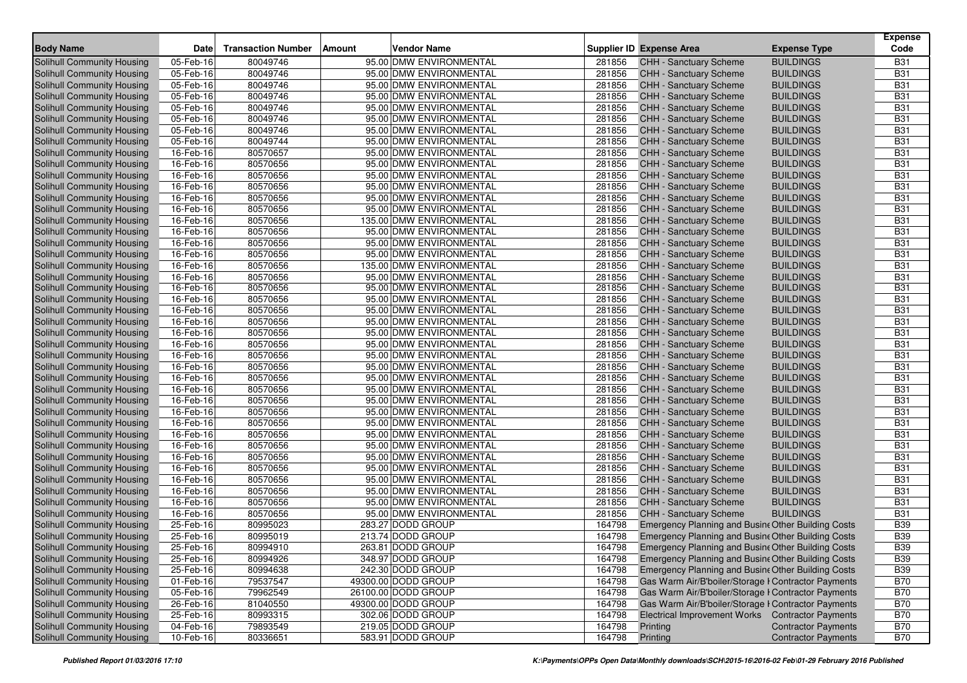| <b>Body Name</b>                                         | <b>Date</b> |                           |        |                                                    |        |                                                     | <b>Expense Type</b>                  | <b>Expense</b><br>Code   |
|----------------------------------------------------------|-------------|---------------------------|--------|----------------------------------------------------|--------|-----------------------------------------------------|--------------------------------------|--------------------------|
|                                                          |             | <b>Transaction Number</b> | Amount | <b>Vendor Name</b>                                 |        | <b>Supplier ID Expense Area</b>                     |                                      |                          |
| Solihull Community Housing<br>Solihull Community Housing | 05-Feb-16   | 80049746                  |        | 95.00 DMW ENVIRONMENTAL<br>95.00 DMW ENVIRONMENTAL | 281856 | <b>CHH - Sanctuary Scheme</b>                       | <b>BUILDINGS</b><br><b>BUILDINGS</b> | <b>B31</b><br><b>B31</b> |
|                                                          | 05-Feb-16   | 80049746                  |        |                                                    | 281856 | CHH - Sanctuary Scheme                              | <b>BUILDINGS</b>                     |                          |
| Solihull Community Housing                               | 05-Feb-16   | 80049746                  |        | 95.00 DMW ENVIRONMENTAL                            | 281856 | CHH - Sanctuary Scheme                              | <b>BUILDINGS</b>                     | <b>B31</b>               |
| Solihull Community Housing                               | 05-Feb-16   | 80049746                  |        | 95.00 DMW ENVIRONMENTAL                            | 281856 | CHH - Sanctuary Scheme                              |                                      | <b>B31</b>               |
| <b>Solihull Community Housing</b>                        | 05-Feb-16   | 80049746                  |        | 95.00 DMW ENVIRONMENTAL                            | 281856 | <b>CHH - Sanctuary Scheme</b>                       | <b>BUILDINGS</b>                     | <b>B31</b>               |
| Solihull Community Housing                               | 05-Feb-16   | 80049746                  |        | 95.00 DMW ENVIRONMENTAL                            | 281856 | <b>CHH - Sanctuary Scheme</b>                       | <b>BUILDINGS</b>                     | <b>B31</b>               |
| Solihull Community Housing                               | 05-Feb-16   | 80049746                  |        | 95.00 DMW ENVIRONMENTAL                            | 281856 | <b>CHH - Sanctuary Scheme</b>                       | <b>BUILDINGS</b>                     | <b>B31</b>               |
| Solihull Community Housing                               | 05-Feb-16   | 80049744                  |        | 95.00 DMW ENVIRONMENTAL                            | 281856 | <b>CHH - Sanctuary Scheme</b>                       | <b>BUILDINGS</b>                     | <b>B31</b>               |
| Solihull Community Housing                               | 16-Feb-16   | 80570657                  |        | 95.00 DMW ENVIRONMENTAL                            | 281856 | <b>CHH - Sanctuary Scheme</b>                       | <b>BUILDINGS</b>                     | <b>B31</b>               |
| Solihull Community Housing                               | 16-Feb-16   | 80570656                  |        | 95.00 DMW ENVIRONMENTAL                            | 281856 | <b>CHH - Sanctuary Scheme</b>                       | <b>BUILDINGS</b>                     | <b>B31</b>               |
| Solihull Community Housing                               | 16-Feb-16   | 80570656                  |        | 95.00 DMW ENVIRONMENTAL                            | 281856 | CHH - Sanctuary Scheme                              | <b>BUILDINGS</b>                     | <b>B31</b>               |
| <b>Solihull Community Housing</b>                        | 16-Feb-16   | 80570656                  |        | 95.00 DMW ENVIRONMENTAL                            | 281856 | CHH - Sanctuary Scheme                              | <b>BUILDINGS</b>                     | <b>B31</b>               |
| Solihull Community Housing                               | 16-Feb-16   | 80570656                  |        | 95.00 DMW ENVIRONMENTAL                            | 281856 | <b>CHH - Sanctuary Scheme</b>                       | <b>BUILDINGS</b>                     | <b>B31</b>               |
| <b>Solihull Community Housing</b>                        | 16-Feb-16   | 80570656                  |        | 95.00 DMW ENVIRONMENTAL                            | 281856 | CHH - Sanctuary Scheme                              | <b>BUILDINGS</b>                     | <b>B31</b>               |
| <b>Solihull Community Housing</b>                        | 16-Feb-16   | 80570656                  |        | 135.00 DMW ENVIRONMENTAL                           | 281856 | <b>CHH - Sanctuary Scheme</b>                       | <b>BUILDINGS</b>                     | <b>B31</b>               |
| Solihull Community Housing                               | 16-Feb-16   | 80570656                  |        | 95.00 DMW ENVIRONMENTAL                            | 281856 | <b>CHH - Sanctuary Scheme</b>                       | <b>BUILDINGS</b>                     | <b>B31</b>               |
| Solihull Community Housing                               | 16-Feb-16   | 80570656                  |        | 95.00 DMW ENVIRONMENTAL                            | 281856 | <b>CHH - Sanctuary Scheme</b>                       | <b>BUILDINGS</b>                     | <b>B31</b>               |
| Solihull Community Housing                               | 16-Feb-16   | 80570656                  |        | 95.00 DMW ENVIRONMENTAL                            | 281856 | CHH - Sanctuary Scheme                              | <b>BUILDINGS</b>                     | <b>B31</b>               |
| Solihull Community Housing                               | 16-Feb-16   | 80570656                  |        | 135.00 DMW ENVIRONMENTAL                           | 281856 | CHH - Sanctuary Scheme                              | <b>BUILDINGS</b>                     | <b>B31</b>               |
| Solihull Community Housing                               | 16-Feb-16   | 80570656                  |        | 95.00 DMW ENVIRONMENTAL                            | 281856 | CHH - Sanctuary Scheme                              | <b>BUILDINGS</b>                     | <b>B31</b>               |
| Solihull Community Housing                               | 16-Feb-16   | 80570656                  |        | 95.00 DMW ENVIRONMENTAL                            | 281856 | <b>CHH - Sanctuary Scheme</b>                       | <b>BUILDINGS</b>                     | <b>B31</b>               |
| <b>Solihull Community Housing</b>                        | 16-Feb-16   | 80570656                  |        | 95.00 DMW ENVIRONMENTAL                            | 281856 | CHH - Sanctuary Scheme                              | <b>BUILDINGS</b>                     | <b>B31</b>               |
| Solihull Community Housing                               | 16-Feb-16   | 80570656                  |        | 95.00 DMW ENVIRONMENTAL                            | 281856 | CHH - Sanctuary Scheme                              | <b>BUILDINGS</b>                     | <b>B31</b>               |
| Solihull Community Housing                               | 16-Feb-16   | 80570656                  |        | 95.00 DMW ENVIRONMENTAL                            | 281856 | CHH - Sanctuary Scheme                              | <b>BUILDINGS</b>                     | <b>B31</b>               |
| Solihull Community Housing                               | 16-Feb-16   | 80570656                  |        | 95.00 DMW ENVIRONMENTAL                            | 281856 | CHH - Sanctuary Scheme                              | <b>BUILDINGS</b>                     | <b>B31</b>               |
| Solihull Community Housing                               | 16-Feb-16   | 80570656                  |        | 95.00 DMW ENVIRONMENTAL                            | 281856 | CHH - Sanctuary Scheme                              | <b>BUILDINGS</b>                     | <b>B31</b>               |
| Solihull Community Housing                               | 16-Feb-16   | 80570656                  |        | 95.00 DMW ENVIRONMENTAL                            | 281856 | CHH - Sanctuary Scheme                              | <b>BUILDINGS</b>                     | <b>B31</b>               |
| Solihull Community Housing                               | 16-Feb-16   | 80570656                  |        | 95.00 DMW ENVIRONMENTAL                            | 281856 | CHH - Sanctuary Scheme                              | <b>BUILDINGS</b>                     | <b>B31</b>               |
| Solihull Community Housing                               | 16-Feb-16   | 80570656                  |        | 95.00 DMW ENVIRONMENTAL                            | 281856 | <b>CHH - Sanctuary Scheme</b>                       | <b>BUILDINGS</b>                     | <b>B31</b>               |
| Solihull Community Housing                               | 16-Feb-16   | 80570656                  |        | 95.00 DMW ENVIRONMENTAL                            | 281856 | <b>CHH - Sanctuary Scheme</b>                       | <b>BUILDINGS</b>                     | <b>B31</b>               |
| Solihull Community Housing                               | 16-Feb-16   | 80570656                  |        | 95.00 DMW ENVIRONMENTAL                            | 281856 | CHH - Sanctuary Scheme                              | <b>BUILDINGS</b>                     | <b>B31</b>               |
| Solihull Community Housing                               | 16-Feb-16   | 80570656                  |        | 95.00 DMW ENVIRONMENTAL                            | 281856 | <b>CHH - Sanctuary Scheme</b>                       | <b>BUILDINGS</b>                     | <b>B31</b>               |
| Solihull Community Housing                               | 16-Feb-16   | 80570656                  |        | 95.00 DMW ENVIRONMENTAL                            | 281856 | CHH - Sanctuary Scheme                              | <b>BUILDINGS</b>                     | <b>B31</b>               |
| <b>Solihull Community Housing</b>                        | 16-Feb-16   | 80570656                  |        | 95.00 DMW ENVIRONMENTAL                            | 281856 | CHH - Sanctuary Scheme                              | <b>BUILDINGS</b>                     | <b>B31</b>               |
| Solihull Community Housing                               | 16-Feb-16   | 80570656                  |        | 95.00 DMW ENVIRONMENTAL                            | 281856 | <b>CHH - Sanctuary Scheme</b>                       | <b>BUILDINGS</b>                     | <b>B31</b>               |
| Solihull Community Housing                               | 16-Feb-16   | 80570656                  |        | 95.00 DMW ENVIRONMENTAL                            | 281856 | <b>CHH - Sanctuary Scheme</b>                       | <b>BUILDINGS</b>                     | <b>B31</b>               |
| <b>Solihull Community Housing</b>                        | 16-Feb-16   | 80570656                  |        | 95.00 DMW ENVIRONMENTAL                            | 281856 | <b>CHH - Sanctuary Scheme</b>                       | <b>BUILDINGS</b>                     | <b>B31</b>               |
| Solihull Community Housing                               | 16-Feb-16   | 80570656                  |        | 95.00 DMW ENVIRONMENTAL                            | 281856 | CHH - Sanctuary Scheme                              | <b>BUILDINGS</b>                     | <b>B31</b>               |
| Solihull Community Housing                               | 16-Feb-16   | 80570656                  |        | 95.00 DMW ENVIRONMENTAL                            | 281856 | CHH - Sanctuary Scheme                              | <b>BUILDINGS</b>                     | <b>B31</b>               |
| Solihull Community Housing                               | 16-Feb-16   | 80570656                  |        | 95.00 DMW ENVIRONMENTAL                            | 281856 | CHH - Sanctuary Scheme                              | <b>BUILDINGS</b>                     | <b>B31</b>               |
| <b>Solihull Community Housing</b>                        | 16-Feb-16   | 80570656                  |        | 95.00 DMW ENVIRONMENTAL                            | 281856 | CHH - Sanctuary Scheme                              | <b>BUILDINGS</b>                     | <b>B31</b>               |
| <b>Solihull Community Housing</b>                        | 25-Feb-16   | 80995023                  |        | 283.27 DODD GROUP                                  | 164798 | Emergency Planning and Busine Other Building Costs  |                                      | <b>B39</b>               |
| Solihull Community Housing                               | 25-Feb-16   | 80995019                  |        | 213.74 DODD GROUP                                  | 164798 | Emergency Planning and Busine Other Building Costs  |                                      | <b>B39</b>               |
| Solihull Community Housing                               | 25-Feb-16   | 80994910                  |        | 263.81 DODD GROUP                                  | 164798 | Emergency Planning and Busine Other Building Costs  |                                      | <b>B39</b>               |
| <b>Solihull Community Housing</b>                        | 25-Feb-16   | 80994926                  |        | 348.97 DODD GROUP                                  | 164798 | Emergency Planning and Busine Other Building Costs  |                                      | <b>B39</b>               |
| Solihull Community Housing                               | 25-Feb-16   | 80994638                  |        | 242.30 DODD GROUP                                  | 164798 | Emergency Planning and Busine Other Building Costs  |                                      | <b>B39</b>               |
| Solihull Community Housing                               | 01-Feb-16   | 79537547                  |        | 49300.00 DODD GROUP                                | 164798 | Gas Warm Air/B'boiler/Storage I Contractor Payments |                                      | <b>B70</b>               |
| Solihull Community Housing                               | 05-Feb-16   | 79962549                  |        | 26100.00 DODD GROUP                                | 164798 | Gas Warm Air/B'boiler/Storage I Contractor Payments |                                      | <b>B70</b>               |
| <b>Solihull Community Housing</b>                        | 26-Feb-16   | 81040550                  |        | 49300.00 DODD GROUP                                | 164798 | Gas Warm Air/B'boiler/Storage I Contractor Payments |                                      | <b>B70</b>               |
| Solihull Community Housing                               | 25-Feb-16   | 80993315                  |        | 302.06 DODD GROUP                                  | 164798 | Electrical Improvement Works Contractor Payments    |                                      | <b>B70</b>               |
| Solihull Community Housing                               | 04-Feb-16   | 79893549                  |        | 219.05 DODD GROUP                                  | 164798 | Printing                                            | <b>Contractor Payments</b>           | <b>B70</b>               |
| Solihull Community Housing                               | 10-Feb-16   | 80336651                  |        | 583.91 DODD GROUP                                  | 164798 | Printing                                            | <b>Contractor Payments</b>           | <b>B70</b>               |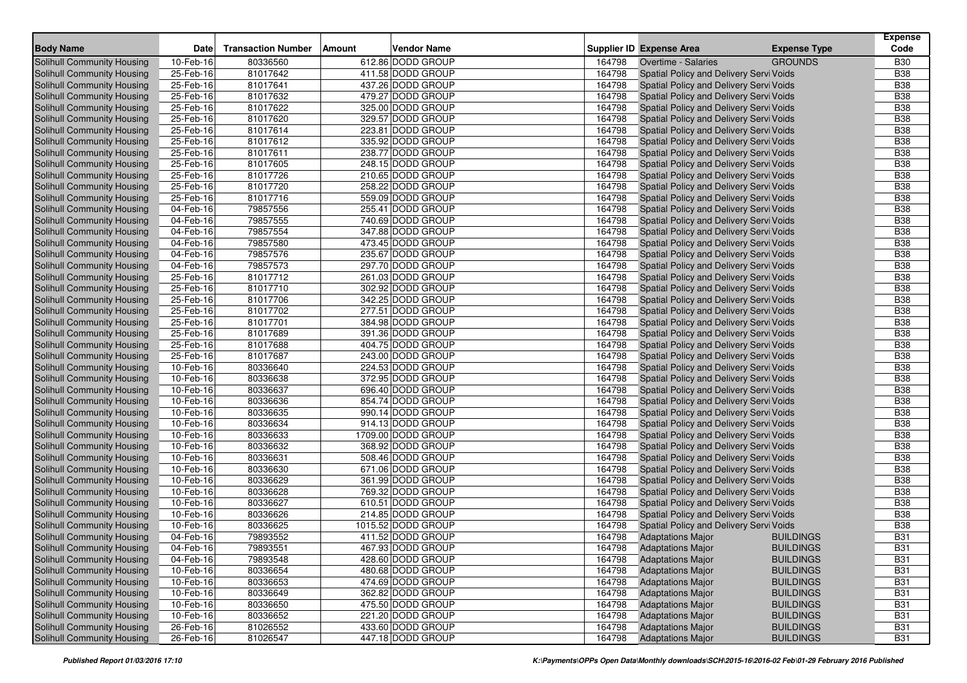| <b>Body Name</b>                  | Date                       | <b>Transaction Number</b> | <b>Amount</b> | <b>Vendor Name</b>                     |                  | <b>Supplier ID Expense Area</b>         | <b>Expense Type</b> | <b>Expense</b><br>Code   |
|-----------------------------------|----------------------------|---------------------------|---------------|----------------------------------------|------------------|-----------------------------------------|---------------------|--------------------------|
|                                   |                            |                           |               |                                        |                  |                                         |                     |                          |
| <b>Solihull Community Housing</b> | 10-Feb-16                  | 80336560                  |               | 612.86 DODD GROUP                      | 164798           | Overtime - Salaries                     | <b>GROUNDS</b>      | <b>B30</b><br><b>B38</b> |
| Solihull Community Housing        | 25-Feb-16<br>25-Feb-16     | 81017642<br>81017641      |               | 411.58 DODD GROUP<br>437.26 DODD GROUP | 164798<br>164798 | Spatial Policy and Delivery Servi Voids |                     | <b>B38</b>               |
| Solihull Community Housing        |                            |                           |               | 479.27 DODD GROUP                      |                  | Spatial Policy and Delivery Servi Voids |                     |                          |
| Solihull Community Housing        | 25-Feb-16                  | 81017632                  |               |                                        | 164798           | Spatial Policy and Delivery Servi Voids |                     | <b>B38</b>               |
| Solihull Community Housing        | 25-Feb-16                  | 81017622                  |               | 325.00 DODD GROUP                      | 164798           | Spatial Policy and Delivery Servi Voids |                     | <b>B38</b>               |
| Solihull Community Housing        | 25-Feb-16                  | 81017620                  |               | 329.57 DODD GROUP                      | 164798           | Spatial Policy and Delivery Servi Voids |                     | <b>B38</b>               |
| Solihull Community Housing        | 25-Feb-16                  | 81017614                  |               | 223.81 DODD GROUP                      | 164798           | Spatial Policy and Delivery Servi Voids |                     | <b>B38</b>               |
| Solihull Community Housing        | 25-Feb-16                  | 81017612                  |               | 335.92 DODD GROUP                      | 164798           | Spatial Policy and Delivery Servi Voids |                     | <b>B38</b>               |
| Solihull Community Housing        | 25-Feb-16                  | 81017611                  |               | 238.77 DODD GROUP                      | 164798           | Spatial Policy and Delivery Servi Voids |                     | <b>B38</b>               |
| Solihull Community Housing        | 25-Feb-16                  | 81017605                  |               | 248.15 DODD GROUP                      | 164798           | Spatial Policy and Delivery Servi Voids |                     | <b>B38</b>               |
| Solihull Community Housing        | 25-Feb-16                  | 81017726                  |               | 210.65 DODD GROUP                      | 164798           | Spatial Policy and Delivery Servi Voids |                     | <b>B38</b>               |
| Solihull Community Housing        | 25-Feb-16                  | 81017720                  |               | 258.22 DODD GROUP                      | 164798           | Spatial Policy and Delivery Servi Voids |                     | <b>B38</b>               |
| Solihull Community Housing        | 25-Feb-16                  | 81017716                  |               | 559.09 DODD GROUP                      | 164798           | Spatial Policy and Delivery Servi Voids |                     | <b>B38</b>               |
| Solihull Community Housing        | 04-Feb-16                  | 79857556                  |               | 255.41 DODD GROUP                      | 164798           | Spatial Policy and Delivery Servi Voids |                     | <b>B38</b>               |
| <b>Solihull Community Housing</b> | 04-Feb-16                  | 79857555                  |               | 740.69 DODD GROUP                      | 164798           | Spatial Policy and Delivery Servi Voids |                     | <b>B38</b>               |
| Solihull Community Housing        | 04-Feb-16                  | 79857554                  |               | 347.88 DODD GROUP                      | 164798           | Spatial Policy and Delivery Servi Voids |                     | <b>B38</b>               |
| Solihull Community Housing        | 04-Feb-16                  | 79857580                  |               | 473.45 DODD GROUP                      | 164798           | Spatial Policy and Delivery Servi Voids |                     | <b>B38</b>               |
| Solihull Community Housing        | 04-Feb-16                  | 79857576                  |               | 235.67 DODD GROUP                      | 164798           | Spatial Policy and Delivery Servi Voids |                     | <b>B38</b>               |
| Solihull Community Housing        | 04-Feb-16                  | 79857573                  |               | 297.70 DODD GROUP                      | 164798           | Spatial Policy and Delivery Servi Voids |                     | <b>B38</b>               |
| Solihull Community Housing        | 25-Feb-16                  | 81017712                  |               | 261.03 DODD GROUP                      | 164798           | Spatial Policy and Delivery Servi Voids |                     | <b>B38</b>               |
| <b>Solihull Community Housing</b> | 25-Feb-16                  | 81017710                  |               | 302.92 DODD GROUP                      | 164798           | Spatial Policy and Delivery Servi Voids |                     | <b>B38</b>               |
| Solihull Community Housing        | 25-Feb-16                  | 81017706                  |               | 342.25 DODD GROUP                      | 164798           | Spatial Policy and Delivery Servi Voids |                     | <b>B38</b>               |
| Solihull Community Housing        | 25-Feb-16                  | 81017702                  |               | 277.51 DODD GROUP                      | 164798           | Spatial Policy and Delivery Servi Voids |                     | <b>B38</b>               |
| Solihull Community Housing        | 25-Feb-16                  | 81017701                  |               | 384.98 DODD GROUP                      | 164798           | Spatial Policy and Delivery Servi Voids |                     | <b>B38</b>               |
| Solihull Community Housing        | 25-Feb-16                  | 81017689                  |               | 391.36 DODD GROUP                      | 164798           | Spatial Policy and Delivery Servi Voids |                     | <b>B38</b>               |
| Solihull Community Housing        | 25-Feb-16                  | 81017688                  |               | 404.75 DODD GROUP                      | 164798           | Spatial Policy and Delivery Servi Voids |                     | <b>B38</b>               |
| Solihull Community Housing        | 25-Feb-16                  | 81017687                  |               | 243.00 DODD GROUP                      | 164798           | Spatial Policy and Delivery Servi Voids |                     | <b>B38</b>               |
| Solihull Community Housing        | 10-Feb-16                  | 80336640                  |               | 224.53 DODD GROUP                      | 164798           | Spatial Policy and Delivery Servi Voids |                     | <b>B38</b>               |
| Solihull Community Housing        | 10-Feb-16                  | 80336638                  |               | 372.95 DODD GROUP                      | 164798           | Spatial Policy and Delivery Servi Voids |                     | <b>B38</b>               |
| Solihull Community Housing        | 10-Feb-16                  | 80336637                  |               | 696.40 DODD GROUP                      | 164798           | Spatial Policy and Delivery Servi Voids |                     | <b>B38</b>               |
| Solihull Community Housing        | 10-Feb-16                  | 80336636                  |               | 854.74 DODD GROUP                      | 164798           | Spatial Policy and Delivery Servi Voids |                     | <b>B38</b>               |
| Solihull Community Housing        | 10-Feb-16                  | 80336635                  |               | 990.14 DODD GROUP                      | 164798           | Spatial Policy and Delivery Servi Voids |                     | <b>B38</b>               |
| Solihull Community Housing        | 10-Feb-16                  | 80336634                  |               | 914.13 DODD GROUP                      | 164798           | Spatial Policy and Delivery Servi Voids |                     | <b>B38</b>               |
| Solihull Community Housing        | 10-Feb-16                  | 80336633                  |               | 1709.00 DODD GROUP                     | 164798           | Spatial Policy and Delivery Servi Voids |                     | <b>B38</b>               |
| Solihull Community Housing        | 10-Feb-16                  | 80336632                  |               | 368.92 DODD GROUP                      | 164798           | Spatial Policy and Delivery Servi Voids |                     | <b>B38</b>               |
| Solihull Community Housing        | $10$ -Feb- $\overline{16}$ | 80336631                  |               | 508.46 DODD GROUP                      | 164798           | Spatial Policy and Delivery Servi Voids |                     | <b>B38</b>               |
| Solihull Community Housing        | 10-Feb-16                  | 80336630                  |               | 671.06 DODD GROUP                      | 164798           | Spatial Policy and Delivery Servi Voids |                     | <b>B38</b>               |
| Solihull Community Housing        | 10-Feb-16                  | 80336629                  |               | 361.99 DODD GROUP                      | 164798           | Spatial Policy and Delivery Servi Voids |                     | <b>B38</b>               |
| Solihull Community Housing        | 10-Feb-16                  | 80336628                  |               | 769.32 DODD GROUP                      | 164798           | Spatial Policy and Delivery Servi Voids |                     | <b>B38</b>               |
| <b>Solihull Community Housing</b> | 10-Feb-16                  | 80336627                  |               | 610.51 DODD GROUP                      | 164798           | Spatial Policy and Delivery Servi Voids |                     | <b>B38</b>               |
| Solihull Community Housing        | 10-Feb-16                  | 80336626                  |               | 214.85 DODD GROUP                      | 164798           | Spatial Policy and Delivery Servi Voids |                     | <b>B38</b>               |
| Solihull Community Housing        | 10-Feb-16                  | 80336625                  |               | 1015.52 DODD GROUP                     | 164798           | Spatial Policy and Delivery Servi Voids |                     | <b>B38</b>               |
| Solihull Community Housing        | 04-Feb-16                  | 79893552                  |               | 411.52 DODD GROUP                      | 164798           | <b>Adaptations Major</b>                | BUILDINGS           | <b>B31</b>               |
| Solihull Community Housing        | 04-Feb-16                  | 79893551                  |               | 467.93 DODD GROUP                      | 164798           | <b>Adaptations Major</b>                | <b>BUILDINGS</b>    | <b>B31</b>               |
| <b>Solihull Community Housing</b> | 04-Feb-16                  | 79893548                  |               | 428.60 DODD GROUP                      | 164798           | <b>Adaptations Major</b>                | <b>BUILDINGS</b>    | <b>B31</b>               |
| <b>Solihull Community Housing</b> | 10-Feb-16                  | 80336654                  |               | 480.68 DODD GROUP                      | 164798           | <b>Adaptations Major</b>                | <b>BUILDINGS</b>    | <b>B31</b>               |
| Solihull Community Housing        | 10-Feb-16                  | 80336653                  |               | 474.69 DODD GROUP                      | 164798           | <b>Adaptations Major</b>                | <b>BUILDINGS</b>    | <b>B31</b>               |
| Solihull Community Housing        | 10-Feb-16                  | 80336649                  |               | 362.82 DODD GROUP                      | 164798           | <b>Adaptations Major</b>                | <b>BUILDINGS</b>    | <b>B31</b>               |
| Solihull Community Housing        | 10-Feb-16                  | 80336650                  |               | 475.50 DODD GROUP                      | 164798           | <b>Adaptations Major</b>                | <b>BUILDINGS</b>    | <b>B31</b>               |
| Solihull Community Housing        | 10-Feb-16                  | 80336652                  |               | 221.20 DODD GROUP                      | 164798           | <b>Adaptations Major</b>                | <b>BUILDINGS</b>    | <b>B31</b>               |
| Solihull Community Housing        | $26$ -Feb-16               | 81026552                  |               | 433.60 DODD GROUP                      | 164798           | <b>Adaptations Major</b>                | <b>BUILDINGS</b>    | <b>B31</b>               |
| <b>Solihull Community Housing</b> | 26-Feb-16                  | 81026547                  |               | 447.18 DODD GROUP                      | 164798           | <b>Adaptations Major</b>                | <b>BUILDINGS</b>    | <b>B31</b>               |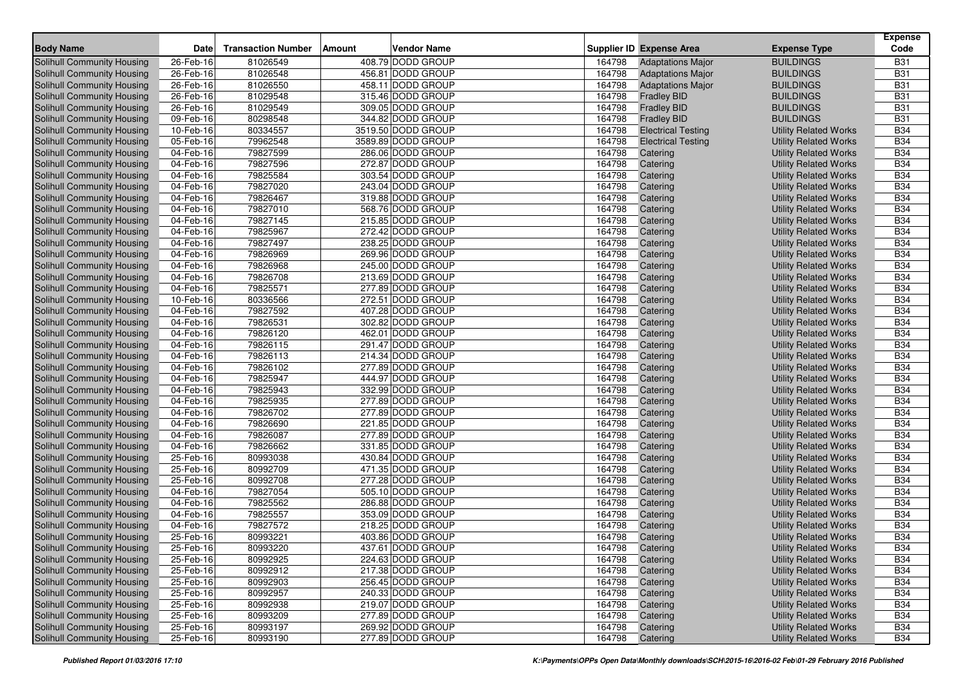| <b>Body Name</b>                                         | Date                   | <b>Transaction Number</b> | <b>Amount</b> | <b>Vendor Name</b>                     |                  | <b>Supplier ID Expense Area</b>          | <b>Expense Type</b>                                          | <b>Expense</b><br>Code |
|----------------------------------------------------------|------------------------|---------------------------|---------------|----------------------------------------|------------------|------------------------------------------|--------------------------------------------------------------|------------------------|
| <b>Solihull Community Housing</b>                        | 26-Feb-16              | 81026549                  |               | 408.79 DODD GROUP                      | 164798           | <b>Adaptations Major</b>                 | <b>BUILDINGS</b>                                             | <b>B31</b>             |
| Solihull Community Housing                               | 26-Feb-16              | 81026548                  |               | 456.81 DODD GROUP                      | 164798           | <b>Adaptations Major</b>                 | <b>BUILDINGS</b>                                             | <b>B31</b>             |
| Solihull Community Housing                               | 26-Feb-16              | 81026550                  |               | 458.11 DODD GROUP                      | 164798           | <b>Adaptations Major</b>                 | <b>BUILDINGS</b>                                             | <b>B31</b>             |
|                                                          |                        | 81029548                  |               | 315.46 DODD GROUP                      | 164798           |                                          | <b>BUILDINGS</b>                                             | <b>B31</b>             |
| Solihull Community Housing<br>Solihull Community Housing | 26-Feb-16              | 81029549                  |               |                                        |                  | <b>Fradley BID</b>                       | <b>BUILDINGS</b>                                             | <b>B31</b>             |
| Solihull Community Housing                               | 26-Feb-16<br>09-Feb-16 | 80298548                  |               | 309.05 DODD GROUP<br>344.82 DODD GROUP | 164798<br>164798 | <b>Fradley BID</b><br><b>Fradley BID</b> | <b>BUILDINGS</b>                                             | <b>B31</b>             |
|                                                          | 10-Feb-16              | 80334557                  |               | 3519.50 DODD GROUP                     | 164798           | <b>Electrical Testing</b>                |                                                              | <b>B34</b>             |
| Solihull Community Housing<br>Solihull Community Housing | 05-Feb-16              | 79962548                  |               | 3589.89 DODD GROUP                     | 164798           | <b>Electrical Testing</b>                | <b>Utility Related Works</b><br><b>Utility Related Works</b> | <b>B34</b>             |
| Solihull Community Housing                               | 04-Feb-16              | 79827599                  |               | 286.06 DODD GROUP                      | 164798           | Catering                                 |                                                              | <b>B34</b>             |
| Solihull Community Housing                               | 04-Feb-16              | 79827596                  |               | 272.87 DODD GROUP                      | 164798           | Catering                                 | <b>Utility Related Works</b>                                 | <b>B34</b>             |
|                                                          | 04-Feb-16              | 79825584                  |               | 303.54 DODD GROUP                      | 164798           |                                          | <b>Utility Related Works</b>                                 | <b>B34</b>             |
| Solihull Community Housing                               | 04-Feb-16              | 79827020                  |               | 243.04 DODD GROUP                      | 164798           | Catering                                 | <b>Utility Related Works</b>                                 | <b>B34</b>             |
| Solihull Community Housing<br>Solihull Community Housing | 04-Feb-16              | 79826467                  |               | 319.88 DODD GROUP                      | 164798           | Catering                                 | <b>Utility Related Works</b>                                 | <b>B34</b>             |
| Solihull Community Housing                               | 04-Feb-16              | 79827010                  |               | 568.76 DODD GROUP                      | 164798           | Catering                                 | <b>Utility Related Works</b>                                 | <b>B34</b>             |
| <b>Solihull Community Housing</b>                        | 04-Feb-16              | 79827145                  |               | 215.85 DODD GROUP                      | 164798           | Catering<br>Catering                     | <b>Utility Related Works</b><br><b>Utility Related Works</b> | <b>B34</b>             |
| Solihull Community Housing                               | 04-Feb-16              | 79825967                  |               | 272.42 DODD GROUP                      | 164798           | Catering                                 | <b>Utility Related Works</b>                                 | <b>B34</b>             |
| Solihull Community Housing                               | 04-Feb-16              | 79827497                  |               | 238.25 DODD GROUP                      | 164798           | Catering                                 | <b>Utility Related Works</b>                                 | <b>B34</b>             |
| Solihull Community Housing                               | 04-Feb-16              | 79826969                  |               | 269.96 DODD GROUP                      | 164798           | Catering                                 | <b>Utility Related Works</b>                                 | <b>B34</b>             |
| Solihull Community Housing                               | 04-Feb-16              | 79826968                  |               | 245.00 DODD GROUP                      | 164798           | Catering                                 | <b>Utility Related Works</b>                                 | <b>B34</b>             |
| Solihull Community Housing                               | 04-Feb-16              | 79826708                  |               | 213.69 DODD GROUP                      | 164798           | Catering                                 | <b>Utility Related Works</b>                                 | <b>B34</b>             |
| Solihull Community Housing                               | 04-Feb-16              | 79825571                  |               | 277.89 DODD GROUP                      | 164798           | Catering                                 | <b>Utility Related Works</b>                                 | <b>B34</b>             |
| Solihull Community Housing                               | 10-Feb-16              | 80336566                  |               | 272.51 DODD GROUP                      | 164798           | Catering                                 | <b>Utility Related Works</b>                                 | <b>B34</b>             |
| <b>Solihull Community Housing</b>                        | 04-Feb-16              | 79827592                  |               | 407.28 DODD GROUP                      | 164798           | Catering                                 | <b>Utility Related Works</b>                                 | <b>B34</b>             |
| Solihull Community Housing                               | 04-Feb-16              | 79826531                  |               | 302.82 DODD GROUP                      | 164798           | Catering                                 | <b>Utility Related Works</b>                                 | <b>B34</b>             |
| Solihull Community Housing                               | 04-Feb-16              | 79826120                  |               | 462.01 DODD GROUP                      | 164798           | Catering                                 | <b>Utility Related Works</b>                                 | <b>B34</b>             |
| <b>Solihull Community Housing</b>                        | 04-Feb-16              | 79826115                  |               | 291.47 DODD GROUP                      | 164798           | Catering                                 | <b>Utility Related Works</b>                                 | <b>B34</b>             |
| Solihull Community Housing                               | 04-Feb-16              | 79826113                  |               | 214.34 DODD GROUP                      | 164798           | Catering                                 | <b>Utility Related Works</b>                                 | <b>B34</b>             |
| Solihull Community Housing                               | 04-Feb-16              | 79826102                  |               | 277.89 DODD GROUP                      | 164798           | Catering                                 | <b>Utility Related Works</b>                                 | <b>B34</b>             |
| Solihull Community Housing                               | 04-Feb-16              | 79825947                  |               | 444.97 DODD GROUP                      | 164798           | Catering                                 | <b>Utility Related Works</b>                                 | <b>B34</b>             |
| Solihull Community Housing                               | 04-Feb-16              | 79825943                  |               | 332.99 DODD GROUP                      | 164798           | Catering                                 | <b>Utility Related Works</b>                                 | <b>B34</b>             |
| Solihull Community Housing                               | 04-Feb-16              | 79825935                  |               | 277.89 DODD GROUP                      | 164798           | Catering                                 | <b>Utility Related Works</b>                                 | <b>B34</b>             |
| Solihull Community Housing                               | 04-Feb-16              | 79826702                  |               | 277.89 DODD GROUP                      | 164798           | Catering                                 | <b>Utility Related Works</b>                                 | <b>B34</b>             |
| Solihull Community Housing                               | 04-Feb-16              | 79826690                  |               | 221.85 DODD GROUP                      | 164798           | Catering                                 | <b>Utility Related Works</b>                                 | <b>B34</b>             |
| Solihull Community Housing                               | 04-Feb-16              | 79826087                  |               | 277.89 DODD GROUP                      | 164798           | Catering                                 | <b>Utility Related Works</b>                                 | <b>B34</b>             |
| Solihull Community Housing                               | 04-Feb-16              | 79826662                  |               | 331.85 DODD GROUP                      | 164798           | Catering                                 | <b>Utility Related Works</b>                                 | <b>B34</b>             |
| Solihull Community Housing                               | 25-Feb-16              | 80993038                  |               | 430.84 DODD GROUP                      | 164798           | Catering                                 | <b>Utility Related Works</b>                                 | <b>B34</b>             |
| Solihull Community Housing                               | 25-Feb-16              | 80992709                  |               | 471.35 DODD GROUP                      | 164798           | Catering                                 | <b>Utility Related Works</b>                                 | <b>B34</b>             |
| Solihull Community Housing                               | 25-Feb-16              | 80992708                  |               | 277.28 DODD GROUP                      | 164798           | Catering                                 | <b>Utility Related Works</b>                                 | <b>B34</b>             |
| Solihull Community Housing                               | 04-Feb-16              | 79827054                  |               | 505.10 DODD GROUP                      | 164798           | Catering                                 | <b>Utility Related Works</b>                                 | <b>B34</b>             |
| Solihull Community Housing                               | 04-Feb-16              | 79825562                  |               | 286.88 DODD GROUP                      | 164798           | Catering                                 | <b>Utility Related Works</b>                                 | <b>B34</b>             |
| Solihull Community Housing                               | 04-Feb-16              | 79825557                  |               | 353.09 DODD GROUP                      | 164798           | Catering                                 | <b>Utility Related Works</b>                                 | <b>B34</b>             |
| Solihull Community Housing                               | 04-Feb-16              | 79827572                  |               | 218.25 DODD GROUP                      | 164798           | Catering                                 | <b>Utility Related Works</b>                                 | <b>B34</b>             |
| Solihull Community Housing                               | 25-Feb-16              | 80993221                  |               | 403.86 DODD GROUP                      | 164798           | Catering                                 | <b>Utility Related Works</b>                                 | <b>B34</b>             |
| Solihull Community Housing                               | 25-Feb-16              | 80993220                  |               | 437.61 DODD GROUP                      | 164798           | Catering                                 | <b>Utility Related Works</b>                                 | <b>B34</b>             |
| Solihull Community Housing                               | 25-Feb-16              | 80992925                  |               | 224.63 DODD GROUP                      | 164798           | Catering                                 | <b>Utility Related Works</b>                                 | <b>B34</b>             |
| Solihull Community Housing                               | 25-Feb-16              | 80992912                  |               | 217.38 DODD GROUP                      | 164798           | Catering                                 | <b>Utility Related Works</b>                                 | <b>B34</b>             |
| Solihull Community Housing                               | 25-Feb-16              | 80992903                  |               | 256.45 DODD GROUP                      | 164798           | Catering                                 | <b>Utility Related Works</b>                                 | <b>B34</b>             |
| Solihull Community Housing                               | 25-Feb-16              | 80992957                  |               | 240.33 DODD GROUP                      | 164798           | Catering                                 | <b>Utility Related Works</b>                                 | <b>B34</b>             |
| Solihull Community Housing                               | 25-Feb-16              | 80992938                  |               | 219.07 DODD GROUP                      | 164798           | Catering                                 | <b>Utility Related Works</b>                                 | <b>B34</b>             |
| Solihull Community Housing                               | 25-Feb-16              | 80993209                  |               | 277.89 DODD GROUP                      | 164798           | Catering                                 | <b>Utility Related Works</b>                                 | <b>B34</b>             |
| Solihull Community Housing                               | 25-Feb-16              | 80993197                  |               | 269.92 DODD GROUP                      | 164798           | Catering                                 | <b>Utility Related Works</b>                                 | <b>B34</b>             |
| Solihull Community Housing                               | 25-Feb-16              | 80993190                  |               | 277.89 DODD GROUP                      | 164798           | Catering                                 | <b>Utility Related Works</b>                                 | <b>B34</b>             |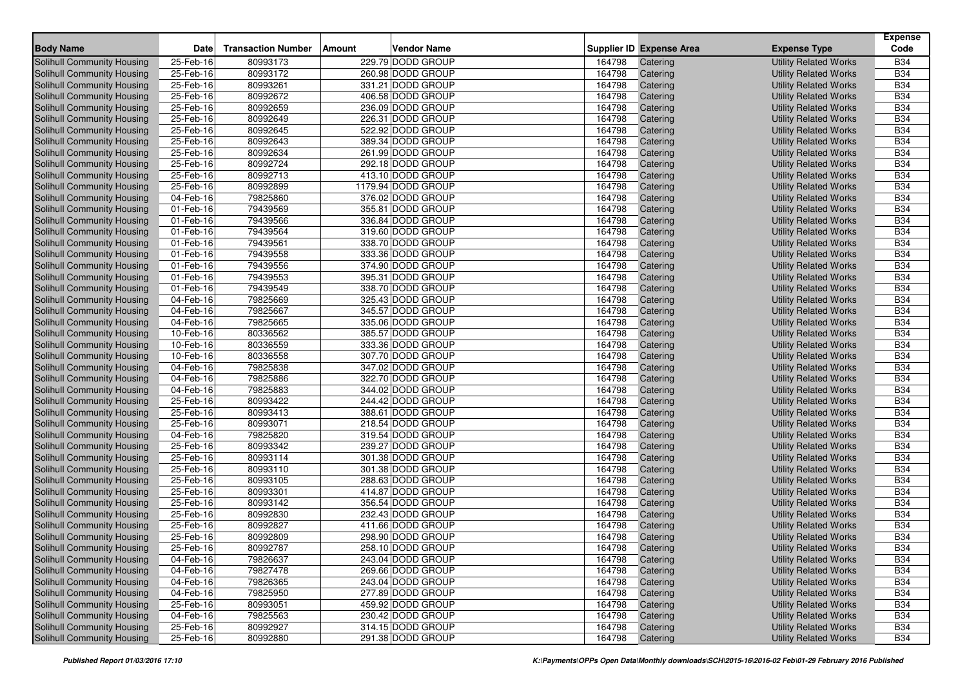|                                   |           |                           |               |                    |        |                          |                              | <b>Expense</b> |
|-----------------------------------|-----------|---------------------------|---------------|--------------------|--------|--------------------------|------------------------------|----------------|
| <b>Body Name</b>                  | Date      | <b>Transaction Number</b> | <b>Amount</b> | <b>Vendor Name</b> |        | Supplier ID Expense Area | <b>Expense Type</b>          | Code           |
| Solihull Community Housing        | 25-Feb-16 | 80993173                  |               | 229.79 DODD GROUP  | 164798 | Catering                 | <b>Utility Related Works</b> | <b>B34</b>     |
| Solihull Community Housing        | 25-Feb-16 | 80993172                  |               | 260.98 DODD GROUP  | 164798 | Catering                 | <b>Utility Related Works</b> | <b>B34</b>     |
| Solihull Community Housing        | 25-Feb-16 | 80993261                  |               | 331.21 DODD GROUP  | 164798 | Catering                 | <b>Utility Related Works</b> | <b>B34</b>     |
| Solihull Community Housing        | 25-Feb-16 | 80992672                  |               | 406.58 DODD GROUP  | 164798 | Catering                 | <b>Utility Related Works</b> | <b>B34</b>     |
| Solihull Community Housing        | 25-Feb-16 | 80992659                  |               | 236.09 DODD GROUP  | 164798 | Catering                 | <b>Utility Related Works</b> | <b>B34</b>     |
| <b>Solihull Community Housing</b> | 25-Feb-16 | 80992649                  |               | 226.31 DODD GROUP  | 164798 | Catering                 | <b>Utility Related Works</b> | <b>B34</b>     |
| Solihull Community Housing        | 25-Feb-16 | 80992645                  |               | 522.92 DODD GROUP  | 164798 | Catering                 | <b>Utility Related Works</b> | <b>B34</b>     |
| Solihull Community Housing        | 25-Feb-16 | 80992643                  |               | 389.34 DODD GROUP  | 164798 | Catering                 | <b>Utility Related Works</b> | <b>B34</b>     |
| <b>Solihull Community Housing</b> | 25-Feb-16 | 80992634                  |               | 261.99 DODD GROUP  | 164798 | Catering                 | <b>Utility Related Works</b> | <b>B34</b>     |
| Solihull Community Housing        | 25-Feb-16 | 80992724                  |               | 292.18 DODD GROUP  | 164798 | Catering                 | <b>Utility Related Works</b> | <b>B34</b>     |
| Solihull Community Housing        | 25-Feb-16 | 80992713                  |               | 413.10 DODD GROUP  | 164798 | Catering                 | <b>Utility Related Works</b> | <b>B34</b>     |
| Solihull Community Housing        | 25-Feb-16 | 80992899                  |               | 1179.94 DODD GROUP | 164798 | Catering                 | <b>Utility Related Works</b> | <b>B34</b>     |
| Solihull Community Housing        | 04-Feb-16 | 79825860                  |               | 376.02 DODD GROUP  | 164798 | Catering                 | <b>Utility Related Works</b> | <b>B34</b>     |
| Solihull Community Housing        | 01-Feb-16 | 79439569                  |               | 355.81 DODD GROUP  | 164798 | Catering                 | <b>Utility Related Works</b> | <b>B34</b>     |
| Solihull Community Housing        | 01-Feb-16 | 79439566                  |               | 336.84 DODD GROUP  | 164798 | Catering                 | <b>Utility Related Works</b> | <b>B34</b>     |
| Solihull Community Housing        | 01-Feb-16 | 79439564                  |               | 319.60 DODD GROUP  | 164798 | Catering                 | <b>Utility Related Works</b> | <b>B34</b>     |
| <b>Solihull Community Housing</b> | 01-Feb-16 | 79439561                  |               | 338.70 DODD GROUP  | 164798 | Catering                 | <b>Utility Related Works</b> | <b>B34</b>     |
| Solihull Community Housing        | 01-Feb-16 | 79439558                  |               | 333.36 DODD GROUP  | 164798 | Catering                 | <b>Utility Related Works</b> | <b>B34</b>     |
| Solihull Community Housing        | 01-Feb-16 | 79439556                  |               | 374.90 DODD GROUP  | 164798 | Catering                 | <b>Utility Related Works</b> | <b>B34</b>     |
| <b>Solihull Community Housing</b> | 01-Feb-16 | 79439553                  |               | 395.31 DODD GROUP  | 164798 | Catering                 | <b>Utility Related Works</b> | <b>B34</b>     |
| Solihull Community Housing        | 01-Feb-16 | 79439549                  |               | 338.70 DODD GROUP  | 164798 | Catering                 | <b>Utility Related Works</b> | <b>B34</b>     |
| Solihull Community Housing        | 04-Feb-16 | 79825669                  |               | 325.43 DODD GROUP  | 164798 | Catering                 | <b>Utility Related Works</b> | <b>B34</b>     |
| Solihull Community Housing        | 04-Feb-16 | 79825667                  |               | 345.57 DODD GROUP  | 164798 | Catering                 | <b>Utility Related Works</b> | <b>B34</b>     |
| Solihull Community Housing        | 04-Feb-16 | 79825665                  |               | 335.06 DODD GROUP  | 164798 | Catering                 | <b>Utility Related Works</b> | <b>B34</b>     |
| Solihull Community Housing        | 10-Feb-16 | 80336562                  |               | 385.57 DODD GROUP  | 164798 | Catering                 | <b>Utility Related Works</b> | <b>B34</b>     |
| Solihull Community Housing        | 10-Feb-16 | 80336559                  |               | 333.36 DODD GROUP  | 164798 | Catering                 | <b>Utility Related Works</b> | <b>B34</b>     |
| Solihull Community Housing        | 10-Feb-16 | 80336558                  |               | 307.70 DODD GROUP  | 164798 | Catering                 | <b>Utility Related Works</b> | <b>B34</b>     |
| Solihull Community Housing        | 04-Feb-16 | 79825838                  |               | 347.02 DODD GROUP  | 164798 | Catering                 | <b>Utility Related Works</b> | <b>B34</b>     |
| Solihull Community Housing        | 04-Feb-16 | 79825886                  |               | 322.70 DODD GROUP  | 164798 | Catering                 | <b>Utility Related Works</b> | <b>B34</b>     |
| Solihull Community Housing        | 04-Feb-16 | 79825883                  |               | 344.02 DODD GROUP  | 164798 | Catering                 | <b>Utility Related Works</b> | <b>B34</b>     |
| <b>Solihull Community Housing</b> | 25-Feb-16 | 80993422                  |               | 244.42 DODD GROUP  | 164798 | Catering                 | <b>Utility Related Works</b> | <b>B34</b>     |
| Solihull Community Housing        | 25-Feb-16 | 80993413                  |               | 388.61 DODD GROUP  | 164798 | Catering                 | <b>Utility Related Works</b> | <b>B34</b>     |
| Solihull Community Housing        | 25-Feb-16 | 80993071                  |               | 218.54 DODD GROUP  | 164798 | Catering                 | <b>Utility Related Works</b> | <b>B34</b>     |
| <b>Solihull Community Housing</b> | 04-Feb-16 | 79825820                  |               | 319.54 DODD GROUP  | 164798 | Catering                 | <b>Utility Related Works</b> | <b>B34</b>     |
| Solihull Community Housing        | 25-Feb-16 | 80993342                  |               | 239.27 DODD GROUP  | 164798 | Catering                 | <b>Utility Related Works</b> | <b>B34</b>     |
| Solihull Community Housing        | 25-Feb-16 | 80993114                  |               | 301.38 DODD GROUP  | 164798 | Catering                 | <b>Utility Related Works</b> | <b>B34</b>     |
| <b>Solihull Community Housing</b> | 25-Feb-16 | 80993110                  |               | 301.38 DODD GROUP  | 164798 | Catering                 | <b>Utility Related Works</b> | <b>B34</b>     |
| Solihull Community Housing        | 25-Feb-16 | 80993105                  |               | 288.63 DODD GROUP  | 164798 | Catering                 | <b>Utility Related Works</b> | <b>B34</b>     |
| Solihull Community Housing        | 25-Feb-16 | 80993301                  |               | 414.87 DODD GROUP  | 164798 | Catering                 | <b>Utility Related Works</b> | <b>B34</b>     |
| Solihull Community Housing        | 25-Feb-16 | 80993142                  |               | 356.54 DODD GROUP  | 164798 | Catering                 | <b>Utility Related Works</b> | <b>B34</b>     |
| Solihull Community Housing        | 25-Feb-16 | 80992830                  |               | 232.43 DODD GROUP  | 164798 | Catering                 | <b>Utility Related Works</b> | <b>B34</b>     |
| Solihull Community Housing        | 25-Feb-16 | 80992827                  |               | 411.66 DODD GROUP  | 164798 | Catering                 | <b>Utility Related Works</b> | <b>B34</b>     |
| Solihull Community Housing        | 25-Feb-16 | 80992809                  |               | 298.90 DODD GROUP  | 164798 | Catering                 | <b>Utility Related Works</b> | <b>B34</b>     |
| Solihull Community Housing        | 25-Feb-16 | 80992787                  |               | 258.10 DODD GROUP  | 164798 | Catering                 | <b>Utility Related Works</b> | <b>B34</b>     |
| Solihull Community Housing        | 04-Feb-16 | 79826637                  |               | 243.04 DODD GROUP  | 164798 | Catering                 | <b>Utility Related Works</b> | <b>B34</b>     |
| Solihull Community Housing        | 04-Feb-16 | 79827478                  |               | 269.66 DODD GROUP  | 164798 | Catering                 | <b>Utility Related Works</b> | <b>B34</b>     |
| <b>Solihull Community Housing</b> | 04-Feb-16 | 79826365                  |               | 243.04 DODD GROUP  | 164798 | Catering                 | <b>Utility Related Works</b> | <b>B34</b>     |
| <b>Solihull Community Housing</b> | 04-Feb-16 | 79825950                  |               | 277.89 DODD GROUP  | 164798 | Catering                 | <b>Utility Related Works</b> | <b>B34</b>     |
| Solihull Community Housing        | 25-Feb-16 | 80993051                  |               | 459.92 DODD GROUP  | 164798 | Catering                 | <b>Utility Related Works</b> | <b>B34</b>     |
| Solihull Community Housing        | 04-Feb-16 | 79825563                  |               | 230.42 DODD GROUP  | 164798 | Catering                 | <b>Utility Related Works</b> | <b>B34</b>     |
| Solihull Community Housing        | 25-Feb-16 | 80992927                  |               | 314.15 DODD GROUP  | 164798 | Catering                 | <b>Utility Related Works</b> | <b>B34</b>     |
| <b>Solihull Community Housing</b> | 25-Feb-16 | 80992880                  |               | 291.38 DODD GROUP  | 164798 | Catering                 | <b>Utility Related Works</b> | <b>B34</b>     |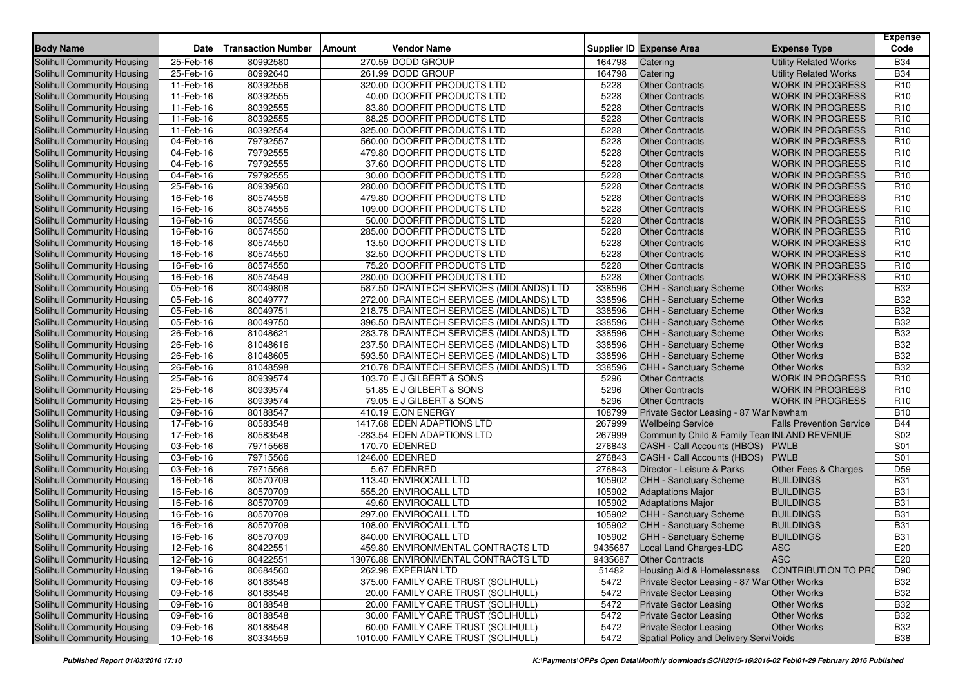| <b>Body Name</b>                  | Date                   | <b>Transaction Number</b> | <b>Amount</b> | <b>Vendor Name</b>                       |         | <b>Supplier ID Expense Area</b>              | <b>Expense Type</b>             | <b>Expense</b><br>Code |
|-----------------------------------|------------------------|---------------------------|---------------|------------------------------------------|---------|----------------------------------------------|---------------------------------|------------------------|
| <b>Solihull Community Housing</b> | 25-Feb-16              | 80992580                  |               | 270.59 DODD GROUP                        | 164798  | Catering                                     | <b>Utility Related Works</b>    | <b>B34</b>             |
| Solihull Community Housing        | 25-Feb-16              | 80992640                  |               | 261.99 DODD GROUP                        | 164798  | Catering                                     | <b>Utility Related Works</b>    | <b>B34</b>             |
| Solihull Community Housing        | 11-Feb-16              | 80392556                  |               | 320.00 DOORFIT PRODUCTS LTD              | 5228    | <b>Other Contracts</b>                       | <b>WORK IN PROGRESS</b>         | R <sub>10</sub>        |
| Solihull Community Housing        | 11-Feb-16              | 80392555                  |               | 40.00 DOORFIT PRODUCTS LTD               | 5228    | <b>Other Contracts</b>                       | <b>WORK IN PROGRESS</b>         | R <sub>10</sub>        |
| Solihull Community Housing        | 11-Feb-16              | 80392555                  |               | 83.80 DOORFIT PRODUCTS LTD               | 5228    | <b>Other Contracts</b>                       | <b>WORK IN PROGRESS</b>         | R <sub>10</sub>        |
| Solihull Community Housing        | 11-Feb-16              | 80392555                  |               | 88.25 DOORFIT PRODUCTS LTD               | 5228    | <b>Other Contracts</b>                       | <b>WORK IN PROGRESS</b>         | R <sub>10</sub>        |
| Solihull Community Housing        | 11-Feb-16              | 80392554                  |               | 325.00 DOORFIT PRODUCTS LTD              | 5228    | <b>Other Contracts</b>                       | <b>WORK IN PROGRESS</b>         | R <sub>10</sub>        |
| Solihull Community Housing        | 04-Feb-16              | 79792557                  |               | 560.00 DOORFIT PRODUCTS LTD              | 5228    | <b>Other Contracts</b>                       | <b>WORK IN PROGRESS</b>         | R <sub>10</sub>        |
| Solihull Community Housing        | $\overline{04-Feb-16}$ | 79792555                  |               | 479.80 DOORFIT PRODUCTS LTD              | 5228    | <b>Other Contracts</b>                       | <b>WORK IN PROGRESS</b>         | R <sub>10</sub>        |
| Solihull Community Housing        | 04-Feb-16              | 79792555                  |               | 37.60 DOORFIT PRODUCTS LTD               | 5228    | <b>Other Contracts</b>                       | <b>WORK IN PROGRESS</b>         | R <sub>10</sub>        |
| Solihull Community Housing        | 04-Feb-16              | 79792555                  |               | 30.00 DOORFIT PRODUCTS LTD               | 5228    | <b>Other Contracts</b>                       | <b>WORK IN PROGRESS</b>         | R <sub>10</sub>        |
| Solihull Community Housing        | 25-Feb-16              | 80939560                  |               | 280.00 DOORFIT PRODUCTS LTD              | 5228    | <b>Other Contracts</b>                       | <b>WORK IN PROGRESS</b>         | R <sub>10</sub>        |
| Solihull Community Housing        | 16-Feb-16              | 80574556                  |               | 479.80 DOORFIT PRODUCTS LTD              | 5228    | <b>Other Contracts</b>                       | <b>WORK IN PROGRESS</b>         | R <sub>10</sub>        |
| Solihull Community Housing        | 16-Feb-16              | 80574556                  |               | 109.00 DOORFIT PRODUCTS LTD              | 5228    | <b>Other Contracts</b>                       | <b>WORK IN PROGRESS</b>         | R <sub>10</sub>        |
| Solihull Community Housing        | 16-Feb-16              | 80574556                  |               | 50.00 DOORFIT PRODUCTS LTD               | 5228    | <b>Other Contracts</b>                       | <b>WORK IN PROGRESS</b>         | R <sub>10</sub>        |
| Solihull Community Housing        | 16-Feb-16              | 80574550                  |               | 285.00 DOORFIT PRODUCTS LTD              | 5228    | <b>Other Contracts</b>                       | <b>WORK IN PROGRESS</b>         | R <sub>10</sub>        |
| Solihull Community Housing        | 16-Feb-16              | 80574550                  |               | 13.50 DOORFIT PRODUCTS LTD               | 5228    | <b>Other Contracts</b>                       | <b>WORK IN PROGRESS</b>         | R <sub>10</sub>        |
| Solihull Community Housing        | 16-Feb-16              | 80574550                  |               | 32.50 DOORFIT PRODUCTS LTD               | 5228    | <b>Other Contracts</b>                       | <b>WORK IN PROGRESS</b>         | R <sub>10</sub>        |
| Solihull Community Housing        | 16-Feb-16              | 80574550                  |               | 75.20 DOORFIT PRODUCTS LTD               | 5228    | <b>Other Contracts</b>                       | <b>WORK IN PROGRESS</b>         | R <sub>10</sub>        |
| Solihull Community Housing        | 16-Feb-16              | 80574549                  |               | 280.00 DOORFIT PRODUCTS LTD              | 5228    | <b>Other Contracts</b>                       | <b>WORK IN PROGRESS</b>         | R <sub>10</sub>        |
| Solihull Community Housing        | 05-Feb-16              | 80049808                  |               | 587.50 DRAINTECH SERVICES (MIDLANDS) LTD | 338596  | CHH - Sanctuary Scheme                       | <b>Other Works</b>              | <b>B32</b>             |
| Solihull Community Housing        | 05-Feb-16              | 80049777                  |               | 272.00 DRAINTECH SERVICES (MIDLANDS) LTD | 338596  | CHH - Sanctuary Scheme                       | <b>Other Works</b>              | <b>B32</b>             |
| <b>Solihull Community Housing</b> | 05-Feb-16              | 80049751                  |               | 218.75 DRAINTECH SERVICES (MIDLANDS) LTD | 338596  | CHH - Sanctuary Scheme                       | <b>Other Works</b>              | <b>B32</b>             |
| Solihull Community Housing        | 05-Feb-16              | 80049750                  |               | 396.50 DRAINTECH SERVICES (MIDLANDS) LTD | 338596  | CHH - Sanctuary Scheme                       | <b>Other Works</b>              | <b>B32</b>             |
| Solihull Community Housing        | 26-Feb-16              | 81048621                  |               | 283.78 DRAINTECH SERVICES (MIDLANDS) LTD | 338596  | CHH - Sanctuary Scheme                       | <b>Other Works</b>              | <b>B32</b>             |
| <b>Solihull Community Housing</b> | 26-Feb-16              | 81048616                  |               | 237.50 DRAINTECH SERVICES (MIDLANDS) LTD | 338596  | <b>CHH - Sanctuary Scheme</b>                | <b>Other Works</b>              | <b>B32</b>             |
| Solihull Community Housing        | 26-Feb-16              | 81048605                  |               | 593.50 DRAINTECH SERVICES (MIDLANDS) LTD | 338596  | CHH - Sanctuary Scheme                       | <b>Other Works</b>              | <b>B32</b>             |
| Solihull Community Housing        | 26-Feb-16              | 81048598                  |               | 210.78 DRAINTECH SERVICES (MIDLANDS) LTD | 338596  | <b>CHH - Sanctuary Scheme</b>                | <b>Other Works</b>              | <b>B32</b>             |
| <b>Solihull Community Housing</b> | 25-Feb-16              | 80939574                  |               | 103.70 E J GILBERT & SONS                | 5296    | <b>Other Contracts</b>                       | <b>WORK IN PROGRESS</b>         | R <sub>10</sub>        |
| Solihull Community Housing        | 25-Feb-16              | 80939574                  |               | 51.85 E J GILBERT & SONS                 | 5296    | <b>Other Contracts</b>                       | <b>WORK IN PROGRESS</b>         | R <sub>10</sub>        |
| Solihull Community Housing        | 25-Feb-16              | 80939574                  |               | 79.05 E J GILBERT & SONS                 | 5296    | <b>Other Contracts</b>                       | <b>WORK IN PROGRESS</b>         | R <sub>10</sub>        |
| <b>Solihull Community Housing</b> | 09-Feb-16              | 80188547                  |               | 410.19 E.ON ENERGY                       | 108799  | Private Sector Leasing - 87 War Newham       |                                 | <b>B10</b>             |
| Solihull Community Housing        | 17-Feb-16              | 80583548                  |               | 1417.68 EDEN ADAPTIONS LTD               | 267999  | <b>Wellbeing Service</b>                     | <b>Falls Prevention Service</b> | <b>B44</b>             |
| Solihull Community Housing        | $17-Feb-16$            | 80583548                  |               | -283.54 EDEN ADAPTIONS LTD               | 267999  | Community Child & Family Tean INLAND REVENUE |                                 | S02                    |
| Solihull Community Housing        | 03-Feb-16              | 79715566                  |               | 170.70 EDENRED                           | 276843  | CASH - Call Accounts (HBOS)                  | <b>PWLB</b>                     | S01                    |
| Solihull Community Housing        | 03-Feb-16              | 79715566                  |               | 1246.00 EDENRED                          | 276843  | CASH - Call Accounts (HBOS)                  | <b>PWLB</b>                     | S01                    |
| Solihull Community Housing        | 03-Feb-16              | 79715566                  |               | 5.67 EDENRED                             | 276843  | Director - Leisure & Parks                   | Other Fees & Charges            | D <sub>59</sub>        |
| Solihull Community Housing        | 16-Feb-16              | 80570709                  |               | 113.40 ENVIROCALL LTD                    | 105902  | CHH - Sanctuary Scheme                       | <b>BUILDINGS</b>                | <b>B31</b>             |
| Solihull Community Housing        | 16-Feb-16              | 80570709                  |               | 555.20 ENVIROCALL LTD                    | 105902  | <b>Adaptations Major</b>                     | <b>BUILDINGS</b>                | <b>B31</b>             |
| Solihull Community Housing        | 16-Feb-16              | 80570709                  |               | 49.60 ENVIROCALL LTD                     | 105902  | <b>Adaptations Major</b>                     | <b>BUILDINGS</b>                | <b>B31</b>             |
| Solihull Community Housing        | 16-Feb-16              | 80570709                  |               | 297.00 ENVIROCALL LTD                    | 105902  | <b>CHH - Sanctuary Scheme</b>                | <b>BUILDINGS</b>                | <b>B31</b>             |
| Solihull Community Housing        | 16-Feb-16              | 80570709                  |               | 108.00 ENVIROCALL LTD                    | 105902  | <b>CHH - Sanctuary Scheme</b>                | <b>BUILDINGS</b>                | <b>B31</b>             |
| Solihull Community Housing        | 16-Feb-16              | 80570709                  |               | 840.00 ENVIROCALL LTD                    | 105902  | <b>CHH - Sanctuary Scheme</b>                | <b>BUILDINGS</b>                | <b>B31</b>             |
| Solihull Community Housing        | 12-Feb-16              | 80422551                  |               | 459.80 ENVIRONMENTAL CONTRACTS LTD       |         | 9435687 Local Land Charges-LDC               | <b>ASC</b>                      | E20                    |
| Solihull Community Housing        | 12-Feb-16              | 80422551                  |               | 13076.88 ENVIRONMENTAL CONTRACTS LTD     | 9435687 | <b>Other Contracts</b>                       | <b>ASC</b>                      | E20                    |
| Solihull Community Housing        | 19-Feb-16              | 80684560                  |               | 262.98 EXPERIAN LTD                      | 51482   | Housing Aid & Homelessness                   | <b>CONTRIBUTION TO PRO</b>      | D90                    |
| Solihull Community Housing        | 09-Feb-16              | 80188548                  |               | 375.00 FAMILY CARE TRUST (SOLIHULL)      | 5472    | Private Sector Leasing - 87 War Other Works  |                                 | <b>B32</b>             |
| Solihull Community Housing        | 09-Feb-16              | 80188548                  |               | 20.00 FAMILY CARE TRUST (SOLIHULL)       | 5472    | <b>Private Sector Leasing</b>                | <b>Other Works</b>              | <b>B32</b>             |
| Solihull Community Housing        | 09-Feb-16              | 80188548                  |               | 20.00 FAMILY CARE TRUST (SOLIHULL)       | 5472    | <b>Private Sector Leasing</b>                | <b>Other Works</b>              | <b>B32</b>             |
| Solihull Community Housing        | 09-Feb-16              | 80188548                  |               | 30.00 FAMILY CARE TRUST (SOLIHULL)       | 5472    | <b>Private Sector Leasing</b>                | <b>Other Works</b>              | <b>B32</b>             |
| Solihull Community Housing        | 09-Feb-16              | 80188548                  |               | 60.00 FAMILY CARE TRUST (SOLIHULL)       | 5472    | <b>Private Sector Leasing</b>                | Other Works                     | <b>B32</b>             |
| <b>Solihull Community Housing</b> | 10-Feb-16              | 80334559                  |               | 1010.00 FAMILY CARE TRUST (SOLIHULL)     | 5472    | Spatial Policy and Delivery Servi Voids      |                                 | <b>B38</b>             |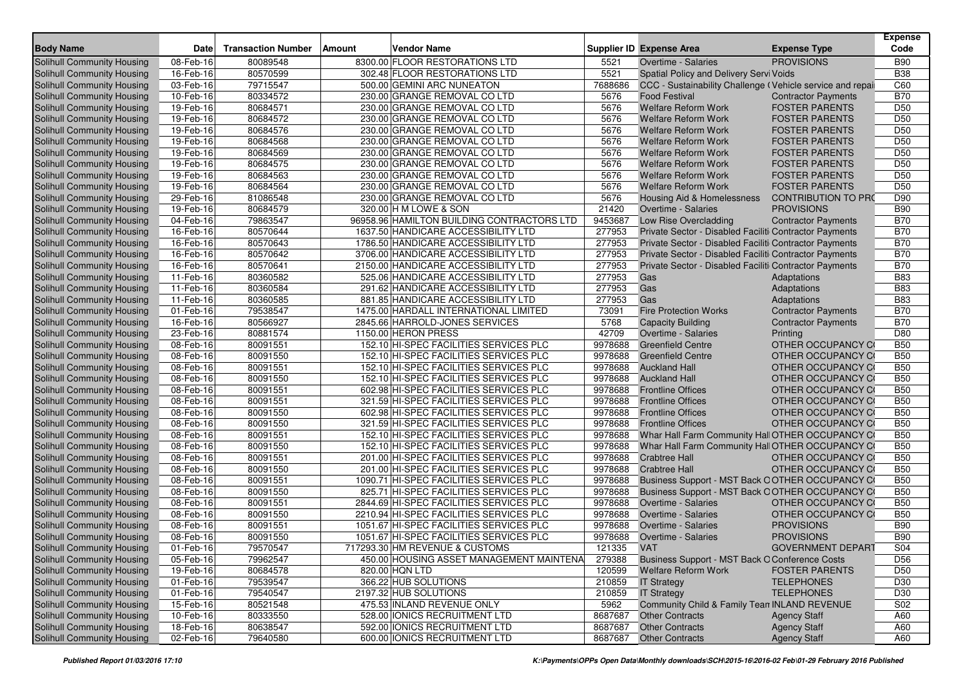| <b>Body Name</b>                                                | <b>Date</b>            |                           | Amount                                                              |              | <b>Supplier ID Expense Area</b>                                                   |                                                 | <b>Expense</b><br>Code             |
|-----------------------------------------------------------------|------------------------|---------------------------|---------------------------------------------------------------------|--------------|-----------------------------------------------------------------------------------|-------------------------------------------------|------------------------------------|
|                                                                 |                        | <b>Transaction Number</b> | Vendor Name                                                         |              |                                                                                   | <b>Expense Type</b>                             |                                    |
| Solihull Community Housing                                      | 08-Feb-16              | 80089548                  | 8300.00 FLOOR RESTORATIONS LTD                                      | 5521         | Overtime - Salaries                                                               | <b>PROVISIONS</b>                               | <b>B90</b>                         |
| Solihull Community Housing                                      | 16-Feb-16              | 80570599                  | 302.48 FLOOR RESTORATIONS LTD                                       | 5521         | Spatial Policy and Delivery Servi Voids                                           |                                                 | <b>B38</b><br>C60                  |
| Solihull Community Housing                                      | 03-Feb-16              | 79715547                  | 500.00 GEMINI ARC NUNEATON                                          | 7688686      | CCC - Sustainability Challenge (Vehicle service and repai<br><b>Food Festival</b> |                                                 |                                    |
| Solihull Community Housing                                      | 10-Feb-16              | 80334572                  | 230.00 GRANGE REMOVAL CO LTD                                        | 5676         |                                                                                   | <b>Contractor Payments</b>                      | <b>B70</b>                         |
| Solihull Community Housing                                      | 19-Feb-16              | 80684571                  | 230.00 GRANGE REMOVAL CO LTD                                        | 5676         | <b>Welfare Reform Work</b>                                                        | <b>FOSTER PARENTS</b>                           | D <sub>50</sub>                    |
| Solihull Community Housing                                      | 19-Feb-16              | 80684572                  | 230.00 GRANGE REMOVAL CO LTD                                        | 5676<br>5676 | <b>Welfare Reform Work</b>                                                        | <b>FOSTER PARENTS</b>                           | D <sub>50</sub><br>D <sub>50</sub> |
| Solihull Community Housing                                      | 19-Feb-16              | 80684576                  | 230.00 GRANGE REMOVAL CO LTD                                        |              | <b>Welfare Reform Work</b>                                                        | <b>FOSTER PARENTS</b>                           |                                    |
| Solihull Community Housing                                      | 19-Feb-16              | 80684568<br>80684569      | 230.00 GRANGE REMOVAL CO LTD                                        | 5676<br>5676 | <b>Welfare Reform Work</b>                                                        | <b>FOSTER PARENTS</b><br><b>FOSTER PARENTS</b>  | D <sub>50</sub><br>D <sub>50</sub> |
| Solihull Community Housing<br>Solihull Community Housing        | 19-Feb-16              |                           | 230.00 GRANGE REMOVAL CO LTD                                        |              | <b>Welfare Reform Work</b>                                                        |                                                 | D <sub>50</sub>                    |
|                                                                 | 19-Feb-16<br>19-Feb-16 | 80684575<br>80684563      | 230.00 GRANGE REMOVAL CO LTD<br>230.00 GRANGE REMOVAL CO LTD        | 5676<br>5676 | <b>Welfare Reform Work</b><br><b>Welfare Reform Work</b>                          | <b>FOSTER PARENTS</b><br><b>FOSTER PARENTS</b>  | D <sub>50</sub>                    |
| Solihull Community Housing                                      | 19-Feb-16              | 80684564                  | 230.00 GRANGE REMOVAL CO LTD                                        | 5676         | <b>Welfare Reform Work</b>                                                        | <b>FOSTER PARENTS</b>                           | D <sub>50</sub>                    |
| Solihull Community Housing                                      |                        |                           |                                                                     | 5676         |                                                                                   |                                                 |                                    |
| Solihull Community Housing                                      | 29-Feb-16<br>19-Feb-16 | 81086548                  | 230.00 GRANGE REMOVAL CO LTD                                        | 21420        | Housing Aid & Homelessness                                                        | <b>CONTRIBUTION TO PRO</b><br><b>PROVISIONS</b> | D90<br><b>B90</b>                  |
| Solihull Community Housing<br><b>Solihull Community Housing</b> | 04-Feb-16              | 80684579<br>79863547      | 320.00 H M LOWE & SON<br>96958.96 HAMILTON BUILDING CONTRACTORS LTD | 9453687      | Overtime - Salaries<br>Low Rise Overcladding                                      |                                                 | <b>B70</b>                         |
| Solihull Community Housing                                      | 16-Feb-16              | 80570644                  | 1637.50 HANDICARE ACCESSIBILITY LTD                                 | 277953       | Private Sector - Disabled Faciliti Contractor Payments                            | <b>Contractor Payments</b>                      | <b>B70</b>                         |
| Solihull Community Housing                                      | 16-Feb-16              | 80570643                  | 1786.50 HANDICARE ACCESSIBILITY LTD                                 | 277953       | Private Sector - Disabled Faciliti Contractor Payments                            |                                                 | <b>B70</b>                         |
|                                                                 | 16-Feb-16              | 80570642                  | 3706.00 HANDICARE ACCESSIBILITY LTD                                 | 277953       | Private Sector - Disabled Faciliti Contractor Payments                            |                                                 | <b>B70</b>                         |
| Solihull Community Housing<br><b>Solihull Community Housing</b> | 16-Feb-16              | 80570641                  | 2150.00 HANDICARE ACCESSIBILITY LTD                                 | 277953       | Private Sector - Disabled Faciliti Contractor Payments                            |                                                 | <b>B70</b>                         |
| Solihull Community Housing                                      | 11-Feb-16              | 80360582                  | 525.06 HANDICARE ACCESSIBILITY LTD                                  | 277953       | Gas                                                                               | Adaptations                                     | <b>B83</b>                         |
| Solihull Community Housing                                      | $11-Feb-16$            | 80360584                  | 291.62 HANDICARE ACCESSIBILITY LTD                                  | 277953       | Gas                                                                               | Adaptations                                     | <b>B83</b>                         |
| Solihull Community Housing                                      | 11-Feb-16              | 80360585                  | 881.85 HANDICARE ACCESSIBILITY LTD                                  | 277953       | Gas                                                                               | Adaptations                                     | <b>B83</b>                         |
| <b>Solihull Community Housing</b>                               | 01-Feb-16              | 79538547                  | 1475.00 HARDALL INTERNATIONAL LIMITED                               | 73091        | <b>Fire Protection Works</b>                                                      | <b>Contractor Payments</b>                      | <b>B70</b>                         |
| <b>Solihull Community Housing</b>                               | 16-Feb-16              | 80566927                  | 2845.66 HARROLD-JONES SERVICES                                      | 5768         | <b>Capacity Building</b>                                                          | <b>Contractor Payments</b>                      | <b>B70</b>                         |
| Solihull Community Housing                                      | 23-Feb-16              | 80881574                  | 1150.00 HERON PRESS                                                 | 42709        | <b>Overtime - Salaries</b>                                                        | Printing                                        | D80                                |
| <b>Solihull Community Housing</b>                               | 08-Feb-16              | 80091551                  | 152.10 HI-SPEC FACILITIES SERVICES PLC                              | 9978688      | <b>Greenfield Centre</b>                                                          | OTHER OCCUPANCY CO                              | <b>B50</b>                         |
| Solihull Community Housing                                      | 08-Feb-16              | 80091550                  | 152.10 HI-SPEC FACILITIES SERVICES PLC                              | 9978688      | <b>Greenfield Centre</b>                                                          | OTHER OCCUPANCY CO                              | <b>B50</b>                         |
| Solihull Community Housing                                      | 08-Feb-16              | 80091551                  | 152.10 HI-SPEC FACILITIES SERVICES PLC                              | 9978688      | <b>Auckland Hall</b>                                                              | OTHER OCCUPANCY CO                              | <b>B50</b>                         |
| Solihull Community Housing                                      | 08-Feb-16              | 80091550                  | 152.10 HI-SPEC FACILITIES SERVICES PLC                              | 9978688      | <b>Auckland Hall</b>                                                              | OTHER OCCUPANCY CO                              | <b>B50</b>                         |
| <b>Solihull Community Housing</b>                               | 08-Feb-16              | 80091551                  | 602.98 HI-SPEC FACILITIES SERVICES PLC                              | 9978688      | <b>Frontline Offices</b>                                                          | OTHER OCCUPANCY CO                              | <b>B50</b>                         |
| <b>Solihull Community Housing</b>                               | 08-Feb-16              | 80091551                  | 321.59 HI-SPEC FACILITIES SERVICES PLC                              | 9978688      | <b>Frontline Offices</b>                                                          | OTHER OCCUPANCY CO                              | <b>B50</b>                         |
| Solihull Community Housing                                      | 08-Feb-16              | 80091550                  | 602.98 HI-SPEC FACILITIES SERVICES PLC                              | 9978688      | <b>Frontline Offices</b>                                                          | OTHER OCCUPANCY CO                              | <b>B50</b>                         |
| Solihull Community Housing                                      | 08-Feb-16              | 80091550                  | 321.59 HI-SPEC FACILITIES SERVICES PLC                              | 9978688      | <b>Frontline Offices</b>                                                          | OTHER OCCUPANCY CO                              | <b>B50</b>                         |
| Solihull Community Housing                                      | 08-Feb-16              | 80091551                  | 152.10 HI-SPEC FACILITIES SERVICES PLC                              | 9978688      | Whar Hall Farm Community Hall OTHER OCCUPANCY C                                   |                                                 | <b>B50</b>                         |
| <b>Solihull Community Housing</b>                               | 08-Feb-16              | 80091550                  | 152.10 HI-SPEC FACILITIES SERVICES PLC                              | 9978688      | Whar Hall Farm Community Hall OTHER OCCUPANCY CO                                  |                                                 | <b>B50</b>                         |
| Solihull Community Housing                                      | 08-Feb-16              | 80091551                  | 201.00 HI-SPEC FACILITIES SERVICES PLC                              | 9978688      | <b>Crabtree Hall</b>                                                              | OTHER OCCUPANCY CO                              | <b>B50</b>                         |
| Solihull Community Housing                                      | 08-Feb-16              | 80091550                  | 201.00 HI-SPEC FACILITIES SERVICES PLC                              | 9978688      | <b>Crabtree Hall</b>                                                              | OTHER OCCUPANCY CO                              | <b>B50</b>                         |
| Solihull Community Housing                                      | 08-Feb-16              | 80091551                  | 1090.71 HI-SPEC FACILITIES SERVICES PLC                             | 9978688      | Business Support - MST Back OOTHER OCCUPANCY CO                                   |                                                 | <b>B50</b>                         |
| Solihull Community Housing                                      | 08-Feb-16              | 80091550                  | 825.71 HI-SPEC FACILITIES SERVICES PLC                              | 9978688      | Business Support - MST Back OOTHER OCCUPANCY CO                                   |                                                 | <b>B50</b>                         |
| Solihull Community Housing                                      | 08-Feb-16              | 80091551                  | 2844.69 HI-SPEC FACILITIES SERVICES PLC                             | 9978688      | Overtime - Salaries                                                               | OTHER OCCUPANCY CO                              | <b>B50</b>                         |
| Solihull Community Housing                                      | 08-Feb-16              | 80091550                  | 2210.94 HI-SPEC FACILITIES SERVICES PLC                             | 9978688      | Overtime - Salaries                                                               | OTHER OCCUPANCY CO                              | <b>B50</b>                         |
| Solihull Community Housing                                      | 08-Feb-16              | 80091551                  | 1051.67 HI-SPEC FACILITIES SERVICES PLC                             | 9978688      | Overtime - Salaries                                                               | <b>PROVISIONS</b>                               | <b>B90</b>                         |
| Solihull Community Housing                                      | 08-Feb-16              | 80091550                  | 1051.67 HI-SPEC FACILITIES SERVICES PLC                             | 9978688      | <b>Overtime - Salaries</b>                                                        | <b>PROVISIONS</b>                               | <b>B90</b>                         |
| Solihull Community Housing                                      | 01-Feb-16              | 79570547                  | 717293.30 HM REVENUE & CUSTOMS                                      | 121335       | <b>VAT</b>                                                                        | <b>GOVERNMENT DEPART</b>                        | S <sub>04</sub>                    |
| Solihull Community Housing                                      | 05-Feb-16              | 79962547                  | 450.00 HOUSING ASSET MANAGEMENT MAINTENA                            | 279388       | Business Support - MST Back O Conference Costs                                    |                                                 | D <sub>56</sub>                    |
| Solihull Community Housing                                      | 19-Feb-16              | 80684578                  | 820.00 HQN LTD                                                      | 120599       | <b>Welfare Reform Work</b>                                                        | <b>FOSTER PARENTS</b>                           | D <sub>50</sub>                    |
| Solihull Community Housing                                      | $01$ -Feb-16           | 79539547                  | 366.22 HUB SOLUTIONS                                                | 210859       | <b>IT Strategy</b>                                                                | <b>TELEPHONES</b>                               | D30                                |
| Solihull Community Housing                                      | $01$ -Feb-16           | 79540547                  | 2197.32 HUB SOLUTIONS                                               | 210859       | <b>IT Strategy</b>                                                                | <b>TELEPHONES</b>                               | D30                                |
| <b>Solihull Community Housing</b>                               | 15-Feb-16              | 80521548                  | 475.53 INLAND REVENUE ONLY                                          | 5962         | Community Child & Family Tean INLAND REVENUE                                      |                                                 | S02                                |
| Solihull Community Housing                                      | 10-Feb-16              | 80333550                  | 528.00 IONICS RECRUITMENT LTD                                       | 8687687      | <b>Other Contracts</b>                                                            | <b>Agency Staff</b>                             | A60                                |
| Solihull Community Housing                                      | 18-Feb-16              | 80638547                  | 592.00 IONICS RECRUITMENT LTD                                       | 8687687      | <b>Other Contracts</b>                                                            | <b>Agency Staff</b>                             | A60                                |
| <b>Solihull Community Housing</b>                               | 02-Feb-16              | 79640580                  | 600.00 IONICS RECRUITMENT LTD                                       | 8687687      | <b>Other Contracts</b>                                                            | <b>Agency Staff</b>                             | A60                                |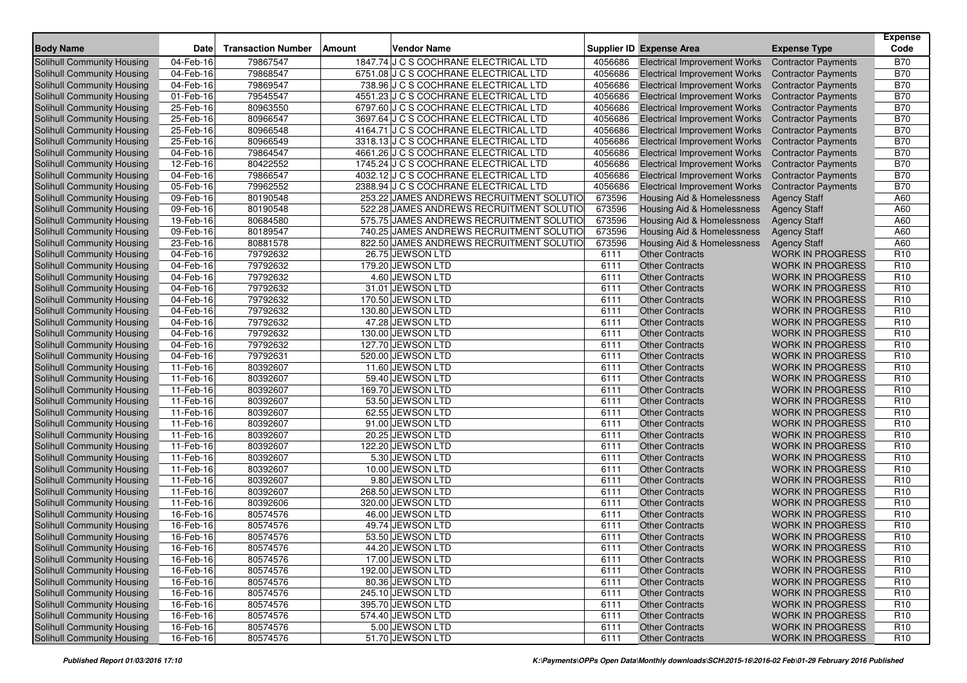| <b>Body Name</b>                  | <b>Date</b> | <b>Transaction Number</b> | Amount | Vendor Name                              |         | <b>Supplier ID Expense Area</b>     | <b>Expense Type</b>        | <b>Expense</b><br>Code |
|-----------------------------------|-------------|---------------------------|--------|------------------------------------------|---------|-------------------------------------|----------------------------|------------------------|
| Solihull Community Housing        | 04-Feb-16   | 79867547                  |        | 1847.74 J C S COCHRANE ELECTRICAL LTD    | 4056686 | <b>Electrical Improvement Works</b> | <b>Contractor Payments</b> | <b>B70</b>             |
| Solihull Community Housing        | 04-Feb-16   | 79868547                  |        | 6751.08 J C S COCHRANE ELECTRICAL LTD    | 4056686 | <b>Electrical Improvement Works</b> | <b>Contractor Payments</b> | <b>B70</b>             |
| Solihull Community Housing        | 04-Feb-16   | 79869547                  |        | 738.96 J C S COCHRANE ELECTRICAL LTD     | 4056686 | <b>Electrical Improvement Works</b> | <b>Contractor Payments</b> | <b>B70</b>             |
| Solihull Community Housing        | 01-Feb-16   | 79545547                  |        | 4551.23 J C S COCHRANE ELECTRICAL LTD    | 4056686 | <b>Electrical Improvement Works</b> | <b>Contractor Payments</b> | <b>B70</b>             |
| Solihull Community Housing        | 25-Feb-16   | 80963550                  |        | 6797.60 J C S COCHRANE ELECTRICAL LTD    | 4056686 | <b>Electrical Improvement Works</b> | <b>Contractor Payments</b> | <b>B70</b>             |
| Solihull Community Housing        | 25-Feb-16   | 80966547                  |        | 3697.64 J C S COCHRANE ELECTRICAL LTD    | 4056686 | <b>Electrical Improvement Works</b> | <b>Contractor Payments</b> | <b>B70</b>             |
| Solihull Community Housing        | 25-Feb-16   | 80966548                  |        | 4164.71 J C S COCHRANE ELECTRICAL LTD    | 4056686 | <b>Electrical Improvement Works</b> | <b>Contractor Payments</b> | <b>B70</b>             |
| Solihull Community Housing        | 25-Feb-16   | 80966549                  |        | 3318.13 J C S COCHRANE ELECTRICAL LTD    | 4056686 | <b>Electrical Improvement Works</b> | <b>Contractor Payments</b> | <b>B70</b>             |
| Solihull Community Housing        | 04-Feb-16   | 79864547                  |        | 4661.26 J C S COCHRANE ELECTRICAL LTD    | 4056686 | <b>Electrical Improvement Works</b> | <b>Contractor Payments</b> | <b>B70</b>             |
| Solihull Community Housing        | 12-Feb-16   | 80422552                  |        | 1745.24 J C S COCHRANE ELECTRICAL LTD    | 4056686 | <b>Electrical Improvement Works</b> | <b>Contractor Payments</b> | <b>B70</b>             |
| Solihull Community Housing        | 04-Feb-16   | 79866547                  |        | 4032.12 J C S COCHRANE ELECTRICAL LTD    | 4056686 | <b>Electrical Improvement Works</b> | <b>Contractor Payments</b> | <b>B70</b>             |
| Solihull Community Housing        | 05-Feb-16   | 79962552                  |        | 2388.94 J C S COCHRANE ELECTRICAL LTD    | 4056686 | <b>Electrical Improvement Works</b> | <b>Contractor Payments</b> | <b>B70</b>             |
| Solihull Community Housing        | 09-Feb-16   | 80190548                  |        | 253.22 JAMES ANDREWS RECRUITMENT SOLUTIO | 673596  | Housing Aid & Homelessness          | <b>Agency Staff</b>        | A60                    |
| <b>Solihull Community Housing</b> | 09-Feb-16   | 80190548                  |        | 522.28 JAMES ANDREWS RECRUITMENT SOLUTIO | 673596  | Housing Aid & Homelessness          | <b>Agency Staff</b>        | A60                    |
| <b>Solihull Community Housing</b> | 19-Feb-16   | 80684580                  |        | 575.75 JAMES ANDREWS RECRUITMENT SOLUTIO | 673596  | Housing Aid & Homelessness          | <b>Agency Staff</b>        | A60                    |
| Solihull Community Housing        | 09-Feb-16   | 80189547                  |        | 740.25 JAMES ANDREWS RECRUITMENT SOLUTIO | 673596  | Housing Aid & Homelessness          | <b>Agency Staff</b>        | A60                    |
| Solihull Community Housing        | 23-Feb-16   | 80881578                  |        | 822.50 JAMES ANDREWS RECRUITMENT SOLUTIO | 673596  | Housing Aid & Homelessness          | <b>Agency Staff</b>        | A60                    |
| Solihull Community Housing        | 04-Feb-16   | 79792632                  |        | 26.75 JEWSON LTD                         | 6111    | <b>Other Contracts</b>              | <b>WORK IN PROGRESS</b>    | R <sub>10</sub>        |
| Solihull Community Housing        | 04-Feb-16   | 79792632                  |        | 179.20 JEWSON LTD                        | 6111    | <b>Other Contracts</b>              | <b>WORK IN PROGRESS</b>    | R <sub>10</sub>        |
| Solihull Community Housing        | 04-Feb-16   | 79792632                  |        | 4.60 JEWSON LTD                          | 6111    | <b>Other Contracts</b>              | <b>WORK IN PROGRESS</b>    | R <sub>10</sub>        |
| Solihull Community Housing        | 04-Feb-16   | 79792632                  |        | 31.01 JEWSON LTD                         | 6111    | <b>Other Contracts</b>              | <b>WORK IN PROGRESS</b>    | R <sub>10</sub>        |
| Solihull Community Housing        | 04-Feb-16   | 79792632                  |        | 170.50 JEWSON LTD                        | 6111    | <b>Other Contracts</b>              | <b>WORK IN PROGRESS</b>    | R <sub>10</sub>        |
| Solihull Community Housing        | 04-Feb-16   | 79792632                  |        | 130.80 JEWSON LTD                        | 6111    | <b>Other Contracts</b>              | <b>WORK IN PROGRESS</b>    | R <sub>10</sub>        |
| Solihull Community Housing        | 04-Feb-16   | 79792632                  |        | 47.28 JEWSON LTD                         | 6111    | <b>Other Contracts</b>              | <b>WORK IN PROGRESS</b>    | R <sub>10</sub>        |
| Solihull Community Housing        | 04-Feb-16   | 79792632                  |        | 130.00 JEWSON LTD                        | 6111    | <b>Other Contracts</b>              | <b>WORK IN PROGRESS</b>    | R <sub>10</sub>        |
| Solihull Community Housing        | 04-Feb-16   | 79792632                  |        | 127.70 JEWSON LTD                        | 6111    | <b>Other Contracts</b>              | <b>WORK IN PROGRESS</b>    | R <sub>10</sub>        |
| Solihull Community Housing        | 04-Feb-16   | 79792631                  |        | 520.00 JEWSON LTD                        | 6111    | <b>Other Contracts</b>              | <b>WORK IN PROGRESS</b>    | R <sub>10</sub>        |
| Solihull Community Housing        | 11-Feb-16   | 80392607                  |        | 11.60 JEWSON LTD                         | 6111    | <b>Other Contracts</b>              | <b>WORK IN PROGRESS</b>    | R <sub>10</sub>        |
| Solihull Community Housing        | 11-Feb-16   | 80392607                  |        | 59.40 JEWSON LTD                         | 6111    | <b>Other Contracts</b>              | <b>WORK IN PROGRESS</b>    | R <sub>10</sub>        |
| Solihull Community Housing        | 11-Feb-16   | 80392607                  |        | 169.70 JEWSON LTD                        | 6111    | <b>Other Contracts</b>              | <b>WORK IN PROGRESS</b>    | R <sub>10</sub>        |
| Solihull Community Housing        | 11-Feb-16   | 80392607                  |        | 53.50 JEWSON LTD                         | 6111    | <b>Other Contracts</b>              | <b>WORK IN PROGRESS</b>    | R <sub>10</sub>        |
| Solihull Community Housing        | 11-Feb-16   | 80392607                  |        | 62.55 JEWSON LTD                         | 6111    | <b>Other Contracts</b>              | <b>WORK IN PROGRESS</b>    | R <sub>10</sub>        |
| Solihull Community Housing        | 11-Feb-16   | 80392607                  |        | 91.00 JEWSON LTD                         | 6111    | <b>Other Contracts</b>              | <b>WORK IN PROGRESS</b>    | R <sub>10</sub>        |
| Solihull Community Housing        | 11-Feb-16   | 80392607                  |        | 20.25 JEWSON LTD                         | 6111    | <b>Other Contracts</b>              | <b>WORK IN PROGRESS</b>    | R <sub>10</sub>        |
| <b>Solihull Community Housing</b> | 11-Feb-16   | 80392607                  |        | 122.20 JEWSON LTD                        | 6111    | <b>Other Contracts</b>              | <b>WORK IN PROGRESS</b>    | R <sub>10</sub>        |
| Solihull Community Housing        | 11-Feb-16   | 80392607                  |        | 5.30 JEWSON LTD                          | 6111    | <b>Other Contracts</b>              | <b>WORK IN PROGRESS</b>    | R <sub>10</sub>        |
| Solihull Community Housing        | 11-Feb-16   | 80392607                  |        | 10.00 JEWSON LTD                         | 6111    | <b>Other Contracts</b>              | <b>WORK IN PROGRESS</b>    | R <sub>10</sub>        |
| Solihull Community Housing        | 11-Feb-16   | 80392607                  |        | 9.80 JEWSON LTD                          | 6111    | <b>Other Contracts</b>              | <b>WORK IN PROGRESS</b>    | R <sub>10</sub>        |
| Solihull Community Housing        | $11-Feb-16$ | 80392607                  |        | 268.50 JEWSON LTD                        | 6111    | <b>Other Contracts</b>              | <b>WORK IN PROGRESS</b>    | R <sub>10</sub>        |
| Solihull Community Housing        | 11-Feb-16   | 80392606                  |        | 320.00 JEWSON LTD                        | 6111    | <b>Other Contracts</b>              | <b>WORK IN PROGRESS</b>    | R <sub>10</sub>        |
| Solihull Community Housing        | 16-Feb-16   | 80574576                  |        | 46.00 JEWSON LTD                         | 6111    | <b>Other Contracts</b>              | <b>WORK IN PROGRESS</b>    | R <sub>10</sub>        |
| Solihull Community Housing        | 16-Feb-16   | 80574576                  |        | 49.74 JEWSON LTD                         | 6111    | <b>Other Contracts</b>              | <b>WORK IN PROGRESS</b>    | R <sub>10</sub>        |
| Solihull Community Housing        | 16-Feb-16   | 80574576                  |        | 53.50 JEWSON LTD                         | 6111    | <b>Other Contracts</b>              | <b>WORK IN PROGRESS</b>    | R <sub>10</sub>        |
| Solihull Community Housing        | 16-Feb-16   | 80574576                  |        | 44.20 JEWSON LTD                         | 6111    | <b>Other Contracts</b>              | WORK IN PROGRESS           | R <sub>10</sub>        |
| Solihull Community Housing        | 16-Feb-16   | 80574576                  |        | 17.00 JEWSON LTD                         | 6111    | <b>Other Contracts</b>              | <b>WORK IN PROGRESS</b>    | R <sub>10</sub>        |
| Solihull Community Housing        | 16-Feb-16   | 80574576                  |        | 192.00 JEWSON LTD                        | 6111    | <b>Other Contracts</b>              | <b>WORK IN PROGRESS</b>    | R <sub>10</sub>        |
| Solihull Community Housing        | 16-Feb-16   | 80574576                  |        | 80.36 JEWSON LTD                         | 6111    | <b>Other Contracts</b>              | <b>WORK IN PROGRESS</b>    | R <sub>10</sub>        |
| Solihull Community Housing        | 16-Feb-16   | 80574576                  |        | 245.10 JEWSON LTD                        | 6111    | <b>Other Contracts</b>              | <b>WORK IN PROGRESS</b>    | R <sub>10</sub>        |
| Solihull Community Housing        | 16-Feb-16   | 80574576                  |        | 395.70 JEWSON LTD                        | 6111    | <b>Other Contracts</b>              | WORK IN PROGRESS           | R <sub>10</sub>        |
| Solihull Community Housing        | 16-Feb-16   | 80574576                  |        | 574.40 JEWSON LTD                        | 6111    | <b>Other Contracts</b>              | <b>WORK IN PROGRESS</b>    | R <sub>10</sub>        |
| Solihull Community Housing        | 16-Feb-16   | 80574576                  |        | 5.00 JEWSON LTD                          | 6111    | <b>Other Contracts</b>              | <b>WORK IN PROGRESS</b>    | R <sub>10</sub>        |
| <b>Solihull Community Housing</b> | 16-Feb-16   | 80574576                  |        | 51.70 JEWSON LTD                         | 6111    | <b>Other Contracts</b>              | WORK IN PROGRESS           | R <sub>10</sub>        |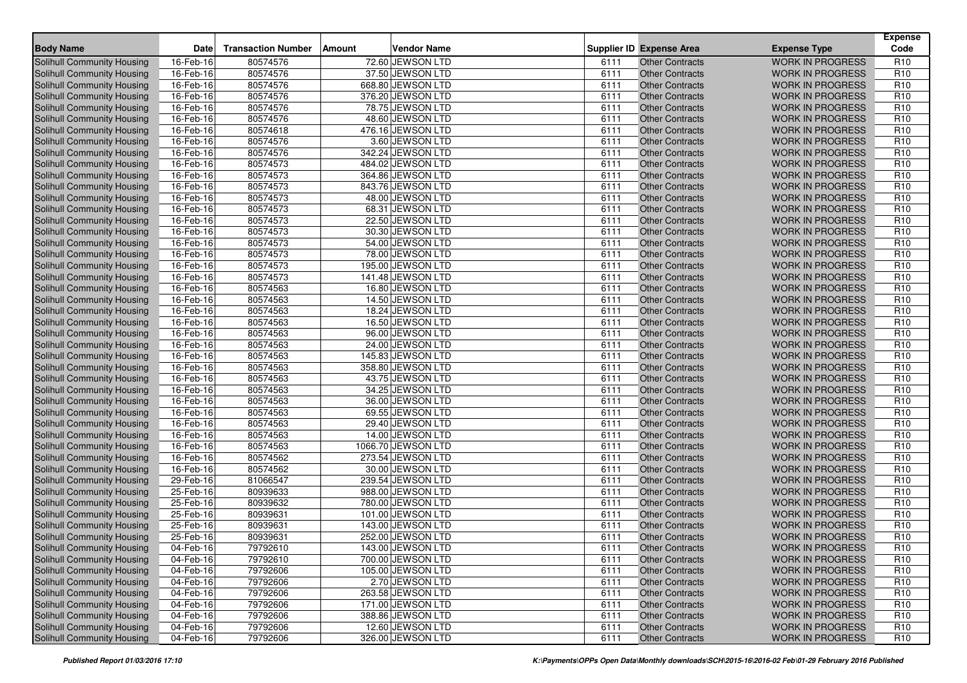| <b>Body Name</b>                  | <b>Date</b>  | <b>Transaction Number</b> | Amount | Vendor Name        |      | <b>Supplier ID Expense Area</b> | <b>Expense Type</b>     | <b>Expense</b><br>Code |
|-----------------------------------|--------------|---------------------------|--------|--------------------|------|---------------------------------|-------------------------|------------------------|
| Solihull Community Housing        | 16-Feb-16    | 80574576                  |        | 72.60 JEWSON LTD   | 6111 | <b>Other Contracts</b>          | <b>WORK IN PROGRESS</b> | R <sub>10</sub>        |
| Solihull Community Housing        | 16-Feb-16    | 80574576                  |        | 37.50 JEWSON LTD   | 6111 | <b>Other Contracts</b>          | <b>WORK IN PROGRESS</b> | R <sub>10</sub>        |
| Solihull Community Housing        | 16-Feb-16    | 80574576                  |        | 668.80 JEWSON LTD  | 6111 | <b>Other Contracts</b>          | <b>WORK IN PROGRESS</b> | R <sub>10</sub>        |
| Solihull Community Housing        | 16-Feb-16    | 80574576                  |        | 376.20 JEWSON LTD  | 6111 | <b>Other Contracts</b>          | <b>WORK IN PROGRESS</b> | R <sub>10</sub>        |
| Solihull Community Housing        | 16-Feb-16    | 80574576                  |        | 78.75 JEWSON LTD   | 6111 | <b>Other Contracts</b>          | <b>WORK IN PROGRESS</b> | R <sub>10</sub>        |
| Solihull Community Housing        | 16-Feb-16    | 80574576                  |        | 48.60 JEWSON LTD   | 6111 | <b>Other Contracts</b>          | <b>WORK IN PROGRESS</b> | R <sub>10</sub>        |
| Solihull Community Housing        | 16-Feb-16    | 80574618                  |        | 476.16 JEWSON LTD  | 6111 | <b>Other Contracts</b>          | <b>WORK IN PROGRESS</b> | R <sub>10</sub>        |
| Solihull Community Housing        | 16-Feb-16    | 80574576                  |        | 3.60 JEWSON LTD    | 6111 | <b>Other Contracts</b>          | <b>WORK IN PROGRESS</b> | R <sub>10</sub>        |
| Solihull Community Housing        | 16-Feb-16    | 80574576                  |        | 342.24 JEWSON LTD  | 6111 | <b>Other Contracts</b>          | <b>WORK IN PROGRESS</b> | R <sub>10</sub>        |
| Solihull Community Housing        | 16-Feb-16    | 80574573                  |        | 484.02 JEWSON LTD  | 6111 | <b>Other Contracts</b>          | <b>WORK IN PROGRESS</b> | R <sub>10</sub>        |
| Solihull Community Housing        | 16-Feb-16    | 80574573                  |        | 364.86 JEWSON LTD  | 6111 | <b>Other Contracts</b>          | <b>WORK IN PROGRESS</b> | R <sub>10</sub>        |
| Solihull Community Housing        | 16-Feb-16    | 80574573                  |        | 843.76 JEWSON LTD  | 6111 | <b>Other Contracts</b>          | <b>WORK IN PROGRESS</b> | R <sub>10</sub>        |
| Solihull Community Housing        | 16-Feb-16    | 80574573                  |        | 48.00 JEWSON LTD   | 6111 | <b>Other Contracts</b>          | <b>WORK IN PROGRESS</b> | R <sub>10</sub>        |
| Solihull Community Housing        | 16-Feb-16    | 80574573                  |        | 68.31 JEWSON LTD   | 6111 | <b>Other Contracts</b>          | <b>WORK IN PROGRESS</b> | R <sub>10</sub>        |
| Solihull Community Housing        | 16-Feb-16    | 80574573                  |        | 22.50 JEWSON LTD   | 6111 | <b>Other Contracts</b>          | <b>WORK IN PROGRESS</b> | R <sub>10</sub>        |
| Solihull Community Housing        | 16-Feb-16    | 80574573                  |        | 30.30 JEWSON LTD   | 6111 | <b>Other Contracts</b>          | <b>WORK IN PROGRESS</b> | R <sub>10</sub>        |
| Solihull Community Housing        | 16-Feb-16    | 80574573                  |        | 54.00 JEWSON LTD   | 6111 | <b>Other Contracts</b>          | <b>WORK IN PROGRESS</b> | R <sub>10</sub>        |
| Solihull Community Housing        | $16$ -Feb-16 | 80574573                  |        | 78.00 JEWSON LTD   | 6111 | <b>Other Contracts</b>          | <b>WORK IN PROGRESS</b> | R <sub>10</sub>        |
| Solihull Community Housing        | 16-Feb-16    | 80574573                  |        | 195.00 JEWSON LTD  | 6111 | <b>Other Contracts</b>          | <b>WORK IN PROGRESS</b> | R <sub>10</sub>        |
| Solihull Community Housing        | 16-Feb-16    | 80574573                  |        | 141.48 JEWSON LTD  | 6111 | <b>Other Contracts</b>          | <b>WORK IN PROGRESS</b> | R <sub>10</sub>        |
| <b>Solihull Community Housing</b> | 16-Feb-16    | 80574563                  |        | 16.80 JEWSON LTD   | 6111 | <b>Other Contracts</b>          | <b>WORK IN PROGRESS</b> | R <sub>10</sub>        |
| Solihull Community Housing        | 16-Feb-16    | 80574563                  |        | 14.50 JEWSON LTD   | 6111 | <b>Other Contracts</b>          | <b>WORK IN PROGRESS</b> | R <sub>10</sub>        |
| <b>Solihull Community Housing</b> | 16-Feb-16    | 80574563                  |        | 18.24 JEWSON LTD   | 6111 | <b>Other Contracts</b>          | <b>WORK IN PROGRESS</b> | R <sub>10</sub>        |
| Solihull Community Housing        | 16-Feb-16    | 80574563                  |        | 16.50 JEWSON LTD   | 6111 | <b>Other Contracts</b>          | <b>WORK IN PROGRESS</b> | R <sub>10</sub>        |
| Solihull Community Housing        | 16-Feb-16    | 80574563                  |        | 96.00 JEWSON LTD   | 6111 | <b>Other Contracts</b>          | <b>WORK IN PROGRESS</b> | R <sub>10</sub>        |
| <b>Solihull Community Housing</b> | 16-Feb-16    | 80574563                  |        | 24.00 JEWSON LTD   | 6111 | <b>Other Contracts</b>          | <b>WORK IN PROGRESS</b> | R <sub>10</sub>        |
| Solihull Community Housing        | 16-Feb-16    | 80574563                  |        | 145.83 JEWSON LTD  | 6111 | <b>Other Contracts</b>          | <b>WORK IN PROGRESS</b> | R <sub>10</sub>        |
| Solihull Community Housing        | 16-Feb-16    | 80574563                  |        | 358.80 JEWSON LTD  | 6111 | <b>Other Contracts</b>          | <b>WORK IN PROGRESS</b> | R <sub>10</sub>        |
| Solihull Community Housing        | 16-Feb-16    | 80574563                  |        | 43.75 JEWSON LTD   | 6111 | <b>Other Contracts</b>          | <b>WORK IN PROGRESS</b> | R <sub>10</sub>        |
| Solihull Community Housing        | 16-Feb-16    | 80574563                  |        | 34.25 JEWSON LTD   | 6111 | <b>Other Contracts</b>          | <b>WORK IN PROGRESS</b> | R <sub>10</sub>        |
| Solihull Community Housing        | 16-Feb-16    | 80574563                  |        | 36.00 JEWSON LTD   | 6111 | <b>Other Contracts</b>          | <b>WORK IN PROGRESS</b> | R <sub>10</sub>        |
| Solihull Community Housing        | 16-Feb-16    | 80574563                  |        | 69.55 JEWSON LTD   | 6111 | <b>Other Contracts</b>          | <b>WORK IN PROGRESS</b> | R <sub>10</sub>        |
| Solihull Community Housing        | 16-Feb-16    | 80574563                  |        | 29.40 JEWSON LTD   | 6111 | <b>Other Contracts</b>          | <b>WORK IN PROGRESS</b> | R <sub>10</sub>        |
| Solihull Community Housing        | 16-Feb-16    | 80574563                  |        | 14.00 JEWSON LTD   | 6111 | <b>Other Contracts</b>          | <b>WORK IN PROGRESS</b> | R <sub>10</sub>        |
| Solihull Community Housing        | 16-Feb-16    | 80574563                  |        | 1066.70 JEWSON LTD | 6111 | <b>Other Contracts</b>          | <b>WORK IN PROGRESS</b> | R <sub>10</sub>        |
| Solihull Community Housing        | 16-Feb-16    | 80574562                  |        | 273.54 JEWSON LTD  | 6111 | <b>Other Contracts</b>          | <b>WORK IN PROGRESS</b> | R <sub>10</sub>        |
| Solihull Community Housing        | 16-Feb-16    | 80574562                  |        | 30.00 JEWSON LTD   | 6111 | <b>Other Contracts</b>          | <b>WORK IN PROGRESS</b> | R <sub>10</sub>        |
| Solihull Community Housing        | 29-Feb-16    | 81066547                  |        | 239.54 JEWSON LTD  | 6111 | <b>Other Contracts</b>          | <b>WORK IN PROGRESS</b> | R <sub>10</sub>        |
| Solihull Community Housing        | 25-Feb-16    | 80939633                  |        | 988.00 JEWSON LTD  | 6111 | <b>Other Contracts</b>          | <b>WORK IN PROGRESS</b> | R <sub>10</sub>        |
| Solihull Community Housing        | 25-Feb-16    | 80939632                  |        | 780.00 JEWSON LTD  | 6111 | <b>Other Contracts</b>          | <b>WORK IN PROGRESS</b> | R <sub>10</sub>        |
| Solihull Community Housing        | 25-Feb-16    | 80939631                  |        | 101.00 JEWSON LTD  | 6111 | <b>Other Contracts</b>          | <b>WORK IN PROGRESS</b> | R <sub>10</sub>        |
| Solihull Community Housing        | 25-Feb-16    | 80939631                  |        | 143.00 JEWSON LTD  | 6111 | <b>Other Contracts</b>          | <b>WORK IN PROGRESS</b> | R <sub>10</sub>        |
| Solihull Community Housing        | 25-Feb-16    | 80939631                  |        | 252.00 JEWSON LTD  | 6111 | <b>Other Contracts</b>          | <b>WORK IN PROGRESS</b> | R <sub>10</sub>        |
| Solihull Community Housing        | 04-Feb-16    | 79792610                  |        | 143.00 JEWSON LTD  | 6111 | Other Contracts                 | <b>WORK IN PROGRESS</b> | R <sub>10</sub>        |
| Solihull Community Housing        | 04-Feb-16    | 79792610                  |        | 700.00 JEWSON LTD  | 6111 | <b>Other Contracts</b>          | <b>WORK IN PROGRESS</b> | R <sub>10</sub>        |
| Solihull Community Housing        | 04-Feb-16    | 79792606                  |        | 105.00 JEWSON LTD  | 6111 | <b>Other Contracts</b>          | <b>WORK IN PROGRESS</b> | R <sub>10</sub>        |
| Solihull Community Housing        | 04-Feb-16    | 79792606                  |        | 2.70 JEWSON LTD    | 6111 | <b>Other Contracts</b>          | <b>WORK IN PROGRESS</b> | R <sub>10</sub>        |
| Solihull Community Housing        | 04-Feb-16    | 79792606                  |        | 263.58 JEWSON LTD  | 6111 | <b>Other Contracts</b>          | <b>WORK IN PROGRESS</b> | R <sub>10</sub>        |
| Solihull Community Housing        | 04-Feb-16    | 79792606                  |        | 171.00 JEWSON LTD  | 6111 | <b>Other Contracts</b>          | WORK IN PROGRESS        | R <sub>10</sub>        |
| Solihull Community Housing        | 04-Feb-16    | 79792606                  |        | 388.86 JEWSON LTD  | 6111 | <b>Other Contracts</b>          | <b>WORK IN PROGRESS</b> | R <sub>10</sub>        |
| <b>Solihull Community Housing</b> | 04-Feb-16    | 79792606                  |        | 12.60 JEWSON LTD   | 6111 | <b>Other Contracts</b>          | <b>WORK IN PROGRESS</b> | R <sub>10</sub>        |
| Solihull Community Housing        | 04-Feb-16    | 79792606                  |        | 326.00 JEWSON LTD  | 6111 | <b>Other Contracts</b>          | WORK IN PROGRESS        | R <sub>10</sub>        |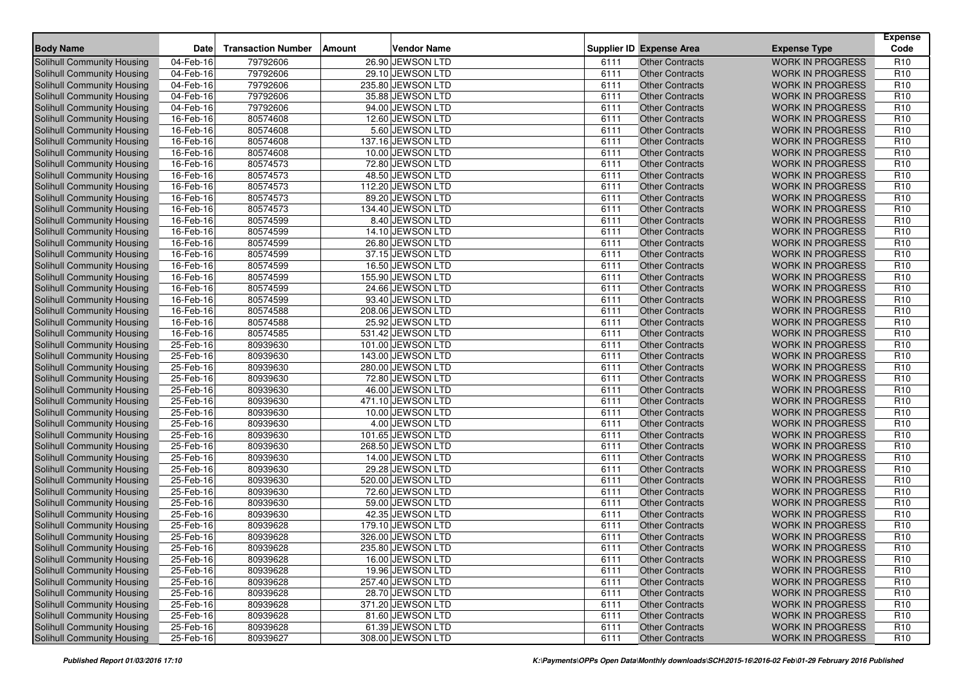| <b>Body Name</b>                  | <b>Date</b>  | <b>Transaction Number</b> | Amount | Vendor Name       |      | <b>Supplier ID Expense Area</b> | <b>Expense Type</b>     | <b>Expense</b><br>Code |
|-----------------------------------|--------------|---------------------------|--------|-------------------|------|---------------------------------|-------------------------|------------------------|
| Solihull Community Housing        | 04-Feb-16    | 79792606                  |        | 26.90 JEWSON LTD  | 6111 | <b>Other Contracts</b>          | <b>WORK IN PROGRESS</b> | R <sub>10</sub>        |
| Solihull Community Housing        | 04-Feb-16    | 79792606                  |        | 29.10 JEWSON LTD  | 6111 | <b>Other Contracts</b>          | <b>WORK IN PROGRESS</b> | R <sub>10</sub>        |
| Solihull Community Housing        | 04-Feb-16    | 79792606                  |        | 235.80 JEWSON LTD | 6111 | <b>Other Contracts</b>          | <b>WORK IN PROGRESS</b> | R <sub>10</sub>        |
| Solihull Community Housing        | 04-Feb-16    | 79792606                  |        | 35.88 JEWSON LTD  | 6111 | <b>Other Contracts</b>          | <b>WORK IN PROGRESS</b> | R <sub>10</sub>        |
| Solihull Community Housing        | 04-Feb-16    | 79792606                  |        | 94.00 JEWSON LTD  | 6111 | <b>Other Contracts</b>          | <b>WORK IN PROGRESS</b> | R <sub>10</sub>        |
| Solihull Community Housing        | 16-Feb-16    | 80574608                  |        | 12.60 JEWSON LTD  | 6111 | <b>Other Contracts</b>          | <b>WORK IN PROGRESS</b> | R <sub>10</sub>        |
| Solihull Community Housing        | 16-Feb-16    | 80574608                  |        | 5.60 JEWSON LTD   | 6111 | <b>Other Contracts</b>          | <b>WORK IN PROGRESS</b> | R <sub>10</sub>        |
| Solihull Community Housing        | 16-Feb-16    | 80574608                  |        | 137.16 JEWSON LTD | 6111 | <b>Other Contracts</b>          | <b>WORK IN PROGRESS</b> | R <sub>10</sub>        |
| Solihull Community Housing        | 16-Feb-16    | 80574608                  |        | 10.00 JEWSON LTD  | 6111 | <b>Other Contracts</b>          | <b>WORK IN PROGRESS</b> | R <sub>10</sub>        |
| Solihull Community Housing        | 16-Feb-16    | 80574573                  |        | 72.80 JEWSON LTD  | 6111 | <b>Other Contracts</b>          | <b>WORK IN PROGRESS</b> | R <sub>10</sub>        |
| Solihull Community Housing        | 16-Feb-16    | 80574573                  |        | 48.50 JEWSON LTD  | 6111 | <b>Other Contracts</b>          | <b>WORK IN PROGRESS</b> | R <sub>10</sub>        |
| Solihull Community Housing        | 16-Feb-16    | 80574573                  |        | 112.20 JEWSON LTD | 6111 | <b>Other Contracts</b>          | <b>WORK IN PROGRESS</b> | R <sub>10</sub>        |
| Solihull Community Housing        | 16-Feb-16    | 80574573                  |        | 89.20 JEWSON LTD  | 6111 | <b>Other Contracts</b>          | <b>WORK IN PROGRESS</b> | R <sub>10</sub>        |
| Solihull Community Housing        | 16-Feb-16    | 80574573                  |        | 134.40 JEWSON LTD | 6111 | <b>Other Contracts</b>          | <b>WORK IN PROGRESS</b> | R <sub>10</sub>        |
| Solihull Community Housing        | 16-Feb-16    | 80574599                  |        | 8.40 JEWSON LTD   | 6111 | <b>Other Contracts</b>          | <b>WORK IN PROGRESS</b> | R <sub>10</sub>        |
| Solihull Community Housing        | 16-Feb-16    | 80574599                  |        | 14.10 JEWSON LTD  | 6111 | <b>Other Contracts</b>          | <b>WORK IN PROGRESS</b> | R <sub>10</sub>        |
| Solihull Community Housing        | 16-Feb-16    | 80574599                  |        | 26.80 JEWSON LTD  | 6111 | <b>Other Contracts</b>          | <b>WORK IN PROGRESS</b> | R <sub>10</sub>        |
| Solihull Community Housing        | $16$ -Feb-16 | 80574599                  |        | 37.15 JEWSON LTD  | 6111 | <b>Other Contracts</b>          | <b>WORK IN PROGRESS</b> | R <sub>10</sub>        |
| Solihull Community Housing        | 16-Feb-16    | 80574599                  |        | 16.50 JEWSON LTD  | 6111 | <b>Other Contracts</b>          | <b>WORK IN PROGRESS</b> | R <sub>10</sub>        |
| Solihull Community Housing        | 16-Feb-16    | 80574599                  |        | 155.90 JEWSON LTD | 6111 | <b>Other Contracts</b>          | <b>WORK IN PROGRESS</b> | R <sub>10</sub>        |
| <b>Solihull Community Housing</b> | 16-Feb-16    | 80574599                  |        | 24.66 JEWSON LTD  | 6111 | <b>Other Contracts</b>          | <b>WORK IN PROGRESS</b> | R <sub>10</sub>        |
| Solihull Community Housing        | 16-Feb-16    | 80574599                  |        | 93.40 JEWSON LTD  | 6111 | <b>Other Contracts</b>          | <b>WORK IN PROGRESS</b> | R <sub>10</sub>        |
| <b>Solihull Community Housing</b> | 16-Feb-16    | 80574588                  |        | 208.06 JEWSON LTD | 6111 | <b>Other Contracts</b>          | <b>WORK IN PROGRESS</b> | R <sub>10</sub>        |
| Solihull Community Housing        | 16-Feb-16    | 80574588                  |        | 25.92 JEWSON LTD  | 6111 | <b>Other Contracts</b>          | <b>WORK IN PROGRESS</b> | R <sub>10</sub>        |
| Solihull Community Housing        | 16-Feb-16    | 80574585                  |        | 531.42 JEWSON LTD | 6111 | <b>Other Contracts</b>          | <b>WORK IN PROGRESS</b> | R <sub>10</sub>        |
| <b>Solihull Community Housing</b> | 25-Feb-16    | 80939630                  |        | 101.00 JEWSON LTD | 6111 | <b>Other Contracts</b>          | <b>WORK IN PROGRESS</b> | R <sub>10</sub>        |
| Solihull Community Housing        | 25-Feb-16    | 80939630                  |        | 143.00 JEWSON LTD | 6111 | <b>Other Contracts</b>          | <b>WORK IN PROGRESS</b> | R <sub>10</sub>        |
| Solihull Community Housing        | 25-Feb-16    | 80939630                  |        | 280.00 JEWSON LTD | 6111 | <b>Other Contracts</b>          | <b>WORK IN PROGRESS</b> | R <sub>10</sub>        |
| Solihull Community Housing        | 25-Feb-16    | 80939630                  |        | 72.80 JEWSON LTD  | 6111 | <b>Other Contracts</b>          | <b>WORK IN PROGRESS</b> | R <sub>10</sub>        |
| Solihull Community Housing        | 25-Feb-16    | 80939630                  |        | 46.00 JEWSON LTD  | 6111 | <b>Other Contracts</b>          | <b>WORK IN PROGRESS</b> | R <sub>10</sub>        |
| Solihull Community Housing        | 25-Feb-16    | 80939630                  |        | 471.10 JEWSON LTD | 6111 | <b>Other Contracts</b>          | <b>WORK IN PROGRESS</b> | R <sub>10</sub>        |
| Solihull Community Housing        | 25-Feb-16    | 80939630                  |        | 10.00 JEWSON LTD  | 6111 | <b>Other Contracts</b>          | <b>WORK IN PROGRESS</b> | R <sub>10</sub>        |
| Solihull Community Housing        | 25-Feb-16    | 80939630                  |        | 4.00 JEWSON LTD   | 6111 | <b>Other Contracts</b>          | <b>WORK IN PROGRESS</b> | R <sub>10</sub>        |
| Solihull Community Housing        | 25-Feb-16    | 80939630                  |        | 101.65 JEWSON LTD | 6111 | <b>Other Contracts</b>          | <b>WORK IN PROGRESS</b> | R <sub>10</sub>        |
| Solihull Community Housing        | 25-Feb-16    | 80939630                  |        | 268.50 JEWSON LTD | 6111 | <b>Other Contracts</b>          | <b>WORK IN PROGRESS</b> | R <sub>10</sub>        |
| Solihull Community Housing        | 25-Feb-16    | 80939630                  |        | 14.00 JEWSON LTD  | 6111 | <b>Other Contracts</b>          | <b>WORK IN PROGRESS</b> | R <sub>10</sub>        |
| Solihull Community Housing        | 25-Feb-16    | 80939630                  |        | 29.28 JEWSON LTD  | 6111 | <b>Other Contracts</b>          | <b>WORK IN PROGRESS</b> | R <sub>10</sub>        |
| Solihull Community Housing        | 25-Feb-16    | 80939630                  |        | 520.00 JEWSON LTD | 6111 | <b>Other Contracts</b>          | <b>WORK IN PROGRESS</b> | R <sub>10</sub>        |
| Solihull Community Housing        | 25-Feb-16    | 80939630                  |        | 72.60 JEWSON LTD  | 6111 | <b>Other Contracts</b>          | <b>WORK IN PROGRESS</b> | R <sub>10</sub>        |
| Solihull Community Housing        | 25-Feb-16    | 80939630                  |        | 59.00 JEWSON LTD  | 6111 | <b>Other Contracts</b>          | <b>WORK IN PROGRESS</b> | R <sub>10</sub>        |
| Solihull Community Housing        | 25-Feb-16    | 80939630                  |        | 42.35 JEWSON LTD  | 6111 | <b>Other Contracts</b>          | <b>WORK IN PROGRESS</b> | R <sub>10</sub>        |
| Solihull Community Housing        | 25-Feb-16    | 80939628                  |        | 179.10 JEWSON LTD | 6111 | <b>Other Contracts</b>          | <b>WORK IN PROGRESS</b> | R <sub>10</sub>        |
| Solihull Community Housing        | 25-Feb-16    | 80939628                  |        | 326.00 JEWSON LTD | 6111 | <b>Other Contracts</b>          | <b>WORK IN PROGRESS</b> | R <sub>10</sub>        |
| Solihull Community Housing        | 25-Feb-16    | 80939628                  |        | 235.80 JEWSON LTD | 6111 | Other Contracts                 | <b>WORK IN PROGRESS</b> | R <sub>10</sub>        |
| Solihull Community Housing        | 25-Feb-16    | 80939628                  |        | 16.00 JEWSON LTD  | 6111 | <b>Other Contracts</b>          | <b>WORK IN PROGRESS</b> | R <sub>10</sub>        |
| Solihull Community Housing        | 25-Feb-16    | 80939628                  |        | 19.96 JEWSON LTD  | 6111 | <b>Other Contracts</b>          | <b>WORK IN PROGRESS</b> | R <sub>10</sub>        |
| Solihull Community Housing        | 25-Feb-16    | 80939628                  |        | 257.40 JEWSON LTD | 6111 | <b>Other Contracts</b>          | <b>WORK IN PROGRESS</b> | R <sub>10</sub>        |
| Solihull Community Housing        | 25-Feb-16    | 80939628                  |        | 28.70 JEWSON LTD  | 6111 | <b>Other Contracts</b>          | <b>WORK IN PROGRESS</b> | R <sub>10</sub>        |
| <b>Solihull Community Housing</b> | 25-Feb-16    | 80939628                  |        | 371.20 JEWSON LTD | 6111 | <b>Other Contracts</b>          | WORK IN PROGRESS        | R <sub>10</sub>        |
| Solihull Community Housing        | 25-Feb-16    | 80939628                  |        | 81.60 JEWSON LTD  | 6111 | <b>Other Contracts</b>          | <b>WORK IN PROGRESS</b> | R <sub>10</sub>        |
| <b>Solihull Community Housing</b> | 25-Feb-16    | 80939628                  |        | 61.39 JEWSON LTD  | 6111 | <b>Other Contracts</b>          | <b>WORK IN PROGRESS</b> | R <sub>10</sub>        |
| Solihull Community Housing        | 25-Feb-16    | 80939627                  |        | 308.00 JEWSON LTD | 6111 | <b>Other Contracts</b>          | WORK IN PROGRESS        | R <sub>10</sub>        |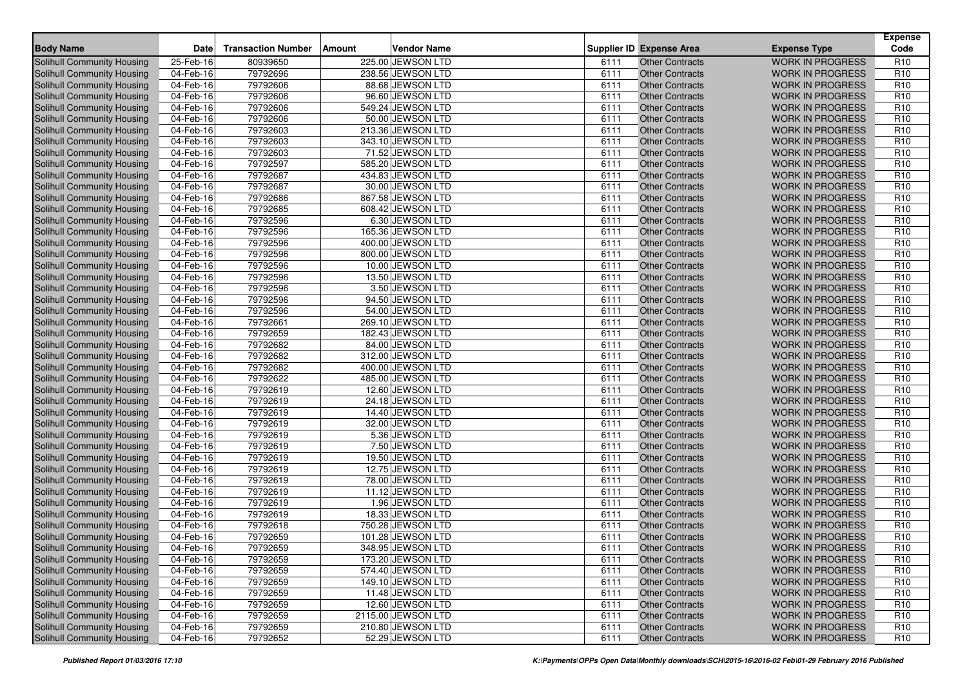| <b>Body Name</b>                  | <b>Date</b>  | <b>Transaction Number</b> | Amount | Vendor Name        |      | <b>Supplier ID Expense Area</b> | <b>Expense Type</b>     | <b>Expense</b><br>Code |
|-----------------------------------|--------------|---------------------------|--------|--------------------|------|---------------------------------|-------------------------|------------------------|
| Solihull Community Housing        | 25-Feb-16    | 80939650                  |        | 225.00 JEWSON LTD  | 6111 | <b>Other Contracts</b>          | <b>WORK IN PROGRESS</b> | R <sub>10</sub>        |
| Solihull Community Housing        | 04-Feb-16    | 79792696                  |        | 238.56 JEWSON LTD  | 6111 | <b>Other Contracts</b>          | <b>WORK IN PROGRESS</b> | R <sub>10</sub>        |
| Solihull Community Housing        | 04-Feb-16    | 79792606                  |        | 88.68 JEWSON LTD   | 6111 | <b>Other Contracts</b>          | <b>WORK IN PROGRESS</b> | R <sub>10</sub>        |
| Solihull Community Housing        | 04-Feb-16    | 79792606                  |        | 96.60 JEWSON LTD   | 6111 | <b>Other Contracts</b>          | <b>WORK IN PROGRESS</b> | R <sub>10</sub>        |
| Solihull Community Housing        | 04-Feb-16    | 79792606                  |        | 549.24 JEWSON LTD  | 6111 | <b>Other Contracts</b>          | <b>WORK IN PROGRESS</b> | R <sub>10</sub>        |
| Solihull Community Housing        | 04-Feb-16    | 79792606                  |        | 50.00 JEWSON LTD   | 6111 | <b>Other Contracts</b>          | <b>WORK IN PROGRESS</b> | R <sub>10</sub>        |
| Solihull Community Housing        | 04-Feb-16    | 79792603                  |        | 213.36 JEWSON LTD  | 6111 | <b>Other Contracts</b>          | <b>WORK IN PROGRESS</b> | R <sub>10</sub>        |
| Solihull Community Housing        | 04-Feb-16    | 79792603                  |        | 343.10 JEWSON LTD  | 6111 | <b>Other Contracts</b>          | <b>WORK IN PROGRESS</b> | R <sub>10</sub>        |
| Solihull Community Housing        | 04-Feb-16    | 79792603                  |        | 71.52 JEWSON LTD   | 6111 | <b>Other Contracts</b>          | <b>WORK IN PROGRESS</b> | R <sub>10</sub>        |
| Solihull Community Housing        | 04-Feb-16    | 79792597                  |        | 585.20 JEWSON LTD  | 6111 | <b>Other Contracts</b>          | <b>WORK IN PROGRESS</b> | R <sub>10</sub>        |
| Solihull Community Housing        | 04-Feb-16    | 79792687                  |        | 434.83 JEWSON LTD  | 6111 | <b>Other Contracts</b>          | <b>WORK IN PROGRESS</b> | R <sub>10</sub>        |
| Solihull Community Housing        | 04-Feb-16    | 79792687                  |        | 30.00 JEWSON LTD   | 6111 | <b>Other Contracts</b>          | <b>WORK IN PROGRESS</b> | R <sub>10</sub>        |
| Solihull Community Housing        | 04-Feb-16    | 79792686                  |        | 867.58 JEWSON LTD  | 6111 | <b>Other Contracts</b>          | <b>WORK IN PROGRESS</b> | R <sub>10</sub>        |
| Solihull Community Housing        | 04-Feb-16    | 79792685                  |        | 608.42 JEWSON LTD  | 6111 | <b>Other Contracts</b>          | <b>WORK IN PROGRESS</b> | R <sub>10</sub>        |
| Solihull Community Housing        | 04-Feb-16    | 79792596                  |        | 6.30 JEWSON LTD    | 6111 | <b>Other Contracts</b>          | <b>WORK IN PROGRESS</b> | R <sub>10</sub>        |
| Solihull Community Housing        | 04-Feb-16    | 79792596                  |        | 165.36 JEWSON LTD  | 6111 | <b>Other Contracts</b>          | <b>WORK IN PROGRESS</b> | R <sub>10</sub>        |
| Solihull Community Housing        | $04$ -Feb-16 | 79792596                  |        | 400.00 JEWSON LTD  | 6111 | <b>Other Contracts</b>          | <b>WORK IN PROGRESS</b> | R <sub>10</sub>        |
| Solihull Community Housing        | 04-Feb-16    | 79792596                  |        | 800.00 JEWSON LTD  | 6111 | <b>Other Contracts</b>          | <b>WORK IN PROGRESS</b> | R <sub>10</sub>        |
| Solihull Community Housing        | 04-Feb-16    | 79792596                  |        | 10.00 JEWSON LTD   | 6111 | <b>Other Contracts</b>          | <b>WORK IN PROGRESS</b> | R <sub>10</sub>        |
| Solihull Community Housing        | 04-Feb-16    | 79792596                  |        | 13.50 JEWSON LTD   | 6111 | <b>Other Contracts</b>          | <b>WORK IN PROGRESS</b> | R <sub>10</sub>        |
| Solihull Community Housing        | 04-Feb-16    | 79792596                  |        | 3.50 JEWSON LTD    | 6111 | <b>Other Contracts</b>          | <b>WORK IN PROGRESS</b> | R <sub>10</sub>        |
| Solihull Community Housing        | 04-Feb-16    | 79792596                  |        | 94.50 JEWSON LTD   | 6111 | <b>Other Contracts</b>          | <b>WORK IN PROGRESS</b> | R <sub>10</sub>        |
| <b>Solihull Community Housing</b> | 04-Feb-16    | 79792596                  |        | 54.00 JEWSON LTD   | 6111 | <b>Other Contracts</b>          | <b>WORK IN PROGRESS</b> | R <sub>10</sub>        |
| Solihull Community Housing        | 04-Feb-16    | 79792661                  |        | 269.10 JEWSON LTD  | 6111 | <b>Other Contracts</b>          | <b>WORK IN PROGRESS</b> | R <sub>10</sub>        |
| Solihull Community Housing        | 04-Feb-16    | 79792659                  |        | 182.43 JEWSON LTD  | 6111 | <b>Other Contracts</b>          | <b>WORK IN PROGRESS</b> | R <sub>10</sub>        |
| Solihull Community Housing        | 04-Feb-16    | 79792682                  |        | 84.00 JEWSON LTD   | 6111 | <b>Other Contracts</b>          | <b>WORK IN PROGRESS</b> | R <sub>10</sub>        |
| Solihull Community Housing        | 04-Feb-16    | 79792682                  |        | 312.00 JEWSON LTD  | 6111 | <b>Other Contracts</b>          | <b>WORK IN PROGRESS</b> | R <sub>10</sub>        |
| Solihull Community Housing        | 04-Feb-16    | 79792682                  |        | 400.00 JEWSON LTD  | 6111 | <b>Other Contracts</b>          | <b>WORK IN PROGRESS</b> | R <sub>10</sub>        |
| Solihull Community Housing        | 04-Feb-16    | 79792622                  |        | 485.00 JEWSON LTD  | 6111 | <b>Other Contracts</b>          | <b>WORK IN PROGRESS</b> | R <sub>10</sub>        |
| Solihull Community Housing        | 04-Feb-16    | 79792619                  |        | 12.60 JEWSON LTD   | 6111 | <b>Other Contracts</b>          | <b>WORK IN PROGRESS</b> | R <sub>10</sub>        |
| Solihull Community Housing        | 04-Feb-16    | 79792619                  |        | 24.18 JEWSON LTD   | 6111 | <b>Other Contracts</b>          | <b>WORK IN PROGRESS</b> | R <sub>10</sub>        |
| Solihull Community Housing        | 04-Feb-16    | 79792619                  |        | 14.40 JEWSON LTD   | 6111 | <b>Other Contracts</b>          | <b>WORK IN PROGRESS</b> | R <sub>10</sub>        |
| Solihull Community Housing        | 04-Feb-16    | 79792619                  |        | 32.00 JEWSON LTD   | 6111 | <b>Other Contracts</b>          | <b>WORK IN PROGRESS</b> | R <sub>10</sub>        |
| Solihull Community Housing        | 04-Feb-16    | 79792619                  |        | 5.36 JEWSON LTD    | 6111 | <b>Other Contracts</b>          | <b>WORK IN PROGRESS</b> | R <sub>10</sub>        |
| Solihull Community Housing        | 04-Feb-16    | 79792619                  |        | 7.50 JEWSON LTD    | 6111 | <b>Other Contracts</b>          | <b>WORK IN PROGRESS</b> | R <sub>10</sub>        |
| Solihull Community Housing        | 04-Feb-16    | 79792619                  |        | 19.50 JEWSON LTD   | 6111 | <b>Other Contracts</b>          | <b>WORK IN PROGRESS</b> | R <sub>10</sub>        |
| Solihull Community Housing        | 04-Feb-16    | 79792619                  |        | 12.75 JEWSON LTD   | 6111 | <b>Other Contracts</b>          | <b>WORK IN PROGRESS</b> | R <sub>10</sub>        |
| Solihull Community Housing        | 04-Feb-16    | 79792619                  |        | 78.00 JEWSON LTD   | 6111 | <b>Other Contracts</b>          | <b>WORK IN PROGRESS</b> | R <sub>10</sub>        |
| Solihull Community Housing        | 04-Feb-16    | 79792619                  |        | 11.12 JEWSON LTD   | 6111 | <b>Other Contracts</b>          | <b>WORK IN PROGRESS</b> | R <sub>10</sub>        |
| Solihull Community Housing        | 04-Feb-16    | 79792619                  |        | 1.96 JEWSON LTD    | 6111 | <b>Other Contracts</b>          | <b>WORK IN PROGRESS</b> | R <sub>10</sub>        |
| Solihull Community Housing        | 04-Feb-16    | 79792619                  |        | 18.33 JEWSON LTD   | 6111 | <b>Other Contracts</b>          | <b>WORK IN PROGRESS</b> | R <sub>10</sub>        |
| Solihull Community Housing        | 04-Feb-16    | 79792618                  |        | 750.28 JEWSON LTD  | 6111 | <b>Other Contracts</b>          | <b>WORK IN PROGRESS</b> | R <sub>10</sub>        |
| Solihull Community Housing        | 04-Feb-16    | 79792659                  |        | 101.28 JEWSON LTD  | 6111 | <b>Other Contracts</b>          | <b>WORK IN PROGRESS</b> | R <sub>10</sub>        |
| Solihull Community Housing        | 04-Feb-16    | 79792659                  |        | 348.95 JEWSON LTD  | 6111 | <b>Other Contracts</b>          | <b>WORK IN PROGRESS</b> | R <sub>10</sub>        |
| Solihull Community Housing        | 04-Feb-16    | 79792659                  |        | 173.20 JEWSON LTD  | 6111 | <b>Other Contracts</b>          | <b>WORK IN PROGRESS</b> | R <sub>10</sub>        |
| Solihull Community Housing        | 04-Feb-16    | 79792659                  |        | 574.40 JEWSON LTD  | 6111 | <b>Other Contracts</b>          | <b>WORK IN PROGRESS</b> | R <sub>10</sub>        |
| Solihull Community Housing        | 04-Feb-16    | 79792659                  |        | 149.10 JEWSON LTD  | 6111 | <b>Other Contracts</b>          | <b>WORK IN PROGRESS</b> | R <sub>10</sub>        |
| Solihull Community Housing        | 04-Feb-16    | 79792659                  |        | 11.48 JEWSON LTD   | 6111 | <b>Other Contracts</b>          | <b>WORK IN PROGRESS</b> | R <sub>10</sub>        |
| Solihull Community Housing        | 04-Feb-16    | 79792659                  |        | 12.60 JEWSON LTD   | 6111 | <b>Other Contracts</b>          | WORK IN PROGRESS        | R <sub>10</sub>        |
| Solihull Community Housing        | 04-Feb-16    | 79792659                  |        | 2115.00 JEWSON LTD | 6111 | <b>Other Contracts</b>          | <b>WORK IN PROGRESS</b> | R <sub>10</sub>        |
| <b>Solihull Community Housing</b> | 04-Feb-16    | 79792659                  |        | 210.80 JEWSON LTD  | 6111 | <b>Other Contracts</b>          | <b>WORK IN PROGRESS</b> | R <sub>10</sub>        |
| Solihull Community Housing        | 04-Feb-16    | 79792652                  |        | 52.29 JEWSON LTD   | 6111 | <b>Other Contracts</b>          | WORK IN PROGRESS        | R <sub>10</sub>        |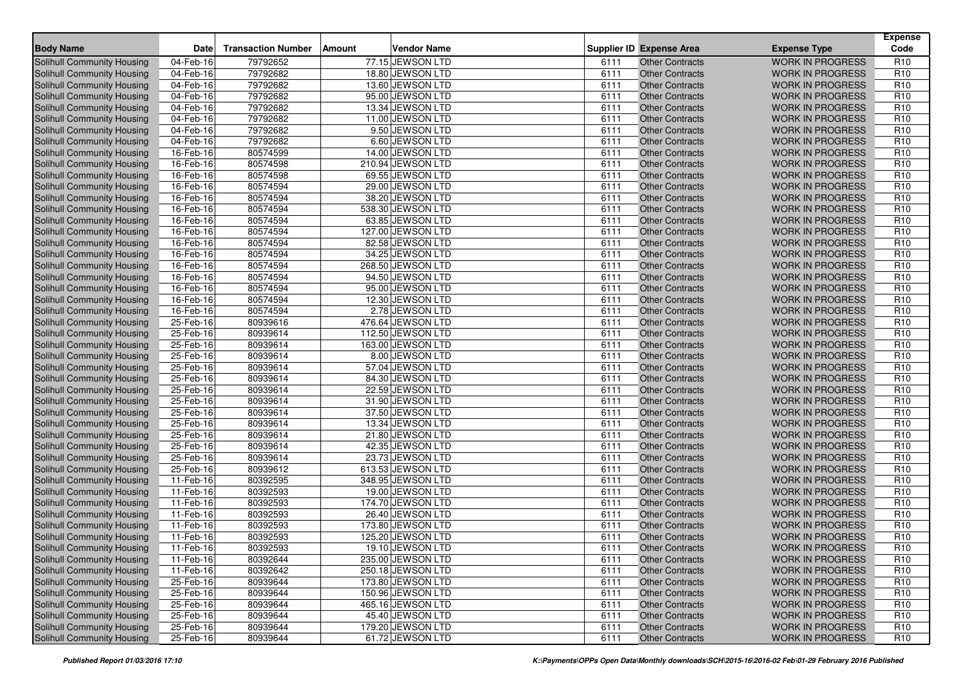| <b>Body Name</b>                  | <b>Date</b>  | <b>Transaction Number</b> | Amount | Vendor Name       |      | <b>Supplier ID Expense Area</b> | <b>Expense Type</b>     | <b>Expense</b><br>Code |
|-----------------------------------|--------------|---------------------------|--------|-------------------|------|---------------------------------|-------------------------|------------------------|
| Solihull Community Housing        | 04-Feb-16    | 79792652                  |        | 77.15 JEWSON LTD  | 6111 | <b>Other Contracts</b>          | <b>WORK IN PROGRESS</b> | R <sub>10</sub>        |
| Solihull Community Housing        | 04-Feb-16    | 79792682                  |        | 18.80 JEWSON LTD  | 6111 | <b>Other Contracts</b>          | <b>WORK IN PROGRESS</b> | R <sub>10</sub>        |
| Solihull Community Housing        | 04-Feb-16    | 79792682                  |        | 13.60 JEWSON LTD  | 6111 | <b>Other Contracts</b>          | <b>WORK IN PROGRESS</b> | R <sub>10</sub>        |
| Solihull Community Housing        | 04-Feb-16    | 79792682                  |        | 95.00 JEWSON LTD  | 6111 | <b>Other Contracts</b>          | <b>WORK IN PROGRESS</b> | R <sub>10</sub>        |
| Solihull Community Housing        | 04-Feb-16    | 79792682                  |        | 13.34 JEWSON LTD  | 6111 | <b>Other Contracts</b>          | <b>WORK IN PROGRESS</b> | R <sub>10</sub>        |
| Solihull Community Housing        | 04-Feb-16    | 79792682                  |        | 11.00 JEWSON LTD  | 6111 | <b>Other Contracts</b>          | <b>WORK IN PROGRESS</b> | R <sub>10</sub>        |
| Solihull Community Housing        | 04-Feb-16    | 79792682                  |        | 9.50 JEWSON LTD   | 6111 | <b>Other Contracts</b>          | <b>WORK IN PROGRESS</b> | R <sub>10</sub>        |
| Solihull Community Housing        | 04-Feb-16    | 79792682                  |        | 6.60 JEWSON LTD   | 6111 | <b>Other Contracts</b>          | <b>WORK IN PROGRESS</b> | R <sub>10</sub>        |
| Solihull Community Housing        | 16-Feb-16    | 80574599                  |        | 14.00 JEWSON LTD  | 6111 | <b>Other Contracts</b>          | <b>WORK IN PROGRESS</b> | R <sub>10</sub>        |
| Solihull Community Housing        | 16-Feb-16    | 80574598                  |        | 210.94 JEWSON LTD | 6111 | <b>Other Contracts</b>          | <b>WORK IN PROGRESS</b> | R <sub>10</sub>        |
| Solihull Community Housing        | 16-Feb-16    | 80574598                  |        | 69.55 JEWSON LTD  | 6111 | <b>Other Contracts</b>          | <b>WORK IN PROGRESS</b> | R <sub>10</sub>        |
| Solihull Community Housing        | 16-Feb-16    | 80574594                  |        | 29.00 JEWSON LTD  | 6111 | <b>Other Contracts</b>          | <b>WORK IN PROGRESS</b> | R <sub>10</sub>        |
| Solihull Community Housing        | 16-Feb-16    | 80574594                  |        | 38.20 JEWSON LTD  | 6111 | <b>Other Contracts</b>          | <b>WORK IN PROGRESS</b> | R <sub>10</sub>        |
| Solihull Community Housing        | 16-Feb-16    | 80574594                  |        | 538.30 JEWSON LTD | 6111 | <b>Other Contracts</b>          | <b>WORK IN PROGRESS</b> | R <sub>10</sub>        |
| Solihull Community Housing        | 16-Feb-16    | 80574594                  |        | 63.85 JEWSON LTD  | 6111 | <b>Other Contracts</b>          | <b>WORK IN PROGRESS</b> | R <sub>10</sub>        |
| Solihull Community Housing        | 16-Feb-16    | 80574594                  |        | 127.00 JEWSON LTD | 6111 | <b>Other Contracts</b>          | <b>WORK IN PROGRESS</b> | R <sub>10</sub>        |
| Solihull Community Housing        | 16-Feb-16    | 80574594                  |        | 82.58 JEWSON LTD  | 6111 | <b>Other Contracts</b>          | <b>WORK IN PROGRESS</b> | R <sub>10</sub>        |
| Solihull Community Housing        | $16$ -Feb-16 | 80574594                  |        | 34.25 JEWSON LTD  | 6111 | <b>Other Contracts</b>          | <b>WORK IN PROGRESS</b> | R <sub>10</sub>        |
| Solihull Community Housing        | 16-Feb-16    | 80574594                  |        | 268.50 JEWSON LTD | 6111 | <b>Other Contracts</b>          | <b>WORK IN PROGRESS</b> | R <sub>10</sub>        |
| Solihull Community Housing        | 16-Feb-16    | 80574594                  |        | 94.50 JEWSON LTD  | 6111 | <b>Other Contracts</b>          | <b>WORK IN PROGRESS</b> | R <sub>10</sub>        |
| <b>Solihull Community Housing</b> | 16-Feb-16    | 80574594                  |        | 95.00 JEWSON LTD  | 6111 | <b>Other Contracts</b>          | <b>WORK IN PROGRESS</b> | R <sub>10</sub>        |
| Solihull Community Housing        | 16-Feb-16    | 80574594                  |        | 12.30 JEWSON LTD  | 6111 | <b>Other Contracts</b>          | <b>WORK IN PROGRESS</b> | R <sub>10</sub>        |
| <b>Solihull Community Housing</b> | 16-Feb-16    | 80574594                  |        | 2.78 JEWSON LTD   | 6111 | <b>Other Contracts</b>          | <b>WORK IN PROGRESS</b> | R <sub>10</sub>        |
| Solihull Community Housing        | 25-Feb-16    | 80939616                  |        | 476.64 JEWSON LTD | 6111 | <b>Other Contracts</b>          | <b>WORK IN PROGRESS</b> | R <sub>10</sub>        |
| Solihull Community Housing        | 25-Feb-16    | 80939614                  |        | 112.50 JEWSON LTD | 6111 | <b>Other Contracts</b>          | <b>WORK IN PROGRESS</b> | R <sub>10</sub>        |
| <b>Solihull Community Housing</b> | 25-Feb-16    | 80939614                  |        | 163.00 JEWSON LTD | 6111 | <b>Other Contracts</b>          | <b>WORK IN PROGRESS</b> | R <sub>10</sub>        |
| Solihull Community Housing        | 25-Feb-16    | 80939614                  |        | 8.00 JEWSON LTD   | 6111 | <b>Other Contracts</b>          | <b>WORK IN PROGRESS</b> | R <sub>10</sub>        |
| Solihull Community Housing        | 25-Feb-16    | 80939614                  |        | 57.04 JEWSON LTD  | 6111 | <b>Other Contracts</b>          | <b>WORK IN PROGRESS</b> | R <sub>10</sub>        |
| Solihull Community Housing        | 25-Feb-16    | 80939614                  |        | 84.30 JEWSON LTD  | 6111 | <b>Other Contracts</b>          | <b>WORK IN PROGRESS</b> | R <sub>10</sub>        |
| Solihull Community Housing        | 25-Feb-16    | 80939614                  |        | 22.59 JEWSON LTD  | 6111 | <b>Other Contracts</b>          | <b>WORK IN PROGRESS</b> | R <sub>10</sub>        |
| Solihull Community Housing        | 25-Feb-16    | 80939614                  |        | 31.90 JEWSON LTD  | 6111 | <b>Other Contracts</b>          | <b>WORK IN PROGRESS</b> | R <sub>10</sub>        |
| Solihull Community Housing        | 25-Feb-16    | 80939614                  |        | 37.50 JEWSON LTD  | 6111 | <b>Other Contracts</b>          | <b>WORK IN PROGRESS</b> | R <sub>10</sub>        |
| Solihull Community Housing        | 25-Feb-16    | 80939614                  |        | 13.34 JEWSON LTD  | 6111 | <b>Other Contracts</b>          | <b>WORK IN PROGRESS</b> | R <sub>10</sub>        |
| Solihull Community Housing        | 25-Feb-16    | 80939614                  |        | 21.80 JEWSON LTD  | 6111 | <b>Other Contracts</b>          | <b>WORK IN PROGRESS</b> | R <sub>10</sub>        |
| Solihull Community Housing        | 25-Feb-16    | 80939614                  |        | 42.35 JEWSON LTD  | 6111 | <b>Other Contracts</b>          | <b>WORK IN PROGRESS</b> | R <sub>10</sub>        |
| Solihull Community Housing        | 25-Feb-16    | 80939614                  |        | 23.73 JEWSON LTD  | 6111 | <b>Other Contracts</b>          | <b>WORK IN PROGRESS</b> | R <sub>10</sub>        |
| Solihull Community Housing        | 25-Feb-16    | 80939612                  |        | 613.53 JEWSON LTD | 6111 | <b>Other Contracts</b>          | <b>WORK IN PROGRESS</b> | R <sub>10</sub>        |
| Solihull Community Housing        | 11-Feb-16    | 80392595                  |        | 348.95 JEWSON LTD | 6111 | <b>Other Contracts</b>          | <b>WORK IN PROGRESS</b> | R <sub>10</sub>        |
| Solihull Community Housing        | 11-Feb-16    | 80392593                  |        | 19.00 JEWSON LTD  | 6111 | <b>Other Contracts</b>          | <b>WORK IN PROGRESS</b> | R <sub>10</sub>        |
| Solihull Community Housing        | 11-Feb-16    | 80392593                  |        | 174.70 JEWSON LTD | 6111 | <b>Other Contracts</b>          | <b>WORK IN PROGRESS</b> | R <sub>10</sub>        |
| Solihull Community Housing        | 11-Feb-16    | 80392593                  |        | 26.40 JEWSON LTD  | 6111 | <b>Other Contracts</b>          | <b>WORK IN PROGRESS</b> | R <sub>10</sub>        |
| Solihull Community Housing        | 11-Feb-16    | 80392593                  |        | 173.80 JEWSON LTD | 6111 | <b>Other Contracts</b>          | <b>WORK IN PROGRESS</b> | R <sub>10</sub>        |
| Solihull Community Housing        | 11-Feb-16    | 80392593                  |        | 125.20 JEWSON LTD | 6111 | <b>Other Contracts</b>          | <b>WORK IN PROGRESS</b> | R <sub>10</sub>        |
| Solihull Community Housing        | 11-Feb-16    | 80392593                  |        | 19.10 JEWSON LTD  | 6111 | Other Contracts                 | <b>WORK IN PROGRESS</b> | R <sub>10</sub>        |
| Solihull Community Housing        | 11-Feb-16    | 80392644                  |        | 235.00 JEWSON LTD | 6111 | <b>Other Contracts</b>          | <b>WORK IN PROGRESS</b> | R <sub>10</sub>        |
| <b>Solihull Community Housing</b> | 11-Feb-16    | 80392642                  |        | 250.18 JEWSON LTD | 6111 | <b>Other Contracts</b>          | <b>WORK IN PROGRESS</b> | R <sub>10</sub>        |
| Solihull Community Housing        | 25-Feb-16    | 80939644                  |        | 173.80 JEWSON LTD | 6111 | <b>Other Contracts</b>          | <b>WORK IN PROGRESS</b> | R <sub>10</sub>        |
| Solihull Community Housing        | 25-Feb-16    | 80939644                  |        | 150.96 JEWSON LTD | 6111 | <b>Other Contracts</b>          | <b>WORK IN PROGRESS</b> | R <sub>10</sub>        |
| <b>Solihull Community Housing</b> | 25-Feb-16    | 80939644                  |        | 465.16 JEWSON LTD | 6111 | <b>Other Contracts</b>          | WORK IN PROGRESS        | R <sub>10</sub>        |
| Solihull Community Housing        | 25-Feb-16    | 80939644                  |        | 45.40 JEWSON LTD  | 6111 | <b>Other Contracts</b>          | <b>WORK IN PROGRESS</b> | R <sub>10</sub>        |
| <b>Solihull Community Housing</b> | 25-Feb-16    | 80939644                  |        | 179.20 JEWSON LTD | 6111 | <b>Other Contracts</b>          | <b>WORK IN PROGRESS</b> | R <sub>10</sub>        |
| Solihull Community Housing        | 25-Feb-16    | 80939644                  |        | 61.72 JEWSON LTD  | 6111 | <b>Other Contracts</b>          | <b>WORK IN PROGRESS</b> | R <sub>10</sub>        |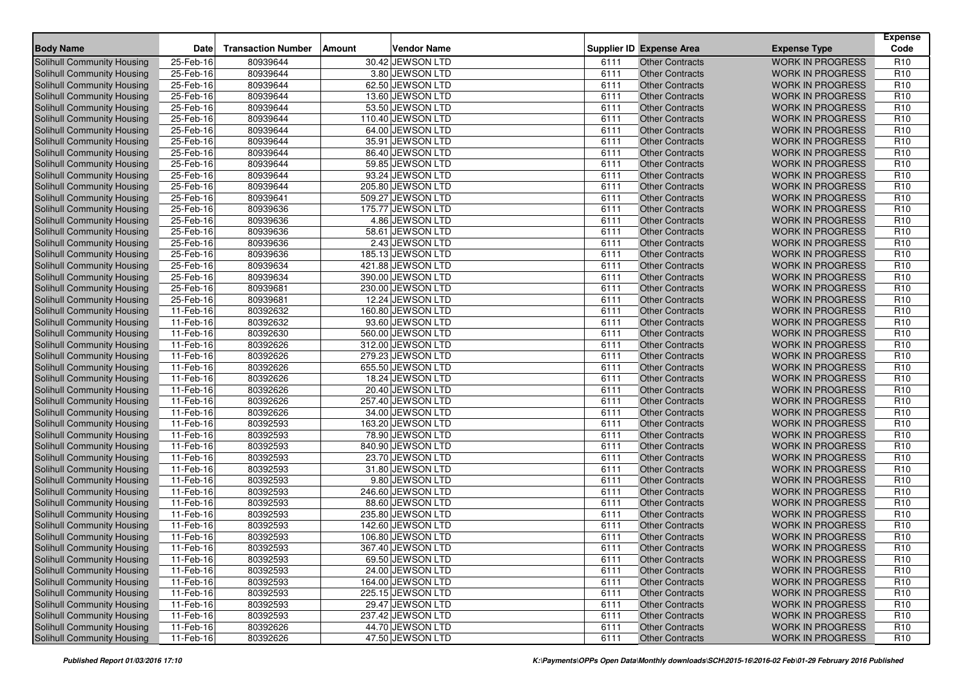| <b>Body Name</b>                  | <b>Date</b> | <b>Transaction Number</b> | Amount | Vendor Name       |      | <b>Supplier ID Expense Area</b>                  | <b>Expense Type</b>     | <b>Expense</b><br>Code |
|-----------------------------------|-------------|---------------------------|--------|-------------------|------|--------------------------------------------------|-------------------------|------------------------|
| Solihull Community Housing        | 25-Feb-16   | 80939644                  |        | 30.42 JEWSON LTD  | 6111 | <b>Other Contracts</b>                           | <b>WORK IN PROGRESS</b> | R <sub>10</sub>        |
| Solihull Community Housing        | 25-Feb-16   | 80939644                  |        | 3.80 JEWSON LTD   | 6111 | <b>Other Contracts</b>                           | <b>WORK IN PROGRESS</b> | R <sub>10</sub>        |
| Solihull Community Housing        | 25-Feb-16   | 80939644                  |        | 62.50 JEWSON LTD  | 6111 | <b>Other Contracts</b>                           | <b>WORK IN PROGRESS</b> | R <sub>10</sub>        |
| Solihull Community Housing        | 25-Feb-16   | 80939644                  |        | 13.60 JEWSON LTD  | 6111 | <b>Other Contracts</b>                           | <b>WORK IN PROGRESS</b> | R <sub>10</sub>        |
| Solihull Community Housing        | 25-Feb-16   | 80939644                  |        | 53.50 JEWSON LTD  | 6111 | <b>Other Contracts</b>                           | <b>WORK IN PROGRESS</b> | R <sub>10</sub>        |
| Solihull Community Housing        | 25-Feb-16   | 80939644                  |        | 110.40 JEWSON LTD | 6111 | <b>Other Contracts</b>                           | <b>WORK IN PROGRESS</b> | R <sub>10</sub>        |
| Solihull Community Housing        | 25-Feb-16   | 80939644                  |        | 64.00 JEWSON LTD  | 6111 | <b>Other Contracts</b>                           | <b>WORK IN PROGRESS</b> | R <sub>10</sub>        |
| Solihull Community Housing        | 25-Feb-16   | 80939644                  |        | 35.91 JEWSON LTD  | 6111 | <b>Other Contracts</b>                           | <b>WORK IN PROGRESS</b> | R <sub>10</sub>        |
| Solihull Community Housing        | 25-Feb-16   | 80939644                  |        | 86.40 JEWSON LTD  | 6111 | <b>Other Contracts</b>                           | <b>WORK IN PROGRESS</b> | R <sub>10</sub>        |
| Solihull Community Housing        | 25-Feb-16   | 80939644                  |        | 59.85 JEWSON LTD  | 6111 | <b>Other Contracts</b>                           | <b>WORK IN PROGRESS</b> | R <sub>10</sub>        |
| Solihull Community Housing        | 25-Feb-16   | 80939644                  |        | 93.24 JEWSON LTD  | 6111 | <b>Other Contracts</b>                           | <b>WORK IN PROGRESS</b> | R <sub>10</sub>        |
| Solihull Community Housing        | 25-Feb-16   | 80939644                  |        | 205.80 JEWSON LTD | 6111 | <b>Other Contracts</b>                           | <b>WORK IN PROGRESS</b> | R <sub>10</sub>        |
| Solihull Community Housing        | 25-Feb-16   | 80939641                  |        | 509.27 JEWSON LTD | 6111 | <b>Other Contracts</b>                           | <b>WORK IN PROGRESS</b> | R <sub>10</sub>        |
| Solihull Community Housing        | 25-Feb-16   | 80939636                  |        | 175.77 JEWSON LTD | 6111 | <b>Other Contracts</b>                           | <b>WORK IN PROGRESS</b> | R <sub>10</sub>        |
| Solihull Community Housing        | 25-Feb-16   | 80939636                  |        | 4.86 JEWSON LTD   | 6111 | <b>Other Contracts</b>                           | <b>WORK IN PROGRESS</b> | R <sub>10</sub>        |
| Solihull Community Housing        | 25-Feb-16   | 80939636                  |        | 58.61 JEWSON LTD  | 6111 | <b>Other Contracts</b>                           | <b>WORK IN PROGRESS</b> | R <sub>10</sub>        |
| Solihull Community Housing        | 25-Feb-16   | 80939636                  |        | 2.43 JEWSON LTD   | 6111 | <b>Other Contracts</b>                           | <b>WORK IN PROGRESS</b> | R <sub>10</sub>        |
| Solihull Community Housing        | 25-Feb-16   | 80939636                  |        | 185.13 JEWSON LTD | 6111 | <b>Other Contracts</b>                           | <b>WORK IN PROGRESS</b> | R <sub>10</sub>        |
| Solihull Community Housing        | 25-Feb-16   | 80939634                  |        | 421.88 JEWSON LTD | 6111 | <b>Other Contracts</b>                           | <b>WORK IN PROGRESS</b> | R <sub>10</sub>        |
| Solihull Community Housing        | 25-Feb-16   | 80939634                  |        | 390.00 JEWSON LTD | 6111 | <b>Other Contracts</b>                           | <b>WORK IN PROGRESS</b> | R <sub>10</sub>        |
| Solihull Community Housing        | 25-Feb-16   | 80939681                  |        | 230.00 JEWSON LTD | 6111 | <b>Other Contracts</b>                           | <b>WORK IN PROGRESS</b> | R <sub>10</sub>        |
| Solihull Community Housing        | 25-Feb-16   | 80939681                  |        | 12.24 JEWSON LTD  | 6111 | <b>Other Contracts</b>                           | <b>WORK IN PROGRESS</b> | R <sub>10</sub>        |
| <b>Solihull Community Housing</b> | 11-Feb-16   | 80392632                  |        | 160.80 JEWSON LTD | 6111 | <b>Other Contracts</b>                           | <b>WORK IN PROGRESS</b> | R <sub>10</sub>        |
| Solihull Community Housing        | 11-Feb-16   | 80392632                  |        | 93.60 JEWSON LTD  | 6111 | <b>Other Contracts</b>                           | <b>WORK IN PROGRESS</b> | R <sub>10</sub>        |
| Solihull Community Housing        | 11-Feb-16   | 80392630                  |        | 560.00 JEWSON LTD | 6111 | <b>Other Contracts</b>                           | <b>WORK IN PROGRESS</b> | R <sub>10</sub>        |
| Solihull Community Housing        | 11-Feb-16   | 80392626                  |        | 312.00 JEWSON LTD | 6111 | <b>Other Contracts</b>                           | <b>WORK IN PROGRESS</b> | R <sub>10</sub>        |
| Solihull Community Housing        | 11-Feb-16   | 80392626                  |        | 279.23 JEWSON LTD | 6111 | <b>Other Contracts</b>                           | <b>WORK IN PROGRESS</b> | R <sub>10</sub>        |
| Solihull Community Housing        | 11-Feb-16   | 80392626                  |        | 655.50 JEWSON LTD | 6111 | <b>Other Contracts</b>                           | <b>WORK IN PROGRESS</b> | R <sub>10</sub>        |
| Solihull Community Housing        | 11-Feb-16   | 80392626                  |        | 18.24 JEWSON LTD  | 6111 | <b>Other Contracts</b>                           | <b>WORK IN PROGRESS</b> | R <sub>10</sub>        |
| Solihull Community Housing        | 11-Feb-16   | 80392626                  |        | 20.40 JEWSON LTD  | 6111 | <b>Other Contracts</b>                           | <b>WORK IN PROGRESS</b> | R <sub>10</sub>        |
| Solihull Community Housing        | 11-Feb-16   | 80392626                  |        | 257.40 JEWSON LTD | 6111 | <b>Other Contracts</b>                           | <b>WORK IN PROGRESS</b> | R <sub>10</sub>        |
| Solihull Community Housing        | 11-Feb-16   | 80392626                  |        | 34.00 JEWSON LTD  | 6111 | <b>Other Contracts</b>                           | <b>WORK IN PROGRESS</b> | R <sub>10</sub>        |
| Solihull Community Housing        | 11-Feb-16   | 80392593                  |        | 163.20 JEWSON LTD | 6111 | <b>Other Contracts</b>                           | <b>WORK IN PROGRESS</b> | R <sub>10</sub>        |
| Solihull Community Housing        | 11-Feb-16   | 80392593                  |        | 78.90 JEWSON LTD  | 6111 | <b>Other Contracts</b>                           | <b>WORK IN PROGRESS</b> | R <sub>10</sub>        |
| Solihull Community Housing        | 11-Feb-16   | 80392593                  |        | 840.90 JEWSON LTD | 6111 | <b>Other Contracts</b>                           | <b>WORK IN PROGRESS</b> | R <sub>10</sub>        |
| Solihull Community Housing        | 11-Feb-16   | 80392593                  |        | 23.70 JEWSON LTD  | 6111 | <b>Other Contracts</b>                           | <b>WORK IN PROGRESS</b> | R <sub>10</sub>        |
| Solihull Community Housing        | 11-Feb-16   | 80392593                  |        | 31.80 JEWSON LTD  | 6111 | <b>Other Contracts</b>                           | <b>WORK IN PROGRESS</b> | R <sub>10</sub>        |
| Solihull Community Housing        | 11-Feb-16   | 80392593                  |        | 9.80 JEWSON LTD   | 6111 | <b>Other Contracts</b>                           | <b>WORK IN PROGRESS</b> | R <sub>10</sub>        |
| Solihull Community Housing        | 11-Feb-16   | 80392593                  |        | 246.60 JEWSON LTD | 6111 | <b>Other Contracts</b>                           | <b>WORK IN PROGRESS</b> | R <sub>10</sub>        |
| Solihull Community Housing        | 11-Feb-16   | 80392593                  |        | 88.60 JEWSON LTD  | 6111 | <b>Other Contracts</b>                           | <b>WORK IN PROGRESS</b> | R <sub>10</sub>        |
| Solihull Community Housing        | 11-Feb-16   | 80392593                  |        | 235.80 JEWSON LTD | 6111 | <b>Other Contracts</b>                           | <b>WORK IN PROGRESS</b> | R <sub>10</sub>        |
| Solihull Community Housing        | 11-Feb-16   | 80392593                  |        | 142.60 JEWSON LTD | 6111 | <b>Other Contracts</b>                           | <b>WORK IN PROGRESS</b> | R <sub>10</sub>        |
| Solihull Community Housing        | 11-Feb-16   | 80392593                  |        | 106.80 JEWSON LTD | 6111 | <b>Other Contracts</b>                           | <b>WORK IN PROGRESS</b> | R <sub>10</sub>        |
| Solihull Community Housing        | 11-Feb-16   | 80392593                  |        | 367.40 JEWSON LTD | 6111 | Other Contracts                                  | <b>WORK IN PROGRESS</b> | R <sub>10</sub>        |
| Solihull Community Housing        | 11-Feb-16   | 80392593                  |        | 69.50 JEWSON LTD  | 6111 | <b>Other Contracts</b>                           | <b>WORK IN PROGRESS</b> | R <sub>10</sub>        |
| Solihull Community Housing        | 11-Feb-16   | 80392593                  |        | 24.00 JEWSON LTD  | 6111 | <b>Other Contracts</b>                           | <b>WORK IN PROGRESS</b> | R <sub>10</sub>        |
| <b>Solihull Community Housing</b> | 11-Feb-16   | 80392593<br>80392593      |        | 164.00 JEWSON LTD | 6111 | <b>Other Contracts</b>                           | <b>WORK IN PROGRESS</b> | R <sub>10</sub>        |
| <b>Solihull Community Housing</b> | 11-Feb-16   |                           |        | 225.15 JEWSON LTD | 6111 | <b>Other Contracts</b>                           | <b>WORK IN PROGRESS</b> | R <sub>10</sub>        |
| Solihull Community Housing        | 11-Feb-16   | 80392593                  |        | 29.47 JEWSON LTD  | 6111 | <b>Other Contracts</b><br><b>Other Contracts</b> | WORK IN PROGRESS        | R <sub>10</sub>        |
| Solihull Community Housing        | 11-Feb-16   | 80392593                  |        | 237.42 JEWSON LTD | 6111 |                                                  | <b>WORK IN PROGRESS</b> | R <sub>10</sub>        |
| Solihull Community Housing        | 11-Feb-16   | 80392626                  |        | 44.70 JEWSON LTD  | 6111 | <b>Other Contracts</b>                           | <b>WORK IN PROGRESS</b> | R <sub>10</sub>        |
| Solihull Community Housing        | 11-Feb-16   | 80392626                  |        | 47.50 JEWSON LTD  | 6111 | <b>Other Contracts</b>                           | <b>WORK IN PROGRESS</b> | R <sub>10</sub>        |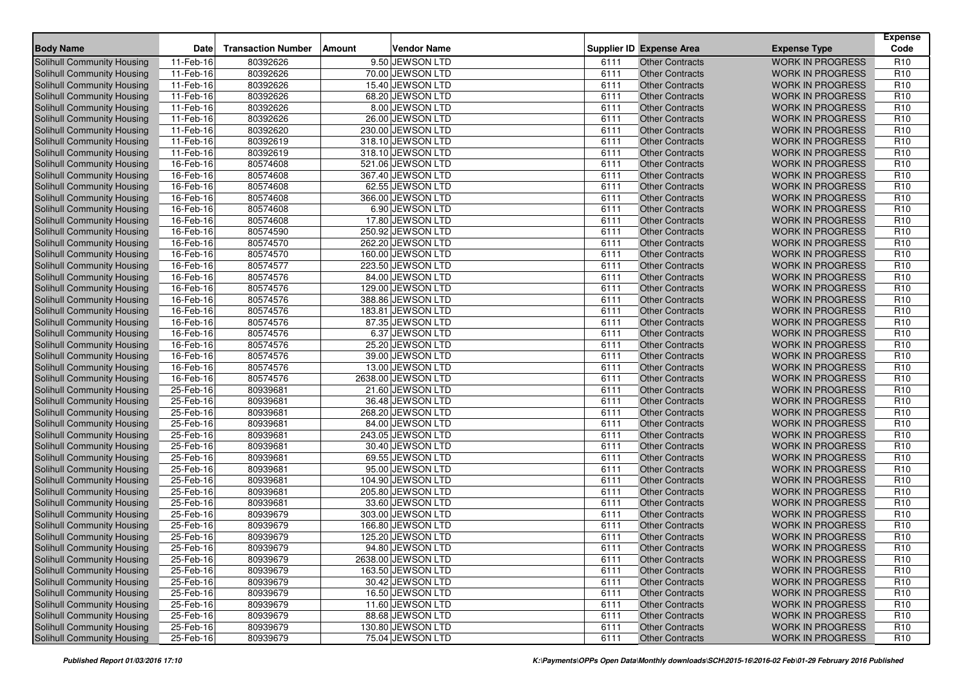| <b>Body Name</b>                                         | <b>Date</b>            | <b>Transaction Number</b> | Amount | Vendor Name                            |              | <b>Supplier ID Expense Area</b>                  | <b>Expense Type</b>                                | <b>Expense</b><br>Code             |
|----------------------------------------------------------|------------------------|---------------------------|--------|----------------------------------------|--------------|--------------------------------------------------|----------------------------------------------------|------------------------------------|
| Solihull Community Housing                               | 11-Feb-16              | 80392626                  |        | 9.50 JEWSON LTD                        | 6111         | <b>Other Contracts</b>                           | <b>WORK IN PROGRESS</b>                            | R <sub>10</sub>                    |
| Solihull Community Housing                               | 11-Feb-16              | 80392626                  |        | 70.00 JEWSON LTD                       | 6111         | <b>Other Contracts</b>                           | <b>WORK IN PROGRESS</b>                            | R <sub>10</sub>                    |
| Solihull Community Housing                               | 11-Feb-16              | 80392626                  |        | 15.40 JEWSON LTD                       | 6111         | <b>Other Contracts</b>                           | <b>WORK IN PROGRESS</b>                            | R <sub>10</sub>                    |
| Solihull Community Housing                               | $11-Feb-16$            | 80392626                  |        | 68.20 JEWSON LTD                       | 6111         | <b>Other Contracts</b>                           | <b>WORK IN PROGRESS</b>                            | R <sub>10</sub>                    |
| Solihull Community Housing                               | 11-Feb-16              | 80392626                  |        | 8.00 JEWSON LTD                        | 6111         | <b>Other Contracts</b>                           | <b>WORK IN PROGRESS</b>                            | R <sub>10</sub>                    |
| Solihull Community Housing                               | 11-Feb-16              | 80392626                  |        | 26.00 JEWSON LTD                       | 6111         | <b>Other Contracts</b>                           | <b>WORK IN PROGRESS</b>                            | R <sub>10</sub>                    |
| Solihull Community Housing                               | 11-Feb-16              | 80392620                  |        | 230.00 JEWSON LTD                      | 6111         | <b>Other Contracts</b>                           | <b>WORK IN PROGRESS</b>                            | R <sub>10</sub>                    |
| Solihull Community Housing                               | 11-Feb-16              | 80392619                  |        | 318.10 JEWSON LTD                      | 6111         | <b>Other Contracts</b>                           | <b>WORK IN PROGRESS</b>                            | R <sub>10</sub>                    |
| Solihull Community Housing                               | 11-Feb-16              | 80392619                  |        | 318.10 JEWSON LTD                      | 6111         | <b>Other Contracts</b>                           | <b>WORK IN PROGRESS</b>                            | R <sub>10</sub>                    |
| Solihull Community Housing                               | 16-Feb-16              | 80574608                  |        | 521.06 JEWSON LTD                      | 6111         | <b>Other Contracts</b>                           | <b>WORK IN PROGRESS</b>                            | R <sub>10</sub>                    |
| Solihull Community Housing                               | 16-Feb-16              | 80574608                  |        | 367.40 JEWSON LTD                      | 6111         | <b>Other Contracts</b>                           | <b>WORK IN PROGRESS</b>                            | R <sub>10</sub>                    |
| Solihull Community Housing                               | 16-Feb-16              | 80574608                  |        | 62.55 JEWSON LTD                       | 6111         | <b>Other Contracts</b>                           | <b>WORK IN PROGRESS</b>                            | R <sub>10</sub>                    |
| Solihull Community Housing                               | 16-Feb-16              | 80574608                  |        | 366.00 JEWSON LTD                      | 6111         | <b>Other Contracts</b>                           | <b>WORK IN PROGRESS</b>                            | R <sub>10</sub>                    |
| Solihull Community Housing                               | 16-Feb-16              | 80574608                  |        | 6.90 JEWSON LTD                        | 6111         | <b>Other Contracts</b>                           | <b>WORK IN PROGRESS</b>                            | R <sub>10</sub>                    |
| Solihull Community Housing                               | 16-Feb-16              | 80574608                  |        | 17.80 JEWSON LTD                       | 6111         | <b>Other Contracts</b>                           | <b>WORK IN PROGRESS</b>                            | R <sub>10</sub>                    |
| Solihull Community Housing                               | 16-Feb-16              | 80574590                  |        | 250.92 JEWSON LTD                      | 6111         | <b>Other Contracts</b>                           | <b>WORK IN PROGRESS</b>                            | R <sub>10</sub>                    |
| Solihull Community Housing                               | 16-Feb-16              | 80574570                  |        | 262.20 JEWSON LTD                      | 6111         | <b>Other Contracts</b>                           | <b>WORK IN PROGRESS</b>                            | R <sub>10</sub>                    |
| Solihull Community Housing                               | $16$ -Feb-16           | 80574570                  |        | 160.00 JEWSON LTD                      | 6111         | <b>Other Contracts</b>                           | <b>WORK IN PROGRESS</b>                            | R <sub>10</sub>                    |
| Solihull Community Housing                               | 16-Feb-16              | 80574577                  |        | 223.50 JEWSON LTD                      | 6111         | <b>Other Contracts</b>                           | <b>WORK IN PROGRESS</b>                            | R <sub>10</sub>                    |
| Solihull Community Housing                               | 16-Feb-16              | 80574576                  |        | 84.00 JEWSON LTD                       | 6111         | <b>Other Contracts</b>                           | <b>WORK IN PROGRESS</b>                            | R <sub>10</sub>                    |
| <b>Solihull Community Housing</b>                        | 16-Feb-16              | 80574576                  |        | 129.00 JEWSON LTD                      | 6111         | <b>Other Contracts</b>                           | <b>WORK IN PROGRESS</b>                            | R <sub>10</sub>                    |
| Solihull Community Housing                               | 16-Feb-16              | 80574576                  |        | 388.86 JEWSON LTD                      | 6111         | <b>Other Contracts</b>                           | <b>WORK IN PROGRESS</b>                            | R <sub>10</sub>                    |
| <b>Solihull Community Housing</b>                        | 16-Feb-16              | 80574576                  |        | 183.81 JEWSON LTD                      | 6111         | <b>Other Contracts</b>                           | <b>WORK IN PROGRESS</b>                            | R <sub>10</sub>                    |
| Solihull Community Housing                               | 16-Feb-16              | 80574576                  |        | 87.35 JEWSON LTD                       | 6111         | <b>Other Contracts</b>                           | <b>WORK IN PROGRESS</b>                            | R <sub>10</sub>                    |
| Solihull Community Housing                               | 16-Feb-16              | 80574576                  |        | 6.37 JEWSON LTD                        | 6111         | <b>Other Contracts</b>                           | <b>WORK IN PROGRESS</b>                            | R <sub>10</sub>                    |
| <b>Solihull Community Housing</b>                        | 16-Feb-16              | 80574576                  |        | 25.20 JEWSON LTD                       | 6111         | <b>Other Contracts</b>                           | <b>WORK IN PROGRESS</b>                            | R <sub>10</sub>                    |
| Solihull Community Housing                               | 16-Feb-16              | 80574576                  |        | 39.00 JEWSON LTD                       | 6111         | <b>Other Contracts</b>                           | <b>WORK IN PROGRESS</b>                            | R <sub>10</sub>                    |
| Solihull Community Housing                               | 16-Feb-16              | 80574576                  |        | 13.00 JEWSON LTD                       | 6111         | <b>Other Contracts</b>                           | <b>WORK IN PROGRESS</b>                            | R <sub>10</sub>                    |
| Solihull Community Housing                               | 16-Feb-16              | 80574576                  |        | 2638.00 JEWSON LTD                     | 6111         | <b>Other Contracts</b>                           | <b>WORK IN PROGRESS</b>                            | R <sub>10</sub>                    |
| Solihull Community Housing                               | 25-Feb-16              | 80939681                  |        | 21.60 JEWSON LTD                       | 6111         | <b>Other Contracts</b>                           | <b>WORK IN PROGRESS</b>                            | R <sub>10</sub>                    |
| Solihull Community Housing                               | 25-Feb-16              | 80939681                  |        | 36.48 JEWSON LTD                       | 6111         | <b>Other Contracts</b>                           | <b>WORK IN PROGRESS</b>                            | R <sub>10</sub>                    |
| Solihull Community Housing                               | 25-Feb-16              | 80939681                  |        | 268.20 JEWSON LTD                      | 6111         | <b>Other Contracts</b>                           | <b>WORK IN PROGRESS</b>                            | R <sub>10</sub>                    |
| Solihull Community Housing                               | 25-Feb-16              | 80939681                  |        | 84.00 JEWSON LTD                       | 6111         | <b>Other Contracts</b>                           | <b>WORK IN PROGRESS</b>                            | R <sub>10</sub>                    |
| Solihull Community Housing                               | 25-Feb-16              | 80939681                  |        | 243.05 JEWSON LTD                      | 6111         | <b>Other Contracts</b>                           | <b>WORK IN PROGRESS</b>                            | R <sub>10</sub>                    |
| Solihull Community Housing                               | 25-Feb-16              | 80939681                  |        | 30.40 JEWSON LTD                       | 6111         | <b>Other Contracts</b>                           | <b>WORK IN PROGRESS</b>                            | R <sub>10</sub>                    |
| Solihull Community Housing                               | 25-Feb-16              | 80939681                  |        | 69.55 JEWSON LTD                       | 6111         | <b>Other Contracts</b>                           | <b>WORK IN PROGRESS</b>                            | R <sub>10</sub>                    |
| Solihull Community Housing                               | 25-Feb-16              | 80939681                  |        | 95.00 JEWSON LTD                       | 6111         | <b>Other Contracts</b>                           | <b>WORK IN PROGRESS</b>                            | R <sub>10</sub>                    |
| Solihull Community Housing                               | 25-Feb-16              | 80939681                  |        | 104.90 JEWSON LTD                      | 6111         | <b>Other Contracts</b>                           | <b>WORK IN PROGRESS</b>                            | R <sub>10</sub>                    |
| Solihull Community Housing                               | 25-Feb-16              | 80939681                  |        | 205.80 JEWSON LTD                      | 6111         | <b>Other Contracts</b>                           | <b>WORK IN PROGRESS</b>                            | R <sub>10</sub>                    |
| Solihull Community Housing                               | 25-Feb-16              | 80939681                  |        | 33.60 JEWSON LTD                       | 6111         | <b>Other Contracts</b>                           | <b>WORK IN PROGRESS</b>                            | R <sub>10</sub>                    |
| Solihull Community Housing                               | 25-Feb-16              | 80939679                  |        | 303.00 JEWSON LTD                      | 6111         | <b>Other Contracts</b>                           | <b>WORK IN PROGRESS</b>                            | R <sub>10</sub>                    |
| Solihull Community Housing                               | 25-Feb-16              | 80939679                  |        | 166.80 JEWSON LTD<br>125.20 JEWSON LTD | 6111         | <b>Other Contracts</b>                           | <b>WORK IN PROGRESS</b>                            | R <sub>10</sub>                    |
| Solihull Community Housing                               | 25-Feb-16              | 80939679                  |        |                                        | 6111         | <b>Other Contracts</b>                           | <b>WORK IN PROGRESS</b>                            | R <sub>10</sub>                    |
| Solihull Community Housing                               | 25-Feb-16              | 80939679                  |        | 94.80 JEWSON LTD                       | 6111         | Other Contracts                                  | <b>WORK IN PROGRESS</b>                            | R <sub>10</sub>                    |
| Solihull Community Housing                               | 25-Feb-16              | 80939679                  |        | 2638.00 JEWSON LTD                     | 6111         | <b>Other Contracts</b>                           | <b>WORK IN PROGRESS</b>                            | R <sub>10</sub>                    |
| Solihull Community Housing<br>Solihull Community Housing | 25-Feb-16<br>25-Feb-16 | 80939679<br>80939679      |        | 163.50 JEWSON LTD<br>30.42 JEWSON LTD  | 6111<br>6111 | <b>Other Contracts</b><br><b>Other Contracts</b> | <b>WORK IN PROGRESS</b><br><b>WORK IN PROGRESS</b> | R <sub>10</sub><br>R <sub>10</sub> |
| Solihull Community Housing                               | 25-Feb-16              | 80939679                  |        | 16.50 JEWSON LTD                       | 6111         | <b>Other Contracts</b>                           | <b>WORK IN PROGRESS</b>                            | R <sub>10</sub>                    |
| <b>Solihull Community Housing</b>                        | 25-Feb-16              | 80939679                  |        | 11.60 JEWSON LTD                       | 6111         | <b>Other Contracts</b>                           | WORK IN PROGRESS                                   | R <sub>10</sub>                    |
| Solihull Community Housing                               | 25-Feb-16              | 80939679                  |        | 88.68 JEWSON LTD                       | 6111         | <b>Other Contracts</b>                           | <b>WORK IN PROGRESS</b>                            | R <sub>10</sub>                    |
| <b>Solihull Community Housing</b>                        | 25-Feb-16              | 80939679                  |        | 130.80 JEWSON LTD                      | 6111         | <b>Other Contracts</b>                           | <b>WORK IN PROGRESS</b>                            | R <sub>10</sub>                    |
| Solihull Community Housing                               | 25-Feb-16              | 80939679                  |        | 75.04 JEWSON LTD                       | 6111         | <b>Other Contracts</b>                           | <b>WORK IN PROGRESS</b>                            | R <sub>10</sub>                    |
|                                                          |                        |                           |        |                                        |              |                                                  |                                                    |                                    |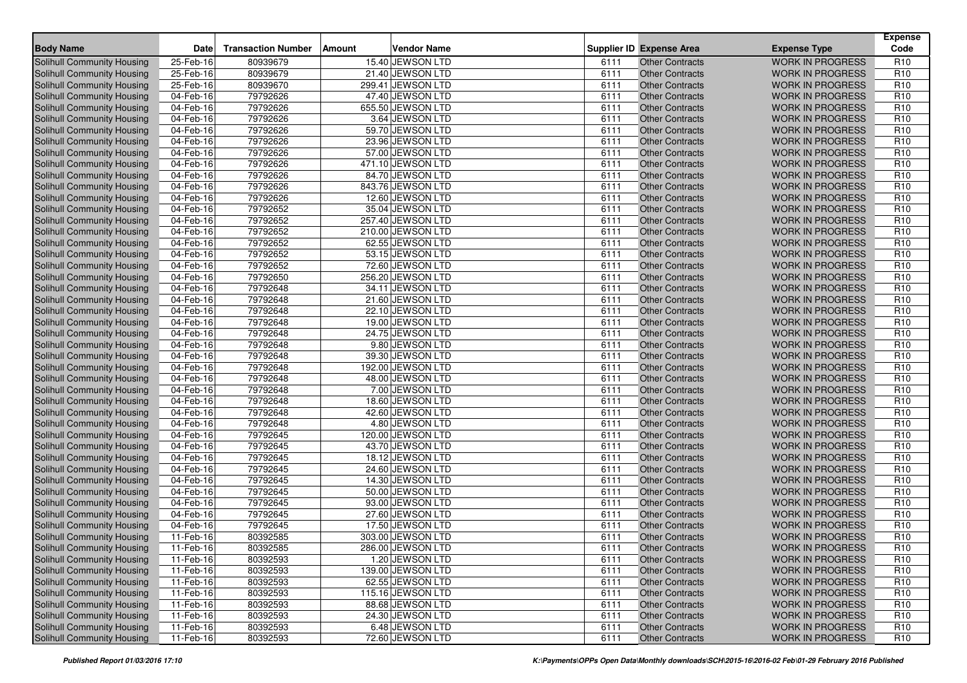| <b>Body Name</b>                  | <b>Date</b>  | <b>Transaction Number</b> | Amount | Vendor Name       |      | <b>Supplier ID Expense Area</b> | <b>Expense Type</b>     | <b>Expense</b><br>Code |
|-----------------------------------|--------------|---------------------------|--------|-------------------|------|---------------------------------|-------------------------|------------------------|
| Solihull Community Housing        | 25-Feb-16    | 80939679                  |        | 15.40 JEWSON LTD  | 6111 | <b>Other Contracts</b>          | <b>WORK IN PROGRESS</b> | R <sub>10</sub>        |
| Solihull Community Housing        | 25-Feb-16    | 80939679                  |        | 21.40 JEWSON LTD  | 6111 | <b>Other Contracts</b>          | <b>WORK IN PROGRESS</b> | R <sub>10</sub>        |
| Solihull Community Housing        | 25-Feb-16    | 80939670                  |        | 299.41 JEWSON LTD | 6111 | <b>Other Contracts</b>          | <b>WORK IN PROGRESS</b> | R <sub>10</sub>        |
| Solihull Community Housing        | 04-Feb-16    | 79792626                  |        | 47.40 JEWSON LTD  | 6111 | <b>Other Contracts</b>          | <b>WORK IN PROGRESS</b> | R <sub>10</sub>        |
| Solihull Community Housing        | 04-Feb-16    | 79792626                  |        | 655.50 JEWSON LTD | 6111 | <b>Other Contracts</b>          | <b>WORK IN PROGRESS</b> | R <sub>10</sub>        |
| Solihull Community Housing        | 04-Feb-16    | 79792626                  |        | 3.64 JEWSON LTD   | 6111 | <b>Other Contracts</b>          | <b>WORK IN PROGRESS</b> | R <sub>10</sub>        |
| Solihull Community Housing        | 04-Feb-16    | 79792626                  |        | 59.70 JEWSON LTD  | 6111 | <b>Other Contracts</b>          | <b>WORK IN PROGRESS</b> | R <sub>10</sub>        |
| Solihull Community Housing        | 04-Feb-16    | 79792626                  |        | 23.96 JEWSON LTD  | 6111 | <b>Other Contracts</b>          | <b>WORK IN PROGRESS</b> | R <sub>10</sub>        |
| Solihull Community Housing        | 04-Feb-16    | 79792626                  |        | 57.00 JEWSON LTD  | 6111 | <b>Other Contracts</b>          | <b>WORK IN PROGRESS</b> | R <sub>10</sub>        |
| Solihull Community Housing        | 04-Feb-16    | 79792626                  |        | 471.10 JEWSON LTD | 6111 | <b>Other Contracts</b>          | <b>WORK IN PROGRESS</b> | R <sub>10</sub>        |
| Solihull Community Housing        | 04-Feb-16    | 79792626                  |        | 84.70 JEWSON LTD  | 6111 | <b>Other Contracts</b>          | <b>WORK IN PROGRESS</b> | R <sub>10</sub>        |
| Solihull Community Housing        | 04-Feb-16    | 79792626                  |        | 843.76 JEWSON LTD | 6111 | <b>Other Contracts</b>          | <b>WORK IN PROGRESS</b> | R <sub>10</sub>        |
| Solihull Community Housing        | 04-Feb-16    | 79792626                  |        | 12.60 JEWSON LTD  | 6111 | <b>Other Contracts</b>          | <b>WORK IN PROGRESS</b> | R <sub>10</sub>        |
| Solihull Community Housing        | 04-Feb-16    | 79792652                  |        | 35.04 JEWSON LTD  | 6111 | <b>Other Contracts</b>          | <b>WORK IN PROGRESS</b> | R <sub>10</sub>        |
| Solihull Community Housing        | 04-Feb-16    | 79792652                  |        | 257.40 JEWSON LTD | 6111 | <b>Other Contracts</b>          | <b>WORK IN PROGRESS</b> | R <sub>10</sub>        |
| Solihull Community Housing        | 04-Feb-16    | 79792652                  |        | 210.00 JEWSON LTD | 6111 | <b>Other Contracts</b>          | <b>WORK IN PROGRESS</b> | R <sub>10</sub>        |
| Solihull Community Housing        | $04$ -Feb-16 | 79792652                  |        | 62.55 JEWSON LTD  | 6111 | <b>Other Contracts</b>          | <b>WORK IN PROGRESS</b> | R <sub>10</sub>        |
| Solihull Community Housing        | 04-Feb-16    | 79792652                  |        | 53.15 JEWSON LTD  | 6111 | <b>Other Contracts</b>          | <b>WORK IN PROGRESS</b> | R <sub>10</sub>        |
| Solihull Community Housing        | 04-Feb-16    | 79792652                  |        | 72.60 JEWSON LTD  | 6111 | <b>Other Contracts</b>          | <b>WORK IN PROGRESS</b> | R <sub>10</sub>        |
| Solihull Community Housing        | 04-Feb-16    | 79792650                  |        | 256.20 JEWSON LTD | 6111 | <b>Other Contracts</b>          | <b>WORK IN PROGRESS</b> | R <sub>10</sub>        |
| Solihull Community Housing        | 04-Feb-16    | 79792648                  |        | 34.11 JEWSON LTD  | 6111 | <b>Other Contracts</b>          | <b>WORK IN PROGRESS</b> | R <sub>10</sub>        |
| Solihull Community Housing        | 04-Feb-16    | 79792648                  |        | 21.60 JEWSON LTD  | 6111 | <b>Other Contracts</b>          | <b>WORK IN PROGRESS</b> | R <sub>10</sub>        |
| <b>Solihull Community Housing</b> | 04-Feb-16    | 79792648                  |        | 22.10 JEWSON LTD  | 6111 | <b>Other Contracts</b>          | <b>WORK IN PROGRESS</b> | R <sub>10</sub>        |
| Solihull Community Housing        | 04-Feb-16    | 79792648                  |        | 19.00 JEWSON LTD  | 6111 | <b>Other Contracts</b>          | <b>WORK IN PROGRESS</b> | R <sub>10</sub>        |
| Solihull Community Housing        | 04-Feb-16    | 79792648                  |        | 24.75 JEWSON LTD  | 6111 | <b>Other Contracts</b>          | <b>WORK IN PROGRESS</b> | R <sub>10</sub>        |
| Solihull Community Housing        | 04-Feb-16    | 79792648                  |        | 9.80 JEWSON LTD   | 6111 | <b>Other Contracts</b>          | <b>WORK IN PROGRESS</b> | R <sub>10</sub>        |
| Solihull Community Housing        | 04-Feb-16    | 79792648                  |        | 39.30 JEWSON LTD  | 6111 | <b>Other Contracts</b>          | <b>WORK IN PROGRESS</b> | R <sub>10</sub>        |
| Solihull Community Housing        | 04-Feb-16    | 79792648                  |        | 192.00 JEWSON LTD | 6111 | <b>Other Contracts</b>          | <b>WORK IN PROGRESS</b> | R <sub>10</sub>        |
| Solihull Community Housing        | 04-Feb-16    | 79792648                  |        | 48.00 JEWSON LTD  | 6111 | <b>Other Contracts</b>          | <b>WORK IN PROGRESS</b> | R <sub>10</sub>        |
| Solihull Community Housing        | 04-Feb-16    | 79792648                  |        | 7.00 JEWSON LTD   | 6111 | <b>Other Contracts</b>          | <b>WORK IN PROGRESS</b> | R <sub>10</sub>        |
| Solihull Community Housing        | 04-Feb-16    | 79792648                  |        | 18.60 JEWSON LTD  | 6111 | <b>Other Contracts</b>          | <b>WORK IN PROGRESS</b> | R <sub>10</sub>        |
| Solihull Community Housing        | 04-Feb-16    | 79792648                  |        | 42.60 JEWSON LTD  | 6111 | <b>Other Contracts</b>          | <b>WORK IN PROGRESS</b> | R <sub>10</sub>        |
| Solihull Community Housing        | 04-Feb-16    | 79792648                  |        | 4.80 JEWSON LTD   | 6111 | <b>Other Contracts</b>          | <b>WORK IN PROGRESS</b> | R <sub>10</sub>        |
| Solihull Community Housing        | 04-Feb-16    | 79792645                  |        | 120.00 JEWSON LTD | 6111 | <b>Other Contracts</b>          | <b>WORK IN PROGRESS</b> | R <sub>10</sub>        |
| Solihull Community Housing        | 04-Feb-16    | 79792645                  |        | 43.70 JEWSON LTD  | 6111 | <b>Other Contracts</b>          | <b>WORK IN PROGRESS</b> | R <sub>10</sub>        |
| Solihull Community Housing        | 04-Feb-16    | 79792645                  |        | 18.12 JEWSON LTD  | 6111 | <b>Other Contracts</b>          | <b>WORK IN PROGRESS</b> | R <sub>10</sub>        |
| Solihull Community Housing        | 04-Feb-16    | 79792645                  |        | 24.60 JEWSON LTD  | 6111 | <b>Other Contracts</b>          | <b>WORK IN PROGRESS</b> | R <sub>10</sub>        |
| Solihull Community Housing        | 04-Feb-16    | 79792645                  |        | 14.30 JEWSON LTD  | 6111 | <b>Other Contracts</b>          | <b>WORK IN PROGRESS</b> | R <sub>10</sub>        |
| Solihull Community Housing        | 04-Feb-16    | 79792645                  |        | 50.00 JEWSON LTD  | 6111 | <b>Other Contracts</b>          | <b>WORK IN PROGRESS</b> | R <sub>10</sub>        |
| Solihull Community Housing        | 04-Feb-16    | 79792645                  |        | 93.00 JEWSON LTD  | 6111 | <b>Other Contracts</b>          | <b>WORK IN PROGRESS</b> | R <sub>10</sub>        |
| Solihull Community Housing        | 04-Feb-16    | 79792645                  |        | 27.60 JEWSON LTD  | 6111 | <b>Other Contracts</b>          | <b>WORK IN PROGRESS</b> | R <sub>10</sub>        |
| Solihull Community Housing        | 04-Feb-16    | 79792645                  |        | 17.50 JEWSON LTD  | 6111 | <b>Other Contracts</b>          | <b>WORK IN PROGRESS</b> | R <sub>10</sub>        |
| Solihull Community Housing        | 11-Feb-16    | 80392585                  |        | 303.00 JEWSON LTD | 6111 | <b>Other Contracts</b>          | <b>WORK IN PROGRESS</b> | R <sub>10</sub>        |
| Solihull Community Housing        | 11-Feb-16    | 80392585                  |        | 286.00 JEWSON LTD | 6111 | Other Contracts                 | <b>WORK IN PROGRESS</b> | R <sub>10</sub>        |
| Solihull Community Housing        | 11-Feb-16    | 80392593                  |        | 1.20 JEWSON LTD   | 6111 | <b>Other Contracts</b>          | <b>WORK IN PROGRESS</b> | R <sub>10</sub>        |
| Solihull Community Housing        | 11-Feb-16    | 80392593                  |        | 139.00 JEWSON LTD | 6111 | <b>Other Contracts</b>          | <b>WORK IN PROGRESS</b> | R <sub>10</sub>        |
| <b>Solihull Community Housing</b> | 11-Feb-16    | 80392593                  |        | 62.55 JEWSON LTD  | 6111 | <b>Other Contracts</b>          | <b>WORK IN PROGRESS</b> | R <sub>10</sub>        |
| Solihull Community Housing        | 11-Feb-16    | 80392593                  |        | 115.16 JEWSON LTD | 6111 | <b>Other Contracts</b>          | <b>WORK IN PROGRESS</b> | R <sub>10</sub>        |
| Solihull Community Housing        | 11-Feb-16    | 80392593                  |        | 88.68 JEWSON LTD  | 6111 | <b>Other Contracts</b>          | WORK IN PROGRESS        | R <sub>10</sub>        |
| Solihull Community Housing        | 11-Feb-16    | 80392593                  |        | 24.30 JEWSON LTD  | 6111 | <b>Other Contracts</b>          | <b>WORK IN PROGRESS</b> | R <sub>10</sub>        |
| <b>Solihull Community Housing</b> | 11-Feb-16    | 80392593                  |        | 6.48 JEWSON LTD   | 6111 | <b>Other Contracts</b>          | <b>WORK IN PROGRESS</b> | R <sub>10</sub>        |
| Solihull Community Housing        | 11-Feb-16    | 80392593                  |        | 72.60 JEWSON LTD  | 6111 | <b>Other Contracts</b>          | <b>WORK IN PROGRESS</b> | R <sub>10</sub>        |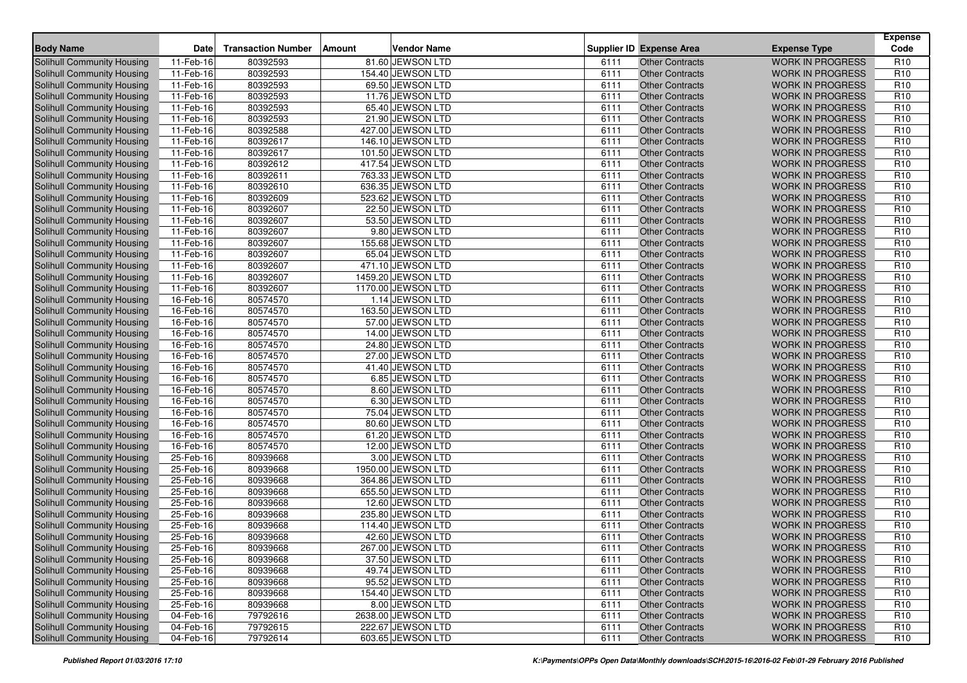| <b>Body Name</b>                                                | <b>Date</b>                  | <b>Transaction Number</b> | Vendor Name<br>Amount                 |              | <b>Supplier ID Expense Area</b>                  | <b>Expense Type</b>                                | <b>Expense</b><br>Code             |
|-----------------------------------------------------------------|------------------------------|---------------------------|---------------------------------------|--------------|--------------------------------------------------|----------------------------------------------------|------------------------------------|
| Solihull Community Housing                                      | 11-Feb-16                    | 80392593                  | 81.60 JEWSON LTD                      | 6111         | <b>Other Contracts</b>                           | <b>WORK IN PROGRESS</b>                            | R <sub>10</sub>                    |
| Solihull Community Housing                                      | 11-Feb-16                    | 80392593                  | 154.40 JEWSON LTD                     | 6111         | <b>Other Contracts</b>                           | <b>WORK IN PROGRESS</b>                            | R <sub>10</sub>                    |
| Solihull Community Housing                                      | 11-Feb-16                    | 80392593                  | 69.50 JEWSON LTD                      | 6111         | <b>Other Contracts</b>                           | <b>WORK IN PROGRESS</b>                            | R <sub>10</sub>                    |
| Solihull Community Housing                                      | $11-Feb-16$                  | 80392593                  | 11.76 JEWSON LTD                      | 6111         | <b>Other Contracts</b>                           | <b>WORK IN PROGRESS</b>                            | R <sub>10</sub>                    |
| <b>Solihull Community Housing</b>                               | 11-Feb-16                    | 80392593                  | 65.40 JEWSON LTD                      | 6111         | <b>Other Contracts</b>                           | <b>WORK IN PROGRESS</b>                            | R <sub>10</sub>                    |
| Solihull Community Housing                                      | 11-Feb-16                    | 80392593                  | 21.90 JEWSON LTD                      | 6111         | <b>Other Contracts</b>                           | <b>WORK IN PROGRESS</b>                            | R <sub>10</sub>                    |
| Solihull Community Housing                                      | 11-Feb-16                    | 80392588                  | 427.00 JEWSON LTD                     | 6111         | <b>Other Contracts</b>                           | <b>WORK IN PROGRESS</b>                            | R <sub>10</sub>                    |
| Solihull Community Housing                                      | 11-Feb-16                    | 80392617                  | 146.10 JEWSON LTD                     | 6111         | <b>Other Contracts</b>                           | <b>WORK IN PROGRESS</b>                            | R <sub>10</sub>                    |
| Solihull Community Housing                                      | 11-Feb-16                    | 80392617                  | 101.50 JEWSON LTD                     | 6111         | <b>Other Contracts</b>                           | <b>WORK IN PROGRESS</b>                            | R <sub>10</sub>                    |
| Solihull Community Housing                                      | 11-Feb-16                    | 80392612                  | 417.54 JEWSON LTD                     | 6111         | <b>Other Contracts</b>                           | <b>WORK IN PROGRESS</b>                            | R <sub>10</sub>                    |
| Solihull Community Housing                                      | 11-Feb-16                    | 80392611                  | 763.33 JEWSON LTD                     | 6111         | <b>Other Contracts</b>                           | <b>WORK IN PROGRESS</b>                            | R <sub>10</sub>                    |
| Solihull Community Housing                                      | 11-Feb-16                    | 80392610                  | 636.35 JEWSON LTD                     | 6111         | <b>Other Contracts</b>                           | <b>WORK IN PROGRESS</b>                            | R <sub>10</sub>                    |
| Solihull Community Housing                                      | 11-Feb-16                    | 80392609                  | 523.62 JEWSON LTD                     | 6111         | <b>Other Contracts</b>                           | <b>WORK IN PROGRESS</b>                            | R <sub>10</sub>                    |
| Solihull Community Housing                                      | 11-Feb-16                    | 80392607                  | 22.50 JEWSON LTD                      | 6111         | <b>Other Contracts</b>                           | <b>WORK IN PROGRESS</b>                            | R <sub>10</sub>                    |
| Solihull Community Housing                                      | 11-Feb-16                    | 80392607                  | 53.50 JEWSON LTD                      | 6111         | <b>Other Contracts</b>                           | <b>WORK IN PROGRESS</b>                            | R <sub>10</sub>                    |
| Solihull Community Housing                                      | 11-Feb-16                    | 80392607                  | 9.80 JEWSON LTD                       | 6111         | <b>Other Contracts</b>                           | <b>WORK IN PROGRESS</b>                            | R <sub>10</sub>                    |
| Solihull Community Housing                                      | 11-Feb-16                    | 80392607                  | 155.68 JEWSON LTD                     | 6111         | <b>Other Contracts</b>                           | <b>WORK IN PROGRESS</b>                            | R <sub>10</sub>                    |
| Solihull Community Housing                                      | 11-Feb-16                    | 80392607                  | 65.04 JEWSON LTD                      | 6111         | <b>Other Contracts</b>                           | <b>WORK IN PROGRESS</b>                            | R <sub>10</sub>                    |
| Solihull Community Housing                                      | 11-Feb-16                    | 80392607                  | 471.10 JEWSON LTD                     | 6111         | <b>Other Contracts</b>                           | <b>WORK IN PROGRESS</b>                            | R <sub>10</sub>                    |
| Solihull Community Housing                                      | 11-Feb-16                    | 80392607                  | 1459.20 JEWSON LTD                    | 6111         | <b>Other Contracts</b>                           | <b>WORK IN PROGRESS</b>                            | R <sub>10</sub>                    |
| <b>Solihull Community Housing</b>                               | 11-Feb-16                    | 80392607                  | 1170.00 JEWSON LTD                    | 6111         | <b>Other Contracts</b>                           | <b>WORK IN PROGRESS</b>                            | R <sub>10</sub>                    |
| <b>Solihull Community Housing</b>                               | 16-Feb-16                    | 80574570                  | 1.14 JEWSON LTD                       | 6111         | <b>Other Contracts</b>                           | <b>WORK IN PROGRESS</b>                            | R <sub>10</sub>                    |
| Solihull Community Housing                                      | 16-Feb-16                    | 80574570                  | 163.50 JEWSON LTD                     | 6111         | <b>Other Contracts</b>                           | <b>WORK IN PROGRESS</b>                            | R <sub>10</sub>                    |
| Solihull Community Housing                                      | 16-Feb-16                    | 80574570                  | 57.00 JEWSON LTD                      | 6111         | <b>Other Contracts</b>                           | <b>WORK IN PROGRESS</b>                            | R <sub>10</sub>                    |
| <b>Solihull Community Housing</b>                               | 16-Feb-16                    | 80574570                  | 14.00 JEWSON LTD                      | 6111         | <b>Other Contracts</b>                           | <b>WORK IN PROGRESS</b>                            | R <sub>10</sub>                    |
| Solihull Community Housing                                      | 16-Feb-16                    | 80574570                  | 24.80 JEWSON LTD                      | 6111         | <b>Other Contracts</b>                           | <b>WORK IN PROGRESS</b>                            | R <sub>10</sub>                    |
| Solihull Community Housing                                      | 16-Feb-16                    | 80574570                  | 27.00 JEWSON LTD                      | 6111         | <b>Other Contracts</b>                           | <b>WORK IN PROGRESS</b>                            | R <sub>10</sub>                    |
| Solihull Community Housing                                      | 16-Feb-16                    | 80574570                  | 41.40 JEWSON LTD                      | 6111         | <b>Other Contracts</b>                           | <b>WORK IN PROGRESS</b>                            | R <sub>10</sub>                    |
| Solihull Community Housing                                      | 16-Feb-16                    | 80574570                  | 6.85 JEWSON LTD                       | 6111         | <b>Other Contracts</b>                           | <b>WORK IN PROGRESS</b>                            | R <sub>10</sub>                    |
| Solihull Community Housing                                      | 16-Feb-16                    | 80574570                  | 8.60 JEWSON LTD                       | 6111         | <b>Other Contracts</b>                           | <b>WORK IN PROGRESS</b>                            | R <sub>10</sub>                    |
| Solihull Community Housing                                      | 16-Feb-16                    | 80574570                  | 6.30 JEWSON LTD                       | 6111         | <b>Other Contracts</b>                           | <b>WORK IN PROGRESS</b>                            | R <sub>10</sub>                    |
| Solihull Community Housing                                      | 16-Feb-16                    | 80574570                  | 75.04 JEWSON LTD                      | 6111         | <b>Other Contracts</b>                           | <b>WORK IN PROGRESS</b>                            | R <sub>10</sub>                    |
| <b>Solihull Community Housing</b>                               | 16-Feb-16                    | 80574570                  | 80.60 JEWSON LTD                      | 6111         | <b>Other Contracts</b>                           | <b>WORK IN PROGRESS</b>                            | R <sub>10</sub>                    |
| Solihull Community Housing                                      | 16-Feb-16                    | 80574570                  | 61.20 JEWSON LTD                      | 6111         | <b>Other Contracts</b>                           | <b>WORK IN PROGRESS</b>                            | R <sub>10</sub>                    |
| Solihull Community Housing                                      | 16-Feb-16                    | 80574570                  | 12.00 JEWSON LTD                      | 6111         | <b>Other Contracts</b>                           | <b>WORK IN PROGRESS</b>                            | R <sub>10</sub>                    |
| Solihull Community Housing                                      | 25-Feb-16                    | 80939668                  | 3.00 JEWSON LTD                       | 6111         | <b>Other Contracts</b>                           | <b>WORK IN PROGRESS</b>                            | R <sub>10</sub>                    |
| Solihull Community Housing                                      | 25-Feb-16                    | 80939668                  | 1950.00 JEWSON LTD                    | 6111         | <b>Other Contracts</b>                           | <b>WORK IN PROGRESS</b>                            | R <sub>10</sub>                    |
| Solihull Community Housing                                      | 25-Feb-16                    | 80939668                  | 364.86 JEWSON LTD                     | 6111         | <b>Other Contracts</b>                           | <b>WORK IN PROGRESS</b>                            | R <sub>10</sub>                    |
| Solihull Community Housing                                      | 25-Feb-16                    | 80939668                  | 655.50 JEWSON LTD<br>12.60 JEWSON LTD | 6111<br>6111 | <b>Other Contracts</b>                           | <b>WORK IN PROGRESS</b>                            | R <sub>10</sub><br>R <sub>10</sub> |
| Solihull Community Housing                                      | 25-Feb-16                    | 80939668                  | 235.80 JEWSON LTD                     | 6111         | <b>Other Contracts</b><br><b>Other Contracts</b> | <b>WORK IN PROGRESS</b>                            |                                    |
| Solihull Community Housing<br><b>Solihull Community Housing</b> | 25-Feb-16                    | 80939668<br>80939668      | 114.40 JEWSON LTD                     |              |                                                  | <b>WORK IN PROGRESS</b>                            | R <sub>10</sub><br>R <sub>10</sub> |
| Solihull Community Housing                                      | 25-Feb-16<br>$25 - Feb - 16$ |                           | 42.60 JEWSON LTD                      | 6111<br>6111 | <b>Other Contracts</b>                           | <b>WORK IN PROGRESS</b><br><b>WORK IN PROGRESS</b> | R <sub>10</sub>                    |
|                                                                 |                              | 80939668                  | 267.00 JEWSON LTD                     | 6111         | <b>Other Contracts</b><br>Other Contracts        | <b>WORK IN PROGRESS</b>                            | R <sub>10</sub>                    |
| Solihull Community Housing                                      | 25-Feb-16                    | 80939668                  |                                       |              |                                                  |                                                    |                                    |
| Solihull Community Housing<br>Solihull Community Housing        | 25-Feb-16<br>25-Feb-16       | 80939668<br>80939668      | 37.50 JEWSON LTD<br>49.74 JEWSON LTD  | 6111<br>6111 | <b>Other Contracts</b><br><b>Other Contracts</b> | <b>WORK IN PROGRESS</b><br><b>WORK IN PROGRESS</b> | R <sub>10</sub><br>R <sub>10</sub> |
| Solihull Community Housing                                      | 25-Feb-16                    | 80939668                  | 95.52 JEWSON LTD                      | 6111         | <b>Other Contracts</b>                           | <b>WORK IN PROGRESS</b>                            | R <sub>10</sub>                    |
| Solihull Community Housing                                      | $25$ -Feb-16                 | 80939668                  | 154.40 JEWSON LTD                     | 6111         | <b>Other Contracts</b>                           | <b>WORK IN PROGRESS</b>                            | R <sub>10</sub>                    |
| Solihull Community Housing                                      | 25-Feb-16                    | 80939668                  | 8.00 JEWSON LTD                       | 6111         | <b>Other Contracts</b>                           | WORK IN PROGRESS                                   | R <sub>10</sub>                    |
| Solihull Community Housing                                      | 04-Feb-16                    | 79792616                  | 2638.00 JEWSON LTD                    | 6111         | <b>Other Contracts</b>                           | <b>WORK IN PROGRESS</b>                            | R <sub>10</sub>                    |
| Solihull Community Housing                                      | 04-Feb-16                    | 79792615                  | 222.67 JEWSON LTD                     | 6111         | <b>Other Contracts</b>                           | <b>WORK IN PROGRESS</b>                            | R <sub>10</sub>                    |
| <b>Solihull Community Housing</b>                               | 04-Feb-16                    | 79792614                  | 603.65 JEWSON LTD                     | 6111         | <b>Other Contracts</b>                           | WORK IN PROGRESS                                   | R <sub>10</sub>                    |
|                                                                 |                              |                           |                                       |              |                                                  |                                                    |                                    |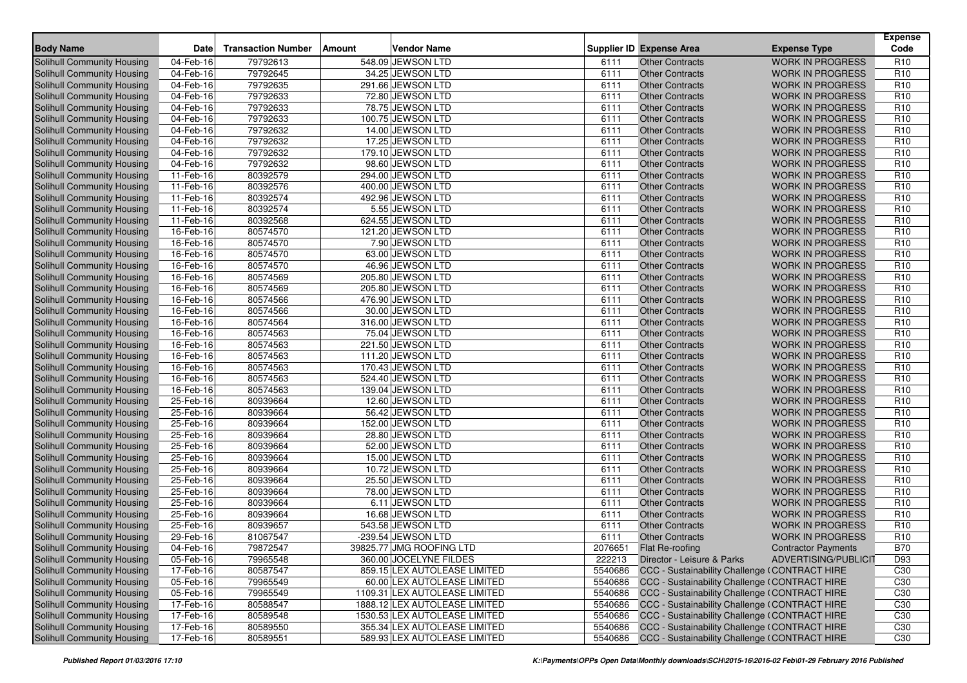| <b>Body Name</b>                                                | <b>Date</b>            | <b>Transaction Number</b> | Amount | <b>Vendor Name</b>                     |         | <b>Supplier ID Expense Area</b>                       | <b>Expense Type</b>        | <b>Expense</b><br>Code |
|-----------------------------------------------------------------|------------------------|---------------------------|--------|----------------------------------------|---------|-------------------------------------------------------|----------------------------|------------------------|
| Solihull Community Housing                                      | 04-Feb-16              | 79792613                  |        | 548.09 JEWSON LTD                      | 6111    | <b>Other Contracts</b>                                | <b>WORK IN PROGRESS</b>    | R <sub>10</sub>        |
| Solihull Community Housing                                      | 04-Feb-16              | 79792645                  |        | 34.25 JEWSON LTD                       | 6111    | <b>Other Contracts</b>                                | <b>WORK IN PROGRESS</b>    | R <sub>10</sub>        |
| Solihull Community Housing                                      | 04-Feb-16              | 79792635                  |        | 291.66 JEWSON LTD                      | 6111    | <b>Other Contracts</b>                                | <b>WORK IN PROGRESS</b>    | R <sub>10</sub>        |
| Solihull Community Housing                                      | $04-Feb-16$            | 79792633                  |        | 72.80 JEWSON LTD                       | 6111    | <b>Other Contracts</b>                                | <b>WORK IN PROGRESS</b>    | R <sub>10</sub>        |
| Solihull Community Housing                                      | 04-Feb-16              | 79792633                  |        | 78.75 JEWSON LTD                       | 6111    | <b>Other Contracts</b>                                | <b>WORK IN PROGRESS</b>    | R <sub>10</sub>        |
| Solihull Community Housing                                      | 04-Feb-16              | 79792633                  |        | 100.75 JEWSON LTD                      | 6111    | <b>Other Contracts</b>                                | <b>WORK IN PROGRESS</b>    | R <sub>10</sub>        |
| Solihull Community Housing                                      | 04-Feb-16              | 79792632                  |        | 14.00 JEWSON LTD                       | 6111    | <b>Other Contracts</b>                                | <b>WORK IN PROGRESS</b>    | R <sub>10</sub>        |
| Solihull Community Housing                                      | 04-Feb-16              | 79792632                  |        | 17.25 JEWSON LTD                       | 6111    | <b>Other Contracts</b>                                | <b>WORK IN PROGRESS</b>    | R <sub>10</sub>        |
| Solihull Community Housing                                      | 04-Feb-16              | 79792632                  |        | 179.10 JEWSON LTD                      | 6111    | <b>Other Contracts</b>                                | <b>WORK IN PROGRESS</b>    | R <sub>10</sub>        |
| Solihull Community Housing                                      | 04-Feb-16              | 79792632                  |        | 98.60 JEWSON LTD                       | 6111    | <b>Other Contracts</b>                                | <b>WORK IN PROGRESS</b>    | R <sub>10</sub>        |
| Solihull Community Housing                                      | 11-Feb-16              | 80392579                  |        | 294.00 JEWSON LTD                      | 6111    | <b>Other Contracts</b>                                | <b>WORK IN PROGRESS</b>    | R <sub>10</sub>        |
| Solihull Community Housing                                      | 11-Feb-16              | 80392576                  |        | 400.00 JEWSON LTD                      | 6111    | <b>Other Contracts</b>                                | <b>WORK IN PROGRESS</b>    | R <sub>10</sub>        |
| Solihull Community Housing                                      | 11-Feb-16              | 80392574                  |        | 492.96 JEWSON LTD                      | 6111    | <b>Other Contracts</b>                                | <b>WORK IN PROGRESS</b>    | R <sub>10</sub>        |
| Solihull Community Housing                                      | 11-Feb-16              | 80392574                  |        | 5.55 JEWSON LTD                        | 6111    | <b>Other Contracts</b>                                | <b>WORK IN PROGRESS</b>    | R <sub>10</sub>        |
| <b>Solihull Community Housing</b>                               | 11-Feb-16              | 80392568                  |        | 624.55 JEWSON LTD                      | 6111    | <b>Other Contracts</b>                                | <b>WORK IN PROGRESS</b>    | R <sub>10</sub>        |
| Solihull Community Housing                                      | 16-Feb-16              | 80574570                  |        | 121.20 JEWSON LTD                      | 6111    | <b>Other Contracts</b>                                | <b>WORK IN PROGRESS</b>    | R <sub>10</sub>        |
| Solihull Community Housing                                      | 16-Feb-16              | 80574570                  |        | 7.90 JEWSON LTD                        | 6111    | <b>Other Contracts</b>                                | <b>WORK IN PROGRESS</b>    | R <sub>10</sub>        |
|                                                                 | $16$ -Feb-16           | 80574570                  |        | 63.00 JEWSON LTD                       | 6111    | <b>Other Contracts</b>                                | <b>WORK IN PROGRESS</b>    | R <sub>10</sub>        |
| Solihull Community Housing                                      |                        | 80574570                  |        | 46.96 JEWSON LTD                       | 6111    | <b>Other Contracts</b>                                | <b>WORK IN PROGRESS</b>    | R <sub>10</sub>        |
| Solihull Community Housing                                      | 16-Feb-16<br>16-Feb-16 | 80574569                  |        | 205.80 JEWSON LTD                      | 6111    | <b>Other Contracts</b>                                | <b>WORK IN PROGRESS</b>    | R <sub>10</sub>        |
| Solihull Community Housing<br><b>Solihull Community Housing</b> |                        |                           |        |                                        | 6111    | <b>Other Contracts</b>                                | <b>WORK IN PROGRESS</b>    | R <sub>10</sub>        |
|                                                                 | 16-Feb-16              | 80574569<br>80574566      |        | 205.80 JEWSON LTD<br>476.90 JEWSON LTD | 6111    |                                                       | <b>WORK IN PROGRESS</b>    | R <sub>10</sub>        |
| Solihull Community Housing                                      | 16-Feb-16              | 80574566                  |        | 30.00 JEWSON LTD                       | 6111    | <b>Other Contracts</b>                                | <b>WORK IN PROGRESS</b>    |                        |
| <b>Solihull Community Housing</b>                               | 16-Feb-16              |                           |        |                                        |         | <b>Other Contracts</b>                                |                            | R <sub>10</sub>        |
| Solihull Community Housing                                      | 16-Feb-16              | 80574564                  |        | 316.00 JEWSON LTD                      | 6111    | <b>Other Contracts</b>                                | <b>WORK IN PROGRESS</b>    | R <sub>10</sub>        |
| Solihull Community Housing                                      | 16-Feb-16              | 80574563                  |        | 75.04 JEWSON LTD                       | 6111    | <b>Other Contracts</b>                                | <b>WORK IN PROGRESS</b>    | R <sub>10</sub>        |
| Solihull Community Housing                                      | 16-Feb-16              | 80574563                  |        | 221.50 JEWSON LTD                      | 6111    | <b>Other Contracts</b>                                | <b>WORK IN PROGRESS</b>    | R <sub>10</sub>        |
| Solihull Community Housing                                      | 16-Feb-16              | 80574563                  |        | 111.20 JEWSON LTD                      | 6111    | <b>Other Contracts</b>                                | <b>WORK IN PROGRESS</b>    | R <sub>10</sub>        |
| Solihull Community Housing                                      | 16-Feb-16              | 80574563                  |        | 170.43 JEWSON LTD                      | 6111    | <b>Other Contracts</b>                                | <b>WORK IN PROGRESS</b>    | R <sub>10</sub>        |
| <b>Solihull Community Housing</b>                               | 16-Feb-16              | 80574563                  |        | 524.40 JEWSON LTD                      | 6111    | <b>Other Contracts</b>                                | <b>WORK IN PROGRESS</b>    | R <sub>10</sub>        |
| Solihull Community Housing                                      | 16-Feb-16              | 80574563                  |        | 139.04 JEWSON LTD                      | 6111    | <b>Other Contracts</b>                                | <b>WORK IN PROGRESS</b>    | R <sub>10</sub>        |
| Solihull Community Housing                                      | 25-Feb-16              | 80939664                  |        | 12.60 JEWSON LTD                       | 6111    | <b>Other Contracts</b>                                | <b>WORK IN PROGRESS</b>    | R <sub>10</sub>        |
| Solihull Community Housing                                      | 25-Feb-16              | 80939664                  |        | 56.42 JEWSON LTD                       | 6111    | <b>Other Contracts</b>                                | <b>WORK IN PROGRESS</b>    | R <sub>10</sub>        |
| Solihull Community Housing                                      | 25-Feb-16              | 80939664                  |        | 152.00 JEWSON LTD                      | 6111    | <b>Other Contracts</b>                                | <b>WORK IN PROGRESS</b>    | R <sub>10</sub>        |
| Solihull Community Housing                                      | 25-Feb-16              | 80939664                  |        | 28.80 JEWSON LTD                       | 6111    | <b>Other Contracts</b>                                | <b>WORK IN PROGRESS</b>    | R <sub>10</sub>        |
| Solihull Community Housing                                      | 25-Feb-16              | 80939664                  |        | 52.00 JEWSON LTD                       | 6111    | <b>Other Contracts</b>                                | <b>WORK IN PROGRESS</b>    | R <sub>10</sub>        |
| Solihull Community Housing                                      | 25-Feb-16              | 80939664                  |        | 15.00 JEWSON LTD                       | 6111    | <b>Other Contracts</b>                                | <b>WORK IN PROGRESS</b>    | R <sub>10</sub>        |
| Solihull Community Housing                                      | $25 - \text{Feb} - 16$ | 80939664                  |        | 10.72 JEWSON LTD                       | 6111    | <b>Other Contracts</b>                                | <b>WORK IN PROGRESS</b>    | R <sub>10</sub>        |
| Solihull Community Housing                                      | 25-Feb-16              | 80939664                  |        | 25.50 JEWSON LTD                       | 6111    | <b>Other Contracts</b>                                | <b>WORK IN PROGRESS</b>    | R <sub>10</sub>        |
| Solihull Community Housing                                      | 25-Feb-16              | 80939664                  |        | 78.00 JEWSON LTD                       | 6111    | <b>Other Contracts</b>                                | <b>WORK IN PROGRESS</b>    | R <sub>10</sub>        |
| Solihull Community Housing                                      | 25-Feb-16              | 80939664                  |        | 6.11 JEWSON LTD                        | 6111    | <b>Other Contracts</b>                                | <b>WORK IN PROGRESS</b>    | R <sub>10</sub>        |
| Solihull Community Housing                                      | 25-Feb-16              | 80939664                  |        | 16.68 JEWSON LTD                       | 6111    | <b>Other Contracts</b>                                | <b>WORK IN PROGRESS</b>    | R <sub>10</sub>        |
| Solihull Community Housing                                      | 25-Feb-16              | 80939657                  |        | 543.58 JEWSON LTD                      | 6111    | <b>Other Contracts</b>                                | <b>WORK IN PROGRESS</b>    | R <sub>10</sub>        |
| Solihull Community Housing                                      | $29$ -Feb-16           | 81067547                  |        | -239.54 JEWSON LTD                     | 6111    | <b>Other Contracts</b>                                | <b>WORK IN PROGRESS</b>    | R <sub>10</sub>        |
| Solihull Community Housing                                      | 04-Feb-16              | 79872547                  |        | 39825.77 JMG ROOFING LTD               |         | 2076651 Flat Re-roofing                               | <b>Contractor Payments</b> | <b>B70</b>             |
| Solihull Community Housing                                      | 05-Feb-16              | 79965548                  |        | 360.00 JOCELYNE FILDES                 | 222213  | Director - Leisure & Parks                            | ADVERTISING/PUBLICIT       | D93                    |
| Solihull Community Housing                                      | 17-Feb-16              | 80587547                  |        | 859.15 LEX AUTOLEASE LIMITED           | 5540686 | CCC - Sustainability Challenge (CONTRACT HIRE         |                            | C <sub>30</sub>        |
| Solihull Community Housing                                      | 05-Feb-16              | 79965549                  |        | 60.00 LEX AUTOLEASE LIMITED            |         | 5540686 CCC - Sustainability Challenge (CONTRACT HIRE |                            | C <sub>30</sub>        |
| Solihull Community Housing                                      | 05-Feb-16              | 79965549                  |        | 1109.31 LEX AUTOLEASE LIMITED          |         | 5540686 CCC - Sustainability Challenge (CONTRACT HIRE |                            | C <sub>30</sub>        |
| Solihull Community Housing                                      | 17-Feb-16              | 80588547                  |        | 1888.12 LEX AUTOLEASE LIMITED          |         | 5540686 CCC - Sustainability Challenge (CONTRACT HIRE |                            | C30                    |
| Solihull Community Housing                                      | 17-Feb-16              | 80589548                  |        | 1530.53 LEX AUTOLEASE LIMITED          |         | 5540686 CCC - Sustainability Challenge (CONTRACT HIRE |                            | C <sub>30</sub>        |
| Solihull Community Housing                                      | 17-Feb-16              | 80589550                  |        | 355.34 LEX AUTOLEASE LIMITED           | 5540686 | CCC - Sustainability Challenge (CONTRACT HIRE         |                            | C30                    |
| Solihull Community Housing                                      | 17-Feb-16              | 80589551                  |        | 589.93 LEX AUTOLEASE LIMITED           | 5540686 | CCC - Sustainability Challenge (CONTRACT HIRE         |                            | C <sub>30</sub>        |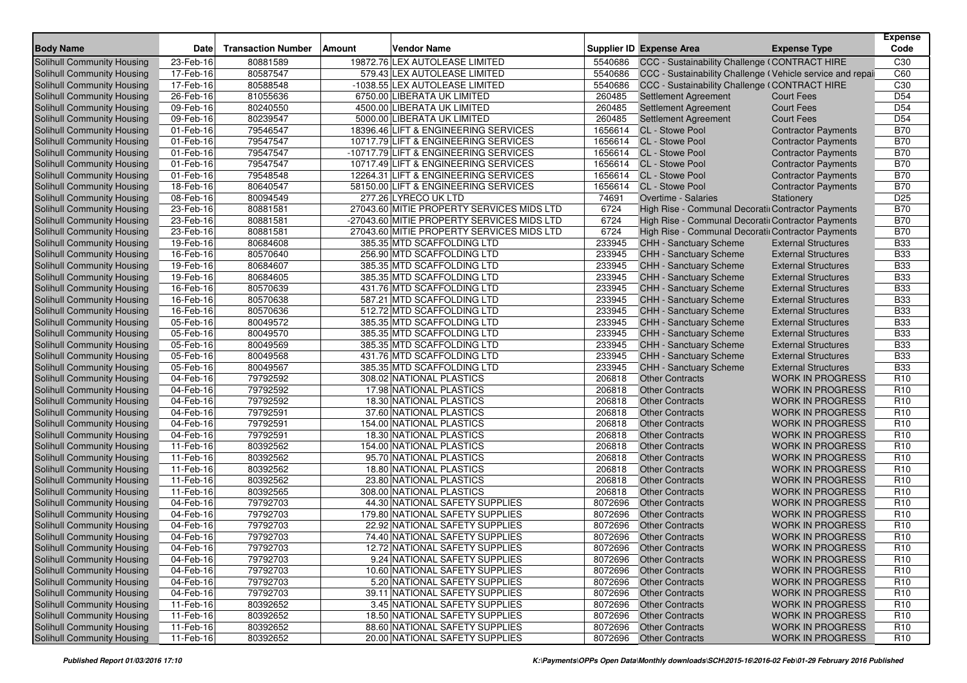| <b>Body Name</b>                  | <b>Date</b> | <b>Transaction Number</b> | Amount | Vendor Name                                |         | <b>Supplier ID Expense Area</b>                           | <b>Expense Type</b>        | <b>Expense</b><br>Code |
|-----------------------------------|-------------|---------------------------|--------|--------------------------------------------|---------|-----------------------------------------------------------|----------------------------|------------------------|
| <b>Solihull Community Housing</b> | 23-Feb-16   | 80881589                  |        | 19872.76 LEX AUTOLEASE LIMITED             | 5540686 | CCC - Sustainability Challenge (CONTRACT HIRE             |                            | C <sub>30</sub>        |
| <b>Solihull Community Housing</b> | 17-Feb-16   | 80587547                  |        | 579.43 LEX AUTOLEASE LIMITED               | 5540686 | CCC - Sustainability Challenge (Vehicle service and repai |                            | C60                    |
| <b>Solihull Community Housing</b> | 17-Feb-16   | 80588548                  |        | -1038.55 LEX AUTOLEASE LIMITED             | 5540686 | CCC - Sustainability Challenge (CONTRACT HIRE             |                            | C <sub>30</sub>        |
| Solihull Community Housing        | 26-Feb-16   | 81055636                  |        | 6750.00 LIBERATA UK LIMITED                | 260485  | Settlement Agreement                                      | <b>Court Fees</b>          | D <sub>54</sub>        |
| Solihull Community Housing        | 09-Feb-16   | 80240550                  |        | 4500.00 LIBERATA UK LIMITED                | 260485  | <b>Settlement Agreement</b>                               | <b>Court Fees</b>          | D <sub>54</sub>        |
| Solihull Community Housing        | 09-Feb-16   | 80239547                  |        | 5000.00 LIBERATA UK LIMITED                | 260485  | <b>Settlement Agreement</b>                               | <b>Court Fees</b>          | D <sub>54</sub>        |
| Solihull Community Housing        | 01-Feb-16   | 79546547                  |        | 18396.46 LIFT & ENGINEERING SERVICES       | 1656614 | CL - Stowe Pool                                           | <b>Contractor Payments</b> | <b>B70</b>             |
| Solihull Community Housing        | 01-Feb-16   | 79547547                  |        | 10717.79 LIFT & ENGINEERING SERVICES       | 1656614 | CL - Stowe Pool                                           | <b>Contractor Payments</b> | <b>B70</b>             |
| Solihull Community Housing        | 01-Feb-16   | 79547547                  |        | -10717.79 LIFT & ENGINEERING SERVICES      | 1656614 | <b>CL</b> - Stowe Pool                                    | <b>Contractor Payments</b> | <b>B70</b>             |
| Solihull Community Housing        | 01-Feb-16   | 79547547                  |        | 10717.49 LIFT & ENGINEERING SERVICES       | 1656614 | <b>CL</b> - Stowe Pool                                    | <b>Contractor Payments</b> | <b>B70</b>             |
| Solihull Community Housing        | 01-Feb-16   | 79548548                  |        | 12264.31 LIFT & ENGINEERING SERVICES       | 1656614 | <b>CL</b> - Stowe Pool                                    | <b>Contractor Payments</b> | <b>B70</b>             |
| Solihull Community Housing        | 18-Feb-16   | 80640547                  |        | 58150.00 LIFT & ENGINEERING SERVICES       | 1656614 | CL - Stowe Pool                                           | <b>Contractor Payments</b> | <b>B70</b>             |
| <b>Solihull Community Housing</b> | 08-Feb-16   | 80094549                  |        | 277.26 LYRECO UK LTD                       | 74691   | <b>Overtime - Salaries</b>                                | Stationery                 | D <sub>25</sub>        |
| <b>Solihull Community Housing</b> | 23-Feb-16   | 80881581                  |        | 27043.60 MITIE PROPERTY SERVICES MIDS LTD  | 6724    | High Rise - Communal Decoratii Contractor Payments        |                            | <b>B70</b>             |
| Solihull Community Housing        | 23-Feb-16   | 80881581                  |        | -27043.60 MITIE PROPERTY SERVICES MIDS LTD | 6724    | High Rise - Communal Decoratiı Contractor Payments        |                            | <b>B70</b>             |
| Solihull Community Housing        | 23-Feb-16   | 80881581                  |        | 27043.60 MITIE PROPERTY SERVICES MIDS LTD  | 6724    | High Rise - Communal Decoratii Contractor Payments        |                            | <b>B70</b>             |
| <b>Solihull Community Housing</b> | 19-Feb-16   | 80684608                  |        | 385.35 MTD SCAFFOLDING LTD                 | 233945  | CHH - Sanctuary Scheme                                    | <b>External Structures</b> | <b>B33</b>             |
| Solihull Community Housing        | 16-Feb-16   | 80570640                  |        | 256.90 MTD SCAFFOLDING LTD                 | 233945  | CHH - Sanctuary Scheme                                    | <b>External Structures</b> | <b>B33</b>             |
| Solihull Community Housing        | 19-Feb-16   | 80684607                  |        | 385.35 MTD SCAFFOLDING LTD                 | 233945  | CHH - Sanctuary Scheme                                    | <b>External Structures</b> | <b>B33</b>             |
| Solihull Community Housing        | 19-Feb-16   | 80684605                  |        | 385.35 MTD SCAFFOLDING LTD                 | 233945  | CHH - Sanctuary Scheme                                    | <b>External Structures</b> | <b>B33</b>             |
| Solihull Community Housing        | 16-Feb-16   | 80570639                  |        | 431.76 MTD SCAFFOLDING LTD                 | 233945  | CHH - Sanctuary Scheme                                    | <b>External Structures</b> | <b>B33</b>             |
| Solihull Community Housing        | 16-Feb-16   | 80570638                  |        | 587.21 MTD SCAFFOLDING LTD                 | 233945  | CHH - Sanctuary Scheme                                    | <b>External Structures</b> | <b>B33</b>             |
| Solihull Community Housing        | 16-Feb-16   | 80570636                  |        | 512.72 MTD SCAFFOLDING LTD                 | 233945  | CHH - Sanctuary Scheme                                    | <b>External Structures</b> | <b>B33</b>             |
| Solihull Community Housing        | 05-Feb-16   | 80049572                  |        | 385.35 MTD SCAFFOLDING LTD                 | 233945  | CHH - Sanctuary Scheme                                    | <b>External Structures</b> | <b>B33</b>             |
| Solihull Community Housing        | 05-Feb-16   | 80049570                  |        | 385.35 MTD SCAFFOLDING LTD                 | 233945  | CHH - Sanctuary Scheme                                    | <b>External Structures</b> | <b>B33</b>             |
| Solihull Community Housing        | 05-Feb-16   | 80049569                  |        | 385.35 MTD SCAFFOLDING LTD                 | 233945  | <b>CHH - Sanctuary Scheme</b>                             | <b>External Structures</b> | <b>B33</b>             |
| Solihull Community Housing        | 05-Feb-16   | 80049568                  |        | 431.76 MTD SCAFFOLDING LTD                 | 233945  | CHH - Sanctuary Scheme                                    | <b>External Structures</b> | <b>B33</b>             |
| Solihull Community Housing        | 05-Feb-16   | 80049567                  |        | 385.35 MTD SCAFFOLDING LTD                 | 233945  | CHH - Sanctuary Scheme                                    | <b>External Structures</b> | <b>B33</b>             |
| Solihull Community Housing        | 04-Feb-16   | 79792592                  |        | 308.02 NATIONAL PLASTICS                   | 206818  | <b>Other Contracts</b>                                    | <b>WORK IN PROGRESS</b>    | R <sub>10</sub>        |
| <b>Solihull Community Housing</b> | 04-Feb-16   | 79792592                  |        | 17.98 NATIONAL PLASTICS                    | 206818  | <b>Other Contracts</b>                                    | <b>WORK IN PROGRESS</b>    | R <sub>10</sub>        |
| Solihull Community Housing        | 04-Feb-16   | 79792592                  |        | 18.30 NATIONAL PLASTICS                    | 206818  | <b>Other Contracts</b>                                    | <b>WORK IN PROGRESS</b>    | R <sub>10</sub>        |
| Solihull Community Housing        | 04-Feb-16   | 79792591                  |        | 37.60 NATIONAL PLASTICS                    | 206818  | <b>Other Contracts</b>                                    | <b>WORK IN PROGRESS</b>    | R <sub>10</sub>        |
| Solihull Community Housing        | 04-Feb-16   | 79792591                  |        | 154.00 NATIONAL PLASTICS                   | 206818  | <b>Other Contracts</b>                                    | <b>WORK IN PROGRESS</b>    | R <sub>10</sub>        |
| Solihull Community Housing        | 04-Feb-16   | 79792591                  |        | 18.30 NATIONAL PLASTICS                    | 206818  | <b>Other Contracts</b>                                    | <b>WORK IN PROGRESS</b>    | R <sub>10</sub>        |
| Solihull Community Housing        | 11-Feb-16   | 80392562                  |        | 154.00 NATIONAL PLASTICS                   | 206818  | <b>Other Contracts</b>                                    | <b>WORK IN PROGRESS</b>    | R <sub>10</sub>        |
| Solihull Community Housing        | 11-Feb-16   | 80392562                  |        | 95.70 NATIONAL PLASTICS                    | 206818  | <b>Other Contracts</b>                                    | <b>WORK IN PROGRESS</b>    | R <sub>10</sub>        |
| Solihull Community Housing        | 11-Feb-16   | 80392562                  |        | 18.80 NATIONAL PLASTICS                    | 206818  | <b>Other Contracts</b>                                    | <b>WORK IN PROGRESS</b>    | R <sub>10</sub>        |
| Solihull Community Housing        | 11-Feb-16   | 80392562                  |        | 23.80 NATIONAL PLASTICS                    | 206818  | <b>Other Contracts</b>                                    | <b>WORK IN PROGRESS</b>    | R <sub>10</sub>        |
| Solihull Community Housing        | 11-Feb-16   | 80392565                  |        | 308.00 NATIONAL PLASTICS                   | 206818  | <b>Other Contracts</b>                                    | <b>WORK IN PROGRESS</b>    | R <sub>10</sub>        |
| Solihull Community Housing        | 04-Feb-16   | 79792703                  |        | 44.30 NATIONAL SAFETY SUPPLIES             | 8072696 | <b>Other Contracts</b>                                    | <b>WORK IN PROGRESS</b>    | R <sub>10</sub>        |
| Solihull Community Housing        | 04-Feb-16   | 79792703                  |        | 179.80 NATIONAL SAFETY SUPPLIES            | 8072696 | <b>Other Contracts</b>                                    | <b>WORK IN PROGRESS</b>    | R <sub>10</sub>        |
| <b>Solihull Community Housing</b> | 04-Feb-16   | 79792703                  |        | 22.92 NATIONAL SAFETY SUPPLIES             | 8072696 | <b>Other Contracts</b>                                    | <b>WORK IN PROGRESS</b>    | R <sub>10</sub>        |
| Solihull Community Housing        | 04-Feb-16   | 79792703                  |        | 74.40 NATIONAL SAFETY SUPPLIES             | 8072696 | <b>Other Contracts</b>                                    | <b>WORK IN PROGRESS</b>    | R <sub>10</sub>        |
| Solihull Community Housing        | 04-Feb-16   | 79792703                  |        | 12.72 NATIONAL SAFETY SUPPLIES             |         | 8072696 Other Contracts                                   | <b>WORK IN PROGRESS</b>    | R <sub>10</sub>        |
| Solihull Community Housing        | 04-Feb-16   | 79792703                  |        | 9.24 NATIONAL SAFETY SUPPLIES              |         | 8072696 Other Contracts                                   | <b>WORK IN PROGRESS</b>    | R <sub>10</sub>        |
| Solihull Community Housing        | 04-Feb-16   | 79792703                  |        | 10.60 NATIONAL SAFETY SUPPLIES             | 8072696 | <b>Other Contracts</b>                                    | <b>WORK IN PROGRESS</b>    | R <sub>10</sub>        |
| Solihull Community Housing        | 04-Feb-16   | 79792703                  |        | 5.20 NATIONAL SAFETY SUPPLIES              | 8072696 | <b>Other Contracts</b>                                    | <b>WORK IN PROGRESS</b>    | R <sub>10</sub>        |
| Solihull Community Housing        | 04-Feb-16   | 79792703                  |        | 39.11 NATIONAL SAFETY SUPPLIES             | 8072696 | <b>Other Contracts</b>                                    | <b>WORK IN PROGRESS</b>    | R <sub>10</sub>        |
| Solihull Community Housing        | 11-Feb-16   | 80392652                  |        | 3.45 NATIONAL SAFETY SUPPLIES              | 8072696 | <b>Other Contracts</b>                                    | <b>WORK IN PROGRESS</b>    | R <sub>10</sub>        |
| Solihull Community Housing        | 11-Feb-16   | 80392652                  |        | 18.50 NATIONAL SAFETY SUPPLIES             | 8072696 | <b>Other Contracts</b>                                    | <b>WORK IN PROGRESS</b>    | R <sub>10</sub>        |
| Solihull Community Housing        | 11-Feb-16   | 80392652                  |        | 88.60 NATIONAL SAFETY SUPPLIES             | 8072696 | <b>Other Contracts</b>                                    | <b>WORK IN PROGRESS</b>    | R <sub>10</sub>        |
| Solihull Community Housing        | 11-Feb-16   | 80392652                  |        | 20.00 NATIONAL SAFETY SUPPLIES             | 8072696 | <b>Other Contracts</b>                                    | <b>WORK IN PROGRESS</b>    | R <sub>10</sub>        |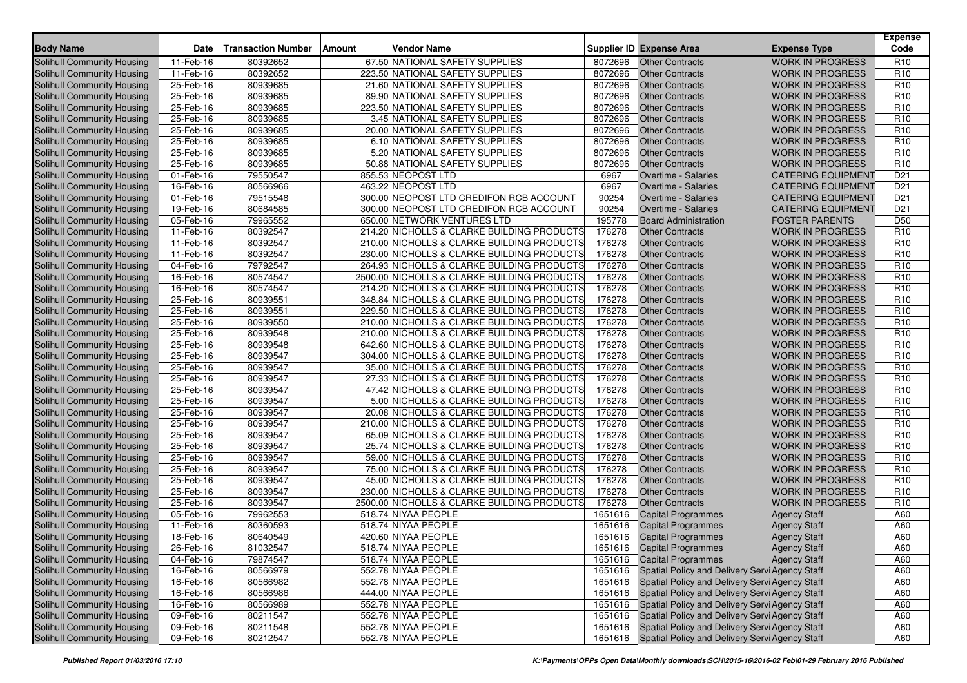| <b>Body Name</b>                                                | <b>Date</b> | <b>Transaction Number</b> | Amount | Vendor Name                                 |                  | <b>Supplier ID Expense Area</b>                        | <b>Expense Type</b>                                | <b>Expense</b><br>Code |
|-----------------------------------------------------------------|-------------|---------------------------|--------|---------------------------------------------|------------------|--------------------------------------------------------|----------------------------------------------------|------------------------|
| Solihull Community Housing                                      | 11-Feb-16   | 80392652                  |        | 67.50 NATIONAL SAFETY SUPPLIES              | 8072696          | <b>Other Contracts</b>                                 | <b>WORK IN PROGRESS</b>                            | R <sub>10</sub>        |
| Solihull Community Housing                                      | 11-Feb-16   | 80392652                  |        | 223.50 NATIONAL SAFETY SUPPLIES             | 8072696          | <b>Other Contracts</b>                                 | <b>WORK IN PROGRESS</b>                            | R <sub>10</sub>        |
| Solihull Community Housing                                      | 25-Feb-16   | 80939685                  |        | 21.60 NATIONAL SAFETY SUPPLIES              | 8072696          | <b>Other Contracts</b>                                 | <b>WORK IN PROGRESS</b>                            | R <sub>10</sub>        |
| Solihull Community Housing                                      | 25-Feb-16   | 80939685                  |        | 89.90 NATIONAL SAFETY SUPPLIES              | 8072696          | <b>Other Contracts</b>                                 | <b>WORK IN PROGRESS</b>                            | R <sub>10</sub>        |
| Solihull Community Housing                                      | 25-Feb-16   | 80939685                  |        | 223.50 NATIONAL SAFETY SUPPLIES             | 8072696          | <b>Other Contracts</b>                                 | <b>WORK IN PROGRESS</b>                            | R <sub>10</sub>        |
| Solihull Community Housing                                      | 25-Feb-16   | 80939685                  |        | 3.45 NATIONAL SAFETY SUPPLIES               | 8072696          | <b>Other Contracts</b>                                 | <b>WORK IN PROGRESS</b>                            | R <sub>10</sub>        |
| Solihull Community Housing                                      | 25-Feb-16   | 80939685                  |        | 20.00 NATIONAL SAFETY SUPPLIES              | 8072696          | <b>Other Contracts</b>                                 | <b>WORK IN PROGRESS</b>                            | R <sub>10</sub>        |
| Solihull Community Housing                                      | 25-Feb-16   | 80939685                  |        | 6.10 NATIONAL SAFETY SUPPLIES               | 8072696          | <b>Other Contracts</b>                                 | <b>WORK IN PROGRESS</b>                            | R <sub>10</sub>        |
| Solihull Community Housing                                      | 25-Feb-16   | 80939685                  |        | 5.20 NATIONAL SAFETY SUPPLIES               | 8072696          | <b>Other Contracts</b>                                 | <b>WORK IN PROGRESS</b>                            | R <sub>10</sub>        |
| Solihull Community Housing                                      | 25-Feb-16   | 80939685                  |        | 50.88 NATIONAL SAFETY SUPPLIES              | 8072696          | <b>Other Contracts</b>                                 | <b>WORK IN PROGRESS</b>                            | R <sub>10</sub>        |
| Solihull Community Housing                                      | 01-Feb-16   | 79550547                  |        | 855.53 NEOPOST LTD                          | 6967             | Overtime - Salaries                                    | <b>CATERING EQUIPMENT</b>                          | D <sub>21</sub>        |
| Solihull Community Housing                                      | 16-Feb-16   | 80566966                  |        | 463.22 NEOPOST LTD                          | 6967             | Overtime - Salaries                                    | <b>CATERING EQUIPMENT</b>                          | D <sub>21</sub>        |
| Solihull Community Housing                                      | 01-Feb-16   | 79515548                  |        | 300.00 NEOPOST LTD CREDIFON RCB ACCOUNT     | 90254            | Overtime - Salaries                                    | <b>CATERING EQUIPMENT</b>                          | D <sub>21</sub>        |
| Solihull Community Housing                                      | 19-Feb-16   | 80684585                  |        | 300.00 NEOPOST LTD CREDIFON RCB ACCOUNT     | 90254            | <b>Overtime - Salaries</b>                             | <b>CATERING EQUIPMENT</b>                          | D <sub>21</sub>        |
| <b>Solihull Community Housing</b>                               | 05-Feb-16   | 79965552                  |        | 650.00 NETWORK VENTURES LTD                 | 195778           | <b>Board Administration</b>                            | <b>FOSTER PARENTS</b>                              | D <sub>50</sub>        |
| Solihull Community Housing                                      | 11-Feb-16   | 80392547                  |        | 214.20 NICHOLLS & CLARKE BUILDING PRODUCTS  | 176278           | <b>Other Contracts</b>                                 | <b>WORK IN PROGRESS</b>                            | R <sub>10</sub>        |
| Solihull Community Housing                                      | 11-Feb-16   | 80392547                  |        | 210.00 NICHOLLS & CLARKE BUILDING PRODUCTS  | 176278           | <b>Other Contracts</b>                                 | <b>WORK IN PROGRESS</b>                            | R <sub>10</sub>        |
|                                                                 | 11-Feb-16   | 80392547                  |        | 230.00 NICHOLLS & CLARKE BUILDING PRODUCTS  | 176278           | <b>Other Contracts</b>                                 | <b>WORK IN PROGRESS</b>                            | R <sub>10</sub>        |
| Solihull Community Housing<br>Solihull Community Housing        | 04-Feb-16   | 79792547                  |        | 264.93 NICHOLLS & CLARKE BUILDING PRODUCTS  | 176278           | <b>Other Contracts</b>                                 | <b>WORK IN PROGRESS</b>                            | R <sub>10</sub>        |
|                                                                 | 16-Feb-16   | 80574547                  |        | 2500.00 NICHOLLS & CLARKE BUILDING PRODUCTS | 176278           | <b>Other Contracts</b>                                 | <b>WORK IN PROGRESS</b>                            | R <sub>10</sub>        |
| Solihull Community Housing<br><b>Solihull Community Housing</b> |             |                           |        |                                             |                  |                                                        |                                                    | R <sub>10</sub>        |
|                                                                 | 16-Feb-16   | 80574547<br>80939551      |        | 214.20 NICHOLLS & CLARKE BUILDING PRODUCTS  | 176278           | <b>Other Contracts</b>                                 | <b>WORK IN PROGRESS</b><br><b>WORK IN PROGRESS</b> | R <sub>10</sub>        |
| Solihull Community Housing<br><b>Solihull Community Housing</b> | 25-Feb-16   | 80939551                  |        | 348.84 NICHOLLS & CLARKE BUILDING PRODUCTS  | 176278<br>176278 | <b>Other Contracts</b>                                 |                                                    |                        |
|                                                                 | 25-Feb-16   |                           |        | 229.50 NICHOLLS & CLARKE BUILDING PRODUCTS  |                  | <b>Other Contracts</b>                                 | <b>WORK IN PROGRESS</b>                            | R <sub>10</sub>        |
| Solihull Community Housing                                      | 25-Feb-16   | 80939550                  |        | 210.00 NICHOLLS & CLARKE BUILDING PRODUCTS  | 176278           | <b>Other Contracts</b>                                 | <b>WORK IN PROGRESS</b>                            | R <sub>10</sub>        |
| Solihull Community Housing                                      | 25-Feb-16   | 80939548                  |        | 210.00 NICHOLLS & CLARKE BUILDING PRODUCTS  | 176278           | <b>Other Contracts</b>                                 | <b>WORK IN PROGRESS</b>                            | R <sub>10</sub>        |
| Solihull Community Housing                                      | 25-Feb-16   | 80939548                  |        | 642.60 NICHOLLS & CLARKE BUILDING PRODUCTS  | 176278           | <b>Other Contracts</b>                                 | <b>WORK IN PROGRESS</b>                            | R <sub>10</sub>        |
| Solihull Community Housing                                      | 25-Feb-16   | 80939547                  |        | 304.00 NICHOLLS & CLARKE BUILDING PRODUCTS  | 176278           | <b>Other Contracts</b>                                 | <b>WORK IN PROGRESS</b>                            | R <sub>10</sub>        |
| Solihull Community Housing                                      | 25-Feb-16   | 80939547                  |        | 35.00 NICHOLLS & CLARKE BUILDING PRODUCTS   | 176278           | <b>Other Contracts</b>                                 | <b>WORK IN PROGRESS</b>                            | R <sub>10</sub>        |
| <b>Solihull Community Housing</b>                               | 25-Feb-16   | 80939547                  |        | 27.33 NICHOLLS & CLARKE BUILDING PRODUCTS   | 176278           | <b>Other Contracts</b>                                 | <b>WORK IN PROGRESS</b>                            | R <sub>10</sub>        |
| Solihull Community Housing                                      | 25-Feb-16   | 80939547                  |        | 47.42 NICHOLLS & CLARKE BUILDING PRODUCTS   | 176278           | <b>Other Contracts</b>                                 | <b>WORK IN PROGRESS</b>                            | R <sub>10</sub>        |
| <b>Solihull Community Housing</b>                               | 25-Feb-16   | 80939547                  |        | 5.00 NICHOLLS & CLARKE BUILDING PRODUCTS    | 176278           | <b>Other Contracts</b>                                 | <b>WORK IN PROGRESS</b>                            | R <sub>10</sub>        |
| Solihull Community Housing                                      | 25-Feb-16   | 80939547                  |        | 20.08 NICHOLLS & CLARKE BUILDING PRODUCTS   | 176278           | <b>Other Contracts</b>                                 | <b>WORK IN PROGRESS</b>                            | R <sub>10</sub>        |
| Solihull Community Housing                                      | 25-Feb-16   | 80939547                  |        | 210.00 NICHOLLS & CLARKE BUILDING PRODUCTS  | 176278           | <b>Other Contracts</b>                                 | <b>WORK IN PROGRESS</b>                            | R <sub>10</sub>        |
| Solihull Community Housing                                      | 25-Feb-16   | 80939547                  |        | 65.09 NICHOLLS & CLARKE BUILDING PRODUCTS   | 176278           | <b>Other Contracts</b>                                 | <b>WORK IN PROGRESS</b>                            | R <sub>10</sub>        |
| Solihull Community Housing                                      | 25-Feb-16   | 80939547                  |        | 25.74 NICHOLLS & CLARKE BUILDING PRODUCTS   | 176278           | <b>Other Contracts</b>                                 | <b>WORK IN PROGRESS</b>                            | R <sub>10</sub>        |
| Solihull Community Housing                                      | 25-Feb-16   | 80939547                  |        | 59.00 NICHOLLS & CLARKE BUILDING PRODUCTS   | 176278           | <b>Other Contracts</b>                                 | <b>WORK IN PROGRESS</b>                            | R <sub>10</sub>        |
| Solihull Community Housing                                      | 25-Feb-16   | 80939547                  |        | 75.00 NICHOLLS & CLARKE BUILDING PRODUCTS   | 176278           | <b>Other Contracts</b>                                 | <b>WORK IN PROGRESS</b>                            | R <sub>10</sub>        |
| Solihull Community Housing                                      | 25-Feb-16   | 80939547                  |        | 45.00 NICHOLLS & CLARKE BUILDING PRODUCTS   | 176278           | <b>Other Contracts</b>                                 | <b>WORK IN PROGRESS</b>                            | R <sub>10</sub>        |
| Solihull Community Housing                                      | 25-Feb-16   | 80939547                  |        | 230.00 NICHOLLS & CLARKE BUILDING PRODUCTS  | 176278           | <b>Other Contracts</b>                                 | <b>WORK IN PROGRESS</b>                            | R <sub>10</sub>        |
| Solihull Community Housing                                      | 25-Feb-16   | 80939547                  |        | 2500.00 NICHOLLS & CLARKE BUILDING PRODUCTS | 176278           | <b>Other Contracts</b>                                 | <b>WORK IN PROGRESS</b>                            | R <sub>10</sub>        |
| Solihull Community Housing                                      | 05-Feb-16   | 79962553                  |        | 518.74 NIYAA PEOPLE                         | 1651616          | <b>Capital Programmes</b>                              | <b>Agency Staff</b>                                | A60                    |
| <b>Solihull Community Housing</b>                               | 11-Feb-16   | 80360593                  |        | 518.74 NIYAA PEOPLE                         | 1651616          | <b>Capital Programmes</b>                              | <b>Agency Staff</b>                                | A60                    |
| Solihull Community Housing                                      | 18-Feb-16   | 80640549                  |        | 420.60 NIYAA PEOPLE                         | 1651616          | <b>Capital Programmes</b>                              | <b>Agency Staff</b>                                | A60                    |
| Solihull Community Housing                                      | 26-Feb-16   | 81032547                  |        | 518.74 NIYAA PEOPLE                         |                  | 1651616 Capital Programmes                             | <b>Agency Staff</b>                                | A60                    |
| Solihull Community Housing                                      | 04-Feb-16   | 79874547                  |        | 518.74 NIYAA PEOPLE                         |                  | 1651616 Capital Programmes                             | <b>Agency Staff</b>                                | A60                    |
| <b>Solihull Community Housing</b>                               | 16-Feb-16   | 80566979                  |        | 552.78 NIYAA PEOPLE                         |                  | 1651616 Spatial Policy and Delivery Servi Agency Staff |                                                    | A60                    |
| Solihull Community Housing                                      | 16-Feb-16   | 80566982                  |        | 552.78 NIYAA PEOPLE                         |                  | 1651616 Spatial Policy and Delivery Servi Agency Staff |                                                    | A60                    |
| <b>Solihull Community Housing</b>                               | 16-Feb-16   | 80566986                  |        | 444.00 NIYAA PEOPLE                         |                  | 1651616 Spatial Policy and Delivery Servi Agency Staff |                                                    | A60                    |
| <b>Solihull Community Housing</b>                               | 16-Feb-16   | 80566989                  |        | 552.78 NIYAA PEOPLE                         |                  | 1651616 Spatial Policy and Delivery Servi Agency Staff |                                                    | A60                    |
| Solihull Community Housing                                      | 09-Feb-16   | 80211547                  |        | 552.78 NIYAA PEOPLE                         |                  | 1651616 Spatial Policy and Delivery Servi Agency Staff |                                                    | A60                    |
| Solihull Community Housing                                      | 09-Feb-16   | 80211548                  |        | 552.78 NIYAA PEOPLE                         |                  | 1651616 Spatial Policy and Delivery Servi Agency Staff |                                                    | A60                    |
| <b>Solihull Community Housing</b>                               | 09-Feb-16   | 80212547                  |        | 552.78 NIYAA PEOPLE                         |                  | 1651616 Spatial Policy and Delivery Servi Agency Staff |                                                    | A60                    |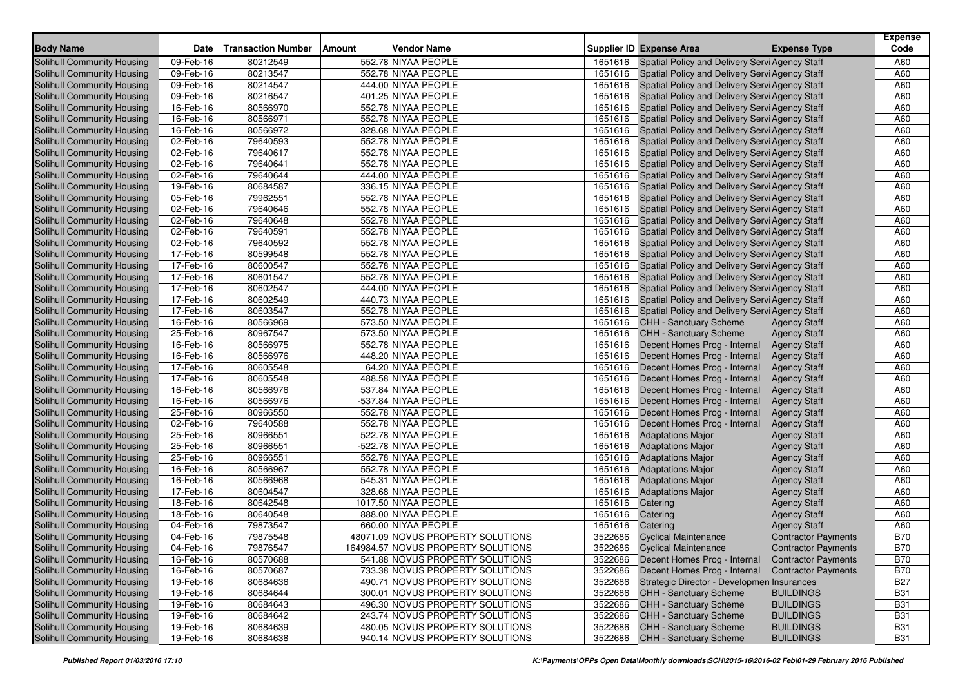| <b>Body Name</b>                  | <b>Date</b>             | <b>Transaction Number</b> | Amount<br><b>Vendor Name</b>       |         | <b>Supplier ID Expense Area</b>                |                            | <b>Expense</b><br>Code |
|-----------------------------------|-------------------------|---------------------------|------------------------------------|---------|------------------------------------------------|----------------------------|------------------------|
|                                   |                         |                           |                                    |         |                                                | <b>Expense Type</b>        |                        |
| <b>Solihull Community Housing</b> | 09-Feb-16               | 80212549                  | 552.78 NIYAA PEOPLE                | 1651616 | Spatial Policy and Delivery Servi Agency Staff |                            | A60                    |
| Solihull Community Housing        | 09-Feb-16               | 80213547                  | 552.78 NIYAA PEOPLE                | 1651616 | Spatial Policy and Delivery Servi Agency Staff |                            | A60                    |
| Solihull Community Housing        | $\overline{09}$ -Feb-16 | 80214547                  | 444.00 NIYAA PEOPLE                | 1651616 | Spatial Policy and Delivery Servi Agency Staff |                            | A60                    |
| <b>Solihull Community Housing</b> | 09-Feb-16               | 80216547                  | 401.25 NIYAA PEOPLE                | 1651616 | Spatial Policy and Delivery Servi Agency Staff |                            | A60                    |
| Solihull Community Housing        | 16-Feb-16               | 80566970                  | 552.78 NIYAA PEOPLE                | 1651616 | Spatial Policy and Delivery Servi Agency Staff |                            | A60                    |
| Solihull Community Housing        | 16-Feb-16               | 80566971                  | 552.78 NIYAA PEOPLE                | 1651616 | Spatial Policy and Delivery Servi Agency Staff |                            | A60                    |
| Solihull Community Housing        | 16-Feb-16               | 80566972                  | 328.68 NIYAA PEOPLE                | 1651616 | Spatial Policy and Delivery Servi Agency Staff |                            | A60                    |
| Solihull Community Housing        | 02-Feb-16               | 79640593                  | 552.78 NIYAA PEOPLE                | 1651616 | Spatial Policy and Delivery Servi Agency Staff |                            | A60                    |
| Solihull Community Housing        | 02-Feb-16               | 79640617                  | 552.78 NIYAA PEOPLE                | 1651616 | Spatial Policy and Delivery Servi Agency Staff |                            | A60                    |
| Solihull Community Housing        | 02-Feb-16               | 79640641                  | 552.78 NIYAA PEOPLE                | 1651616 | Spatial Policy and Delivery Servi Agency Staff |                            | A60                    |
| Solihull Community Housing        | 02-Feb-16               | 79640644                  | 444.00 NIYAA PEOPLE                | 1651616 | Spatial Policy and Delivery Servi Agency Staff |                            | A60                    |
| <b>Solihull Community Housing</b> | 19-Feb-16               | 80684587                  | 336.15 NIYAA PEOPLE                | 1651616 | Spatial Policy and Delivery Servi Agency Staff |                            | A60                    |
| Solihull Community Housing        | 05-Feb-16               | 79962551                  | 552.78 NIYAA PEOPLE                | 1651616 | Spatial Policy and Delivery Servi Agency Staff |                            | A60                    |
| Solihull Community Housing        | 02-Feb-16               | 79640646                  | 552.78 NIYAA PEOPLE                | 1651616 | Spatial Policy and Delivery Servi Agency Staff |                            | A60                    |
| <b>Solihull Community Housing</b> | 02-Feb-16               | 79640648                  | 552.78 NIYAA PEOPLE                | 1651616 | Spatial Policy and Delivery Servi Agency Staff |                            | A60                    |
| Solihull Community Housing        | 02-Feb-16               | 79640591                  | 552.78 NIYAA PEOPLE                | 1651616 | Spatial Policy and Delivery Servi Agency Staff |                            | A60                    |
| Solihull Community Housing        | 02-Feb-16               | 79640592                  | 552.78 NIYAA PEOPLE                | 1651616 | Spatial Policy and Delivery Servi Agency Staff |                            | A60                    |
| Solihull Community Housing        | 17-Feb-16               | 80599548                  | 552.78 NIYAA PEOPLE                | 1651616 | Spatial Policy and Delivery Servi Agency Staff |                            | A60                    |
| Solihull Community Housing        | 17-Feb-16               | 80600547                  | 552.78 NIYAA PEOPLE                | 1651616 | Spatial Policy and Delivery Servi Agency Staff |                            | A60                    |
| Solihull Community Housing        | 17-Feb-16               | 80601547                  | 552.78 NIYAA PEOPLE                | 1651616 | Spatial Policy and Delivery Servi Agency Staff |                            | A60                    |
| <b>Solihull Community Housing</b> | 17-Feb-16               | 80602547                  | 444.00 NIYAA PEOPLE                | 1651616 | Spatial Policy and Delivery Servi Agency Staff |                            | A60                    |
| Solihull Community Housing        | 17-Feb-16               | 80602549                  | 440.73 NIYAA PEOPLE                | 1651616 | Spatial Policy and Delivery Servi Agency Staff |                            | A60                    |
| Solihull Community Housing        | 17-Feb-16               | 80603547                  | 552.78 NIYAA PEOPLE                | 1651616 | Spatial Policy and Delivery Servi Agency Staff |                            | A60                    |
| Solihull Community Housing        | 16-Feb-16               | 80566969                  | 573.50 NIYAA PEOPLE                | 1651616 | <b>CHH - Sanctuary Scheme</b>                  | <b>Agency Staff</b>        | A60                    |
| Solihull Community Housing        | 25-Feb-16               | 80967547                  | 573.50 NIYAA PEOPLE                | 1651616 | <b>CHH - Sanctuary Scheme</b>                  | <b>Agency Staff</b>        | A60                    |
| Solihull Community Housing        | 16-Feb-16               | 80566975                  | 552.78 NIYAA PEOPLE                | 1651616 | Decent Homes Prog - Internal                   | <b>Agency Staff</b>        | A60                    |
| Solihull Community Housing        | 16-Feb-16               | 80566976                  | 448.20 NIYAA PEOPLE                | 1651616 | Decent Homes Prog - Internal                   | <b>Agency Staff</b>        | A60                    |
| Solihull Community Housing        | 17-Feb-16               | 80605548                  | 64.20 NIYAA PEOPLE                 | 1651616 | Decent Homes Prog - Internal                   | <b>Agency Staff</b>        | A60                    |
| Solihull Community Housing        | 17-Feb-16               | 80605548                  | 488.58 NIYAA PEOPLE                | 1651616 | Decent Homes Prog - Internal                   | <b>Agency Staff</b>        | A60                    |
| Solihull Community Housing        | 16-Feb-16               | 80566976                  | 537.84 NIYAA PEOPLE                | 1651616 | Decent Homes Prog - Internal                   | <b>Agency Staff</b>        | A60                    |
| <b>Solihull Community Housing</b> | 16-Feb-16               | 80566976                  | -537.84 NIYAA PEOPLE               | 1651616 | Decent Homes Prog - Internal                   | <b>Agency Staff</b>        | A60                    |
| Solihull Community Housing        | 25-Feb-16               | 80966550                  | 552.78 NIYAA PEOPLE                | 1651616 | Decent Homes Prog - Internal                   | <b>Agency Staff</b>        | A60                    |
| Solihull Community Housing        | 02-Feb-16               | 79640588                  | 552.78 NIYAA PEOPLE                | 1651616 | Decent Homes Prog - Internal                   | <b>Agency Staff</b>        | A60                    |
| <b>Solihull Community Housing</b> | 25-Feb-16               | 80966551                  | 522.78 NIYAA PEOPLE                | 1651616 | <b>Adaptations Major</b>                       | <b>Agency Staff</b>        | A60                    |
| Solihull Community Housing        | 25-Feb-16               | 80966551                  | -522.78 NIYAA PEOPLE               | 1651616 | <b>Adaptations Major</b>                       | <b>Agency Staff</b>        | A60                    |
| Solihull Community Housing        | 25-Feb-16               | 80966551                  | 552.78 NIYAA PEOPLE                | 1651616 | <b>Adaptations Major</b>                       | <b>Agency Staff</b>        | A60                    |
| Solihull Community Housing        | 16-Feb-16               | 80566967                  | 552.78 NIYAA PEOPLE                | 1651616 | <b>Adaptations Major</b>                       | <b>Agency Staff</b>        | A60                    |
| Solihull Community Housing        | 16-Feb-16               | 80566968                  | 545.31 NIYAA PEOPLE                | 1651616 | <b>Adaptations Major</b>                       | <b>Agency Staff</b>        | A60                    |
| Solihull Community Housing        | 17-Feb-16               | 80604547                  | 328.68 NIYAA PEOPLE                | 1651616 | <b>Adaptations Major</b>                       | <b>Agency Staff</b>        | A60                    |
| <b>Solihull Community Housing</b> | 18-Feb-16               | 80642548                  | 1017.50 NIYAA PEOPLE               | 1651616 | Catering                                       | <b>Agency Staff</b>        | A60                    |
| Solihull Community Housing        | 18-Feb-16               | 80640548                  | 888.00 NIYAA PEOPLE                | 1651616 | Catering                                       | <b>Agency Staff</b>        | A60                    |
| Solihull Community Housing        | 04-Feb-16               | 79873547                  | 660.00 NIYAA PEOPLE                | 1651616 | Catering                                       | <b>Agency Staff</b>        | A60                    |
| Solihull Community Housing        | 04-Feb-16               | 79875548                  | 48071.09 NOVUS PROPERTY SOLUTIONS  |         | 3522686 Cyclical Maintenance                   | <b>Contractor Payments</b> | <b>B70</b>             |
| Solihull Community Housing        | 04-Feb-16               | 79876547                  | 164984.57 NOVUS PROPERTY SOLUTIONS |         | 3522686 Cyclical Maintenance                   | <b>Contractor Payments</b> | <b>B70</b>             |
| Solihull Community Housing        | 16-Feb-16               | 80570688                  | 541.88 NOVUS PROPERTY SOLUTIONS    |         | 3522686 Decent Homes Prog - Internal           | <b>Contractor Payments</b> | <b>B70</b>             |
| Solihull Community Housing        | 16-Feb-16               | 80570687                  | 733.38 NOVUS PROPERTY SOLUTIONS    | 3522686 | Decent Homes Prog - Internal                   | <b>Contractor Payments</b> | <b>B70</b>             |
| Solihull Community Housing        | 19-Feb-16               | 80684636                  | 490.71 NOVUS PROPERTY SOLUTIONS    | 3522686 | Strategic Director - Developmen Insurances     |                            | <b>B27</b>             |
| Solihull Community Housing        | 19-Feb-16               | 80684644                  | 300.01 NOVUS PROPERTY SOLUTIONS    | 3522686 | <b>CHH - Sanctuary Scheme</b>                  | <b>BUILDINGS</b>           | <b>B31</b>             |
| Solihull Community Housing        | 19-Feb-16               | 80684643                  | 496.30 NOVUS PROPERTY SOLUTIONS    | 3522686 | <b>CHH - Sanctuary Scheme</b>                  | <b>BUILDINGS</b>           | <b>B31</b>             |
| Solihull Community Housing        | 19-Feb-16               | 80684642                  | 243.74 NOVUS PROPERTY SOLUTIONS    | 3522686 | CHH - Sanctuary Scheme                         | <b>BUILDINGS</b>           | <b>B31</b>             |
| Solihull Community Housing        | 19-Feb-16               | 80684639                  | 480.05 NOVUS PROPERTY SOLUTIONS    | 3522686 | CHH - Sanctuary Scheme                         | <b>BUILDINGS</b>           | <b>B31</b>             |
| Solihull Community Housing        | 19-Feb-16               | 80684638                  | 940.14 NOVUS PROPERTY SOLUTIONS    | 3522686 | <b>CHH - Sanctuary Scheme</b>                  | <b>BUILDINGS</b>           | <b>B31</b>             |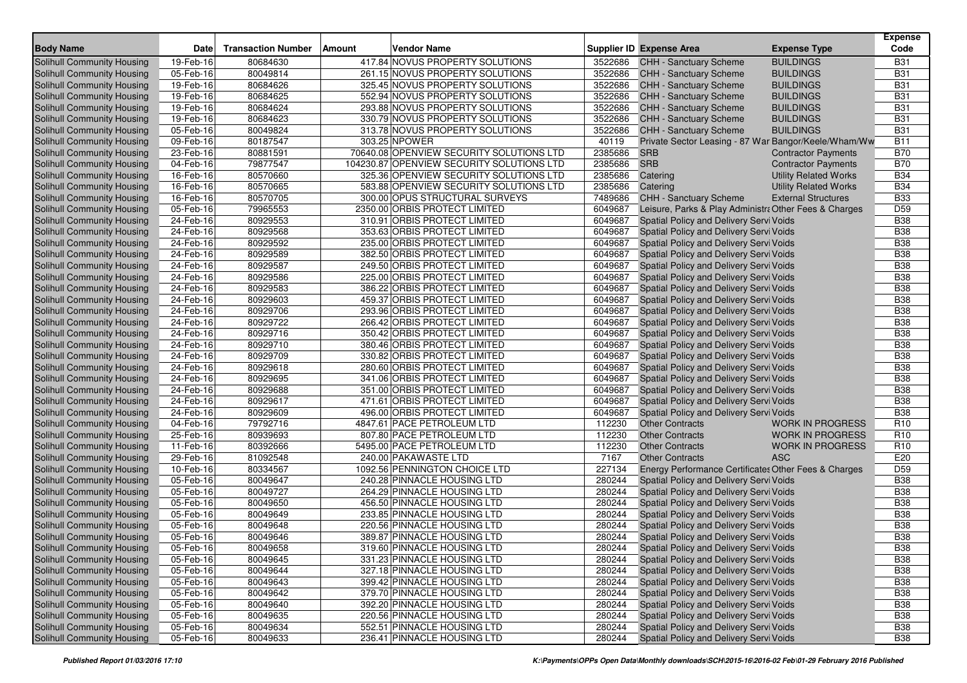| <b>Body Name</b>                  | <b>Date</b>             | <b>Transaction Number</b> | Amount | <b>Vendor Name</b>                        |         | <b>Supplier ID Expense Area</b>                       | <b>Expense Type</b>          | <b>Expense</b><br>Code |
|-----------------------------------|-------------------------|---------------------------|--------|-------------------------------------------|---------|-------------------------------------------------------|------------------------------|------------------------|
| Solihull Community Housing        | 19-Feb-16               | 80684630                  |        | 417.84 NOVUS PROPERTY SOLUTIONS           | 3522686 | CHH - Sanctuary Scheme                                | <b>BUILDINGS</b>             | <b>B31</b>             |
| Solihull Community Housing        | 05-Feb-16               | 80049814                  |        | 261.15 NOVUS PROPERTY SOLUTIONS           | 3522686 | <b>CHH - Sanctuary Scheme</b>                         | <b>BUILDINGS</b>             | <b>B31</b>             |
| Solihull Community Housing        | 19-Feb-16               | 80684626                  |        | 325.45 NOVUS PROPERTY SOLUTIONS           | 3522686 | CHH - Sanctuary Scheme                                | <b>BUILDINGS</b>             | <b>B31</b>             |
| Solihull Community Housing        | 19-Feb-16               | 80684625                  |        | 552.94 NOVUS PROPERTY SOLUTIONS           | 3522686 | <b>CHH - Sanctuary Scheme</b>                         | <b>BUILDINGS</b>             | <b>B31</b>             |
| Solihull Community Housing        | 19-Feb-16               | 80684624                  |        | 293.88 NOVUS PROPERTY SOLUTIONS           | 3522686 | CHH - Sanctuary Scheme                                | <b>BUILDINGS</b>             | <b>B31</b>             |
| Solihull Community Housing        | 19-Feb-16               | 80684623                  |        | 330.79 NOVUS PROPERTY SOLUTIONS           | 3522686 | CHH - Sanctuary Scheme                                | <b>BUILDINGS</b>             | <b>B31</b>             |
| Solihull Community Housing        | 05-Feb-16               | 80049824                  |        | 313.78 NOVUS PROPERTY SOLUTIONS           | 3522686 | <b>CHH - Sanctuary Scheme</b>                         | <b>BUILDINGS</b>             | <b>B31</b>             |
| Solihull Community Housing        | 09-Feb-16               | 80187547                  |        | 303.25 NPOWER                             | 40119   | Private Sector Leasing - 87 War Bangor/Keele/Wham/Ww  |                              | <b>B11</b>             |
| Solihull Community Housing        | 23-Feb-16               | 80881591                  |        | 70640.08 OPENVIEW SECURITY SOLUTIONS LTD  | 2385686 | <b>SRB</b>                                            | <b>Contractor Payments</b>   | <b>B70</b>             |
| Solihull Community Housing        | 04-Feb-16               | 79877547                  |        | 104230.87 OPENVIEW SECURITY SOLUTIONS LTD | 2385686 | <b>SRB</b>                                            | <b>Contractor Payments</b>   | <b>B70</b>             |
| Solihull Community Housing        | 16-Feb-16               | 80570660                  |        | 325.36 OPENVIEW SECURITY SOLUTIONS LTD    | 2385686 | Catering                                              | <b>Utility Related Works</b> | <b>B34</b>             |
| <b>Solihull Community Housing</b> | 16-Feb-16               | 80570665                  |        | 583.88 OPENVIEW SECURITY SOLUTIONS LTD    | 2385686 | Catering                                              | <b>Utility Related Works</b> | <b>B34</b>             |
| Solihull Community Housing        | 16-Feb-16               | 80570705                  |        | 300.00 OPUS STRUCTURAL SURVEYS            | 7489686 | CHH - Sanctuary Scheme                                | <b>External Structures</b>   | <b>B33</b>             |
| Solihull Community Housing        | 05-Feb-16               | 79965553                  |        | 2350.00 ORBIS PROTECT LIMITED             | 6049687 | Leisure, Parks & Play Administra Other Fees & Charges |                              | D <sub>59</sub>        |
| <b>Solihull Community Housing</b> | 24-Feb-16               | 80929553                  |        | 310.91 ORBIS PROTECT LIMITED              | 6049687 | Spatial Policy and Delivery Servi Voids               |                              | <b>B38</b>             |
| Solihull Community Housing        | 24-Feb-16               | 80929568                  |        | 353.63 ORBIS PROTECT LIMITED              | 6049687 | Spatial Policy and Delivery Servi Voids               |                              | <b>B38</b>             |
| Solihull Community Housing        | 24-Feb-16               | 80929592                  |        | 235.00 ORBIS PROTECT LIMITED              | 6049687 | Spatial Policy and Delivery Servi Voids               |                              | <b>B38</b>             |
| Solihull Community Housing        | 24-Feb-16               | 80929589                  |        | 382.50 ORBIS PROTECT LIMITED              | 6049687 | Spatial Policy and Delivery Servi Voids               |                              | <b>B38</b>             |
| Solihull Community Housing        | 24-Feb-16               | 80929587                  |        | 249.50 ORBIS PROTECT LIMITED              | 6049687 | Spatial Policy and Delivery Servi Voids               |                              | <b>B38</b>             |
| Solihull Community Housing        | 24-Feb-16               | 80929586                  |        | 225.00 ORBIS PROTECT LIMITED              | 6049687 | Spatial Policy and Delivery Servi Voids               |                              | <b>B38</b>             |
| <b>Solihull Community Housing</b> | 24-Feb-16               | 80929583                  |        | 386.22 ORBIS PROTECT LIMITED              | 6049687 | Spatial Policy and Delivery Servi Voids               |                              | <b>B38</b>             |
| Solihull Community Housing        | 24-Feb-16               | 80929603                  |        | 459.37 ORBIS PROTECT LIMITED              | 6049687 | Spatial Policy and Delivery Servi Voids               |                              | <b>B38</b>             |
| <b>Solihull Community Housing</b> | 24-Feb-16               | 80929706                  |        | 293.96 ORBIS PROTECT LIMITED              | 6049687 | Spatial Policy and Delivery Servi Voids               |                              | <b>B38</b>             |
| Solihull Community Housing        | 24-Feb-16               | 80929722                  |        | 266.42 ORBIS PROTECT LIMITED              | 6049687 | Spatial Policy and Delivery Servi Voids               |                              | <b>B38</b>             |
| Solihull Community Housing        | 24-Feb-16               | 80929716                  |        | 350.42 ORBIS PROTECT LIMITED              | 6049687 | Spatial Policy and Delivery Servi Voids               |                              | <b>B38</b>             |
| <b>Solihull Community Housing</b> | 24-Feb-16               | 80929710                  |        | 380.46 ORBIS PROTECT LIMITED              | 6049687 | Spatial Policy and Delivery Servi Voids               |                              | <b>B38</b>             |
| Solihull Community Housing        | 24-Feb-16               | 80929709                  |        | 330.82 ORBIS PROTECT LIMITED              | 6049687 | Spatial Policy and Delivery Servi Voids               |                              | <b>B38</b>             |
| Solihull Community Housing        | 24-Feb-16               | 80929618                  |        | 280.60 ORBIS PROTECT LIMITED              | 6049687 | Spatial Policy and Delivery Servi Voids               |                              | <b>B38</b>             |
| Solihull Community Housing        | 24-Feb-16               | 80929695                  |        | 341.06 ORBIS PROTECT LIMITED              | 6049687 | Spatial Policy and Delivery Servi Voids               |                              | <b>B38</b>             |
| Solihull Community Housing        | 24-Feb-16               | 80929688                  |        | 351.00 ORBIS PROTECT LIMITED              | 6049687 | Spatial Policy and Delivery Servi Voids               |                              | <b>B38</b>             |
| Solihull Community Housing        | 24-Feb-16               | 80929617                  |        | 471.61 ORBIS PROTECT LIMITED              | 6049687 | Spatial Policy and Delivery Servi Voids               |                              | <b>B38</b>             |
| Solihull Community Housing        | 24-Feb-16               | 80929609                  |        | 496.00 ORBIS PROTECT LIMITED              | 6049687 | Spatial Policy and Delivery Servi Voids               |                              | <b>B38</b>             |
| Solihull Community Housing        | 04-Feb-16               | 79792716                  |        | 4847.61 PACE PETROLEUM LTD                | 112230  | <b>Other Contracts</b>                                | <b>WORK IN PROGRESS</b>      | R <sub>10</sub>        |
| Solihull Community Housing        | 25-Feb-16               | 80939693                  |        | 807.80 PACE PETROLEUM LTD                 | 112230  | <b>Other Contracts</b>                                | <b>WORK IN PROGRESS</b>      | R <sub>10</sub>        |
| <b>Solihull Community Housing</b> | 11-Feb-16               | 80392666                  |        | 5495.00 PACE PETROLEUM LTD                | 112230  | <b>Other Contracts</b>                                | <b>WORK IN PROGRESS</b>      | R <sub>10</sub>        |
| Solihull Community Housing        | 29-Feb-16               | 81092548                  |        | 240.00 PAKAWASTE LTD                      | 7167    | <b>Other Contracts</b>                                | <b>ASC</b>                   | E20                    |
| Solihull Community Housing        | 10-Feb-16               | 80334567                  |        | 1092.56 PENNINGTON CHOICE LTD             | 227134  | Energy Performance Certificates Other Fees & Charges  |                              | D <sub>59</sub>        |
| Solihull Community Housing        | 05-Feb-16               | 80049647                  |        | 240.28 PINNACLE HOUSING LTD               | 280244  | Spatial Policy and Delivery Servi Voids               |                              | <b>B38</b>             |
| Solihull Community Housing        | 05-Feb-16               | 80049727                  |        | 264.29 PINNACLE HOUSING LTD               | 280244  | Spatial Policy and Delivery Servi Voids               |                              | <b>B38</b>             |
| <b>Solihull Community Housing</b> | 05-Feb-16               | 80049650                  |        | 456.50 PINNACLE HOUSING LTD               | 280244  | Spatial Policy and Delivery Servi Voids               |                              | <b>B38</b>             |
| Solihull Community Housing        | 05-Feb-16               | 80049649                  |        | 233.85 PINNACLE HOUSING LTD               | 280244  | Spatial Policy and Delivery Servi Voids               |                              | <b>B38</b>             |
| Solihull Community Housing        | 05-Feb-16               | 80049648                  |        | 220.56 PINNACLE HOUSING LTD               | 280244  | Spatial Policy and Delivery Servi Voids               |                              | <b>B38</b>             |
| Solihull Community Housing        | $\overline{05}$ -Feb-16 | 80049646                  |        | 389.87 PINNACLE HOUSING LTD               | 280244  | Spatial Policy and Delivery Servi Voids               |                              | <b>B38</b>             |
| Solihull Community Housing        | 05-Feb-16               | 80049658                  |        | 319.60 PINNACLE HOUSING LTD               | 280244  | Spatial Policy and Delivery Servi Voids               |                              | <b>B38</b>             |
| Solihull Community Housing        | 05-Feb-16               | 80049645                  |        | 331.23 PINNACLE HOUSING LTD               | 280244  | Spatial Policy and Delivery Servi Voids               |                              | <b>B38</b>             |
| Solihull Community Housing        | 05-Feb-16               | 80049644                  |        | 327.18 PINNACLE HOUSING LTD               | 280244  | Spatial Policy and Delivery Servi Voids               |                              | <b>B38</b>             |
| Solihull Community Housing        | 05-Feb-16               | 80049643                  |        | 399.42 PINNACLE HOUSING LTD               | 280244  | Spatial Policy and Delivery Servi Voids               |                              | <b>B38</b>             |
| Solihull Community Housing        | $05 - Feb - 16$         | 80049642                  |        | 379.70 PINNACLE HOUSING LTD               | 280244  | Spatial Policy and Delivery Servi Voids               |                              | <b>B38</b>             |
| Solihull Community Housing        | 05-Feb-16               | 80049640                  |        | 392.20 PINNACLE HOUSING LTD               | 280244  | Spatial Policy and Delivery Servi Voids               |                              | <b>B38</b>             |
| Solihull Community Housing        | 05-Feb-16               | 80049635                  |        | 220.56 PINNACLE HOUSING LTD               | 280244  | Spatial Policy and Delivery Servi Voids               |                              | <b>B38</b>             |
| Solihull Community Housing        | 05-Feb-16               | 80049634                  |        | 552.51 PINNACLE HOUSING LTD               | 280244  | Spatial Policy and Delivery Servi Voids               |                              | <b>B38</b>             |
| Solihull Community Housing        | 05-Feb-16               | 80049633                  |        | 236.41 PINNACLE HOUSING LTD               | 280244  | Spatial Policy and Delivery Servi Voids               |                              | <b>B38</b>             |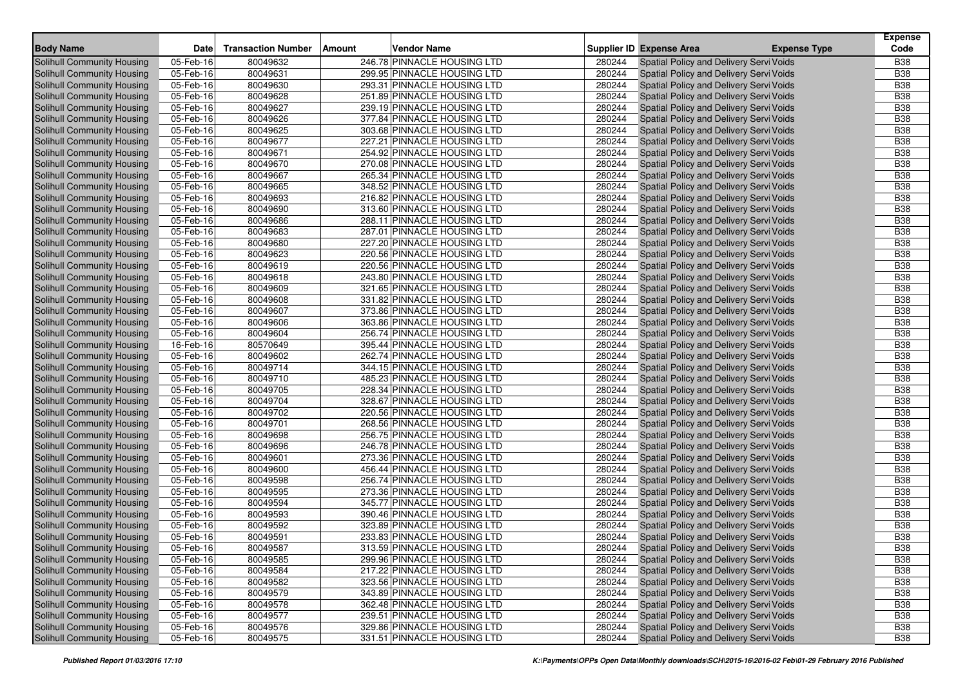| Code<br><b>Body Name</b><br><b>Transaction Number</b><br><b>Vendor Name</b><br><b>Supplier ID Expense Area</b><br><b>Expense Type</b><br><b>Date</b><br>Amount<br>246.78 PINNACLE HOUSING LTD<br>05-Feb-16<br>80049632<br>Spatial Policy and Delivery Servi Voids<br><b>B38</b><br>Solihull Community Housing<br>280244<br><b>B38</b><br>05-Feb-16<br>280244<br>Solihull Community Housing<br>80049631<br>299.95 PINNACLE HOUSING LTD<br>Spatial Policy and Delivery Servi Voids<br><b>B38</b><br>80049630<br>280244<br>Spatial Policy and Delivery Servi Voids<br>Solihull Community Housing<br>05-Feb-16<br>293.31 PINNACLE HOUSING LTD<br>05-Feb-16<br>80049628<br>251.89 PINNACLE HOUSING LTD<br>280244<br>Spatial Policy and Delivery Servi Voids<br><b>B38</b><br><b>Solihull Community Housing</b><br>Solihull Community Housing<br>05-Feb-16<br>80049627<br>239.19 PINNACLE HOUSING LTD<br>280244<br>Spatial Policy and Delivery Servi Voids<br><b>B38</b><br><b>B38</b><br>05-Feb-16<br>80049626<br>377.84 PINNACLE HOUSING LTD<br>280244<br>Spatial Policy and Delivery Servi Voids<br>Solihull Community Housing<br>05-Feb-16<br>80049625<br>303.68 PINNACLE HOUSING LTD<br>280244<br>Spatial Policy and Delivery Servi Voids<br><b>B38</b><br>Solihull Community Housing<br><b>B</b> 38<br>80049677<br>280244<br>Spatial Policy and Delivery Servi Voids<br>Solihull Community Housing<br>05-Feb-16<br>227.21 PINNACLE HOUSING LTD<br>280244<br>Solihull Community Housing<br>05-Feb-16<br>80049671<br>254.92 PINNACLE HOUSING LTD<br>Spatial Policy and Delivery Servi Voids<br><b>B38</b><br>280244<br><b>B38</b><br>Solihull Community Housing<br>05-Feb-16<br>80049670<br>270.08 PINNACLE HOUSING LTD<br>Spatial Policy and Delivery Servi Voids<br>05-Feb-16<br>80049667<br>265.34 PINNACLE HOUSING LTD<br>280244<br>Spatial Policy and Delivery Servi Voids<br><b>B38</b><br><b>Solihull Community Housing</b><br>05-Feb-16<br>80049665<br>348.52 PINNACLE HOUSING LTD<br>280244<br><b>B38</b><br>Solihull Community Housing<br>Spatial Policy and Delivery Servi Voids<br>Spatial Policy and Delivery Servi Voids<br><b>B38</b><br>Solihull Community Housing<br>05-Feb-16<br>80049693<br>216.82 PINNACLE HOUSING LTD<br>280244<br>05-Feb-16<br>80049690<br>313.60 PINNACLE HOUSING LTD<br>280244<br>Spatial Policy and Delivery Servi Voids<br><b>B38</b><br>Solihull Community Housing<br>05-Feb-16<br>288.11 PINNACLE HOUSING LTD<br>280244<br><b>B38</b><br>Solihull Community Housing<br>80049686<br>Spatial Policy and Delivery Servi Voids<br>287.01 PINNACLE HOUSING LTD<br>280244<br><b>B38</b><br>Solihull Community Housing<br>05-Feb-16<br>80049683<br>Spatial Policy and Delivery Servi Voids<br><b>B38</b><br>05-Feb-16<br>80049680<br>227.20 PINNACLE HOUSING LTD<br>280244<br>Spatial Policy and Delivery Servi Voids<br><b>Solihull Community Housing</b><br>05-Feb-16<br>80049623<br>220.56 PINNACLE HOUSING LTD<br>280244<br>Spatial Policy and Delivery Servi Voids<br><b>B38</b><br><b>Solihull Community Housing</b><br>280244<br>Spatial Policy and Delivery Servi Voids<br><b>B38</b><br>Solihull Community Housing<br>05-Feb-16<br>80049619<br>220.56 PINNACLE HOUSING LTD<br>05-Feb-16<br>80049618<br>280244<br>Spatial Policy and Delivery Servi Voids<br><b>B38</b><br><b>Solihull Community Housing</b><br>243.80 PINNACLE HOUSING LTD<br>280244<br>Spatial Policy and Delivery Servi Voids<br><b>B38</b><br>Solihull Community Housing<br>05-Feb-16<br>80049609<br>321.65 PINNACLE HOUSING LTD<br>280244<br>Spatial Policy and Delivery Servi Voids<br><b>B38</b><br>Solihull Community Housing<br>05-Feb-16<br>80049608<br>331.82 PINNACLE HOUSING LTD<br>05-Feb-16<br>80049607<br>373.86 PINNACLE HOUSING LTD<br>280244<br><b>B38</b><br>Solihull Community Housing<br>Spatial Policy and Delivery Servi Voids<br>Spatial Policy and Delivery Servi Voids<br><b>B38</b><br><b>Solihull Community Housing</b><br>05-Feb-16<br>80049606<br>363.86 PINNACLE HOUSING LTD<br>280244<br>Solihull Community Housing<br>05-Feb-16<br>80049604<br>256.74 PINNACLE HOUSING LTD<br>280244<br>Spatial Policy and Delivery Servi Voids<br><b>B38</b><br>80570649<br>395.44 PINNACLE HOUSING LTD<br>280244<br>Spatial Policy and Delivery Servi Voids<br><b>B38</b><br>Solihull Community Housing<br>16-Feb-16<br>05-Feb-16<br>280244<br>Spatial Policy and Delivery Servi Voids<br><b>B38</b><br>Solihull Community Housing<br>80049602<br>262.74 PINNACLE HOUSING LTD<br><b>B38</b><br>05-Feb-16<br>80049714<br>344.15 PINNACLE HOUSING LTD<br>280244<br>Solihull Community Housing<br>Spatial Policy and Delivery Servi Voids<br>Solihull Community Housing<br>05-Feb-16<br>80049710<br>485.23 PINNACLE HOUSING LTD<br>280244<br>Spatial Policy and Delivery Servi Voids<br><b>B38</b><br>05-Feb-16<br>80049705<br>228.34 PINNACLE HOUSING LTD<br>280244<br>Spatial Policy and Delivery Servi Voids<br><b>B38</b><br>Solihull Community Housing<br>80049704<br>280244<br><b>B38</b><br>Solihull Community Housing<br>05-Feb-16<br>328.67 PINNACLE HOUSING LTD<br>Spatial Policy and Delivery Servi Voids<br>80049702<br>280244<br>Spatial Policy and Delivery Servi Voids<br><b>B38</b><br>Solihull Community Housing<br>05-Feb-16<br>220.56 PINNACLE HOUSING LTD<br>05-Feb-16<br>80049701<br>268.56 PINNACLE HOUSING LTD<br>280244<br>Spatial Policy and Delivery Servi Voids<br><b>B38</b><br>Solihull Community Housing<br>05-Feb-16<br>80049698<br>280244<br>Spatial Policy and Delivery Servi Voids<br><b>B38</b><br>Solihull Community Housing<br>256.75 PINNACLE HOUSING LTD<br>280244<br><b>B38</b><br>Solihull Community Housing<br>05-Feb-16<br>80049696<br>246.78 PINNACLE HOUSING LTD<br>Spatial Policy and Delivery Servi Voids<br>280244<br>Spatial Policy and Delivery Servi Voids<br><b>B38</b><br>Solihull Community Housing<br>05-Feb-16<br>80049601<br>273.36 PINNACLE HOUSING LTD<br>05-Feb-16<br>80049600<br>456.44 PINNACLE HOUSING LTD<br>280244<br>Spatial Policy and Delivery Servi Voids<br><b>B38</b><br>Solihull Community Housing<br>Spatial Policy and Delivery Servi Voids<br><b>B38</b><br>Solihull Community Housing<br>05-Feb-16<br>80049598<br>256.74 PINNACLE HOUSING LTD<br>280244<br>80049595<br>273.36 PINNACLE HOUSING LTD<br>280244<br><b>B38</b><br>Solihull Community Housing<br>05-Feb-16<br>Spatial Policy and Delivery Servi Voids<br>05-Feb-16<br>345.77 PINNACLE HOUSING LTD<br>280244<br>Spatial Policy and Delivery Servi Voids<br><b>B38</b><br><b>Solihull Community Housing</b><br>80049594<br>280244<br>Spatial Policy and Delivery Servi Voids<br><b>B38</b><br>Solihull Community Housing<br>05-Feb-16<br>80049593<br>390.46 PINNACLE HOUSING LTD<br><b>B38</b><br>80049592<br>323.89 PINNACLE HOUSING LTD<br>280244<br>Spatial Policy and Delivery Servi Voids<br>Solihull Community Housing<br>05-Feb-16<br><b>Solihull Community Housing</b><br>05-Feb-16<br>80049591<br>233.83 PINNACLE HOUSING LTD<br>280244<br>Spatial Policy and Delivery Servi Voids<br><b>B38</b><br>80049587<br>280244<br>05-Feb-16<br><b>B38</b><br>Solihull Community Housing<br>313.59 PINNACLE HOUSING LTD<br>Spatial Policy and Delivery Servi Voids<br><b>B38</b><br>Solihull Community Housing<br>05-Feb-16<br>80049585<br>299.96 PINNACLE HOUSING LTD<br>280244<br>Spatial Policy and Delivery Servi Voids<br><b>Solihull Community Housing</b><br>217.22 PINNACLE HOUSING LTD<br>280244<br>Spatial Policy and Delivery Servi Voids<br>05-Feb-16<br>80049584<br><b>B38</b><br>Solihull Community Housing<br>05-Feb-16<br>323.56 PINNACLE HOUSING LTD<br>280244<br>Spatial Policy and Delivery Servi Voids<br><b>B38</b><br>80049582<br><b>Solihull Community Housing</b><br>05-Feb-16<br>80049579<br>343.89 PINNACLE HOUSING LTD<br>280244<br>Spatial Policy and Delivery Servi Voids<br><b>B38</b><br>Solihull Community Housing<br>Spatial Policy and Delivery Servi Voids<br><b>B38</b><br>05-Feb-16<br>80049578<br>362.48 PINNACLE HOUSING LTD<br>280244<br>Solihull Community Housing<br>05-Feb-16<br>80049577<br>239.51 PINNACLE HOUSING LTD<br>280244<br>Spatial Policy and Delivery Servi Voids<br><b>B38</b><br><b>Solihull Community Housing</b><br>05-Feb-16<br>80049576<br>329.86 PINNACLE HOUSING LTD<br>280244<br>Spatial Policy and Delivery Servi Voids<br><b>B38</b><br>Solihull Community Housing<br>05-Feb-16<br>331.51 PINNACLE HOUSING LTD<br>Spatial Policy and Delivery Servi Voids<br><b>B38</b><br>80049575<br>280244 |  |  |  |  | <b>Expense</b> |
|----------------------------------------------------------------------------------------------------------------------------------------------------------------------------------------------------------------------------------------------------------------------------------------------------------------------------------------------------------------------------------------------------------------------------------------------------------------------------------------------------------------------------------------------------------------------------------------------------------------------------------------------------------------------------------------------------------------------------------------------------------------------------------------------------------------------------------------------------------------------------------------------------------------------------------------------------------------------------------------------------------------------------------------------------------------------------------------------------------------------------------------------------------------------------------------------------------------------------------------------------------------------------------------------------------------------------------------------------------------------------------------------------------------------------------------------------------------------------------------------------------------------------------------------------------------------------------------------------------------------------------------------------------------------------------------------------------------------------------------------------------------------------------------------------------------------------------------------------------------------------------------------------------------------------------------------------------------------------------------------------------------------------------------------------------------------------------------------------------------------------------------------------------------------------------------------------------------------------------------------------------------------------------------------------------------------------------------------------------------------------------------------------------------------------------------------------------------------------------------------------------------------------------------------------------------------------------------------------------------------------------------------------------------------------------------------------------------------------------------------------------------------------------------------------------------------------------------------------------------------------------------------------------------------------------------------------------------------------------------------------------------------------------------------------------------------------------------------------------------------------------------------------------------------------------------------------------------------------------------------------------------------------------------------------------------------------------------------------------------------------------------------------------------------------------------------------------------------------------------------------------------------------------------------------------------------------------------------------------------------------------------------------------------------------------------------------------------------------------------------------------------------------------------------------------------------------------------------------------------------------------------------------------------------------------------------------------------------------------------------------------------------------------------------------------------------------------------------------------------------------------------------------------------------------------------------------------------------------------------------------------------------------------------------------------------------------------------------------------------------------------------------------------------------------------------------------------------------------------------------------------------------------------------------------------------------------------------------------------------------------------------------------------------------------------------------------------------------------------------------------------------------------------------------------------------------------------------------------------------------------------------------------------------------------------------------------------------------------------------------------------------------------------------------------------------------------------------------------------------------------------------------------------------------------------------------------------------------------------------------------------------------------------------------------------------------------------------------------------------------------------------------------------------------------------------------------------------------------------------------------------------------------------------------------------------------------------------------------------------------------------------------------------------------------------------------------------------------------------------------------------------------------------------------------------------------------------------------------------------------------------------------------------------------------------------------------------------------------------------------------------------------------------------------------------------------------------------------------------------------------------------------------------------------------------------------------------------------------------------------------------------------------------------------------------------------------------------------------------------------------------------------------------------------------------------------------------------------------------------------------------------------------------------------------------------------------------------------------------------------------------------------------------------------------------------------------------------------------------------------------------------------------------------------------------------------------------------------------------------------------------------------------------------------------------------------------------------------------------------------------------------------------------------------------------------------------------------------------------------------------------------------------------------------------------------------------------------------------------------------------------------------------------------------------------------------------------------------------------------------------------------------------------------------------------------------------------------------------------------------------------------------------------------------------------------------------------------------------------------------------------------------------------------------------------------------------------------------------------------------------------------------------------------------------------------------------------------------------------------------------------------------------------------------------------------------------------------------------------------------------------------------------------------------------------------------------------------------------------------------------------------------------------------------------------------------------------------------------------------------------------------------------------------------------------------------------------------------------------------------------------------------------------------------------------------------------------------------------------------------------------------------------------|--|--|--|--|----------------|
|                                                                                                                                                                                                                                                                                                                                                                                                                                                                                                                                                                                                                                                                                                                                                                                                                                                                                                                                                                                                                                                                                                                                                                                                                                                                                                                                                                                                                                                                                                                                                                                                                                                                                                                                                                                                                                                                                                                                                                                                                                                                                                                                                                                                                                                                                                                                                                                                                                                                                                                                                                                                                                                                                                                                                                                                                                                                                                                                                                                                                                                                                                                                                                                                                                                                                                                                                                                                                                                                                                                                                                                                                                                                                                                                                                                                                                                                                                                                                                                                                                                                                                                                                                                                                                                                                                                                                                                                                                                                                                                                                                                                                                                                                                                                                                                                                                                                                                                                                                                                                                                                                                                                                                                                                                                                                                                                                                                                                                                                                                                                                                                                                                                                                                                                                                                                                                                                                                                                                                                                                                                                                                                                                                                                                                                                                                                                                                                                                                                                                                                                                                                                                                                                                                                                                                                                                                                                                                                                                                                                                                                                                                                                                                                                                                                                                                                                                                                                                                                                                                                                                                                                                                                                                                                                                                                                                                                                                                                                                                                                                                                                                                                                                                                                                                                                                                                                                                                                                                                                                                                                  |  |  |  |  |                |
|                                                                                                                                                                                                                                                                                                                                                                                                                                                                                                                                                                                                                                                                                                                                                                                                                                                                                                                                                                                                                                                                                                                                                                                                                                                                                                                                                                                                                                                                                                                                                                                                                                                                                                                                                                                                                                                                                                                                                                                                                                                                                                                                                                                                                                                                                                                                                                                                                                                                                                                                                                                                                                                                                                                                                                                                                                                                                                                                                                                                                                                                                                                                                                                                                                                                                                                                                                                                                                                                                                                                                                                                                                                                                                                                                                                                                                                                                                                                                                                                                                                                                                                                                                                                                                                                                                                                                                                                                                                                                                                                                                                                                                                                                                                                                                                                                                                                                                                                                                                                                                                                                                                                                                                                                                                                                                                                                                                                                                                                                                                                                                                                                                                                                                                                                                                                                                                                                                                                                                                                                                                                                                                                                                                                                                                                                                                                                                                                                                                                                                                                                                                                                                                                                                                                                                                                                                                                                                                                                                                                                                                                                                                                                                                                                                                                                                                                                                                                                                                                                                                                                                                                                                                                                                                                                                                                                                                                                                                                                                                                                                                                                                                                                                                                                                                                                                                                                                                                                                                                                                                                  |  |  |  |  |                |
|                                                                                                                                                                                                                                                                                                                                                                                                                                                                                                                                                                                                                                                                                                                                                                                                                                                                                                                                                                                                                                                                                                                                                                                                                                                                                                                                                                                                                                                                                                                                                                                                                                                                                                                                                                                                                                                                                                                                                                                                                                                                                                                                                                                                                                                                                                                                                                                                                                                                                                                                                                                                                                                                                                                                                                                                                                                                                                                                                                                                                                                                                                                                                                                                                                                                                                                                                                                                                                                                                                                                                                                                                                                                                                                                                                                                                                                                                                                                                                                                                                                                                                                                                                                                                                                                                                                                                                                                                                                                                                                                                                                                                                                                                                                                                                                                                                                                                                                                                                                                                                                                                                                                                                                                                                                                                                                                                                                                                                                                                                                                                                                                                                                                                                                                                                                                                                                                                                                                                                                                                                                                                                                                                                                                                                                                                                                                                                                                                                                                                                                                                                                                                                                                                                                                                                                                                                                                                                                                                                                                                                                                                                                                                                                                                                                                                                                                                                                                                                                                                                                                                                                                                                                                                                                                                                                                                                                                                                                                                                                                                                                                                                                                                                                                                                                                                                                                                                                                                                                                                                                                  |  |  |  |  |                |
|                                                                                                                                                                                                                                                                                                                                                                                                                                                                                                                                                                                                                                                                                                                                                                                                                                                                                                                                                                                                                                                                                                                                                                                                                                                                                                                                                                                                                                                                                                                                                                                                                                                                                                                                                                                                                                                                                                                                                                                                                                                                                                                                                                                                                                                                                                                                                                                                                                                                                                                                                                                                                                                                                                                                                                                                                                                                                                                                                                                                                                                                                                                                                                                                                                                                                                                                                                                                                                                                                                                                                                                                                                                                                                                                                                                                                                                                                                                                                                                                                                                                                                                                                                                                                                                                                                                                                                                                                                                                                                                                                                                                                                                                                                                                                                                                                                                                                                                                                                                                                                                                                                                                                                                                                                                                                                                                                                                                                                                                                                                                                                                                                                                                                                                                                                                                                                                                                                                                                                                                                                                                                                                                                                                                                                                                                                                                                                                                                                                                                                                                                                                                                                                                                                                                                                                                                                                                                                                                                                                                                                                                                                                                                                                                                                                                                                                                                                                                                                                                                                                                                                                                                                                                                                                                                                                                                                                                                                                                                                                                                                                                                                                                                                                                                                                                                                                                                                                                                                                                                                                                  |  |  |  |  |                |
|                                                                                                                                                                                                                                                                                                                                                                                                                                                                                                                                                                                                                                                                                                                                                                                                                                                                                                                                                                                                                                                                                                                                                                                                                                                                                                                                                                                                                                                                                                                                                                                                                                                                                                                                                                                                                                                                                                                                                                                                                                                                                                                                                                                                                                                                                                                                                                                                                                                                                                                                                                                                                                                                                                                                                                                                                                                                                                                                                                                                                                                                                                                                                                                                                                                                                                                                                                                                                                                                                                                                                                                                                                                                                                                                                                                                                                                                                                                                                                                                                                                                                                                                                                                                                                                                                                                                                                                                                                                                                                                                                                                                                                                                                                                                                                                                                                                                                                                                                                                                                                                                                                                                                                                                                                                                                                                                                                                                                                                                                                                                                                                                                                                                                                                                                                                                                                                                                                                                                                                                                                                                                                                                                                                                                                                                                                                                                                                                                                                                                                                                                                                                                                                                                                                                                                                                                                                                                                                                                                                                                                                                                                                                                                                                                                                                                                                                                                                                                                                                                                                                                                                                                                                                                                                                                                                                                                                                                                                                                                                                                                                                                                                                                                                                                                                                                                                                                                                                                                                                                                                                  |  |  |  |  |                |
|                                                                                                                                                                                                                                                                                                                                                                                                                                                                                                                                                                                                                                                                                                                                                                                                                                                                                                                                                                                                                                                                                                                                                                                                                                                                                                                                                                                                                                                                                                                                                                                                                                                                                                                                                                                                                                                                                                                                                                                                                                                                                                                                                                                                                                                                                                                                                                                                                                                                                                                                                                                                                                                                                                                                                                                                                                                                                                                                                                                                                                                                                                                                                                                                                                                                                                                                                                                                                                                                                                                                                                                                                                                                                                                                                                                                                                                                                                                                                                                                                                                                                                                                                                                                                                                                                                                                                                                                                                                                                                                                                                                                                                                                                                                                                                                                                                                                                                                                                                                                                                                                                                                                                                                                                                                                                                                                                                                                                                                                                                                                                                                                                                                                                                                                                                                                                                                                                                                                                                                                                                                                                                                                                                                                                                                                                                                                                                                                                                                                                                                                                                                                                                                                                                                                                                                                                                                                                                                                                                                                                                                                                                                                                                                                                                                                                                                                                                                                                                                                                                                                                                                                                                                                                                                                                                                                                                                                                                                                                                                                                                                                                                                                                                                                                                                                                                                                                                                                                                                                                                                                  |  |  |  |  |                |
|                                                                                                                                                                                                                                                                                                                                                                                                                                                                                                                                                                                                                                                                                                                                                                                                                                                                                                                                                                                                                                                                                                                                                                                                                                                                                                                                                                                                                                                                                                                                                                                                                                                                                                                                                                                                                                                                                                                                                                                                                                                                                                                                                                                                                                                                                                                                                                                                                                                                                                                                                                                                                                                                                                                                                                                                                                                                                                                                                                                                                                                                                                                                                                                                                                                                                                                                                                                                                                                                                                                                                                                                                                                                                                                                                                                                                                                                                                                                                                                                                                                                                                                                                                                                                                                                                                                                                                                                                                                                                                                                                                                                                                                                                                                                                                                                                                                                                                                                                                                                                                                                                                                                                                                                                                                                                                                                                                                                                                                                                                                                                                                                                                                                                                                                                                                                                                                                                                                                                                                                                                                                                                                                                                                                                                                                                                                                                                                                                                                                                                                                                                                                                                                                                                                                                                                                                                                                                                                                                                                                                                                                                                                                                                                                                                                                                                                                                                                                                                                                                                                                                                                                                                                                                                                                                                                                                                                                                                                                                                                                                                                                                                                                                                                                                                                                                                                                                                                                                                                                                                                                  |  |  |  |  |                |
|                                                                                                                                                                                                                                                                                                                                                                                                                                                                                                                                                                                                                                                                                                                                                                                                                                                                                                                                                                                                                                                                                                                                                                                                                                                                                                                                                                                                                                                                                                                                                                                                                                                                                                                                                                                                                                                                                                                                                                                                                                                                                                                                                                                                                                                                                                                                                                                                                                                                                                                                                                                                                                                                                                                                                                                                                                                                                                                                                                                                                                                                                                                                                                                                                                                                                                                                                                                                                                                                                                                                                                                                                                                                                                                                                                                                                                                                                                                                                                                                                                                                                                                                                                                                                                                                                                                                                                                                                                                                                                                                                                                                                                                                                                                                                                                                                                                                                                                                                                                                                                                                                                                                                                                                                                                                                                                                                                                                                                                                                                                                                                                                                                                                                                                                                                                                                                                                                                                                                                                                                                                                                                                                                                                                                                                                                                                                                                                                                                                                                                                                                                                                                                                                                                                                                                                                                                                                                                                                                                                                                                                                                                                                                                                                                                                                                                                                                                                                                                                                                                                                                                                                                                                                                                                                                                                                                                                                                                                                                                                                                                                                                                                                                                                                                                                                                                                                                                                                                                                                                                                                  |  |  |  |  |                |
|                                                                                                                                                                                                                                                                                                                                                                                                                                                                                                                                                                                                                                                                                                                                                                                                                                                                                                                                                                                                                                                                                                                                                                                                                                                                                                                                                                                                                                                                                                                                                                                                                                                                                                                                                                                                                                                                                                                                                                                                                                                                                                                                                                                                                                                                                                                                                                                                                                                                                                                                                                                                                                                                                                                                                                                                                                                                                                                                                                                                                                                                                                                                                                                                                                                                                                                                                                                                                                                                                                                                                                                                                                                                                                                                                                                                                                                                                                                                                                                                                                                                                                                                                                                                                                                                                                                                                                                                                                                                                                                                                                                                                                                                                                                                                                                                                                                                                                                                                                                                                                                                                                                                                                                                                                                                                                                                                                                                                                                                                                                                                                                                                                                                                                                                                                                                                                                                                                                                                                                                                                                                                                                                                                                                                                                                                                                                                                                                                                                                                                                                                                                                                                                                                                                                                                                                                                                                                                                                                                                                                                                                                                                                                                                                                                                                                                                                                                                                                                                                                                                                                                                                                                                                                                                                                                                                                                                                                                                                                                                                                                                                                                                                                                                                                                                                                                                                                                                                                                                                                                                                  |  |  |  |  |                |
|                                                                                                                                                                                                                                                                                                                                                                                                                                                                                                                                                                                                                                                                                                                                                                                                                                                                                                                                                                                                                                                                                                                                                                                                                                                                                                                                                                                                                                                                                                                                                                                                                                                                                                                                                                                                                                                                                                                                                                                                                                                                                                                                                                                                                                                                                                                                                                                                                                                                                                                                                                                                                                                                                                                                                                                                                                                                                                                                                                                                                                                                                                                                                                                                                                                                                                                                                                                                                                                                                                                                                                                                                                                                                                                                                                                                                                                                                                                                                                                                                                                                                                                                                                                                                                                                                                                                                                                                                                                                                                                                                                                                                                                                                                                                                                                                                                                                                                                                                                                                                                                                                                                                                                                                                                                                                                                                                                                                                                                                                                                                                                                                                                                                                                                                                                                                                                                                                                                                                                                                                                                                                                                                                                                                                                                                                                                                                                                                                                                                                                                                                                                                                                                                                                                                                                                                                                                                                                                                                                                                                                                                                                                                                                                                                                                                                                                                                                                                                                                                                                                                                                                                                                                                                                                                                                                                                                                                                                                                                                                                                                                                                                                                                                                                                                                                                                                                                                                                                                                                                                                                  |  |  |  |  |                |
|                                                                                                                                                                                                                                                                                                                                                                                                                                                                                                                                                                                                                                                                                                                                                                                                                                                                                                                                                                                                                                                                                                                                                                                                                                                                                                                                                                                                                                                                                                                                                                                                                                                                                                                                                                                                                                                                                                                                                                                                                                                                                                                                                                                                                                                                                                                                                                                                                                                                                                                                                                                                                                                                                                                                                                                                                                                                                                                                                                                                                                                                                                                                                                                                                                                                                                                                                                                                                                                                                                                                                                                                                                                                                                                                                                                                                                                                                                                                                                                                                                                                                                                                                                                                                                                                                                                                                                                                                                                                                                                                                                                                                                                                                                                                                                                                                                                                                                                                                                                                                                                                                                                                                                                                                                                                                                                                                                                                                                                                                                                                                                                                                                                                                                                                                                                                                                                                                                                                                                                                                                                                                                                                                                                                                                                                                                                                                                                                                                                                                                                                                                                                                                                                                                                                                                                                                                                                                                                                                                                                                                                                                                                                                                                                                                                                                                                                                                                                                                                                                                                                                                                                                                                                                                                                                                                                                                                                                                                                                                                                                                                                                                                                                                                                                                                                                                                                                                                                                                                                                                                                  |  |  |  |  |                |
|                                                                                                                                                                                                                                                                                                                                                                                                                                                                                                                                                                                                                                                                                                                                                                                                                                                                                                                                                                                                                                                                                                                                                                                                                                                                                                                                                                                                                                                                                                                                                                                                                                                                                                                                                                                                                                                                                                                                                                                                                                                                                                                                                                                                                                                                                                                                                                                                                                                                                                                                                                                                                                                                                                                                                                                                                                                                                                                                                                                                                                                                                                                                                                                                                                                                                                                                                                                                                                                                                                                                                                                                                                                                                                                                                                                                                                                                                                                                                                                                                                                                                                                                                                                                                                                                                                                                                                                                                                                                                                                                                                                                                                                                                                                                                                                                                                                                                                                                                                                                                                                                                                                                                                                                                                                                                                                                                                                                                                                                                                                                                                                                                                                                                                                                                                                                                                                                                                                                                                                                                                                                                                                                                                                                                                                                                                                                                                                                                                                                                                                                                                                                                                                                                                                                                                                                                                                                                                                                                                                                                                                                                                                                                                                                                                                                                                                                                                                                                                                                                                                                                                                                                                                                                                                                                                                                                                                                                                                                                                                                                                                                                                                                                                                                                                                                                                                                                                                                                                                                                                                                  |  |  |  |  |                |
|                                                                                                                                                                                                                                                                                                                                                                                                                                                                                                                                                                                                                                                                                                                                                                                                                                                                                                                                                                                                                                                                                                                                                                                                                                                                                                                                                                                                                                                                                                                                                                                                                                                                                                                                                                                                                                                                                                                                                                                                                                                                                                                                                                                                                                                                                                                                                                                                                                                                                                                                                                                                                                                                                                                                                                                                                                                                                                                                                                                                                                                                                                                                                                                                                                                                                                                                                                                                                                                                                                                                                                                                                                                                                                                                                                                                                                                                                                                                                                                                                                                                                                                                                                                                                                                                                                                                                                                                                                                                                                                                                                                                                                                                                                                                                                                                                                                                                                                                                                                                                                                                                                                                                                                                                                                                                                                                                                                                                                                                                                                                                                                                                                                                                                                                                                                                                                                                                                                                                                                                                                                                                                                                                                                                                                                                                                                                                                                                                                                                                                                                                                                                                                                                                                                                                                                                                                                                                                                                                                                                                                                                                                                                                                                                                                                                                                                                                                                                                                                                                                                                                                                                                                                                                                                                                                                                                                                                                                                                                                                                                                                                                                                                                                                                                                                                                                                                                                                                                                                                                                                                  |  |  |  |  |                |
|                                                                                                                                                                                                                                                                                                                                                                                                                                                                                                                                                                                                                                                                                                                                                                                                                                                                                                                                                                                                                                                                                                                                                                                                                                                                                                                                                                                                                                                                                                                                                                                                                                                                                                                                                                                                                                                                                                                                                                                                                                                                                                                                                                                                                                                                                                                                                                                                                                                                                                                                                                                                                                                                                                                                                                                                                                                                                                                                                                                                                                                                                                                                                                                                                                                                                                                                                                                                                                                                                                                                                                                                                                                                                                                                                                                                                                                                                                                                                                                                                                                                                                                                                                                                                                                                                                                                                                                                                                                                                                                                                                                                                                                                                                                                                                                                                                                                                                                                                                                                                                                                                                                                                                                                                                                                                                                                                                                                                                                                                                                                                                                                                                                                                                                                                                                                                                                                                                                                                                                                                                                                                                                                                                                                                                                                                                                                                                                                                                                                                                                                                                                                                                                                                                                                                                                                                                                                                                                                                                                                                                                                                                                                                                                                                                                                                                                                                                                                                                                                                                                                                                                                                                                                                                                                                                                                                                                                                                                                                                                                                                                                                                                                                                                                                                                                                                                                                                                                                                                                                                                                  |  |  |  |  |                |
|                                                                                                                                                                                                                                                                                                                                                                                                                                                                                                                                                                                                                                                                                                                                                                                                                                                                                                                                                                                                                                                                                                                                                                                                                                                                                                                                                                                                                                                                                                                                                                                                                                                                                                                                                                                                                                                                                                                                                                                                                                                                                                                                                                                                                                                                                                                                                                                                                                                                                                                                                                                                                                                                                                                                                                                                                                                                                                                                                                                                                                                                                                                                                                                                                                                                                                                                                                                                                                                                                                                                                                                                                                                                                                                                                                                                                                                                                                                                                                                                                                                                                                                                                                                                                                                                                                                                                                                                                                                                                                                                                                                                                                                                                                                                                                                                                                                                                                                                                                                                                                                                                                                                                                                                                                                                                                                                                                                                                                                                                                                                                                                                                                                                                                                                                                                                                                                                                                                                                                                                                                                                                                                                                                                                                                                                                                                                                                                                                                                                                                                                                                                                                                                                                                                                                                                                                                                                                                                                                                                                                                                                                                                                                                                                                                                                                                                                                                                                                                                                                                                                                                                                                                                                                                                                                                                                                                                                                                                                                                                                                                                                                                                                                                                                                                                                                                                                                                                                                                                                                                                                  |  |  |  |  |                |
|                                                                                                                                                                                                                                                                                                                                                                                                                                                                                                                                                                                                                                                                                                                                                                                                                                                                                                                                                                                                                                                                                                                                                                                                                                                                                                                                                                                                                                                                                                                                                                                                                                                                                                                                                                                                                                                                                                                                                                                                                                                                                                                                                                                                                                                                                                                                                                                                                                                                                                                                                                                                                                                                                                                                                                                                                                                                                                                                                                                                                                                                                                                                                                                                                                                                                                                                                                                                                                                                                                                                                                                                                                                                                                                                                                                                                                                                                                                                                                                                                                                                                                                                                                                                                                                                                                                                                                                                                                                                                                                                                                                                                                                                                                                                                                                                                                                                                                                                                                                                                                                                                                                                                                                                                                                                                                                                                                                                                                                                                                                                                                                                                                                                                                                                                                                                                                                                                                                                                                                                                                                                                                                                                                                                                                                                                                                                                                                                                                                                                                                                                                                                                                                                                                                                                                                                                                                                                                                                                                                                                                                                                                                                                                                                                                                                                                                                                                                                                                                                                                                                                                                                                                                                                                                                                                                                                                                                                                                                                                                                                                                                                                                                                                                                                                                                                                                                                                                                                                                                                                                                  |  |  |  |  |                |
|                                                                                                                                                                                                                                                                                                                                                                                                                                                                                                                                                                                                                                                                                                                                                                                                                                                                                                                                                                                                                                                                                                                                                                                                                                                                                                                                                                                                                                                                                                                                                                                                                                                                                                                                                                                                                                                                                                                                                                                                                                                                                                                                                                                                                                                                                                                                                                                                                                                                                                                                                                                                                                                                                                                                                                                                                                                                                                                                                                                                                                                                                                                                                                                                                                                                                                                                                                                                                                                                                                                                                                                                                                                                                                                                                                                                                                                                                                                                                                                                                                                                                                                                                                                                                                                                                                                                                                                                                                                                                                                                                                                                                                                                                                                                                                                                                                                                                                                                                                                                                                                                                                                                                                                                                                                                                                                                                                                                                                                                                                                                                                                                                                                                                                                                                                                                                                                                                                                                                                                                                                                                                                                                                                                                                                                                                                                                                                                                                                                                                                                                                                                                                                                                                                                                                                                                                                                                                                                                                                                                                                                                                                                                                                                                                                                                                                                                                                                                                                                                                                                                                                                                                                                                                                                                                                                                                                                                                                                                                                                                                                                                                                                                                                                                                                                                                                                                                                                                                                                                                                                                  |  |  |  |  |                |
|                                                                                                                                                                                                                                                                                                                                                                                                                                                                                                                                                                                                                                                                                                                                                                                                                                                                                                                                                                                                                                                                                                                                                                                                                                                                                                                                                                                                                                                                                                                                                                                                                                                                                                                                                                                                                                                                                                                                                                                                                                                                                                                                                                                                                                                                                                                                                                                                                                                                                                                                                                                                                                                                                                                                                                                                                                                                                                                                                                                                                                                                                                                                                                                                                                                                                                                                                                                                                                                                                                                                                                                                                                                                                                                                                                                                                                                                                                                                                                                                                                                                                                                                                                                                                                                                                                                                                                                                                                                                                                                                                                                                                                                                                                                                                                                                                                                                                                                                                                                                                                                                                                                                                                                                                                                                                                                                                                                                                                                                                                                                                                                                                                                                                                                                                                                                                                                                                                                                                                                                                                                                                                                                                                                                                                                                                                                                                                                                                                                                                                                                                                                                                                                                                                                                                                                                                                                                                                                                                                                                                                                                                                                                                                                                                                                                                                                                                                                                                                                                                                                                                                                                                                                                                                                                                                                                                                                                                                                                                                                                                                                                                                                                                                                                                                                                                                                                                                                                                                                                                                                                  |  |  |  |  |                |
|                                                                                                                                                                                                                                                                                                                                                                                                                                                                                                                                                                                                                                                                                                                                                                                                                                                                                                                                                                                                                                                                                                                                                                                                                                                                                                                                                                                                                                                                                                                                                                                                                                                                                                                                                                                                                                                                                                                                                                                                                                                                                                                                                                                                                                                                                                                                                                                                                                                                                                                                                                                                                                                                                                                                                                                                                                                                                                                                                                                                                                                                                                                                                                                                                                                                                                                                                                                                                                                                                                                                                                                                                                                                                                                                                                                                                                                                                                                                                                                                                                                                                                                                                                                                                                                                                                                                                                                                                                                                                                                                                                                                                                                                                                                                                                                                                                                                                                                                                                                                                                                                                                                                                                                                                                                                                                                                                                                                                                                                                                                                                                                                                                                                                                                                                                                                                                                                                                                                                                                                                                                                                                                                                                                                                                                                                                                                                                                                                                                                                                                                                                                                                                                                                                                                                                                                                                                                                                                                                                                                                                                                                                                                                                                                                                                                                                                                                                                                                                                                                                                                                                                                                                                                                                                                                                                                                                                                                                                                                                                                                                                                                                                                                                                                                                                                                                                                                                                                                                                                                                                                  |  |  |  |  |                |
|                                                                                                                                                                                                                                                                                                                                                                                                                                                                                                                                                                                                                                                                                                                                                                                                                                                                                                                                                                                                                                                                                                                                                                                                                                                                                                                                                                                                                                                                                                                                                                                                                                                                                                                                                                                                                                                                                                                                                                                                                                                                                                                                                                                                                                                                                                                                                                                                                                                                                                                                                                                                                                                                                                                                                                                                                                                                                                                                                                                                                                                                                                                                                                                                                                                                                                                                                                                                                                                                                                                                                                                                                                                                                                                                                                                                                                                                                                                                                                                                                                                                                                                                                                                                                                                                                                                                                                                                                                                                                                                                                                                                                                                                                                                                                                                                                                                                                                                                                                                                                                                                                                                                                                                                                                                                                                                                                                                                                                                                                                                                                                                                                                                                                                                                                                                                                                                                                                                                                                                                                                                                                                                                                                                                                                                                                                                                                                                                                                                                                                                                                                                                                                                                                                                                                                                                                                                                                                                                                                                                                                                                                                                                                                                                                                                                                                                                                                                                                                                                                                                                                                                                                                                                                                                                                                                                                                                                                                                                                                                                                                                                                                                                                                                                                                                                                                                                                                                                                                                                                                                                  |  |  |  |  |                |
|                                                                                                                                                                                                                                                                                                                                                                                                                                                                                                                                                                                                                                                                                                                                                                                                                                                                                                                                                                                                                                                                                                                                                                                                                                                                                                                                                                                                                                                                                                                                                                                                                                                                                                                                                                                                                                                                                                                                                                                                                                                                                                                                                                                                                                                                                                                                                                                                                                                                                                                                                                                                                                                                                                                                                                                                                                                                                                                                                                                                                                                                                                                                                                                                                                                                                                                                                                                                                                                                                                                                                                                                                                                                                                                                                                                                                                                                                                                                                                                                                                                                                                                                                                                                                                                                                                                                                                                                                                                                                                                                                                                                                                                                                                                                                                                                                                                                                                                                                                                                                                                                                                                                                                                                                                                                                                                                                                                                                                                                                                                                                                                                                                                                                                                                                                                                                                                                                                                                                                                                                                                                                                                                                                                                                                                                                                                                                                                                                                                                                                                                                                                                                                                                                                                                                                                                                                                                                                                                                                                                                                                                                                                                                                                                                                                                                                                                                                                                                                                                                                                                                                                                                                                                                                                                                                                                                                                                                                                                                                                                                                                                                                                                                                                                                                                                                                                                                                                                                                                                                                                                  |  |  |  |  |                |
|                                                                                                                                                                                                                                                                                                                                                                                                                                                                                                                                                                                                                                                                                                                                                                                                                                                                                                                                                                                                                                                                                                                                                                                                                                                                                                                                                                                                                                                                                                                                                                                                                                                                                                                                                                                                                                                                                                                                                                                                                                                                                                                                                                                                                                                                                                                                                                                                                                                                                                                                                                                                                                                                                                                                                                                                                                                                                                                                                                                                                                                                                                                                                                                                                                                                                                                                                                                                                                                                                                                                                                                                                                                                                                                                                                                                                                                                                                                                                                                                                                                                                                                                                                                                                                                                                                                                                                                                                                                                                                                                                                                                                                                                                                                                                                                                                                                                                                                                                                                                                                                                                                                                                                                                                                                                                                                                                                                                                                                                                                                                                                                                                                                                                                                                                                                                                                                                                                                                                                                                                                                                                                                                                                                                                                                                                                                                                                                                                                                                                                                                                                                                                                                                                                                                                                                                                                                                                                                                                                                                                                                                                                                                                                                                                                                                                                                                                                                                                                                                                                                                                                                                                                                                                                                                                                                                                                                                                                                                                                                                                                                                                                                                                                                                                                                                                                                                                                                                                                                                                                                                  |  |  |  |  |                |
|                                                                                                                                                                                                                                                                                                                                                                                                                                                                                                                                                                                                                                                                                                                                                                                                                                                                                                                                                                                                                                                                                                                                                                                                                                                                                                                                                                                                                                                                                                                                                                                                                                                                                                                                                                                                                                                                                                                                                                                                                                                                                                                                                                                                                                                                                                                                                                                                                                                                                                                                                                                                                                                                                                                                                                                                                                                                                                                                                                                                                                                                                                                                                                                                                                                                                                                                                                                                                                                                                                                                                                                                                                                                                                                                                                                                                                                                                                                                                                                                                                                                                                                                                                                                                                                                                                                                                                                                                                                                                                                                                                                                                                                                                                                                                                                                                                                                                                                                                                                                                                                                                                                                                                                                                                                                                                                                                                                                                                                                                                                                                                                                                                                                                                                                                                                                                                                                                                                                                                                                                                                                                                                                                                                                                                                                                                                                                                                                                                                                                                                                                                                                                                                                                                                                                                                                                                                                                                                                                                                                                                                                                                                                                                                                                                                                                                                                                                                                                                                                                                                                                                                                                                                                                                                                                                                                                                                                                                                                                                                                                                                                                                                                                                                                                                                                                                                                                                                                                                                                                                                                  |  |  |  |  |                |
|                                                                                                                                                                                                                                                                                                                                                                                                                                                                                                                                                                                                                                                                                                                                                                                                                                                                                                                                                                                                                                                                                                                                                                                                                                                                                                                                                                                                                                                                                                                                                                                                                                                                                                                                                                                                                                                                                                                                                                                                                                                                                                                                                                                                                                                                                                                                                                                                                                                                                                                                                                                                                                                                                                                                                                                                                                                                                                                                                                                                                                                                                                                                                                                                                                                                                                                                                                                                                                                                                                                                                                                                                                                                                                                                                                                                                                                                                                                                                                                                                                                                                                                                                                                                                                                                                                                                                                                                                                                                                                                                                                                                                                                                                                                                                                                                                                                                                                                                                                                                                                                                                                                                                                                                                                                                                                                                                                                                                                                                                                                                                                                                                                                                                                                                                                                                                                                                                                                                                                                                                                                                                                                                                                                                                                                                                                                                                                                                                                                                                                                                                                                                                                                                                                                                                                                                                                                                                                                                                                                                                                                                                                                                                                                                                                                                                                                                                                                                                                                                                                                                                                                                                                                                                                                                                                                                                                                                                                                                                                                                                                                                                                                                                                                                                                                                                                                                                                                                                                                                                                                                  |  |  |  |  |                |
|                                                                                                                                                                                                                                                                                                                                                                                                                                                                                                                                                                                                                                                                                                                                                                                                                                                                                                                                                                                                                                                                                                                                                                                                                                                                                                                                                                                                                                                                                                                                                                                                                                                                                                                                                                                                                                                                                                                                                                                                                                                                                                                                                                                                                                                                                                                                                                                                                                                                                                                                                                                                                                                                                                                                                                                                                                                                                                                                                                                                                                                                                                                                                                                                                                                                                                                                                                                                                                                                                                                                                                                                                                                                                                                                                                                                                                                                                                                                                                                                                                                                                                                                                                                                                                                                                                                                                                                                                                                                                                                                                                                                                                                                                                                                                                                                                                                                                                                                                                                                                                                                                                                                                                                                                                                                                                                                                                                                                                                                                                                                                                                                                                                                                                                                                                                                                                                                                                                                                                                                                                                                                                                                                                                                                                                                                                                                                                                                                                                                                                                                                                                                                                                                                                                                                                                                                                                                                                                                                                                                                                                                                                                                                                                                                                                                                                                                                                                                                                                                                                                                                                                                                                                                                                                                                                                                                                                                                                                                                                                                                                                                                                                                                                                                                                                                                                                                                                                                                                                                                                                                  |  |  |  |  |                |
|                                                                                                                                                                                                                                                                                                                                                                                                                                                                                                                                                                                                                                                                                                                                                                                                                                                                                                                                                                                                                                                                                                                                                                                                                                                                                                                                                                                                                                                                                                                                                                                                                                                                                                                                                                                                                                                                                                                                                                                                                                                                                                                                                                                                                                                                                                                                                                                                                                                                                                                                                                                                                                                                                                                                                                                                                                                                                                                                                                                                                                                                                                                                                                                                                                                                                                                                                                                                                                                                                                                                                                                                                                                                                                                                                                                                                                                                                                                                                                                                                                                                                                                                                                                                                                                                                                                                                                                                                                                                                                                                                                                                                                                                                                                                                                                                                                                                                                                                                                                                                                                                                                                                                                                                                                                                                                                                                                                                                                                                                                                                                                                                                                                                                                                                                                                                                                                                                                                                                                                                                                                                                                                                                                                                                                                                                                                                                                                                                                                                                                                                                                                                                                                                                                                                                                                                                                                                                                                                                                                                                                                                                                                                                                                                                                                                                                                                                                                                                                                                                                                                                                                                                                                                                                                                                                                                                                                                                                                                                                                                                                                                                                                                                                                                                                                                                                                                                                                                                                                                                                                                  |  |  |  |  |                |
|                                                                                                                                                                                                                                                                                                                                                                                                                                                                                                                                                                                                                                                                                                                                                                                                                                                                                                                                                                                                                                                                                                                                                                                                                                                                                                                                                                                                                                                                                                                                                                                                                                                                                                                                                                                                                                                                                                                                                                                                                                                                                                                                                                                                                                                                                                                                                                                                                                                                                                                                                                                                                                                                                                                                                                                                                                                                                                                                                                                                                                                                                                                                                                                                                                                                                                                                                                                                                                                                                                                                                                                                                                                                                                                                                                                                                                                                                                                                                                                                                                                                                                                                                                                                                                                                                                                                                                                                                                                                                                                                                                                                                                                                                                                                                                                                                                                                                                                                                                                                                                                                                                                                                                                                                                                                                                                                                                                                                                                                                                                                                                                                                                                                                                                                                                                                                                                                                                                                                                                                                                                                                                                                                                                                                                                                                                                                                                                                                                                                                                                                                                                                                                                                                                                                                                                                                                                                                                                                                                                                                                                                                                                                                                                                                                                                                                                                                                                                                                                                                                                                                                                                                                                                                                                                                                                                                                                                                                                                                                                                                                                                                                                                                                                                                                                                                                                                                                                                                                                                                                                                  |  |  |  |  |                |
|                                                                                                                                                                                                                                                                                                                                                                                                                                                                                                                                                                                                                                                                                                                                                                                                                                                                                                                                                                                                                                                                                                                                                                                                                                                                                                                                                                                                                                                                                                                                                                                                                                                                                                                                                                                                                                                                                                                                                                                                                                                                                                                                                                                                                                                                                                                                                                                                                                                                                                                                                                                                                                                                                                                                                                                                                                                                                                                                                                                                                                                                                                                                                                                                                                                                                                                                                                                                                                                                                                                                                                                                                                                                                                                                                                                                                                                                                                                                                                                                                                                                                                                                                                                                                                                                                                                                                                                                                                                                                                                                                                                                                                                                                                                                                                                                                                                                                                                                                                                                                                                                                                                                                                                                                                                                                                                                                                                                                                                                                                                                                                                                                                                                                                                                                                                                                                                                                                                                                                                                                                                                                                                                                                                                                                                                                                                                                                                                                                                                                                                                                                                                                                                                                                                                                                                                                                                                                                                                                                                                                                                                                                                                                                                                                                                                                                                                                                                                                                                                                                                                                                                                                                                                                                                                                                                                                                                                                                                                                                                                                                                                                                                                                                                                                                                                                                                                                                                                                                                                                                                                  |  |  |  |  |                |
|                                                                                                                                                                                                                                                                                                                                                                                                                                                                                                                                                                                                                                                                                                                                                                                                                                                                                                                                                                                                                                                                                                                                                                                                                                                                                                                                                                                                                                                                                                                                                                                                                                                                                                                                                                                                                                                                                                                                                                                                                                                                                                                                                                                                                                                                                                                                                                                                                                                                                                                                                                                                                                                                                                                                                                                                                                                                                                                                                                                                                                                                                                                                                                                                                                                                                                                                                                                                                                                                                                                                                                                                                                                                                                                                                                                                                                                                                                                                                                                                                                                                                                                                                                                                                                                                                                                                                                                                                                                                                                                                                                                                                                                                                                                                                                                                                                                                                                                                                                                                                                                                                                                                                                                                                                                                                                                                                                                                                                                                                                                                                                                                                                                                                                                                                                                                                                                                                                                                                                                                                                                                                                                                                                                                                                                                                                                                                                                                                                                                                                                                                                                                                                                                                                                                                                                                                                                                                                                                                                                                                                                                                                                                                                                                                                                                                                                                                                                                                                                                                                                                                                                                                                                                                                                                                                                                                                                                                                                                                                                                                                                                                                                                                                                                                                                                                                                                                                                                                                                                                                                                  |  |  |  |  |                |
|                                                                                                                                                                                                                                                                                                                                                                                                                                                                                                                                                                                                                                                                                                                                                                                                                                                                                                                                                                                                                                                                                                                                                                                                                                                                                                                                                                                                                                                                                                                                                                                                                                                                                                                                                                                                                                                                                                                                                                                                                                                                                                                                                                                                                                                                                                                                                                                                                                                                                                                                                                                                                                                                                                                                                                                                                                                                                                                                                                                                                                                                                                                                                                                                                                                                                                                                                                                                                                                                                                                                                                                                                                                                                                                                                                                                                                                                                                                                                                                                                                                                                                                                                                                                                                                                                                                                                                                                                                                                                                                                                                                                                                                                                                                                                                                                                                                                                                                                                                                                                                                                                                                                                                                                                                                                                                                                                                                                                                                                                                                                                                                                                                                                                                                                                                                                                                                                                                                                                                                                                                                                                                                                                                                                                                                                                                                                                                                                                                                                                                                                                                                                                                                                                                                                                                                                                                                                                                                                                                                                                                                                                                                                                                                                                                                                                                                                                                                                                                                                                                                                                                                                                                                                                                                                                                                                                                                                                                                                                                                                                                                                                                                                                                                                                                                                                                                                                                                                                                                                                                                                  |  |  |  |  |                |
|                                                                                                                                                                                                                                                                                                                                                                                                                                                                                                                                                                                                                                                                                                                                                                                                                                                                                                                                                                                                                                                                                                                                                                                                                                                                                                                                                                                                                                                                                                                                                                                                                                                                                                                                                                                                                                                                                                                                                                                                                                                                                                                                                                                                                                                                                                                                                                                                                                                                                                                                                                                                                                                                                                                                                                                                                                                                                                                                                                                                                                                                                                                                                                                                                                                                                                                                                                                                                                                                                                                                                                                                                                                                                                                                                                                                                                                                                                                                                                                                                                                                                                                                                                                                                                                                                                                                                                                                                                                                                                                                                                                                                                                                                                                                                                                                                                                                                                                                                                                                                                                                                                                                                                                                                                                                                                                                                                                                                                                                                                                                                                                                                                                                                                                                                                                                                                                                                                                                                                                                                                                                                                                                                                                                                                                                                                                                                                                                                                                                                                                                                                                                                                                                                                                                                                                                                                                                                                                                                                                                                                                                                                                                                                                                                                                                                                                                                                                                                                                                                                                                                                                                                                                                                                                                                                                                                                                                                                                                                                                                                                                                                                                                                                                                                                                                                                                                                                                                                                                                                                                                  |  |  |  |  |                |
|                                                                                                                                                                                                                                                                                                                                                                                                                                                                                                                                                                                                                                                                                                                                                                                                                                                                                                                                                                                                                                                                                                                                                                                                                                                                                                                                                                                                                                                                                                                                                                                                                                                                                                                                                                                                                                                                                                                                                                                                                                                                                                                                                                                                                                                                                                                                                                                                                                                                                                                                                                                                                                                                                                                                                                                                                                                                                                                                                                                                                                                                                                                                                                                                                                                                                                                                                                                                                                                                                                                                                                                                                                                                                                                                                                                                                                                                                                                                                                                                                                                                                                                                                                                                                                                                                                                                                                                                                                                                                                                                                                                                                                                                                                                                                                                                                                                                                                                                                                                                                                                                                                                                                                                                                                                                                                                                                                                                                                                                                                                                                                                                                                                                                                                                                                                                                                                                                                                                                                                                                                                                                                                                                                                                                                                                                                                                                                                                                                                                                                                                                                                                                                                                                                                                                                                                                                                                                                                                                                                                                                                                                                                                                                                                                                                                                                                                                                                                                                                                                                                                                                                                                                                                                                                                                                                                                                                                                                                                                                                                                                                                                                                                                                                                                                                                                                                                                                                                                                                                                                                                  |  |  |  |  |                |
|                                                                                                                                                                                                                                                                                                                                                                                                                                                                                                                                                                                                                                                                                                                                                                                                                                                                                                                                                                                                                                                                                                                                                                                                                                                                                                                                                                                                                                                                                                                                                                                                                                                                                                                                                                                                                                                                                                                                                                                                                                                                                                                                                                                                                                                                                                                                                                                                                                                                                                                                                                                                                                                                                                                                                                                                                                                                                                                                                                                                                                                                                                                                                                                                                                                                                                                                                                                                                                                                                                                                                                                                                                                                                                                                                                                                                                                                                                                                                                                                                                                                                                                                                                                                                                                                                                                                                                                                                                                                                                                                                                                                                                                                                                                                                                                                                                                                                                                                                                                                                                                                                                                                                                                                                                                                                                                                                                                                                                                                                                                                                                                                                                                                                                                                                                                                                                                                                                                                                                                                                                                                                                                                                                                                                                                                                                                                                                                                                                                                                                                                                                                                                                                                                                                                                                                                                                                                                                                                                                                                                                                                                                                                                                                                                                                                                                                                                                                                                                                                                                                                                                                                                                                                                                                                                                                                                                                                                                                                                                                                                                                                                                                                                                                                                                                                                                                                                                                                                                                                                                                                  |  |  |  |  |                |
|                                                                                                                                                                                                                                                                                                                                                                                                                                                                                                                                                                                                                                                                                                                                                                                                                                                                                                                                                                                                                                                                                                                                                                                                                                                                                                                                                                                                                                                                                                                                                                                                                                                                                                                                                                                                                                                                                                                                                                                                                                                                                                                                                                                                                                                                                                                                                                                                                                                                                                                                                                                                                                                                                                                                                                                                                                                                                                                                                                                                                                                                                                                                                                                                                                                                                                                                                                                                                                                                                                                                                                                                                                                                                                                                                                                                                                                                                                                                                                                                                                                                                                                                                                                                                                                                                                                                                                                                                                                                                                                                                                                                                                                                                                                                                                                                                                                                                                                                                                                                                                                                                                                                                                                                                                                                                                                                                                                                                                                                                                                                                                                                                                                                                                                                                                                                                                                                                                                                                                                                                                                                                                                                                                                                                                                                                                                                                                                                                                                                                                                                                                                                                                                                                                                                                                                                                                                                                                                                                                                                                                                                                                                                                                                                                                                                                                                                                                                                                                                                                                                                                                                                                                                                                                                                                                                                                                                                                                                                                                                                                                                                                                                                                                                                                                                                                                                                                                                                                                                                                                                                  |  |  |  |  |                |
|                                                                                                                                                                                                                                                                                                                                                                                                                                                                                                                                                                                                                                                                                                                                                                                                                                                                                                                                                                                                                                                                                                                                                                                                                                                                                                                                                                                                                                                                                                                                                                                                                                                                                                                                                                                                                                                                                                                                                                                                                                                                                                                                                                                                                                                                                                                                                                                                                                                                                                                                                                                                                                                                                                                                                                                                                                                                                                                                                                                                                                                                                                                                                                                                                                                                                                                                                                                                                                                                                                                                                                                                                                                                                                                                                                                                                                                                                                                                                                                                                                                                                                                                                                                                                                                                                                                                                                                                                                                                                                                                                                                                                                                                                                                                                                                                                                                                                                                                                                                                                                                                                                                                                                                                                                                                                                                                                                                                                                                                                                                                                                                                                                                                                                                                                                                                                                                                                                                                                                                                                                                                                                                                                                                                                                                                                                                                                                                                                                                                                                                                                                                                                                                                                                                                                                                                                                                                                                                                                                                                                                                                                                                                                                                                                                                                                                                                                                                                                                                                                                                                                                                                                                                                                                                                                                                                                                                                                                                                                                                                                                                                                                                                                                                                                                                                                                                                                                                                                                                                                                                                  |  |  |  |  |                |
|                                                                                                                                                                                                                                                                                                                                                                                                                                                                                                                                                                                                                                                                                                                                                                                                                                                                                                                                                                                                                                                                                                                                                                                                                                                                                                                                                                                                                                                                                                                                                                                                                                                                                                                                                                                                                                                                                                                                                                                                                                                                                                                                                                                                                                                                                                                                                                                                                                                                                                                                                                                                                                                                                                                                                                                                                                                                                                                                                                                                                                                                                                                                                                                                                                                                                                                                                                                                                                                                                                                                                                                                                                                                                                                                                                                                                                                                                                                                                                                                                                                                                                                                                                                                                                                                                                                                                                                                                                                                                                                                                                                                                                                                                                                                                                                                                                                                                                                                                                                                                                                                                                                                                                                                                                                                                                                                                                                                                                                                                                                                                                                                                                                                                                                                                                                                                                                                                                                                                                                                                                                                                                                                                                                                                                                                                                                                                                                                                                                                                                                                                                                                                                                                                                                                                                                                                                                                                                                                                                                                                                                                                                                                                                                                                                                                                                                                                                                                                                                                                                                                                                                                                                                                                                                                                                                                                                                                                                                                                                                                                                                                                                                                                                                                                                                                                                                                                                                                                                                                                                                                  |  |  |  |  |                |
|                                                                                                                                                                                                                                                                                                                                                                                                                                                                                                                                                                                                                                                                                                                                                                                                                                                                                                                                                                                                                                                                                                                                                                                                                                                                                                                                                                                                                                                                                                                                                                                                                                                                                                                                                                                                                                                                                                                                                                                                                                                                                                                                                                                                                                                                                                                                                                                                                                                                                                                                                                                                                                                                                                                                                                                                                                                                                                                                                                                                                                                                                                                                                                                                                                                                                                                                                                                                                                                                                                                                                                                                                                                                                                                                                                                                                                                                                                                                                                                                                                                                                                                                                                                                                                                                                                                                                                                                                                                                                                                                                                                                                                                                                                                                                                                                                                                                                                                                                                                                                                                                                                                                                                                                                                                                                                                                                                                                                                                                                                                                                                                                                                                                                                                                                                                                                                                                                                                                                                                                                                                                                                                                                                                                                                                                                                                                                                                                                                                                                                                                                                                                                                                                                                                                                                                                                                                                                                                                                                                                                                                                                                                                                                                                                                                                                                                                                                                                                                                                                                                                                                                                                                                                                                                                                                                                                                                                                                                                                                                                                                                                                                                                                                                                                                                                                                                                                                                                                                                                                                                                  |  |  |  |  |                |
|                                                                                                                                                                                                                                                                                                                                                                                                                                                                                                                                                                                                                                                                                                                                                                                                                                                                                                                                                                                                                                                                                                                                                                                                                                                                                                                                                                                                                                                                                                                                                                                                                                                                                                                                                                                                                                                                                                                                                                                                                                                                                                                                                                                                                                                                                                                                                                                                                                                                                                                                                                                                                                                                                                                                                                                                                                                                                                                                                                                                                                                                                                                                                                                                                                                                                                                                                                                                                                                                                                                                                                                                                                                                                                                                                                                                                                                                                                                                                                                                                                                                                                                                                                                                                                                                                                                                                                                                                                                                                                                                                                                                                                                                                                                                                                                                                                                                                                                                                                                                                                                                                                                                                                                                                                                                                                                                                                                                                                                                                                                                                                                                                                                                                                                                                                                                                                                                                                                                                                                                                                                                                                                                                                                                                                                                                                                                                                                                                                                                                                                                                                                                                                                                                                                                                                                                                                                                                                                                                                                                                                                                                                                                                                                                                                                                                                                                                                                                                                                                                                                                                                                                                                                                                                                                                                                                                                                                                                                                                                                                                                                                                                                                                                                                                                                                                                                                                                                                                                                                                                                                  |  |  |  |  |                |
|                                                                                                                                                                                                                                                                                                                                                                                                                                                                                                                                                                                                                                                                                                                                                                                                                                                                                                                                                                                                                                                                                                                                                                                                                                                                                                                                                                                                                                                                                                                                                                                                                                                                                                                                                                                                                                                                                                                                                                                                                                                                                                                                                                                                                                                                                                                                                                                                                                                                                                                                                                                                                                                                                                                                                                                                                                                                                                                                                                                                                                                                                                                                                                                                                                                                                                                                                                                                                                                                                                                                                                                                                                                                                                                                                                                                                                                                                                                                                                                                                                                                                                                                                                                                                                                                                                                                                                                                                                                                                                                                                                                                                                                                                                                                                                                                                                                                                                                                                                                                                                                                                                                                                                                                                                                                                                                                                                                                                                                                                                                                                                                                                                                                                                                                                                                                                                                                                                                                                                                                                                                                                                                                                                                                                                                                                                                                                                                                                                                                                                                                                                                                                                                                                                                                                                                                                                                                                                                                                                                                                                                                                                                                                                                                                                                                                                                                                                                                                                                                                                                                                                                                                                                                                                                                                                                                                                                                                                                                                                                                                                                                                                                                                                                                                                                                                                                                                                                                                                                                                                                                  |  |  |  |  |                |
|                                                                                                                                                                                                                                                                                                                                                                                                                                                                                                                                                                                                                                                                                                                                                                                                                                                                                                                                                                                                                                                                                                                                                                                                                                                                                                                                                                                                                                                                                                                                                                                                                                                                                                                                                                                                                                                                                                                                                                                                                                                                                                                                                                                                                                                                                                                                                                                                                                                                                                                                                                                                                                                                                                                                                                                                                                                                                                                                                                                                                                                                                                                                                                                                                                                                                                                                                                                                                                                                                                                                                                                                                                                                                                                                                                                                                                                                                                                                                                                                                                                                                                                                                                                                                                                                                                                                                                                                                                                                                                                                                                                                                                                                                                                                                                                                                                                                                                                                                                                                                                                                                                                                                                                                                                                                                                                                                                                                                                                                                                                                                                                                                                                                                                                                                                                                                                                                                                                                                                                                                                                                                                                                                                                                                                                                                                                                                                                                                                                                                                                                                                                                                                                                                                                                                                                                                                                                                                                                                                                                                                                                                                                                                                                                                                                                                                                                                                                                                                                                                                                                                                                                                                                                                                                                                                                                                                                                                                                                                                                                                                                                                                                                                                                                                                                                                                                                                                                                                                                                                                                                  |  |  |  |  |                |
|                                                                                                                                                                                                                                                                                                                                                                                                                                                                                                                                                                                                                                                                                                                                                                                                                                                                                                                                                                                                                                                                                                                                                                                                                                                                                                                                                                                                                                                                                                                                                                                                                                                                                                                                                                                                                                                                                                                                                                                                                                                                                                                                                                                                                                                                                                                                                                                                                                                                                                                                                                                                                                                                                                                                                                                                                                                                                                                                                                                                                                                                                                                                                                                                                                                                                                                                                                                                                                                                                                                                                                                                                                                                                                                                                                                                                                                                                                                                                                                                                                                                                                                                                                                                                                                                                                                                                                                                                                                                                                                                                                                                                                                                                                                                                                                                                                                                                                                                                                                                                                                                                                                                                                                                                                                                                                                                                                                                                                                                                                                                                                                                                                                                                                                                                                                                                                                                                                                                                                                                                                                                                                                                                                                                                                                                                                                                                                                                                                                                                                                                                                                                                                                                                                                                                                                                                                                                                                                                                                                                                                                                                                                                                                                                                                                                                                                                                                                                                                                                                                                                                                                                                                                                                                                                                                                                                                                                                                                                                                                                                                                                                                                                                                                                                                                                                                                                                                                                                                                                                                                                  |  |  |  |  |                |
|                                                                                                                                                                                                                                                                                                                                                                                                                                                                                                                                                                                                                                                                                                                                                                                                                                                                                                                                                                                                                                                                                                                                                                                                                                                                                                                                                                                                                                                                                                                                                                                                                                                                                                                                                                                                                                                                                                                                                                                                                                                                                                                                                                                                                                                                                                                                                                                                                                                                                                                                                                                                                                                                                                                                                                                                                                                                                                                                                                                                                                                                                                                                                                                                                                                                                                                                                                                                                                                                                                                                                                                                                                                                                                                                                                                                                                                                                                                                                                                                                                                                                                                                                                                                                                                                                                                                                                                                                                                                                                                                                                                                                                                                                                                                                                                                                                                                                                                                                                                                                                                                                                                                                                                                                                                                                                                                                                                                                                                                                                                                                                                                                                                                                                                                                                                                                                                                                                                                                                                                                                                                                                                                                                                                                                                                                                                                                                                                                                                                                                                                                                                                                                                                                                                                                                                                                                                                                                                                                                                                                                                                                                                                                                                                                                                                                                                                                                                                                                                                                                                                                                                                                                                                                                                                                                                                                                                                                                                                                                                                                                                                                                                                                                                                                                                                                                                                                                                                                                                                                                                                  |  |  |  |  |                |
|                                                                                                                                                                                                                                                                                                                                                                                                                                                                                                                                                                                                                                                                                                                                                                                                                                                                                                                                                                                                                                                                                                                                                                                                                                                                                                                                                                                                                                                                                                                                                                                                                                                                                                                                                                                                                                                                                                                                                                                                                                                                                                                                                                                                                                                                                                                                                                                                                                                                                                                                                                                                                                                                                                                                                                                                                                                                                                                                                                                                                                                                                                                                                                                                                                                                                                                                                                                                                                                                                                                                                                                                                                                                                                                                                                                                                                                                                                                                                                                                                                                                                                                                                                                                                                                                                                                                                                                                                                                                                                                                                                                                                                                                                                                                                                                                                                                                                                                                                                                                                                                                                                                                                                                                                                                                                                                                                                                                                                                                                                                                                                                                                                                                                                                                                                                                                                                                                                                                                                                                                                                                                                                                                                                                                                                                                                                                                                                                                                                                                                                                                                                                                                                                                                                                                                                                                                                                                                                                                                                                                                                                                                                                                                                                                                                                                                                                                                                                                                                                                                                                                                                                                                                                                                                                                                                                                                                                                                                                                                                                                                                                                                                                                                                                                                                                                                                                                                                                                                                                                                                                  |  |  |  |  |                |
|                                                                                                                                                                                                                                                                                                                                                                                                                                                                                                                                                                                                                                                                                                                                                                                                                                                                                                                                                                                                                                                                                                                                                                                                                                                                                                                                                                                                                                                                                                                                                                                                                                                                                                                                                                                                                                                                                                                                                                                                                                                                                                                                                                                                                                                                                                                                                                                                                                                                                                                                                                                                                                                                                                                                                                                                                                                                                                                                                                                                                                                                                                                                                                                                                                                                                                                                                                                                                                                                                                                                                                                                                                                                                                                                                                                                                                                                                                                                                                                                                                                                                                                                                                                                                                                                                                                                                                                                                                                                                                                                                                                                                                                                                                                                                                                                                                                                                                                                                                                                                                                                                                                                                                                                                                                                                                                                                                                                                                                                                                                                                                                                                                                                                                                                                                                                                                                                                                                                                                                                                                                                                                                                                                                                                                                                                                                                                                                                                                                                                                                                                                                                                                                                                                                                                                                                                                                                                                                                                                                                                                                                                                                                                                                                                                                                                                                                                                                                                                                                                                                                                                                                                                                                                                                                                                                                                                                                                                                                                                                                                                                                                                                                                                                                                                                                                                                                                                                                                                                                                                                                  |  |  |  |  |                |
|                                                                                                                                                                                                                                                                                                                                                                                                                                                                                                                                                                                                                                                                                                                                                                                                                                                                                                                                                                                                                                                                                                                                                                                                                                                                                                                                                                                                                                                                                                                                                                                                                                                                                                                                                                                                                                                                                                                                                                                                                                                                                                                                                                                                                                                                                                                                                                                                                                                                                                                                                                                                                                                                                                                                                                                                                                                                                                                                                                                                                                                                                                                                                                                                                                                                                                                                                                                                                                                                                                                                                                                                                                                                                                                                                                                                                                                                                                                                                                                                                                                                                                                                                                                                                                                                                                                                                                                                                                                                                                                                                                                                                                                                                                                                                                                                                                                                                                                                                                                                                                                                                                                                                                                                                                                                                                                                                                                                                                                                                                                                                                                                                                                                                                                                                                                                                                                                                                                                                                                                                                                                                                                                                                                                                                                                                                                                                                                                                                                                                                                                                                                                                                                                                                                                                                                                                                                                                                                                                                                                                                                                                                                                                                                                                                                                                                                                                                                                                                                                                                                                                                                                                                                                                                                                                                                                                                                                                                                                                                                                                                                                                                                                                                                                                                                                                                                                                                                                                                                                                                                                  |  |  |  |  |                |
|                                                                                                                                                                                                                                                                                                                                                                                                                                                                                                                                                                                                                                                                                                                                                                                                                                                                                                                                                                                                                                                                                                                                                                                                                                                                                                                                                                                                                                                                                                                                                                                                                                                                                                                                                                                                                                                                                                                                                                                                                                                                                                                                                                                                                                                                                                                                                                                                                                                                                                                                                                                                                                                                                                                                                                                                                                                                                                                                                                                                                                                                                                                                                                                                                                                                                                                                                                                                                                                                                                                                                                                                                                                                                                                                                                                                                                                                                                                                                                                                                                                                                                                                                                                                                                                                                                                                                                                                                                                                                                                                                                                                                                                                                                                                                                                                                                                                                                                                                                                                                                                                                                                                                                                                                                                                                                                                                                                                                                                                                                                                                                                                                                                                                                                                                                                                                                                                                                                                                                                                                                                                                                                                                                                                                                                                                                                                                                                                                                                                                                                                                                                                                                                                                                                                                                                                                                                                                                                                                                                                                                                                                                                                                                                                                                                                                                                                                                                                                                                                                                                                                                                                                                                                                                                                                                                                                                                                                                                                                                                                                                                                                                                                                                                                                                                                                                                                                                                                                                                                                                                                  |  |  |  |  |                |
|                                                                                                                                                                                                                                                                                                                                                                                                                                                                                                                                                                                                                                                                                                                                                                                                                                                                                                                                                                                                                                                                                                                                                                                                                                                                                                                                                                                                                                                                                                                                                                                                                                                                                                                                                                                                                                                                                                                                                                                                                                                                                                                                                                                                                                                                                                                                                                                                                                                                                                                                                                                                                                                                                                                                                                                                                                                                                                                                                                                                                                                                                                                                                                                                                                                                                                                                                                                                                                                                                                                                                                                                                                                                                                                                                                                                                                                                                                                                                                                                                                                                                                                                                                                                                                                                                                                                                                                                                                                                                                                                                                                                                                                                                                                                                                                                                                                                                                                                                                                                                                                                                                                                                                                                                                                                                                                                                                                                                                                                                                                                                                                                                                                                                                                                                                                                                                                                                                                                                                                                                                                                                                                                                                                                                                                                                                                                                                                                                                                                                                                                                                                                                                                                                                                                                                                                                                                                                                                                                                                                                                                                                                                                                                                                                                                                                                                                                                                                                                                                                                                                                                                                                                                                                                                                                                                                                                                                                                                                                                                                                                                                                                                                                                                                                                                                                                                                                                                                                                                                                                                                  |  |  |  |  |                |
|                                                                                                                                                                                                                                                                                                                                                                                                                                                                                                                                                                                                                                                                                                                                                                                                                                                                                                                                                                                                                                                                                                                                                                                                                                                                                                                                                                                                                                                                                                                                                                                                                                                                                                                                                                                                                                                                                                                                                                                                                                                                                                                                                                                                                                                                                                                                                                                                                                                                                                                                                                                                                                                                                                                                                                                                                                                                                                                                                                                                                                                                                                                                                                                                                                                                                                                                                                                                                                                                                                                                                                                                                                                                                                                                                                                                                                                                                                                                                                                                                                                                                                                                                                                                                                                                                                                                                                                                                                                                                                                                                                                                                                                                                                                                                                                                                                                                                                                                                                                                                                                                                                                                                                                                                                                                                                                                                                                                                                                                                                                                                                                                                                                                                                                                                                                                                                                                                                                                                                                                                                                                                                                                                                                                                                                                                                                                                                                                                                                                                                                                                                                                                                                                                                                                                                                                                                                                                                                                                                                                                                                                                                                                                                                                                                                                                                                                                                                                                                                                                                                                                                                                                                                                                                                                                                                                                                                                                                                                                                                                                                                                                                                                                                                                                                                                                                                                                                                                                                                                                                                                  |  |  |  |  |                |
|                                                                                                                                                                                                                                                                                                                                                                                                                                                                                                                                                                                                                                                                                                                                                                                                                                                                                                                                                                                                                                                                                                                                                                                                                                                                                                                                                                                                                                                                                                                                                                                                                                                                                                                                                                                                                                                                                                                                                                                                                                                                                                                                                                                                                                                                                                                                                                                                                                                                                                                                                                                                                                                                                                                                                                                                                                                                                                                                                                                                                                                                                                                                                                                                                                                                                                                                                                                                                                                                                                                                                                                                                                                                                                                                                                                                                                                                                                                                                                                                                                                                                                                                                                                                                                                                                                                                                                                                                                                                                                                                                                                                                                                                                                                                                                                                                                                                                                                                                                                                                                                                                                                                                                                                                                                                                                                                                                                                                                                                                                                                                                                                                                                                                                                                                                                                                                                                                                                                                                                                                                                                                                                                                                                                                                                                                                                                                                                                                                                                                                                                                                                                                                                                                                                                                                                                                                                                                                                                                                                                                                                                                                                                                                                                                                                                                                                                                                                                                                                                                                                                                                                                                                                                                                                                                                                                                                                                                                                                                                                                                                                                                                                                                                                                                                                                                                                                                                                                                                                                                                                                  |  |  |  |  |                |
|                                                                                                                                                                                                                                                                                                                                                                                                                                                                                                                                                                                                                                                                                                                                                                                                                                                                                                                                                                                                                                                                                                                                                                                                                                                                                                                                                                                                                                                                                                                                                                                                                                                                                                                                                                                                                                                                                                                                                                                                                                                                                                                                                                                                                                                                                                                                                                                                                                                                                                                                                                                                                                                                                                                                                                                                                                                                                                                                                                                                                                                                                                                                                                                                                                                                                                                                                                                                                                                                                                                                                                                                                                                                                                                                                                                                                                                                                                                                                                                                                                                                                                                                                                                                                                                                                                                                                                                                                                                                                                                                                                                                                                                                                                                                                                                                                                                                                                                                                                                                                                                                                                                                                                                                                                                                                                                                                                                                                                                                                                                                                                                                                                                                                                                                                                                                                                                                                                                                                                                                                                                                                                                                                                                                                                                                                                                                                                                                                                                                                                                                                                                                                                                                                                                                                                                                                                                                                                                                                                                                                                                                                                                                                                                                                                                                                                                                                                                                                                                                                                                                                                                                                                                                                                                                                                                                                                                                                                                                                                                                                                                                                                                                                                                                                                                                                                                                                                                                                                                                                                                                  |  |  |  |  |                |
|                                                                                                                                                                                                                                                                                                                                                                                                                                                                                                                                                                                                                                                                                                                                                                                                                                                                                                                                                                                                                                                                                                                                                                                                                                                                                                                                                                                                                                                                                                                                                                                                                                                                                                                                                                                                                                                                                                                                                                                                                                                                                                                                                                                                                                                                                                                                                                                                                                                                                                                                                                                                                                                                                                                                                                                                                                                                                                                                                                                                                                                                                                                                                                                                                                                                                                                                                                                                                                                                                                                                                                                                                                                                                                                                                                                                                                                                                                                                                                                                                                                                                                                                                                                                                                                                                                                                                                                                                                                                                                                                                                                                                                                                                                                                                                                                                                                                                                                                                                                                                                                                                                                                                                                                                                                                                                                                                                                                                                                                                                                                                                                                                                                                                                                                                                                                                                                                                                                                                                                                                                                                                                                                                                                                                                                                                                                                                                                                                                                                                                                                                                                                                                                                                                                                                                                                                                                                                                                                                                                                                                                                                                                                                                                                                                                                                                                                                                                                                                                                                                                                                                                                                                                                                                                                                                                                                                                                                                                                                                                                                                                                                                                                                                                                                                                                                                                                                                                                                                                                                                                                  |  |  |  |  |                |
|                                                                                                                                                                                                                                                                                                                                                                                                                                                                                                                                                                                                                                                                                                                                                                                                                                                                                                                                                                                                                                                                                                                                                                                                                                                                                                                                                                                                                                                                                                                                                                                                                                                                                                                                                                                                                                                                                                                                                                                                                                                                                                                                                                                                                                                                                                                                                                                                                                                                                                                                                                                                                                                                                                                                                                                                                                                                                                                                                                                                                                                                                                                                                                                                                                                                                                                                                                                                                                                                                                                                                                                                                                                                                                                                                                                                                                                                                                                                                                                                                                                                                                                                                                                                                                                                                                                                                                                                                                                                                                                                                                                                                                                                                                                                                                                                                                                                                                                                                                                                                                                                                                                                                                                                                                                                                                                                                                                                                                                                                                                                                                                                                                                                                                                                                                                                                                                                                                                                                                                                                                                                                                                                                                                                                                                                                                                                                                                                                                                                                                                                                                                                                                                                                                                                                                                                                                                                                                                                                                                                                                                                                                                                                                                                                                                                                                                                                                                                                                                                                                                                                                                                                                                                                                                                                                                                                                                                                                                                                                                                                                                                                                                                                                                                                                                                                                                                                                                                                                                                                                                                  |  |  |  |  |                |
|                                                                                                                                                                                                                                                                                                                                                                                                                                                                                                                                                                                                                                                                                                                                                                                                                                                                                                                                                                                                                                                                                                                                                                                                                                                                                                                                                                                                                                                                                                                                                                                                                                                                                                                                                                                                                                                                                                                                                                                                                                                                                                                                                                                                                                                                                                                                                                                                                                                                                                                                                                                                                                                                                                                                                                                                                                                                                                                                                                                                                                                                                                                                                                                                                                                                                                                                                                                                                                                                                                                                                                                                                                                                                                                                                                                                                                                                                                                                                                                                                                                                                                                                                                                                                                                                                                                                                                                                                                                                                                                                                                                                                                                                                                                                                                                                                                                                                                                                                                                                                                                                                                                                                                                                                                                                                                                                                                                                                                                                                                                                                                                                                                                                                                                                                                                                                                                                                                                                                                                                                                                                                                                                                                                                                                                                                                                                                                                                                                                                                                                                                                                                                                                                                                                                                                                                                                                                                                                                                                                                                                                                                                                                                                                                                                                                                                                                                                                                                                                                                                                                                                                                                                                                                                                                                                                                                                                                                                                                                                                                                                                                                                                                                                                                                                                                                                                                                                                                                                                                                                                                  |  |  |  |  |                |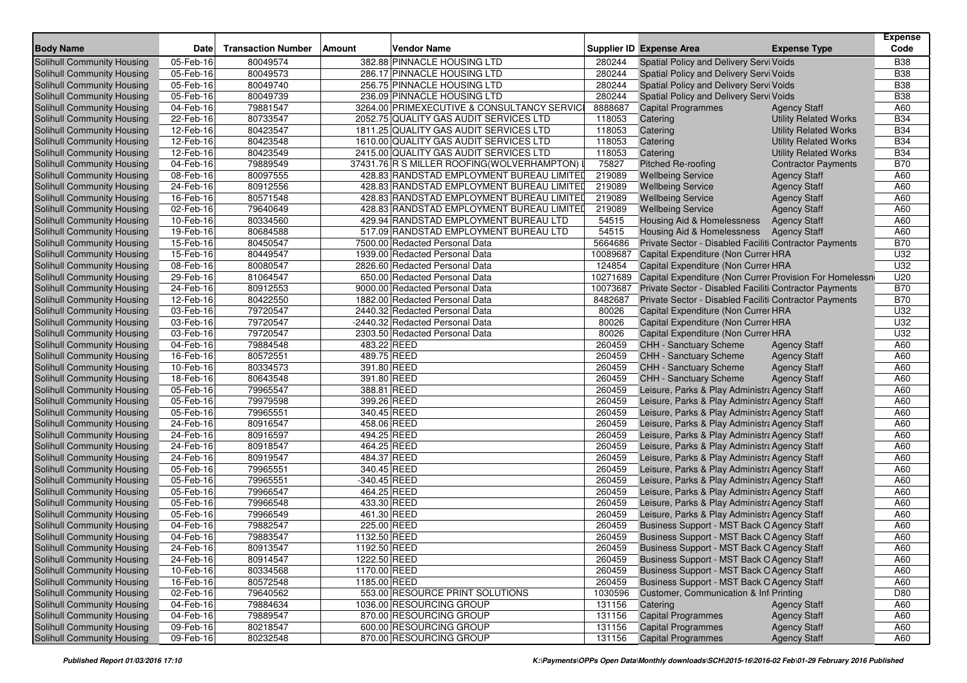| <b>Body Name</b>                                                | <b>Date</b>            | <b>Transaction Number</b> | Vendor Name<br>Amount                                                                |                   | <b>Supplier ID Expense Area</b>                         | <b>Expense Type</b>                                          | Expense<br>Code   |
|-----------------------------------------------------------------|------------------------|---------------------------|--------------------------------------------------------------------------------------|-------------------|---------------------------------------------------------|--------------------------------------------------------------|-------------------|
|                                                                 |                        | 80049574                  | 382.88 PINNACLE HOUSING LTD                                                          | 280244            |                                                         |                                                              | <b>B38</b>        |
| <b>Solihull Community Housing</b><br>Solihull Community Housing | 05-Feb-16              |                           | 286.17 PINNACLE HOUSING LTD                                                          | 280244            | Spatial Policy and Delivery Servi Voids                 |                                                              | <b>B38</b>        |
|                                                                 | 05-Feb-16              | 80049573                  |                                                                                      | 280244            | Spatial Policy and Delivery Servi Voids                 |                                                              | <b>B38</b>        |
| Solihull Community Housing<br><b>Solihull Community Housing</b> | 05-Feb-16              | 80049740                  | 256.75 PINNACLE HOUSING LTD                                                          |                   | Spatial Policy and Delivery Servi Voids                 |                                                              |                   |
|                                                                 | 05-Feb-16              | 80049739<br>79881547      | 236.09 PINNACLE HOUSING LTD                                                          | 280244<br>8888687 | Spatial Policy and Delivery Servi Voids                 |                                                              | <b>B38</b>        |
| Solihull Community Housing                                      | 04-Feb-16              | 80733547                  | 3264.00 PRIMEXECUTIVE & CONSULTANCY SERVIC<br>2052.75 QUALITY GAS AUDIT SERVICES LTD |                   | <b>Capital Programmes</b>                               | <b>Agency Staff</b>                                          | A60<br><b>B34</b> |
| Solihull Community Housing<br>Solihull Community Housing        | 22-Feb-16              | 80423547                  | 1811.25 QUALITY GAS AUDIT SERVICES LTD                                               | 118053<br>118053  | Catering<br>Catering                                    | <b>Utility Related Works</b><br><b>Utility Related Works</b> | <b>B34</b>        |
| Solihull Community Housing                                      | 12-Feb-16<br>12-Feb-16 | 80423548                  | 1610.00 QUALITY GAS AUDIT SERVICES LTD                                               | 118053            | Catering                                                | <b>Utility Related Works</b>                                 | <b>B34</b>        |
| Solihull Community Housing                                      | 12-Feb-16              | 80423549                  | 2415.00 QUALITY GAS AUDIT SERVICES LTD                                               | 118053            |                                                         | <b>Utility Related Works</b>                                 | <b>B34</b>        |
| Solihull Community Housing                                      | 04-Feb-16              | 79889549                  | 37431.76 R S MILLER ROOFING(WOLVERHAMPTON) I                                         | 75827             | Catering<br><b>Pitched Re-roofing</b>                   |                                                              | <b>B70</b>        |
|                                                                 | 08-Feb-16              | 80097555                  | 428.83 RANDSTAD EMPLOYMENT BUREAU LIMITED                                            | 219089            | <b>Wellbeing Service</b>                                | <b>Contractor Payments</b>                                   | A60               |
| Solihull Community Housing<br>Solihull Community Housing        | 24-Feb-16              | 80912556                  | 428.83 RANDSTAD EMPLOYMENT BUREAU LIMITED                                            | 219089            | <b>Wellbeing Service</b>                                | <b>Agency Staff</b><br><b>Agency Staff</b>                   | A60               |
| Solihull Community Housing                                      | 16-Feb-16              | 80571548                  | 428.83 RANDSTAD EMPLOYMENT BUREAU LIMITED                                            | 219089            | <b>Wellbeing Service</b>                                | <b>Agency Staff</b>                                          | A60               |
| Solihull Community Housing                                      | 02-Feb-16              | 79640649                  | 428.83 RANDSTAD EMPLOYMENT BUREAU LIMITED                                            | 219089            | <b>Wellbeing Service</b>                                | <b>Agency Staff</b>                                          | A60               |
| <b>Solihull Community Housing</b>                               | 10-Feb-16              | 80334560                  | 429.94 RANDSTAD EMPLOYMENT BUREAU LTD                                                | 54515             | Housing Aid & Homelessness                              | <b>Agency Staff</b>                                          | A60               |
| Solihull Community Housing                                      | 19-Feb-16              | 80684588                  | 517.09 RANDSTAD EMPLOYMENT BUREAU LTD                                                | 54515             | <b>Housing Aid &amp; Homelessness</b>                   | <b>Agency Staff</b>                                          | A60               |
| Solihull Community Housing                                      | 15-Feb-16              | 80450547                  | 7500.00 Redacted Personal Data                                                       | 5664686           | Private Sector - Disabled Faciliti Contractor Payments  |                                                              | <b>B70</b>        |
| Solihull Community Housing                                      | 15-Feb-16              | 80449547                  | 1939.00 Redacted Personal Data                                                       | 10089687          | Capital Expenditure (Non Currer HRA                     |                                                              | U32               |
| Solihull Community Housing                                      | 08-Feb-16              | 80080547                  | 2826.60 Redacted Personal Data                                                       | 124854            | Capital Expenditure (Non Currer HRA                     |                                                              | U32               |
| Solihull Community Housing                                      | 29-Feb-16              | 81064547                  | 650.00 Redacted Personal Data                                                        | 10271689          | Capital Expenditure (Non Currer Provision For Homelessn |                                                              | U20               |
| Solihull Community Housing                                      | 24-Feb-16              | 80912553                  | 9000.00 Redacted Personal Data                                                       | 10073687          | Private Sector - Disabled Faciliti Contractor Payments  |                                                              | <b>B70</b>        |
| Solihull Community Housing                                      | 12-Feb-16              | 80422550                  | 1882.00 Redacted Personal Data                                                       | 8482687           | Private Sector - Disabled Faciliti Contractor Payments  |                                                              | <b>B70</b>        |
| <b>Solihull Community Housing</b>                               | 03-Feb-16              | 79720547                  | 2440.32 Redacted Personal Data                                                       | 80026             | Capital Expenditure (Non Currer HRA                     |                                                              | U32               |
| Solihull Community Housing                                      | 03-Feb-16              | 79720547                  | -2440.32 Redacted Personal Data                                                      | 80026             | Capital Expenditure (Non Currer HRA                     |                                                              | U32               |
| Solihull Community Housing                                      | 03-Feb-16              | 79720547                  | 2303.50 Redacted Personal Data                                                       | 80026             | Capital Expenditure (Non Currer HRA                     |                                                              | U32               |
| <b>Solihull Community Housing</b>                               | 04-Feb-16              | 79884548                  | 483.22 REED                                                                          | 260459            | <b>CHH - Sanctuary Scheme</b>                           | <b>Agency Staff</b>                                          | A60               |
| Solihull Community Housing                                      | 16-Feb-16              | 80572551                  | 489.75 REED                                                                          | 260459            | <b>CHH - Sanctuary Scheme</b>                           | <b>Agency Staff</b>                                          | A60               |
| Solihull Community Housing                                      | 10-Feb-16              | 80334573                  | 391.80 REED                                                                          | 260459            | CHH - Sanctuary Scheme                                  | <b>Agency Staff</b>                                          | A60               |
| <b>Solihull Community Housing</b>                               | 18-Feb-16              | 80643548                  | 391.80 REED                                                                          | 260459            | CHH - Sanctuary Scheme                                  | <b>Agency Staff</b>                                          | A60               |
| Solihull Community Housing                                      | 05-Feb-16              | 79965547                  | 388.81 REED                                                                          | 260459            | Leisure, Parks & Play Administra Agency Staff           |                                                              | A60               |
| Solihull Community Housing                                      | 05-Feb-16              | 79979598                  | 399.26 REED                                                                          | 260459            | Leisure, Parks & Play Administra Agency Staff           |                                                              | A60               |
| <b>Solihull Community Housing</b>                               | $05$ -Feb-16           | 79965551                  | 340.45 REED                                                                          | 260459            | Leisure, Parks & Play Administra Agency Staff           |                                                              | A60               |
| Solihull Community Housing                                      | 24-Feb-16              | 80916547                  | 458.06 REED                                                                          | 260459            | Leisure, Parks & Play Administra Agency Staff           |                                                              | A60               |
| <b>Solihull Community Housing</b>                               | 24-Feb-16              | 80916597                  | 494.25 REED                                                                          | 260459            | Leisure, Parks & Play Administra Agency Staff           |                                                              | A60               |
| Solihull Community Housing                                      | 24-Feb-16              | 80918547                  | 464.25 REED                                                                          | 260459            | Leisure, Parks & Play Administra Agency Staff           |                                                              | A60               |
| Solihull Community Housing                                      | 24-Feb-16              | 80919547                  | 484.37 REED                                                                          | 260459            | Leisure, Parks & Play Administra Agency Staff           |                                                              | A60               |
| <b>Solihull Community Housing</b>                               | 05-Feb-16              | 79965551                  | 340.45 REED                                                                          | 260459            | Leisure, Parks & Play Administra Agency Staff           |                                                              | A60               |
| Solihull Community Housing                                      | 05-Feb-16              | 79965551                  | -340.45 REED                                                                         | 260459            | Leisure, Parks & Play Administra Agency Staff           |                                                              | A60               |
| Solihull Community Housing                                      | 05-Feb-16              | 79966547                  | 464.25 REED                                                                          | 260459            | Leisure, Parks & Play Administra Agency Staff           |                                                              | A60               |
| Solihull Community Housing                                      | 05-Feb-16              | 79966548                  | 433.30 REED                                                                          | 260459            | Leisure, Parks & Play Administra Agency Staff           |                                                              | A60               |
| Solihull Community Housing                                      | 05-Feb-16              | 79966549                  | 461.30 REED                                                                          | 260459            | Leisure, Parks & Play Administra Agency Staff           |                                                              | A60               |
| Solihull Community Housing                                      | 04-Feb-16              | 79882547                  | 225.00 REED                                                                          | 260459            | Business Support - MST Back O Agency Staff              |                                                              | A60               |
| Solihull Community Housing                                      | 04-Feb-16              | 79883547                  | 1132.50 REED                                                                         | 260459            | Business Support - MST Back O Agency Staff              |                                                              | A60               |
| Solihull Community Housing                                      | 24-Feb-16              | 80913547                  | 1192.50 REED                                                                         | 260459            | Business Support - MST Back O Agency Staff              |                                                              | A60               |
| Solihull Community Housing                                      | 24-Feb-16              | 80914547                  | 1222.50 REED                                                                         | 260459            | Business Support - MST Back O Agency Staff              |                                                              | A60               |
| Solihull Community Housing                                      | 10-Feb-16              | 80334568                  | 1170.00 REED                                                                         | 260459            | Business Support - MST Back O Agency Staff              |                                                              | A60               |
| Solihull Community Housing                                      | 16-Feb-16              | 80572548                  | 1185.00 REED                                                                         | 260459            | Business Support - MST Back O Agency Staff              |                                                              | A60               |
| Solihull Community Housing                                      | 02-Feb-16              | 79640562                  | 553.00 RESOURCE PRINT SOLUTIONS                                                      | 1030596           | Customer, Communication & Inf Printing                  |                                                              | D80               |
| Solihull Community Housing                                      | 04-Feb-16              | 79884634                  | 1036.00 RESOURCING GROUP                                                             | 131156            | Catering                                                | <b>Agency Staff</b>                                          | A60               |
| Solihull Community Housing                                      | 04-Feb-16              | 79889547                  | 870.00 RESOURCING GROUP                                                              | 131156            | <b>Capital Programmes</b>                               | <b>Agency Staff</b>                                          | A60               |
| Solihull Community Housing                                      | 09-Feb-16              | 80218547                  | 600.00 RESOURCING GROUP                                                              | 131156            | <b>Capital Programmes</b>                               | <b>Agency Staff</b>                                          | A60               |
| Solihull Community Housing                                      | 09-Feb-16              | 80232548                  | 870.00 RESOURCING GROUP                                                              | 131156            | <b>Capital Programmes</b>                               | <b>Agency Staff</b>                                          | A60               |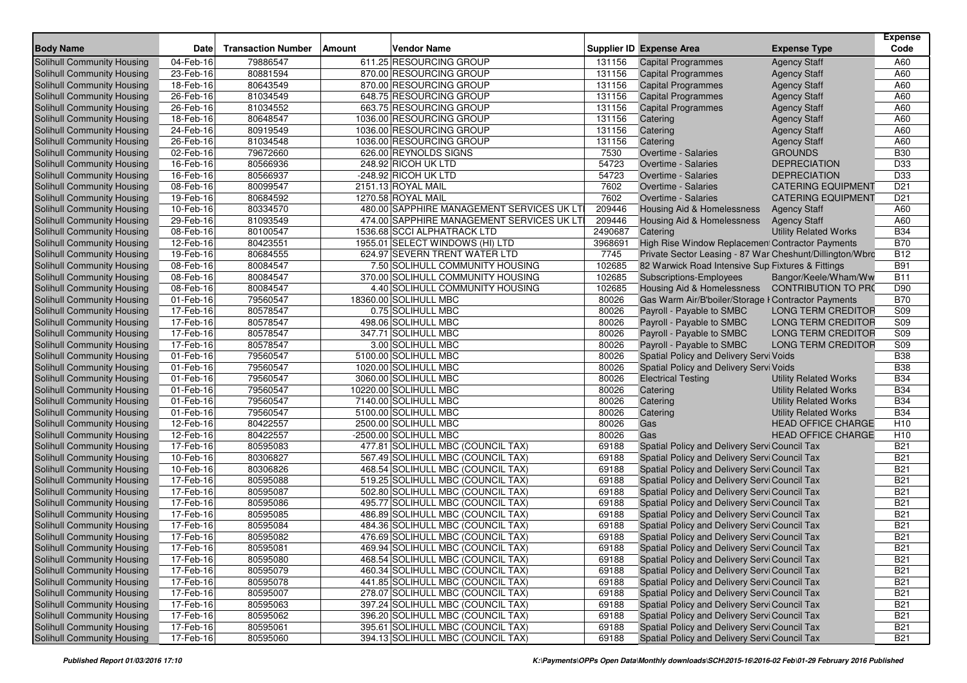| <b>Body Name</b>                                                | Date                   | <b>Transaction Number</b> | Amount | Vendor Name                                        |                  | Supplier ID Expense Area                                 | <b>Expense Type</b>                   | <b>Expense</b><br>Code |
|-----------------------------------------------------------------|------------------------|---------------------------|--------|----------------------------------------------------|------------------|----------------------------------------------------------|---------------------------------------|------------------------|
|                                                                 |                        |                           |        |                                                    |                  |                                                          |                                       |                        |
| <b>Solihull Community Housing</b>                               | 04-Feb-16              | 79886547                  |        | 611.25 RESOURCING GROUP                            | 131156           | <b>Capital Programmes</b>                                | <b>Agency Staff</b>                   | A60                    |
| Solihull Community Housing                                      | 23-Feb-16              | 80881594                  |        | 870.00 RESOURCING GROUP<br>870.00 RESOURCING GROUP | 131156           | <b>Capital Programmes</b>                                | <b>Agency Staff</b>                   | A60<br>A60             |
| Solihull Community Housing                                      | 18-Feb-16              | 80643549                  |        |                                                    | 131156           | <b>Capital Programmes</b>                                | <b>Agency Staff</b>                   |                        |
| Solihull Community Housing                                      | 26-Feb-16              | 81034549                  |        | 648.75 RESOURCING GROUP<br>663.75 RESOURCING GROUP | 131156           | <b>Capital Programmes</b>                                | <b>Agency Staff</b>                   | A60                    |
| Solihull Community Housing                                      | 26-Feb-16              | 81034552<br>80648547      |        | 1036.00 RESOURCING GROUP                           | 131156<br>131156 | <b>Capital Programmes</b>                                | <b>Agency Staff</b>                   | A60                    |
| Solihull Community Housing<br>Solihull Community Housing        | 18-Feb-16<br>24-Feb-16 | 80919549                  |        | 1036.00 RESOURCING GROUP                           | 131156           | Catering                                                 | <b>Agency Staff</b>                   | A60<br>A60             |
|                                                                 | 26-Feb-16              | 81034548                  |        | 1036.00 RESOURCING GROUP                           | 131156           | Catering<br>Catering                                     | <b>Agency Staff</b>                   | A60                    |
| Solihull Community Housing<br><b>Solihull Community Housing</b> | 02-Feb-16              | 79672660                  |        | 626.00 REYNOLDS SIGNS                              | 7530             | Overtime - Salaries                                      | <b>Agency Staff</b><br><b>GROUNDS</b> | <b>B30</b>             |
| Solihull Community Housing                                      | 16-Feb-16              | 80566936                  |        | 248.92 RICOH UK LTD                                | 54723            | <b>Overtime - Salaries</b>                               | <b>DEPRECIATION</b>                   | D33                    |
| Solihull Community Housing                                      | 16-Feb-16              | 80566937                  |        | -248.92 RICOH UK LTD                               | 54723            | <b>Overtime - Salaries</b>                               | <b>DEPRECIATION</b>                   | D33                    |
| Solihull Community Housing                                      | 08-Feb-16              | 80099547                  |        | 2151.13 ROYAL MAIL                                 | 7602             | <b>Overtime - Salaries</b>                               | <b>CATERING EQUIPMENT</b>             | D <sub>21</sub>        |
| Solihull Community Housing                                      | 19-Feb-16              | 80684592                  |        | 1270.58 ROYAL MAIL                                 | 7602             | <b>Overtime - Salaries</b>                               | <b>CATERING EQUIPMENT</b>             | D <sub>21</sub>        |
| Solihull Community Housing                                      | 10-Feb-16              | 80334570                  |        | 480.00 SAPPHIRE MANAGEMENT SERVICES UK LT          | 209446           | <b>Housing Aid &amp; Homelessness</b>                    | <b>Agency Staff</b>                   | A60                    |
| Solihull Community Housing                                      | 29-Feb-16              | 81093549                  |        | 474.00 SAPPHIRE MANAGEMENT SERVICES UK LT          | 209446           | Housing Aid & Homelessness                               | <b>Agency Staff</b>                   | A60                    |
| Solihull Community Housing                                      | 08-Feb-16              | 80100547                  |        | 1536.68 SCCI ALPHATRACK LTD                        | 2490687          | Catering                                                 | <b>Utility Related Works</b>          | <b>B34</b>             |
| Solihull Community Housing                                      | 12-Feb-16              | 80423551                  |        | 1955.01 SELECT WINDOWS (HI) LTD                    | 3968691          | High Rise Window Replacement Contractor Payments         |                                       | <b>B70</b>             |
| Solihull Community Housing                                      | 19-Feb-16              | 80684555                  |        | 624.97 SEVERN TRENT WATER LTD                      | 7745             | Private Sector Leasing - 87 War Cheshunt/Dillington/Wbrc |                                       | <b>B12</b>             |
| Solihull Community Housing                                      | 08-Feb-16              | 80084547                  |        | 7.50 SOLIHULL COMMUNITY HOUSING                    | 102685           | 82 Warwick Road Intensive Sup Fixtures & Fittings        |                                       | <b>B91</b>             |
| Solihull Community Housing                                      | 08-Feb-16              | 80084547                  |        | 370.00 SOLIHULL COMMUNITY HOUSING                  | 102685           | Subscriptions-Employees                                  | Bangor/Keele/Wham/Ww                  | <b>B11</b>             |
| Solihull Community Housing                                      | 08-Feb-16              | 80084547                  |        | 4.40 SOLIHULL COMMUNITY HOUSING                    | 102685           | <b>Housing Aid &amp; Homelessness</b>                    | <b>CONTRIBUTION TO PRO</b>            | D90                    |
| Solihull Community Housing                                      | 01-Feb-16              | 79560547                  |        | 18360.00 SOLIHULL MBC                              | 80026            | Gas Warm Air/B'boiler/Storage I Contractor Payments      |                                       | <b>B70</b>             |
| Solihull Community Housing                                      | 17-Feb-16              | 80578547                  |        | 0.75 SOLIHULL MBC                                  | 80026            | Payroll - Payable to SMBC                                | <b>LONG TERM CREDITOR</b>             | S <sub>09</sub>        |
| Solihull Community Housing                                      | 17-Feb-16              | 80578547                  |        | 498.06 SOLIHULL MBC                                | 80026            | Payroll - Payable to SMBC                                | <b>LONG TERM CREDITOR</b>             | S09                    |
| Solihull Community Housing                                      | 17-Feb-16              | 80578547                  |        | 347.71 SOLIHULL MBC                                | 80026            | Payroll - Payable to SMBC                                | <b>LONG TERM CREDITOR</b>             | S09                    |
| <b>Solihull Community Housing</b>                               | 17-Feb-16              | 80578547                  |        | 3.00 SOLIHULL MBC                                  | 80026            | Payroll - Payable to SMBC                                | <b>LONG TERM CREDITOR</b>             | S09                    |
| Solihull Community Housing                                      | 01-Feb-16              | 79560547                  |        | 5100.00 SOLIHULL MBC                               | 80026            | Spatial Policy and Delivery Servi Voids                  |                                       | <b>B38</b>             |
| Solihull Community Housing                                      | 01-Feb-16              | 79560547                  |        | 1020.00 SOLIHULL MBC                               | 80026            | Spatial Policy and Delivery Servi Voids                  |                                       | <b>B38</b>             |
| Solihull Community Housing                                      | 01-Feb-16              | 79560547                  |        | 3060.00 SOLIHULL MBC                               | 80026            | <b>Electrical Testing</b>                                | <b>Utility Related Works</b>          | <b>B34</b>             |
| Solihull Community Housing                                      | 01-Feb-16              | 79560547                  |        | 10220.00 SOLIHULL MBC                              | 80026            | Catering                                                 | <b>Utility Related Works</b>          | <b>B34</b>             |
| Solihull Community Housing                                      | 01-Feb-16              | 79560547                  |        | 7140.00 SOLIHULL MBC                               | 80026            | Catering                                                 | <b>Utility Related Works</b>          | <b>B34</b>             |
| <b>Solihull Community Housing</b>                               | 01-Feb-16              | 79560547                  |        | 5100.00 SOLIHULL MBC                               | 80026            | Catering                                                 | <b>Utility Related Works</b>          | <b>B34</b>             |
| Solihull Community Housing                                      | 12-Feb-16              | 80422557                  |        | 2500.00 SOLIHULL MBC                               | 80026            | Gas                                                      | <b>HEAD OFFICE CHARGE</b>             | H <sub>10</sub>        |
| <b>Solihull Community Housing</b>                               | 12-Feb-16              | 80422557                  |        | -2500.00 SOLIHULL MBC                              | 80026            | Gas                                                      | <b>HEAD OFFICE CHARGE</b>             | H <sub>10</sub>        |
| Solihull Community Housing                                      | 17-Feb-16              | 80595083                  |        | 477.81 SOLIHULL MBC (COUNCIL TAX)                  | 69188            | Spatial Policy and Delivery Servi Council Tax            |                                       | <b>B21</b>             |
| Solihull Community Housing                                      | 10-Feb-16              | 80306827                  |        | 567.49 SOLIHULL MBC (COUNCIL TAX)                  | 69188            | Spatial Policy and Delivery Servi Council Tax            |                                       | <b>B21</b>             |
| <b>Solihull Community Housing</b>                               | 10-Feb-16              | 80306826                  |        | 468.54 SOLIHULL MBC (COUNCIL TAX)                  | 69188            | Spatial Policy and Delivery Servi Council Tax            |                                       | <b>B21</b>             |
| Solihull Community Housing                                      | 17-Feb-16              | 80595088                  |        | 519.25 SOLIHULL MBC (COUNCIL TAX)                  | 69188            | Spatial Policy and Delivery Servi Council Tax            |                                       | <b>B21</b>             |
| Solihull Community Housing                                      | 17-Feb-16              | 80595087                  |        | 502.80 SOLIHULL MBC (COUNCIL TAX)                  | 69188            | Spatial Policy and Delivery Servi Council Tax            |                                       | <b>B21</b>             |
| Solihull Community Housing                                      | 17-Feb-16              | 80595086                  |        | 495.77 SOLIHULL MBC (COUNCIL TAX)                  | 69188            | Spatial Policy and Delivery Servi Council Tax            |                                       | <b>B21</b>             |
| Solihull Community Housing                                      | 17-Feb-16              | 80595085                  |        | 486.89 SOLIHULL MBC (COUNCIL TAX)                  | 69188            | Spatial Policy and Delivery Servi Council Tax            |                                       | <b>B21</b>             |
| Solihull Community Housing                                      | 17-Feb-16              | 80595084                  |        | 484.36 SOLIHULL MBC (COUNCIL TAX)                  | 69188            | Spatial Policy and Delivery Servi Council Tax            |                                       | <b>B21</b>             |
| Solihull Community Housing                                      | 17-Feb-16              | 80595082                  |        | 476.69 SOLIHULL MBC (COUNCIL TAX)                  | 69188            | Spatial Policy and Delivery Servi Council Tax            |                                       | <b>B21</b>             |
| Solihull Community Housing                                      | 17-Feb-16              | 80595081                  |        | 469.94 SOLIHULL MBC (COUNCIL TAX)                  | 69188            | Spatial Policy and Delivery Servi Council Tax            |                                       | <b>B21</b>             |
| Solihull Community Housing                                      | 17-Feb-16              | 80595080                  |        | 468.54 SOLIHULL MBC (COUNCIL TAX)                  | 69188            | Spatial Policy and Delivery Servi Council Tax            |                                       | <b>B21</b>             |
| Solihull Community Housing                                      | 17-Feb-16              | 80595079                  |        | 460.34 SOLIHULL MBC (COUNCIL TAX)                  | 69188            | Spatial Policy and Delivery Servi Council Tax            |                                       | <b>B21</b>             |
| <b>Solihull Community Housing</b>                               | 17-Feb-16              | 80595078                  |        | 441.85 SOLIHULL MBC (COUNCIL TAX)                  | 69188            | Spatial Policy and Delivery Servi Council Tax            |                                       | <b>B21</b>             |
| Solihull Community Housing                                      | 17-Feb-16              | 80595007                  |        | 278.07 SOLIHULL MBC (COUNCIL TAX)                  | 69188            | Spatial Policy and Delivery Servi Council Tax            |                                       | <b>B21</b>             |
| Solihull Community Housing                                      | 17-Feb-16              | 80595063                  |        | 397.24 SOLIHULL MBC (COUNCIL TAX)                  | 69188            | Spatial Policy and Delivery Servi Council Tax            |                                       | <b>B21</b>             |
| Solihull Community Housing                                      | 17-Feb-16              | 80595062                  |        | 396.20 SOLIHULL MBC (COUNCIL TAX)                  | 69188            | Spatial Policy and Delivery Servi Council Tax            |                                       | <b>B21</b>             |
| Solihull Community Housing                                      | 17-Feb-16              | 80595061                  |        | 395.61 SOLIHULL MBC (COUNCIL TAX)                  | 69188            | Spatial Policy and Delivery Servi Council Tax            |                                       | <b>B21</b>             |
| Solihull Community Housing                                      | 17-Feb-16              | 80595060                  |        | 394.13 SOLIHULL MBC (COUNCIL TAX)                  | 69188            | Spatial Policy and Delivery Servi Council Tax            |                                       | <b>B21</b>             |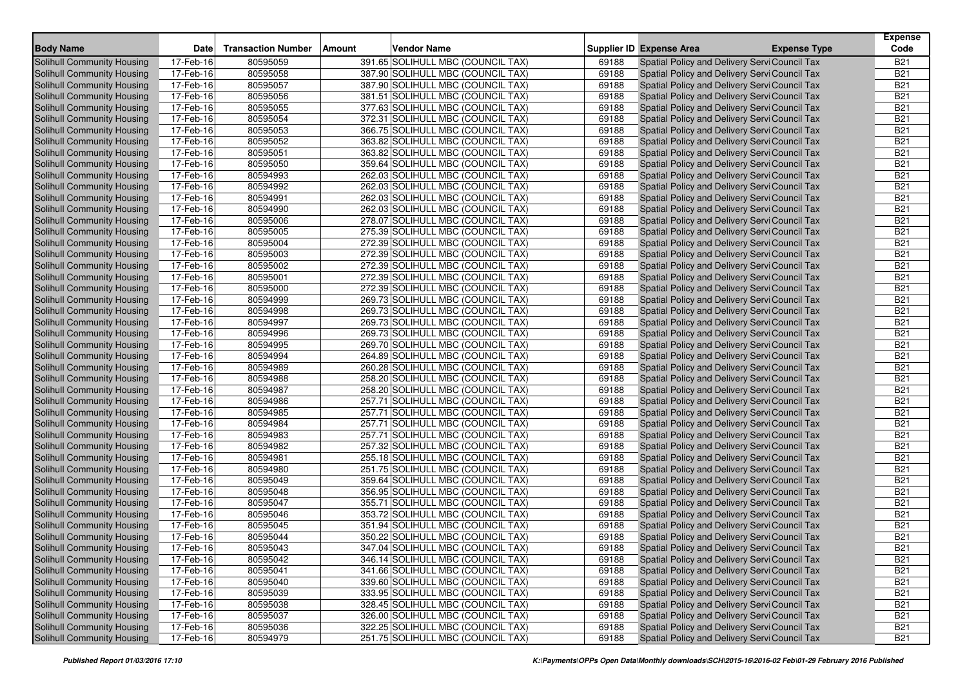| <b>Body Name</b>                  | <b>Date</b> | <b>Transaction Number</b> | Amount | <b>Vendor Name</b>                |       | Supplier ID Expense Area                      | <b>Expense Type</b> | <b>Expense</b><br>Code |
|-----------------------------------|-------------|---------------------------|--------|-----------------------------------|-------|-----------------------------------------------|---------------------|------------------------|
| Solihull Community Housing        | 17-Feb-16   | 80595059                  |        | 391.65 SOLIHULL MBC (COUNCIL TAX) | 69188 | Spatial Policy and Delivery Servi Council Tax |                     | <b>B21</b>             |
| <b>Solihull Community Housing</b> | 17-Feb-16   | 80595058                  |        | 387.90 SOLIHULL MBC (COUNCIL TAX) | 69188 | Spatial Policy and Delivery Servi Council Tax |                     | <b>B21</b>             |
| <b>Solihull Community Housing</b> | 17-Feb-16   | 80595057                  |        | 387.90 SOLIHULL MBC (COUNCIL TAX) | 69188 | Spatial Policy and Delivery Servi Council Tax |                     | <b>B21</b>             |
| Solihull Community Housing        | 17-Feb-16   | 80595056                  |        | 381.51 SOLIHULL MBC (COUNCIL TAX) | 69188 | Spatial Policy and Delivery Servi Council Tax |                     | <b>B21</b>             |
| Solihull Community Housing        | 17-Feb-16   | 80595055                  |        | 377.63 SOLIHULL MBC (COUNCIL TAX) | 69188 | Spatial Policy and Delivery Servi Council Tax |                     | <b>B21</b>             |
| <b>Solihull Community Housing</b> | 17-Feb-16   | 80595054                  |        | 372.31 SOLIHULL MBC (COUNCIL TAX) | 69188 | Spatial Policy and Delivery Servi Council Tax |                     | <b>B21</b>             |
| Solihull Community Housing        | 17-Feb-16   | 80595053                  |        | 366.75 SOLIHULL MBC (COUNCIL TAX) | 69188 | Spatial Policy and Delivery Servi Council Tax |                     | <b>B21</b>             |
| Solihull Community Housing        | 17-Feb-16   | 80595052                  |        | 363.82 SOLIHULL MBC (COUNCIL TAX) | 69188 | Spatial Policy and Delivery Servi Council Tax |                     | <b>B21</b>             |
| Solihull Community Housing        | 17-Feb-16   | 80595051                  |        | 363.82 SOLIHULL MBC (COUNCIL TAX) | 69188 | Spatial Policy and Delivery Servi Council Tax |                     | <b>B21</b>             |
| <b>Solihull Community Housing</b> | 17-Feb-16   | 80595050                  |        | 359.64 SOLIHULL MBC (COUNCIL TAX) | 69188 | Spatial Policy and Delivery Servi Council Tax |                     | <b>B21</b>             |
| Solihull Community Housing        | 17-Feb-16   | 80594993                  |        | 262.03 SOLIHULL MBC (COUNCIL TAX) | 69188 | Spatial Policy and Delivery Servi Council Tax |                     | <b>B21</b>             |
| Solihull Community Housing        | 17-Feb-16   | 80594992                  |        | 262.03 SOLIHULL MBC (COUNCIL TAX) | 69188 | Spatial Policy and Delivery Servi Council Tax |                     | <b>B21</b>             |
| <b>Solihull Community Housing</b> | 17-Feb-16   | 80594991                  |        | 262.03 SOLIHULL MBC (COUNCIL TAX) | 69188 | Spatial Policy and Delivery Servi Council Tax |                     | <b>B21</b>             |
| <b>Solihull Community Housing</b> | 17-Feb-16   | 80594990                  |        | 262.03 SOLIHULL MBC (COUNCIL TAX) | 69188 | Spatial Policy and Delivery Servi Council Tax |                     | <b>B21</b>             |
| Solihull Community Housing        | 17-Feb-16   | 80595006                  |        | 278.07 SOLIHULL MBC (COUNCIL TAX) | 69188 | Spatial Policy and Delivery Servi Council Tax |                     | <b>B21</b>             |
| Solihull Community Housing        | 17-Feb-16   | 80595005                  |        | 275.39 SOLIHULL MBC (COUNCIL TAX) | 69188 | Spatial Policy and Delivery Servi Council Tax |                     | <b>B21</b>             |
| <b>Solihull Community Housing</b> | 17-Feb-16   | 80595004                  |        | 272.39 SOLIHULL MBC (COUNCIL TAX) | 69188 | Spatial Policy and Delivery Servi Council Tax |                     | <b>B21</b>             |
| Solihull Community Housing        | 17-Feb-16   | 80595003                  |        | 272.39 SOLIHULL MBC (COUNCIL TAX) | 69188 | Spatial Policy and Delivery Servi Council Tax |                     | <b>B21</b>             |
| Solihull Community Housing        | 17-Feb-16   | 80595002                  |        | 272.39 SOLIHULL MBC (COUNCIL TAX) | 69188 | Spatial Policy and Delivery Servi Council Tax |                     | <b>B21</b>             |
| Solihull Community Housing        | 17-Feb-16   | 80595001                  |        | 272.39 SOLIHULL MBC (COUNCIL TAX) | 69188 | Spatial Policy and Delivery Servi Council Tax |                     | <b>B21</b>             |
| Solihull Community Housing        | 17-Feb-16   | 80595000                  |        | 272.39 SOLIHULL MBC (COUNCIL TAX) | 69188 | Spatial Policy and Delivery Servi Council Tax |                     | <b>B21</b>             |
| Solihull Community Housing        | 17-Feb-16   | 80594999                  |        | 269.73 SOLIHULL MBC (COUNCIL TAX) | 69188 | Spatial Policy and Delivery Servi Council Tax |                     | <b>B21</b>             |
| Solihull Community Housing        | 17-Feb-16   | 80594998                  |        | 269.73 SOLIHULL MBC (COUNCIL TAX) | 69188 | Spatial Policy and Delivery Servi Council Tax |                     | <b>B21</b>             |
| Solihull Community Housing        | 17-Feb-16   | 80594997                  |        | 269.73 SOLIHULL MBC (COUNCIL TAX) | 69188 | Spatial Policy and Delivery Servi Council Tax |                     | <b>B21</b>             |
| Solihull Community Housing        | 17-Feb-16   | 80594996                  |        | 269.73 SOLIHULL MBC (COUNCIL TAX) | 69188 | Spatial Policy and Delivery Servi Council Tax |                     | <b>B21</b>             |
| Solihull Community Housing        | 17-Feb-16   | 80594995                  |        | 269.70 SOLIHULL MBC (COUNCIL TAX) | 69188 | Spatial Policy and Delivery Servi Council Tax |                     | <b>B21</b>             |
| Solihull Community Housing        | 17-Feb-16   | 80594994                  |        | 264.89 SOLIHULL MBC (COUNCIL TAX) | 69188 | Spatial Policy and Delivery Servi Council Tax |                     | <b>B21</b>             |
| Solihull Community Housing        | 17-Feb-16   | 80594989                  |        | 260.28 SOLIHULL MBC (COUNCIL TAX) | 69188 | Spatial Policy and Delivery Servi Council Tax |                     | <b>B21</b>             |
| Solihull Community Housing        | 17-Feb-16   | 80594988                  |        | 258.20 SOLIHULL MBC (COUNCIL TAX) | 69188 | Spatial Policy and Delivery Servi Council Tax |                     | <b>B21</b>             |
| <b>Solihull Community Housing</b> | 17-Feb-16   | 80594987                  |        | 258.20 SOLIHULL MBC (COUNCIL TAX) | 69188 | Spatial Policy and Delivery Servi Council Tax |                     | <b>B21</b>             |
| Solihull Community Housing        | 17-Feb-16   | 80594986                  |        | 257.71 SOLIHULL MBC (COUNCIL TAX) | 69188 | Spatial Policy and Delivery Servi Council Tax |                     | <b>B21</b>             |
| Solihull Community Housing        | 17-Feb-16   | 80594985                  |        | 257.71 SOLIHULL MBC (COUNCIL TAX) | 69188 | Spatial Policy and Delivery Servi Council Tax |                     | <b>B21</b>             |
| Solihull Community Housing        | 17-Feb-16   | 80594984                  |        | 257.71 SOLIHULL MBC (COUNCIL TAX) | 69188 | Spatial Policy and Delivery Servi Council Tax |                     | <b>B21</b>             |
| Solihull Community Housing        | 17-Feb-16   | 80594983                  |        | 257.71 SOLIHULL MBC (COUNCIL TAX) | 69188 | Spatial Policy and Delivery Servi Council Tax |                     | <b>B21</b>             |
| Solihull Community Housing        | 17-Feb-16   | 80594982                  |        | 257.32 SOLIHULL MBC (COUNCIL TAX) | 69188 | Spatial Policy and Delivery Servi Council Tax |                     | <b>B21</b>             |
| Solihull Community Housing        | 17-Feb-16   | 80594981                  |        | 255.18 SOLIHULL MBC (COUNCIL TAX) | 69188 | Spatial Policy and Delivery Servi Council Tax |                     | <b>B21</b>             |
| Solihull Community Housing        | 17-Feb-16   | 80594980                  |        | 251.75 SOLIHULL MBC (COUNCIL TAX) | 69188 | Spatial Policy and Delivery Servi Council Tax |                     | <b>B21</b>             |
| Solihull Community Housing        | 17-Feb-16   | 80595049                  |        | 359.64 SOLIHULL MBC (COUNCIL TAX) | 69188 | Spatial Policy and Delivery Servi Council Tax |                     | <b>B21</b>             |
| <b>Solihull Community Housing</b> | 17-Feb-16   | 80595048                  |        | 356.95 SOLIHULL MBC (COUNCIL TAX) | 69188 | Spatial Policy and Delivery Servi Council Tax |                     | <b>B21</b>             |
| Solihull Community Housing        | 17-Feb-16   | 80595047                  |        | 355.71 SOLIHULL MBC (COUNCIL TAX) | 69188 | Spatial Policy and Delivery Servi Council Tax |                     | <b>B21</b>             |
| Solihull Community Housing        | 17-Feb-16   | 80595046                  |        | 353.72 SOLIHULL MBC (COUNCIL TAX) | 69188 | Spatial Policy and Delivery Servi Council Tax |                     | <b>B21</b>             |
| Solihull Community Housing        | 17-Feb-16   | 80595045                  |        | 351.94 SOLIHULL MBC (COUNCIL TAX) | 69188 | Spatial Policy and Delivery Servi Council Tax |                     | <b>B21</b>             |
| Solihull Community Housing        | 17-Feb-16   | 80595044                  |        | 350.22 SOLIHULL MBC (COUNCIL TAX) | 69188 | Spatial Policy and Delivery Servi Council Tax |                     | <b>B21</b>             |
| Solihull Community Housing        | 17-Feb-16   | 80595043                  |        | 347.04 SOLIHULL MBC (COUNCIL TAX) | 69188 | Spatial Policy and Delivery Servi Council Tax |                     | <b>B21</b>             |
| Solihull Community Housing        | 17-Feb-16   | 80595042                  |        | 346.14 SOLIHULL MBC (COUNCIL TAX) | 69188 | Spatial Policy and Delivery Servi Council Tax |                     | <b>B21</b>             |
| Solihull Community Housing        | 17-Feb-16   | 80595041                  |        | 341.66 SOLIHULL MBC (COUNCIL TAX) | 69188 | Spatial Policy and Delivery Servi Council Tax |                     | <b>B21</b>             |
| Solihull Community Housing        | 17-Feb-16   | 80595040                  |        | 339.60 SOLIHULL MBC (COUNCIL TAX) | 69188 | Spatial Policy and Delivery Servi Council Tax |                     | <b>B21</b>             |
| Solihull Community Housing        | 17-Feb-16   | 80595039                  |        | 333.95 SOLIHULL MBC (COUNCIL TAX) | 69188 | Spatial Policy and Delivery Servi Council Tax |                     | <b>B21</b>             |
| Solihull Community Housing        | 17-Feb-16   | 80595038                  |        | 328.45 SOLIHULL MBC (COUNCIL TAX) | 69188 | Spatial Policy and Delivery Servi Council Tax |                     | <b>B21</b>             |
| Solihull Community Housing        | 17-Feb-16   | 80595037                  |        | 326.00 SOLIHULL MBC (COUNCIL TAX) | 69188 | Spatial Policy and Delivery Servi Council Tax |                     | <b>B21</b>             |
| Solihull Community Housing        | 17-Feb-16   | 80595036                  |        | 322.25 SOLIHULL MBC (COUNCIL TAX) | 69188 | Spatial Policy and Delivery Servi Council Tax |                     | <b>B21</b>             |
| Solihull Community Housing        | 17-Feb-16   | 80594979                  |        | 251.75 SOLIHULL MBC (COUNCIL TAX) | 69188 | Spatial Policy and Delivery Servi Council Tax |                     | <b>B21</b>             |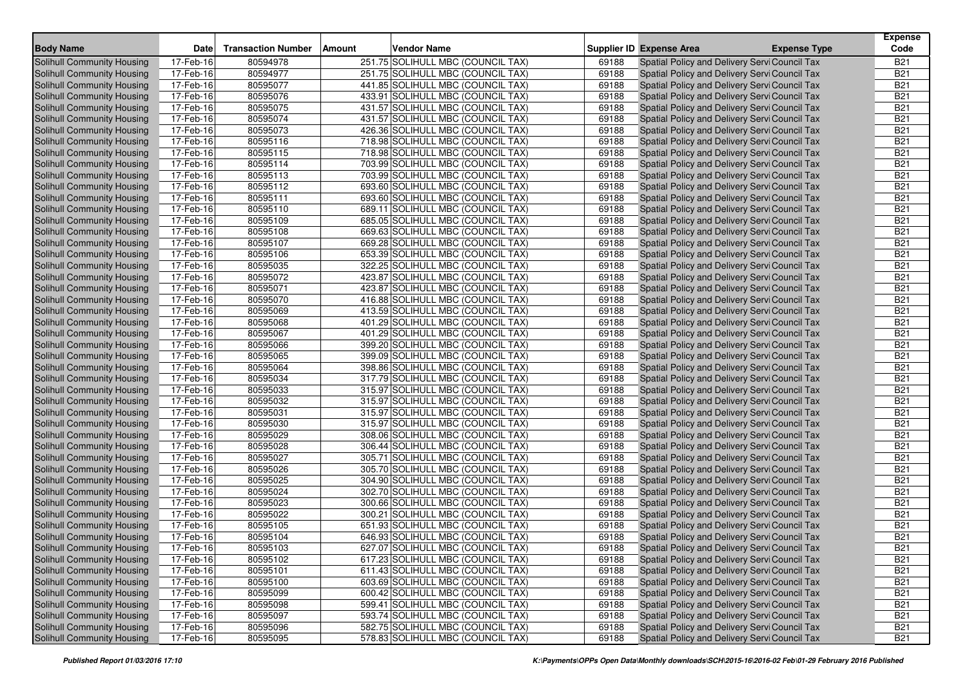| <b>Body Name</b>                  | <b>Date</b> | <b>Transaction Number</b> | <b>Amount</b> | <b>Vendor Name</b>                |       | Supplier ID Expense Area                      | <b>Expense Type</b> | <b>Expense</b><br>Code |
|-----------------------------------|-------------|---------------------------|---------------|-----------------------------------|-------|-----------------------------------------------|---------------------|------------------------|
| Solihull Community Housing        | 17-Feb-16   | 80594978                  |               | 251.75 SOLIHULL MBC (COUNCIL TAX) | 69188 | Spatial Policy and Delivery Servi Council Tax |                     | <b>B21</b>             |
| Solihull Community Housing        | 17-Feb-16   | 80594977                  |               | 251.75 SOLIHULL MBC (COUNCIL TAX) | 69188 | Spatial Policy and Delivery Servi Council Tax |                     | <b>B21</b>             |
| Solihull Community Housing        | 17-Feb-16   | 80595077                  |               | 441.85 SOLIHULL MBC (COUNCIL TAX) | 69188 | Spatial Policy and Delivery Servi Council Tax |                     | <b>B21</b>             |
| Solihull Community Housing        | 17-Feb-16   | 80595076                  |               | 433.91 SOLIHULL MBC (COUNCIL TAX) | 69188 | Spatial Policy and Delivery Servi Council Tax |                     | <b>B21</b>             |
| <b>Solihull Community Housing</b> | 17-Feb-16   | 80595075                  |               | 431.57 SOLIHULL MBC (COUNCIL TAX) | 69188 | Spatial Policy and Delivery Servi Council Tax |                     | <b>B21</b>             |
| Solihull Community Housing        | 17-Feb-16   | 80595074                  |               | 431.57 SOLIHULL MBC (COUNCIL TAX) | 69188 | Spatial Policy and Delivery Servi Council Tax |                     | <b>B21</b>             |
| Solihull Community Housing        | 17-Feb-16   | 80595073                  |               | 426.36 SOLIHULL MBC (COUNCIL TAX) | 69188 | Spatial Policy and Delivery Servi Council Tax |                     | <b>B21</b>             |
| <b>Solihull Community Housing</b> | 17-Feb-16   | 80595116                  |               | 718.98 SOLIHULL MBC (COUNCIL TAX) | 69188 | Spatial Policy and Delivery Servi Council Tax |                     | <b>B21</b>             |
| <b>Solihull Community Housing</b> | 17-Feb-16   | 80595115                  |               | 718.98 SOLIHULL MBC (COUNCIL TAX) | 69188 | Spatial Policy and Delivery Servi Council Tax |                     | <b>B21</b>             |
| <b>Solihull Community Housing</b> | 17-Feb-16   | 80595114                  |               | 703.99 SOLIHULL MBC (COUNCIL TAX) | 69188 | Spatial Policy and Delivery Servi Council Tax |                     | <b>B21</b>             |
| Solihull Community Housing        | 17-Feb-16   | 80595113                  |               | 703.99 SOLIHULL MBC (COUNCIL TAX) | 69188 | Spatial Policy and Delivery Servi Council Tax |                     | <b>B21</b>             |
| <b>Solihull Community Housing</b> | 17-Feb-16   | 80595112                  |               | 693.60 SOLIHULL MBC (COUNCIL TAX) | 69188 | Spatial Policy and Delivery Servi Council Tax |                     | <b>B21</b>             |
| Solihull Community Housing        | 17-Feb-16   | 80595111                  |               | 693.60 SOLIHULL MBC (COUNCIL TAX) | 69188 | Spatial Policy and Delivery Servi Council Tax |                     | <b>B21</b>             |
| Solihull Community Housing        | 17-Feb-16   | 80595110                  |               | 689.11 SOLIHULL MBC (COUNCIL TAX) | 69188 | Spatial Policy and Delivery Servi Council Tax |                     | <b>B21</b>             |
| <b>Solihull Community Housing</b> | 17-Feb-16   | 80595109                  |               | 685.05 SOLIHULL MBC (COUNCIL TAX) | 69188 | Spatial Policy and Delivery Servi Council Tax |                     | <b>B21</b>             |
| Solihull Community Housing        | 17-Feb-16   | 80595108                  |               | 669.63 SOLIHULL MBC (COUNCIL TAX) | 69188 | Spatial Policy and Delivery Servi Council Tax |                     | <b>B21</b>             |
| Solihull Community Housing        | 17-Feb-16   | 80595107                  |               | 669.28 SOLIHULL MBC (COUNCIL TAX) | 69188 | Spatial Policy and Delivery Servi Council Tax |                     | <b>B21</b>             |
| <b>Solihull Community Housing</b> | 17-Feb-16   | 80595106                  |               | 653.39 SOLIHULL MBC (COUNCIL TAX) | 69188 | Spatial Policy and Delivery Servi Council Tax |                     | <b>B21</b>             |
| Solihull Community Housing        | 17-Feb-16   | 80595035                  |               | 322.25 SOLIHULL MBC (COUNCIL TAX) | 69188 | Spatial Policy and Delivery Servi Council Tax |                     | <b>B21</b>             |
| Solihull Community Housing        | 17-Feb-16   | 80595072                  |               | 423.87 SOLIHULL MBC (COUNCIL TAX) | 69188 | Spatial Policy and Delivery Servi Council Tax |                     | <b>B21</b>             |
| <b>Solihull Community Housing</b> | 17-Feb-16   | 80595071                  |               | 423.87 SOLIHULL MBC (COUNCIL TAX) | 69188 | Spatial Policy and Delivery Servi Council Tax |                     | <b>B21</b>             |
| <b>Solihull Community Housing</b> | 17-Feb-16   | 80595070                  |               | 416.88 SOLIHULL MBC (COUNCIL TAX) | 69188 | Spatial Policy and Delivery Servi Council Tax |                     | <b>B21</b>             |
| <b>Solihull Community Housing</b> | 17-Feb-16   | 80595069                  |               | 413.59 SOLIHULL MBC (COUNCIL TAX) | 69188 | Spatial Policy and Delivery Servi Council Tax |                     | <b>B21</b>             |
| <b>Solihull Community Housing</b> | 17-Feb-16   | 80595068                  |               | 401.29 SOLIHULL MBC (COUNCIL TAX) | 69188 | Spatial Policy and Delivery Servi Council Tax |                     | <b>B21</b>             |
| Solihull Community Housing        | 17-Feb-16   | 80595067                  |               | 401.29 SOLIHULL MBC (COUNCIL TAX) | 69188 | Spatial Policy and Delivery Servi Council Tax |                     | <b>B21</b>             |
| Solihull Community Housing        | 17-Feb-16   | 80595066                  |               | 399.20 SOLIHULL MBC (COUNCIL TAX) | 69188 | Spatial Policy and Delivery Servi Council Tax |                     | <b>B21</b>             |
| Solihull Community Housing        | 17-Feb-16   | 80595065                  |               | 399.09 SOLIHULL MBC (COUNCIL TAX) | 69188 | Spatial Policy and Delivery Servi Council Tax |                     | <b>B21</b>             |
| Solihull Community Housing        | 17-Feb-16   | 80595064                  |               | 398.86 SOLIHULL MBC (COUNCIL TAX) | 69188 | Spatial Policy and Delivery Servi Council Tax |                     | <b>B21</b>             |
| <b>Solihull Community Housing</b> | 17-Feb-16   | 80595034                  |               | 317.79 SOLIHULL MBC (COUNCIL TAX) | 69188 | Spatial Policy and Delivery Servi Council Tax |                     | <b>B21</b>             |
| Solihull Community Housing        | 17-Feb-16   | 80595033                  |               | 315.97 SOLIHULL MBC (COUNCIL TAX) | 69188 | Spatial Policy and Delivery Servi Council Tax |                     | <b>B21</b>             |
| Solihull Community Housing        | 17-Feb-16   | 80595032                  |               | 315.97 SOLIHULL MBC (COUNCIL TAX) | 69188 | Spatial Policy and Delivery Servi Council Tax |                     | <b>B21</b>             |
| Solihull Community Housing        | 17-Feb-16   | 80595031                  |               | 315.97 SOLIHULL MBC (COUNCIL TAX) | 69188 | Spatial Policy and Delivery Servi Council Tax |                     | <b>B21</b>             |
| <b>Solihull Community Housing</b> | 17-Feb-16   | 80595030                  |               | 315.97 SOLIHULL MBC (COUNCIL TAX) | 69188 | Spatial Policy and Delivery Servi Council Tax |                     | <b>B21</b>             |
| Solihull Community Housing        | 17-Feb-16   | 80595029                  |               | 308.06 SOLIHULL MBC (COUNCIL TAX) | 69188 | Spatial Policy and Delivery Servi Council Tax |                     | <b>B21</b>             |
| <b>Solihull Community Housing</b> | 17-Feb-16   | 80595028                  |               | 306.44 SOLIHULL MBC (COUNCIL TAX) | 69188 | Spatial Policy and Delivery Servi Council Tax |                     | <b>B21</b>             |
| Solihull Community Housing        | 17-Feb-16   | 80595027                  |               | 305.71 SOLIHULL MBC (COUNCIL TAX) | 69188 | Spatial Policy and Delivery Servi Council Tax |                     | <b>B21</b>             |
| Solihull Community Housing        | 17-Feb-16   | 80595026                  |               | 305.70 SOLIHULL MBC (COUNCIL TAX) | 69188 | Spatial Policy and Delivery Servi Council Tax |                     | <b>B21</b>             |
| Solihull Community Housing        | 17-Feb-16   | 80595025                  |               | 304.90 SOLIHULL MBC (COUNCIL TAX) | 69188 | Spatial Policy and Delivery Servi Council Tax |                     | <b>B21</b>             |
| Solihull Community Housing        | 17-Feb-16   | 80595024                  |               | 302.70 SOLIHULL MBC (COUNCIL TAX) | 69188 | Spatial Policy and Delivery Servi Council Tax |                     | <b>B21</b>             |
| <b>Solihull Community Housing</b> | 17-Feb-16   | 80595023                  |               | 300.66 SOLIHULL MBC (COUNCIL TAX) | 69188 | Spatial Policy and Delivery Servi Council Tax |                     | <b>B21</b>             |
| Solihull Community Housing        | 17-Feb-16   | 80595022                  |               | 300.21 SOLIHULL MBC (COUNCIL TAX) | 69188 | Spatial Policy and Delivery Servi Council Tax |                     | <b>B21</b>             |
| Solihull Community Housing        | 17-Feb-16   | 80595105                  |               | 651.93 SOLIHULL MBC (COUNCIL TAX) | 69188 | Spatial Policy and Delivery Servi Council Tax |                     | <b>B21</b>             |
| Solihull Community Housing        | 17-Feb-16   | 80595104                  |               | 646.93 SOLIHULL MBC (COUNCIL TAX) | 69188 | Spatial Policy and Delivery Servi Council Tax |                     | <b>B21</b>             |
| Solihull Community Housing        | 17-Feb-16   | 80595103                  |               | 627.07 SOLIHULL MBC (COUNCIL TAX) | 69188 | Spatial Policy and Delivery Servi Council Tax |                     | <b>B21</b>             |
| Solihull Community Housing        | 17-Feb-16   | 80595102                  |               | 617.23 SOLIHULL MBC (COUNCIL TAX) | 69188 | Spatial Policy and Delivery Servi Council Tax |                     | <b>B21</b>             |
| Solihull Community Housing        | 17-Feb-16   | 80595101                  |               | 611.43 SOLIHULL MBC (COUNCIL TAX) | 69188 | Spatial Policy and Delivery Servi Council Tax |                     | <b>B21</b>             |
| Solihull Community Housing        | 17-Feb-16   | 80595100                  |               | 603.69 SOLIHULL MBC (COUNCIL TAX) | 69188 | Spatial Policy and Delivery Servi Council Tax |                     | <b>B21</b>             |
| <b>Solihull Community Housing</b> | 17-Feb-16   | 80595099                  |               | 600.42 SOLIHULL MBC (COUNCIL TAX) | 69188 | Spatial Policy and Delivery Servi Council Tax |                     | <b>B21</b>             |
| Solihull Community Housing        | 17-Feb-16   | 80595098                  |               | 599.41 SOLIHULL MBC (COUNCIL TAX) | 69188 | Spatial Policy and Delivery Servi Council Tax |                     | <b>B21</b>             |
| Solihull Community Housing        | 17-Feb-16   | 80595097                  |               | 593.74 SOLIHULL MBC (COUNCIL TAX) | 69188 | Spatial Policy and Delivery Servi Council Tax |                     | <b>B21</b>             |
| Solihull Community Housing        | 17-Feb-16   | 80595096                  |               | 582.75 SOLIHULL MBC (COUNCIL TAX) | 69188 | Spatial Policy and Delivery Servi Council Tax |                     | <b>B21</b>             |
| Solihull Community Housing        | 17-Feb-16   | 80595095                  |               | 578.83 SOLIHULL MBC (COUNCIL TAX) | 69188 | Spatial Policy and Delivery Servi Council Tax |                     | <b>B21</b>             |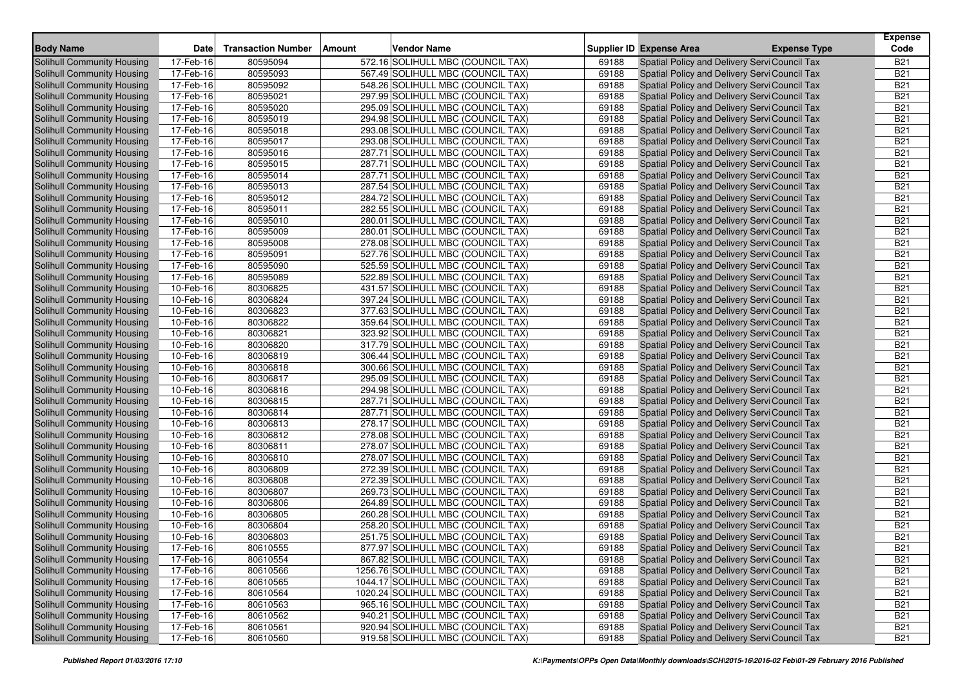| <b>Body Name</b>                  | <b>Date</b> | <b>Transaction Number</b> | <b>Amount</b> | <b>Vendor Name</b>                 |       | Supplier ID Expense Area                      | <b>Expense Type</b> | <b>Expense</b><br>Code |
|-----------------------------------|-------------|---------------------------|---------------|------------------------------------|-------|-----------------------------------------------|---------------------|------------------------|
| Solihull Community Housing        | 17-Feb-16   | 80595094                  |               | 572.16 SOLIHULL MBC (COUNCIL TAX)  | 69188 | Spatial Policy and Delivery Servi Council Tax |                     | <b>B21</b>             |
| Solihull Community Housing        | 17-Feb-16   | 80595093                  |               | 567.49 SOLIHULL MBC (COUNCIL TAX)  | 69188 | Spatial Policy and Delivery Servi Council Tax |                     | <b>B21</b>             |
| Solihull Community Housing        | 17-Feb-16   | 80595092                  |               | 548.26 SOLIHULL MBC (COUNCIL TAX)  | 69188 | Spatial Policy and Delivery Servi Council Tax |                     | <b>B21</b>             |
| Solihull Community Housing        | 17-Feb-16   | 80595021                  |               | 297.99 SOLIHULL MBC (COUNCIL TAX)  | 69188 | Spatial Policy and Delivery Servi Council Tax |                     | <b>B21</b>             |
| <b>Solihull Community Housing</b> | 17-Feb-16   | 80595020                  |               | 295.09 SOLIHULL MBC (COUNCIL TAX)  | 69188 | Spatial Policy and Delivery Servi Council Tax |                     | <b>B21</b>             |
| Solihull Community Housing        | 17-Feb-16   | 80595019                  |               | 294.98 SOLIHULL MBC (COUNCIL TAX)  | 69188 | Spatial Policy and Delivery Servi Council Tax |                     | <b>B21</b>             |
| Solihull Community Housing        | 17-Feb-16   | 80595018                  |               | 293.08 SOLIHULL MBC (COUNCIL TAX)  | 69188 | Spatial Policy and Delivery Servi Council Tax |                     | <b>B21</b>             |
| <b>Solihull Community Housing</b> | 17-Feb-16   | 80595017                  |               | 293.08 SOLIHULL MBC (COUNCIL TAX)  | 69188 | Spatial Policy and Delivery Servi Council Tax |                     | <b>B21</b>             |
| <b>Solihull Community Housing</b> | 17-Feb-16   | 80595016                  |               | 287.71 SOLIHULL MBC (COUNCIL TAX)  | 69188 | Spatial Policy and Delivery Servi Council Tax |                     | <b>B21</b>             |
| <b>Solihull Community Housing</b> | 17-Feb-16   | 80595015                  |               | 287.71 SOLIHULL MBC (COUNCIL TAX)  | 69188 | Spatial Policy and Delivery Servi Council Tax |                     | <b>B21</b>             |
| Solihull Community Housing        | 17-Feb-16   | 80595014                  |               | 287.71 SOLIHULL MBC (COUNCIL TAX)  | 69188 | Spatial Policy and Delivery Servi Council Tax |                     | <b>B21</b>             |
| <b>Solihull Community Housing</b> | 17-Feb-16   | 80595013                  |               | 287.54 SOLIHULL MBC (COUNCIL TAX)  | 69188 | Spatial Policy and Delivery Servi Council Tax |                     | <b>B21</b>             |
| Solihull Community Housing        | 17-Feb-16   | 80595012                  |               | 284.72 SOLIHULL MBC (COUNCIL TAX)  | 69188 | Spatial Policy and Delivery Servi Council Tax |                     | <b>B21</b>             |
| Solihull Community Housing        | 17-Feb-16   | 80595011                  |               | 282.55 SOLIHULL MBC (COUNCIL TAX)  | 69188 | Spatial Policy and Delivery Servi Council Tax |                     | <b>B21</b>             |
| <b>Solihull Community Housing</b> | 17-Feb-16   | 80595010                  |               | 280.01 SOLIHULL MBC (COUNCIL TAX)  | 69188 | Spatial Policy and Delivery Servi Council Tax |                     | <b>B21</b>             |
| Solihull Community Housing        | 17-Feb-16   | 80595009                  |               | 280.01 SOLIHULL MBC (COUNCIL TAX)  | 69188 | Spatial Policy and Delivery Servi Council Tax |                     | <b>B21</b>             |
| Solihull Community Housing        | 17-Feb-16   | 80595008                  |               | 278.08 SOLIHULL MBC (COUNCIL TAX)  | 69188 | Spatial Policy and Delivery Servi Council Tax |                     | <b>B21</b>             |
| <b>Solihull Community Housing</b> | 17-Feb-16   | 80595091                  |               | 527.76 SOLIHULL MBC (COUNCIL TAX)  | 69188 | Spatial Policy and Delivery Servi Council Tax |                     | <b>B21</b>             |
| Solihull Community Housing        | 17-Feb-16   | 80595090                  |               | 525.59 SOLIHULL MBC (COUNCIL TAX)  | 69188 | Spatial Policy and Delivery Servi Council Tax |                     | <b>B21</b>             |
| Solihull Community Housing        | 17-Feb-16   | 80595089                  |               | 522.89 SOLIHULL MBC (COUNCIL TAX)  | 69188 | Spatial Policy and Delivery Servi Council Tax |                     | <b>B21</b>             |
| <b>Solihull Community Housing</b> | 10-Feb-16   | 80306825                  |               | 431.57 SOLIHULL MBC (COUNCIL TAX)  | 69188 | Spatial Policy and Delivery Servi Council Tax |                     | <b>B21</b>             |
| <b>Solihull Community Housing</b> | 10-Feb-16   | 80306824                  |               | 397.24 SOLIHULL MBC (COUNCIL TAX)  | 69188 | Spatial Policy and Delivery Servi Council Tax |                     | <b>B21</b>             |
| Solihull Community Housing        | 10-Feb-16   | 80306823                  |               | 377.63 SOLIHULL MBC (COUNCIL TAX)  | 69188 | Spatial Policy and Delivery Servi Council Tax |                     | <b>B21</b>             |
| <b>Solihull Community Housing</b> | 10-Feb-16   | 80306822                  |               | 359.64 SOLIHULL MBC (COUNCIL TAX)  | 69188 | Spatial Policy and Delivery Servi Council Tax |                     | <b>B21</b>             |
| Solihull Community Housing        | 10-Feb-16   | 80306821                  |               | 323.92 SOLIHULL MBC (COUNCIL TAX)  | 69188 | Spatial Policy and Delivery Servi Council Tax |                     | <b>B21</b>             |
| Solihull Community Housing        | 10-Feb-16   | 80306820                  |               | 317.79 SOLIHULL MBC (COUNCIL TAX)  | 69188 | Spatial Policy and Delivery Servi Council Tax |                     | <b>B21</b>             |
| Solihull Community Housing        | 10-Feb-16   | 80306819                  |               | 306.44 SOLIHULL MBC (COUNCIL TAX)  | 69188 | Spatial Policy and Delivery Servi Council Tax |                     | <b>B21</b>             |
| Solihull Community Housing        | 10-Feb-16   | 80306818                  |               | 300.66 SOLIHULL MBC (COUNCIL TAX)  | 69188 | Spatial Policy and Delivery Servi Council Tax |                     | <b>B21</b>             |
| <b>Solihull Community Housing</b> | 10-Feb-16   | 80306817                  |               | 295.09 SOLIHULL MBC (COUNCIL TAX)  | 69188 | Spatial Policy and Delivery Servi Council Tax |                     | <b>B21</b>             |
| Solihull Community Housing        | 10-Feb-16   | 80306816                  |               | 294.98 SOLIHULL MBC (COUNCIL TAX)  | 69188 | Spatial Policy and Delivery Servi Council Tax |                     | <b>B21</b>             |
| Solihull Community Housing        | 10-Feb-16   | 80306815                  |               | 287.71 SOLIHULL MBC (COUNCIL TAX)  | 69188 | Spatial Policy and Delivery Servi Council Tax |                     | <b>B21</b>             |
| Solihull Community Housing        | 10-Feb-16   | 80306814                  |               | 287.71 SOLIHULL MBC (COUNCIL TAX)  | 69188 | Spatial Policy and Delivery Servi Council Tax |                     | <b>B21</b>             |
| Solihull Community Housing        | 10-Feb-16   | 80306813                  |               | 278.17 SOLIHULL MBC (COUNCIL TAX)  | 69188 | Spatial Policy and Delivery Servi Council Tax |                     | <b>B21</b>             |
| Solihull Community Housing        | 10-Feb-16   | 80306812                  |               | 278.08 SOLIHULL MBC (COUNCIL TAX)  | 69188 | Spatial Policy and Delivery Servi Council Tax |                     | <b>B21</b>             |
| <b>Solihull Community Housing</b> | 10-Feb-16   | 80306811                  |               | 278.07 SOLIHULL MBC (COUNCIL TAX)  | 69188 | Spatial Policy and Delivery Servi Council Tax |                     | <b>B21</b>             |
| Solihull Community Housing        | 10-Feb-16   | 80306810                  |               | 278.07 SOLIHULL MBC (COUNCIL TAX)  | 69188 | Spatial Policy and Delivery Servi Council Tax |                     | <b>B21</b>             |
| Solihull Community Housing        | 10-Feb-16   | 80306809                  |               | 272.39 SOLIHULL MBC (COUNCIL TAX)  | 69188 | Spatial Policy and Delivery Servi Council Tax |                     | <b>B21</b>             |
| Solihull Community Housing        | 10-Feb-16   | 80306808                  |               | 272.39 SOLIHULL MBC (COUNCIL TAX)  | 69188 | Spatial Policy and Delivery Servi Council Tax |                     | <b>B21</b>             |
| Solihull Community Housing        | 10-Feb-16   | 80306807                  |               | 269.73 SOLIHULL MBC (COUNCIL TAX)  | 69188 | Spatial Policy and Delivery Servi Council Tax |                     | <b>B21</b>             |
| <b>Solihull Community Housing</b> | 10-Feb-16   | 80306806                  |               | 264.89 SOLIHULL MBC (COUNCIL TAX)  | 69188 | Spatial Policy and Delivery Servi Council Tax |                     | <b>B21</b>             |
| Solihull Community Housing        | 10-Feb-16   | 80306805                  |               | 260.28 SOLIHULL MBC (COUNCIL TAX)  | 69188 | Spatial Policy and Delivery Servi Council Tax |                     | <b>B21</b>             |
| Solihull Community Housing        | 10-Feb-16   | 80306804                  |               | 258.20 SOLIHULL MBC (COUNCIL TAX)  | 69188 | Spatial Policy and Delivery Servi Council Tax |                     | <b>B21</b>             |
| Solihull Community Housing        | 10-Feb-16   | 80306803                  |               | 251.75 SOLIHULL MBC (COUNCIL TAX)  | 69188 | Spatial Policy and Delivery Servi Council Tax |                     | <b>B21</b>             |
| Solihull Community Housing        | 17-Feb-16   | 80610555                  |               | 877.97 SOLIHULL MBC (COUNCIL TAX)  | 69188 | Spatial Policy and Delivery Servi Council Tax |                     | <b>B21</b>             |
| Solihull Community Housing        | 17-Feb-16   | 80610554                  |               | 867.82 SOLIHULL MBC (COUNCIL TAX)  | 69188 | Spatial Policy and Delivery Servi Council Tax |                     | <b>B21</b>             |
| Solihull Community Housing        | 17-Feb-16   | 80610566                  |               | 1256.76 SOLIHULL MBC (COUNCIL TAX) | 69188 | Spatial Policy and Delivery Servi Council Tax |                     | <b>B21</b>             |
| Solihull Community Housing        | 17-Feb-16   | 80610565                  |               | 1044.17 SOLIHULL MBC (COUNCIL TAX) | 69188 | Spatial Policy and Delivery Servi Council Tax |                     | <b>B21</b>             |
| <b>Solihull Community Housing</b> | 17-Feb-16   | 80610564                  |               | 1020.24 SOLIHULL MBC (COUNCIL TAX) | 69188 | Spatial Policy and Delivery Servi Council Tax |                     | <b>B21</b>             |
| <b>Solihull Community Housing</b> | 17-Feb-16   | 80610563                  |               | 965.16 SOLIHULL MBC (COUNCIL TAX)  | 69188 | Spatial Policy and Delivery Servi Council Tax |                     | <b>B21</b>             |
| Solihull Community Housing        | 17-Feb-16   | 80610562                  |               | 940.21 SOLIHULL MBC (COUNCIL TAX)  | 69188 | Spatial Policy and Delivery Servi Council Tax |                     | <b>B21</b>             |
| Solihull Community Housing        | 17-Feb-16   | 80610561                  |               | 920.94 SOLIHULL MBC (COUNCIL TAX)  | 69188 | Spatial Policy and Delivery Servi Council Tax |                     | <b>B21</b>             |
| Solihull Community Housing        | 17-Feb-16   | 80610560                  |               | 919.58 SOLIHULL MBC (COUNCIL TAX)  | 69188 | Spatial Policy and Delivery Servi Council Tax |                     | <b>B21</b>             |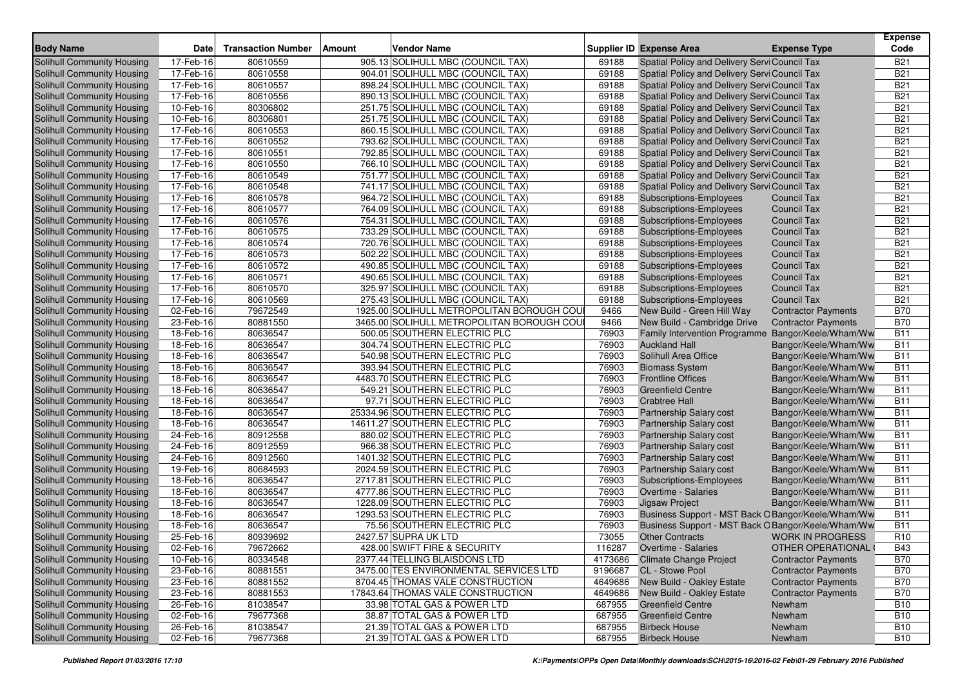|                                                          |                        |                           |        |                                                                                         |                |                                                              |                                                    | <b>Expense</b>           |
|----------------------------------------------------------|------------------------|---------------------------|--------|-----------------------------------------------------------------------------------------|----------------|--------------------------------------------------------------|----------------------------------------------------|--------------------------|
| <b>Body Name</b>                                         | <b>Date</b>            | <b>Transaction Number</b> | Amount | <b>Vendor Name</b>                                                                      |                | Supplier ID Expense Area                                     | <b>Expense Type</b>                                | Code                     |
| <b>Solihull Community Housing</b>                        | 17-Feb-16              | 80610559                  |        | 905.13 SOLIHULL MBC (COUNCIL TAX)                                                       | 69188          | Spatial Policy and Delivery Servi Council Tax                |                                                    | <b>B21</b>               |
| Solihull Community Housing                               | 17-Feb-16              | 80610558                  |        | 904.01 SOLIHULL MBC (COUNCIL TAX)                                                       | 69188          | Spatial Policy and Delivery Servi Council Tax                |                                                    | <b>B21</b>               |
| Solihull Community Housing                               | 17-Feb-16              | 80610557                  |        | 898.24 SOLIHULL MBC (COUNCIL TAX)                                                       | 69188          | Spatial Policy and Delivery Servi Council Tax                |                                                    | <b>B21</b>               |
| Solihull Community Housing                               | 17-Feb-16              | 80610556                  |        | 890.13 SOLIHULL MBC (COUNCIL TAX)                                                       | 69188          | Spatial Policy and Delivery Servi Council Tax                |                                                    | <b>B21</b>               |
| Solihull Community Housing                               | 10-Feb-16              | 80306802                  |        | 251.75 SOLIHULL MBC (COUNCIL TAX)                                                       | 69188          | Spatial Policy and Delivery Servi Council Tax                |                                                    | <b>B21</b>               |
| Solihull Community Housing                               | 10-Feb-16              | 80306801                  |        | 251.75 SOLIHULL MBC (COUNCIL TAX)                                                       | 69188          | Spatial Policy and Delivery Servi Council Tax                |                                                    | <b>B21</b>               |
| Solihull Community Housing                               | 17-Feb-16              | 80610553                  |        | 860.15 SOLIHULL MBC (COUNCIL TAX)                                                       | 69188          | Spatial Policy and Delivery Servi Council Tax                |                                                    | <b>B21</b>               |
| Solihull Community Housing                               | 17-Feb-16              | 80610552                  |        | 793.62 SOLIHULL MBC (COUNCIL TAX)                                                       | 69188          | Spatial Policy and Delivery Servi Council Tax                |                                                    | <b>B21</b>               |
| Solihull Community Housing                               | 17-Feb-16              | 80610551                  |        | 792.85 SOLIHULL MBC (COUNCIL TAX)                                                       | 69188          | Spatial Policy and Delivery Servi Council Tax                |                                                    | <b>B21</b>               |
| Solihull Community Housing                               | 17-Feb-16              | 80610550                  |        | 766.10 SOLIHULL MBC (COUNCIL TAX)                                                       | 69188          | Spatial Policy and Delivery Servi Council Tax                |                                                    | <b>B21</b>               |
| Solihull Community Housing                               | 17-Feb-16              | 80610549                  |        | 751.77 SOLIHULL MBC (COUNCIL TAX)                                                       | 69188          | Spatial Policy and Delivery Servi Council Tax                |                                                    | <b>B21</b>               |
| <b>Solihull Community Housing</b>                        | 17-Feb-16              | 80610548                  |        | 741.17 SOLIHULL MBC (COUNCIL TAX)                                                       | 69188          | Spatial Policy and Delivery Servi Council Tax                |                                                    | <b>B21</b>               |
| Solihull Community Housing                               | 17-Feb-16              | 80610578                  |        | 964.72 SOLIHULL MBC (COUNCIL TAX)                                                       | 69188          | Subscriptions-Employees                                      | <b>Council Tax</b>                                 | <b>B21</b>               |
| Solihull Community Housing                               | 17-Feb-16              | 80610577                  |        | 764.09 SOLIHULL MBC (COUNCIL TAX)                                                       | 69188          | Subscriptions-Employees                                      | <b>Council Tax</b>                                 | <b>B21</b>               |
| <b>Solihull Community Housing</b>                        | 17-Feb-16              | 80610576                  |        | 754.31 SOLIHULL MBC (COUNCIL TAX)                                                       | 69188          | Subscriptions-Employees                                      | <b>Council Tax</b>                                 | <b>B21</b>               |
| Solihull Community Housing                               | 17-Feb-16              | 80610575                  |        | 733.29 SOLIHULL MBC (COUNCIL TAX)                                                       | 69188          | Subscriptions-Employees                                      | <b>Council Tax</b>                                 | <b>B21</b>               |
| <b>Solihull Community Housing</b>                        | 17-Feb-16              | 80610574                  |        | 720.76 SOLIHULL MBC (COUNCIL TAX)                                                       | 69188          | <b>Subscriptions-Employees</b>                               | <b>Council Tax</b>                                 | <b>B21</b>               |
| <b>Solihull Community Housing</b>                        | 17-Feb-16              | 80610573                  |        | 502.22 SOLIHULL MBC (COUNCIL TAX)                                                       | 69188          | <b>Subscriptions-Employees</b>                               | <b>Council Tax</b>                                 | <b>B21</b>               |
| Solihull Community Housing                               | 17-Feb-16              | 80610572                  |        | 490.85 SOLIHULL MBC (COUNCIL TAX)                                                       | 69188          | Subscriptions-Employees                                      | <b>Council Tax</b>                                 | <b>B21</b>               |
| Solihull Community Housing                               | 17-Feb-16              | 80610571                  |        | 490.65 SOLIHULL MBC (COUNCIL TAX)                                                       | 69188          | Subscriptions-Employees                                      | <b>Council Tax</b>                                 | <b>B21</b>               |
| Solihull Community Housing                               | 17-Feb-16              | 80610570                  |        | 325.97 SOLIHULL MBC (COUNCIL TAX)                                                       | 69188          | Subscriptions-Employees                                      | <b>Council Tax</b>                                 | <b>B21</b>               |
| Solihull Community Housing                               | 17-Feb-16              | 80610569<br>79672549      |        | 275.43 SOLIHULL MBC (COUNCIL TAX)                                                       | 69188<br>9466  | <b>Subscriptions-Employees</b><br>New Build - Green Hill Way | <b>Council Tax</b>                                 | <b>B21</b><br><b>B70</b> |
| Solihull Community Housing<br>Solihull Community Housing | 02-Feb-16<br>23-Feb-16 | 80881550                  |        | 1925.00 SOLIHULL METROPOLITAN BOROUGH COU<br>3465.00 SOLIHULL METROPOLITAN BOROUGH COUI | 9466           | New Build - Cambridge Drive                                  | <b>Contractor Payments</b>                         | <b>B70</b>               |
|                                                          |                        | 80636547                  |        | 500.05 SOUTHERN ELECTRIC PLC                                                            |                |                                                              | <b>Contractor Payments</b><br>Bangor/Keele/Wham/Ww | <b>B11</b>               |
| Solihull Community Housing<br>Solihull Community Housing | 18-Feb-16              |                           |        | 304.74 SOUTHERN ELECTRIC PLC                                                            | 76903          | <b>Family Intervention Programme</b>                         | Bangor/Keele/Wham/Ww                               | <b>B11</b>               |
|                                                          | 18-Feb-16<br>18-Feb-16 | 80636547<br>80636547      |        | 540.98 SOUTHERN ELECTRIC PLC                                                            | 76903<br>76903 | <b>Auckland Hall</b><br>Solihull Area Office                 |                                                    | <b>B11</b>               |
| Solihull Community Housing<br>Solihull Community Housing | 18-Feb-16              | 80636547                  |        | 393.94 SOUTHERN ELECTRIC PLC                                                            | 76903          | <b>Biomass System</b>                                        | Bangor/Keele/Wham/Ww<br>Bangor/Keele/Wham/Ww       | <b>B11</b>               |
| Solihull Community Housing                               | 18-Feb-16              | 80636547                  |        | 4483.70 SOUTHERN ELECTRIC PLC                                                           | 76903          | <b>Frontline Offices</b>                                     | Bangor/Keele/Wham/Ww                               | <b>B11</b>               |
| Solihull Community Housing                               | 18-Feb-16              | 80636547                  |        | 549.21 SOUTHERN ELECTRIC PLC                                                            | 76903          | <b>Greenfield Centre</b>                                     | Bangor/Keele/Wham/Ww                               | <b>B11</b>               |
| Solihull Community Housing                               | 18-Feb-16              | 80636547                  |        | 97.71 SOUTHERN ELECTRIC PLC                                                             | 76903          | <b>Crabtree Hall</b>                                         | Bangor/Keele/Wham/Ww                               | <b>B11</b>               |
| Solihull Community Housing                               | 18-Feb-16              | 80636547                  |        | 25334.96 SOUTHERN ELECTRIC PLC                                                          | 76903          | Partnership Salary cost                                      | Bangor/Keele/Wham/Ww                               | <b>B11</b>               |
| Solihull Community Housing                               | 18-Feb-16              | 80636547                  |        | 14611.27 SOUTHERN ELECTRIC PLC                                                          | 76903          | Partnership Salary cost                                      | Bangor/Keele/Wham/Ww                               | <b>B11</b>               |
| Solihull Community Housing                               | 24-Feb-16              | 80912558                  |        | 880.02 SOUTHERN ELECTRIC PLC                                                            | 76903          | Partnership Salary cost                                      | Bangor/Keele/Wham/Ww                               | <b>B11</b>               |
| Solihull Community Housing                               | 24-Feb-16              | 80912559                  |        | 966.38 SOUTHERN ELECTRIC PLC                                                            | 76903          | Partnership Salary cost                                      | Bangor/Keele/Wham/Ww                               | <b>B11</b>               |
| Solihull Community Housing                               | 24-Feb-16              | 80912560                  |        | 1401.32 SOUTHERN ELECTRIC PLC                                                           | 76903          | Partnership Salary cost                                      | Bangor/Keele/Wham/Ww                               | <b>B11</b>               |
| Solihull Community Housing                               | 19-Feb-16              | 80684593                  |        | 2024.59 SOUTHERN ELECTRIC PLC                                                           | 76903          | Partnership Salary cost                                      | Bangor/Keele/Wham/Ww                               | <b>B11</b>               |
| Solihull Community Housing                               | 18-Feb-16              | 80636547                  |        | 2717.81 SOUTHERN ELECTRIC PLC                                                           | 76903          | <b>Subscriptions-Employees</b>                               | Bangor/Keele/Wham/Ww                               | <b>B11</b>               |
| <b>Solihull Community Housing</b>                        | 18-Feb-16              | 80636547                  |        | 4777.86 SOUTHERN ELECTRIC PLC                                                           | 76903          | Overtime - Salaries                                          | Bangor/Keele/Wham/Ww                               | <b>B11</b>               |
| <b>Solihull Community Housing</b>                        | 18-Feb-16              | 80636547                  |        | 1228.09 SOUTHERN ELECTRIC PLC                                                           | 76903          | Jigsaw Project                                               | Bangor/Keele/Wham/Ww                               | <b>B11</b>               |
| Solihull Community Housing                               | 18-Feb-16              | 80636547                  |        | 1293.53 SOUTHERN ELECTRIC PLC                                                           | 76903          | Business Support - MST Back O Bangor/Keele/Wham/Ww           |                                                    | <b>B11</b>               |
| Solihull Community Housing                               | 18-Feb-16              | 80636547                  |        | 75.56 SOUTHERN ELECTRIC PLC                                                             | 76903          | Business Support - MST Back O Bangor/Keele/Wham/Ww           |                                                    | <b>B11</b>               |
| <b>Solihull Community Housing</b>                        | 25-Feb-16              | 80939692                  |        | 2427.57 SUPRA UK LTD                                                                    | 73055          | <b>Other Contracts</b>                                       | <b>WORK IN PROGRESS</b>                            | R <sub>10</sub>          |
| Solihull Community Housing                               | 02-Feb-16              | 79672662                  |        | 428.00 SWIFT FIRE & SECURITY                                                            | 116287         | Overtime - Salaries                                          | OTHER OPERATIONAL                                  | <b>B43</b>               |
| Solihull Community Housing                               | 10-Feb-16              | 80334548                  |        | 2377.44 TELLING BLAISDONS LTD                                                           |                | 4173686 Climate Change Project                               | <b>Contractor Payments</b>                         | <b>B70</b>               |
| Solihull Community Housing                               | 23-Feb-16              | 80881551                  |        | 3475.00 TES ENVIRONMENTAL SERVICES LTD                                                  | 9196687        | CL - Stowe Pool                                              | <b>Contractor Payments</b>                         | <b>B70</b>               |
| Solihull Community Housing                               | 23-Feb-16              | 80881552                  |        | 8704.45 THOMAS VALE CONSTRUCTION                                                        | 4649686        | New Build - Oakley Estate                                    | <b>Contractor Payments</b>                         | <b>B70</b>               |
| Solihull Community Housing                               | 23-Feb-16              | 80881553                  |        | 17843.64 THOMAS VALE CONSTRUCTION                                                       | 4649686        | New Build - Oakley Estate                                    | <b>Contractor Payments</b>                         | <b>B70</b>               |
| <b>Solihull Community Housing</b>                        | 26-Feb-16              | 81038547                  |        | 33.98 TOTAL GAS & POWER LTD                                                             | 687955         | <b>Greenfield Centre</b>                                     | Newham                                             | <b>B10</b>               |
| Solihull Community Housing                               | 02-Feb-16              | 79677368                  |        | 38.87 TOTAL GAS & POWER LTD                                                             | 687955         | <b>Greenfield Centre</b>                                     | Newham                                             | <b>B10</b>               |
| Solihull Community Housing                               | 26-Feb-16              | 81038547                  |        | 21.39 TOTAL GAS & POWER LTD                                                             | 687955         | <b>Birbeck House</b>                                         | Newham                                             | <b>B10</b>               |
| Solihull Community Housing                               | 02-Feb-16              | 79677368                  |        | 21.39 TOTAL GAS & POWER LTD                                                             | 687955         | <b>Birbeck House</b>                                         | Newham                                             | <b>B10</b>               |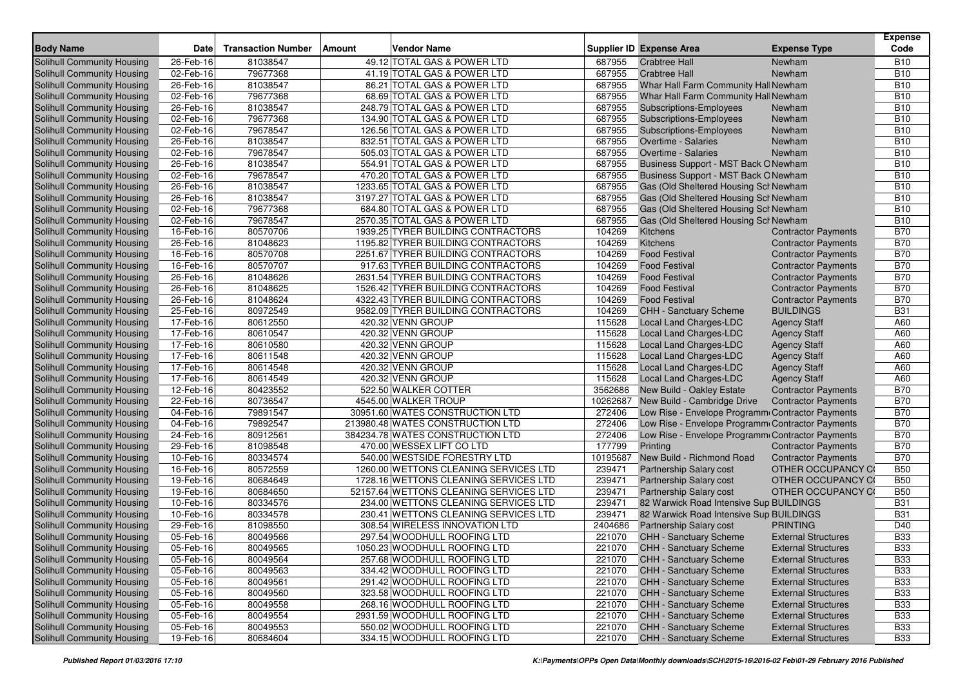| <b>Body Name</b>                  | <b>Date</b> | <b>Transaction Number</b> | Amount | Vendor Name                            |          | <b>Supplier ID Expense Area</b>                  | <b>Expense Type</b>        | <b>Expense</b><br>Code |
|-----------------------------------|-------------|---------------------------|--------|----------------------------------------|----------|--------------------------------------------------|----------------------------|------------------------|
| Solihull Community Housing        | 26-Feb-16   | 81038547                  |        | 49.12 TOTAL GAS & POWER LTD            | 687955   | <b>Crabtree Hall</b>                             | Newham                     | <b>B10</b>             |
| Solihull Community Housing        | 02-Feb-16   | 79677368                  |        | 41.19 TOTAL GAS & POWER LTD            | 687955   | <b>Crabtree Hall</b>                             | Newham                     | <b>B10</b>             |
| Solihull Community Housing        | 26-Feb-16   | 81038547                  |        | 86.21 TOTAL GAS & POWER LTD            | 687955   | Whar Hall Farm Community Hall Newham             |                            | <b>B10</b>             |
| Solihull Community Housing        | 02-Feb-16   | 79677368                  |        | 68.69 TOTAL GAS & POWER LTD            | 687955   | Whar Hall Farm Community Hall Newham             |                            | <b>B10</b>             |
| Solihull Community Housing        | 26-Feb-16   | 81038547                  |        | 248.79 TOTAL GAS & POWER LTD           | 687955   | Subscriptions-Employees                          | Newham                     | <b>B10</b>             |
| Solihull Community Housing        | 02-Feb-16   | 79677368                  |        | 134.90 TOTAL GAS & POWER LTD           | 687955   | <b>Subscriptions-Employees</b>                   | Newham                     | <b>B10</b>             |
| Solihull Community Housing        | 02-Feb-16   | 79678547                  |        | 126.56 TOTAL GAS & POWER LTD           | 687955   | Subscriptions-Employees                          | Newham                     | <b>B10</b>             |
| Solihull Community Housing        | 26-Feb-16   | 81038547                  |        | 832.51 TOTAL GAS & POWER LTD           | 687955   | Overtime - Salaries                              | Newham                     | <b>B10</b>             |
| Solihull Community Housing        | 02-Feb-16   | 79678547                  |        | 505.03 TOTAL GAS & POWER LTD           | 687955   | <b>Overtime - Salaries</b>                       | Newham                     | <b>B10</b>             |
| Solihull Community Housing        | 26-Feb-16   | 81038547                  |        | 554.91 TOTAL GAS & POWER LTD           | 687955   | Business Support - MST Back ONewham              |                            | <b>B10</b>             |
| Solihull Community Housing        | 02-Feb-16   | 79678547                  |        | 470.20 TOTAL GAS & POWER LTD           | 687955   | Business Support - MST Back O Newham             |                            | <b>B10</b>             |
| Solihull Community Housing        | 26-Feb-16   | 81038547                  |        | 1233.65 TOTAL GAS & POWER LTD          | 687955   | Gas (Old Sheltered Housing Scl Newham            |                            | <b>B10</b>             |
| <b>Solihull Community Housing</b> | 26-Feb-16   | 81038547                  |        | 3197.27 TOTAL GAS & POWER LTD          | 687955   | Gas (Old Sheltered Housing Scl Newham            |                            | <b>B10</b>             |
| Solihull Community Housing        | 02-Feb-16   | 79677368                  |        | 684.80 TOTAL GAS & POWER LTD           | 687955   | Gas (Old Sheltered Housing Scl Newham            |                            | <b>B10</b>             |
| <b>Solihull Community Housing</b> | 02-Feb-16   | 79678547                  |        | 2570.35 TOTAL GAS & POWER LTD          | 687955   | Gas (Old Sheltered Housing Sch Newham            |                            | <b>B10</b>             |
| Solihull Community Housing        | 16-Feb-16   | 80570706                  |        | 1939.25 TYRER BUILDING CONTRACTORS     | 104269   | Kitchens                                         | <b>Contractor Payments</b> | <b>B70</b>             |
| Solihull Community Housing        | 26-Feb-16   | 81048623                  |        | 1195.82 TYRER BUILDING CONTRACTORS     | 104269   | Kitchens                                         | <b>Contractor Payments</b> | <b>B70</b>             |
| Solihull Community Housing        | 16-Feb-16   | 80570708                  |        | 2251.67 TYRER BUILDING CONTRACTORS     | 104269   | <b>Food Festival</b>                             | <b>Contractor Payments</b> | <b>B70</b>             |
| <b>Solihull Community Housing</b> | 16-Feb-16   | 80570707                  |        | 917.63 TYRER BUILDING CONTRACTORS      | 104269   | <b>Food Festival</b>                             | <b>Contractor Payments</b> | <b>B70</b>             |
| Solihull Community Housing        | 26-Feb-16   | 81048626                  |        | 2631.54 TYRER BUILDING CONTRACTORS     | 104269   | <b>Food Festival</b>                             | <b>Contractor Payments</b> | <b>B70</b>             |
| Solihull Community Housing        | 26-Feb-16   | 81048625                  |        | 1526.42 TYRER BUILDING CONTRACTORS     | 104269   | <b>Food Festival</b>                             | <b>Contractor Payments</b> | <b>B70</b>             |
| Solihull Community Housing        | 26-Feb-16   | 81048624                  |        | 4322.43 TYRER BUILDING CONTRACTORS     | 104269   | <b>Food Festival</b>                             | <b>Contractor Payments</b> | <b>B70</b>             |
| Solihull Community Housing        | 25-Feb-16   | 80972549                  |        | 9582.09 TYRER BUILDING CONTRACTORS     | 104269   | CHH - Sanctuary Scheme                           | <b>BUILDINGS</b>           | <b>B31</b>             |
| Solihull Community Housing        | 17-Feb-16   | 80612550                  |        | 420.32 VENN GROUP                      | 115628   | Local Land Charges-LDC                           | <b>Agency Staff</b>        | A60                    |
| Solihull Community Housing        | 17-Feb-16   | 80610547                  |        | 420.32 VENN GROUP                      | 115628   | <b>Local Land Charges-LDC</b>                    | <b>Agency Staff</b>        | A60                    |
| <b>Solihull Community Housing</b> | 17-Feb-16   | 80610580                  |        | 420.32 VENN GROUP                      | 115628   | Local Land Charges-LDC                           | <b>Agency Staff</b>        | A60                    |
| Solihull Community Housing        | 17-Feb-16   | 80611548                  |        | 420.32 VENN GROUP                      | 115628   | Local Land Charges-LDC                           | <b>Agency Staff</b>        | A60                    |
| Solihull Community Housing        | 17-Feb-16   | 80614548                  |        | 420.32 VENN GROUP                      | 115628   | Local Land Charges-LDC                           | <b>Agency Staff</b>        | A60                    |
| <b>Solihull Community Housing</b> | 17-Feb-16   | 80614549                  |        | 420.32 VENN GROUP                      | 115628   | Local Land Charges-LDC                           | <b>Agency Staff</b>        | A60                    |
| Solihull Community Housing        | 12-Feb-16   | 80423552                  |        | 522.50 WALKER COTTER                   | 3562686  | New Build - Oakley Estate                        | <b>Contractor Payments</b> | <b>B70</b>             |
| Solihull Community Housing        | 22-Feb-16   | 80736547                  |        | 4545.00 WALKER TROUP                   | 10262687 | New Build - Cambridge Drive                      | <b>Contractor Payments</b> | <b>B70</b>             |
| Solihull Community Housing        | 04-Feb-16   | 79891547                  |        | 30951.60 WATES CONSTRUCTION LTD        | 272406   | Low Rise - Envelope Programm Contractor Payments |                            | <b>B70</b>             |
| Solihull Community Housing        | 04-Feb-16   | 79892547                  |        | 213980.48 WATES CONSTRUCTION LTD       | 272406   | Low Rise - Envelope Programm Contractor Payments |                            | <b>B70</b>             |
| Solihull Community Housing        | 24-Feb-16   | 80912561                  |        | 384234.78 WATES CONSTRUCTION LTD       | 272406   | Low Rise - Envelope Programm Contractor Payments |                            | <b>B70</b>             |
| Solihull Community Housing        | 29-Feb-16   | 81098548                  |        | 470.00 WESSEX LIFT CO LTD              | 177799   | Printing                                         | <b>Contractor Payments</b> | <b>B70</b>             |
| Solihull Community Housing        | 10-Feb-16   | 80334574                  |        | 540.00 WESTSIDE FORESTRY LTD           | 10195687 | New Build - Richmond Road                        | <b>Contractor Payments</b> | <b>B70</b>             |
| Solihull Community Housing        | 16-Feb-16   | 80572559                  |        | 1260.00 WETTONS CLEANING SERVICES LTD  | 239471   | Partnership Salary cost                          | <b>OTHER OCCUPANCY CO</b>  | <b>B50</b>             |
| Solihull Community Housing        | 19-Feb-16   | 80684649                  |        | 1728.16 WETTONS CLEANING SERVICES LTD  | 239471   | <b>Partnership Salary cost</b>                   | OTHER OCCUPANCY CO         | <b>B50</b>             |
| Solihull Community Housing        | 19-Feb-16   | 80684650                  |        | 52157.64 WETTONS CLEANING SERVICES LTD | 239471   | Partnership Salary cost                          | OTHER OCCUPANCY CO         | <b>B50</b>             |
| Solihull Community Housing        | 10-Feb-16   | 80334576                  |        | 234.00 WETTONS CLEANING SERVICES LTD   | 239471   | 82 Warwick Road Intensive Sup BUILDINGS          |                            | <b>B31</b>             |
| Solihull Community Housing        | 10-Feb-16   | 80334578                  |        | 230.41 WETTONS CLEANING SERVICES LTD   | 239471   | 82 Warwick Road Intensive Sup BUILDINGS          |                            | <b>B31</b>             |
| Solihull Community Housing        | 29-Feb-16   | 81098550                  |        | 308.54 WIRELESS INNOVATION LTD         | 2404686  | <b>Partnership Salary cost</b>                   | <b>PRINTING</b>            | D40                    |
| Solihull Community Housing        | 05-Feb-16   | 80049566                  |        | 297.54 WOODHULL ROOFING LTD            | 221070   | CHH - Sanctuary Scheme                           | <b>External Structures</b> | <b>B33</b>             |
| Solihull Community Housing        | 05-Feb-16   | 80049565                  |        | 1050.23 WOODHULL ROOFING LTD           | 221070   | <b>CHH - Sanctuary Scheme</b>                    | <b>External Structures</b> | <b>B33</b>             |
| Solihull Community Housing        | 05-Feb-16   | 80049564                  |        | 257.68 WOODHULL ROOFING LTD            | 221070   | <b>CHH - Sanctuary Scheme</b>                    | <b>External Structures</b> | <b>B33</b>             |
| Solihull Community Housing        | 05-Feb-16   | 80049563                  |        | 334.42 WOODHULL ROOFING LTD            | 221070   | CHH - Sanctuary Scheme                           | <b>External Structures</b> | <b>B33</b>             |
| Solihull Community Housing        | 05-Feb-16   | 80049561                  |        | 291.42 WOODHULL ROOFING LTD            | 221070   | <b>CHH - Sanctuary Scheme</b>                    | <b>External Structures</b> | <b>B33</b>             |
| Solihull Community Housing        | 05-Feb-16   | 80049560                  |        | 323.58 WOODHULL ROOFING LTD            | 221070   | CHH - Sanctuary Scheme                           | <b>External Structures</b> | <b>B33</b>             |
| Solihull Community Housing        | 05-Feb-16   | 80049558                  |        | 268.16 WOODHULL ROOFING LTD            | 221070   | CHH - Sanctuary Scheme                           | <b>External Structures</b> | <b>B33</b>             |
| Solihull Community Housing        | 05-Feb-16   | 80049554                  |        | 2931.59 WOODHULL ROOFING LTD           | 221070   | CHH - Sanctuary Scheme                           | <b>External Structures</b> | <b>B33</b>             |
| Solihull Community Housing        | 05-Feb-16   | 80049553                  |        | 550.02 WOODHULL ROOFING LTD            | 221070   | CHH - Sanctuary Scheme                           | <b>External Structures</b> | <b>B33</b>             |
| <b>Solihull Community Housing</b> | 19-Feb-16   | 80684604                  |        | 334.15 WOODHULL ROOFING LTD            | 221070   | CHH - Sanctuary Scheme                           | <b>External Structures</b> | <b>B33</b>             |